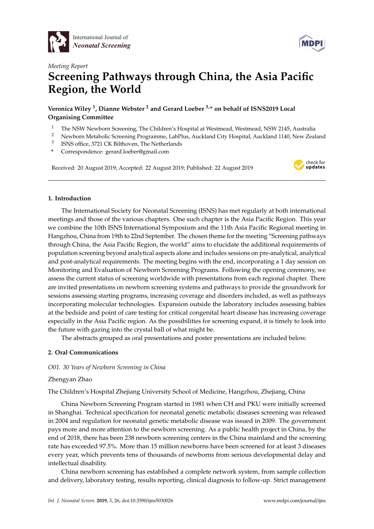



# *Meeting Report* **Screening Pathways through China, the Asia Pacific Region, the World**

**Veronica Wiley <sup>1</sup> , Dianne Webster <sup>2</sup> and Gerard Loeber 3,\* on behalf of ISNS2019 Local Organising Committee**

- <sup>1</sup> The NSW Newborn Screening, The Children's Hospital at Westmead, Westmead, NSW 2145, Australia<sup>2</sup>
- <sup>2</sup> Newborn Metabolic Screening Programme, LabPlus, Auckland City Hospital, Auckland 1140, New Zealand
- 3 ISNS office, 3721 CK Bilthoven, The Netherlands
- **\*** Correspondence: gerard.loeber@gmail.com

Received: 20 August 2019; Accepted: 22 August 2019; Published: 22 August 2019



# **1. Introduction**

The International Society for Neonatal Screening (ISNS) has met regularly at both international meetings and those of the various chapters. One such chapter is the Asia Pacific Region. This year we combine the 10th ISNS International Symposium and the 11th Asia Pacific Regional meeting in Hangzhou, China from 19th to 22nd September. The chosen theme for the meeting "Screening pathways through China, the Asia Pacific Region, the world" aims to elucidate the additional requirements of population screening beyond analytical aspects alone and includes sessions on pre-analytical, analytical and post-analytical requirements. The meeting begins with the end, incorporating a 1 day session on Monitoring and Evaluation of Newborn Screening Programs. Following the opening ceremony, we assess the current status of screening worldwide with presentations from each regional chapter. There are invited presentations on newborn screening systems and pathways to provide the groundwork for sessions assessing starting programs, increasing coverage and disorders included, as well as pathways incorporating molecular technologies. Expansion outside the laboratory includes assessing babies at the bedside and point of care testing for critical congenital heart disease has increasing coverage especially in the Asia Pacific region. As the possibilities for screening expand, it is timely to look into the future with gazing into the crystal ball of what might be.

The abstracts grouped as oral presentations and poster presentations are included below.

# **2. Oral Communications**

# *O01. 30 Years of Newborn Screening in China*

# Zhengyan Zhao

The Children's Hospital Zhejiang University School of Medicine, Hangzhou, Zhejiang, China

China Newborn Screening Program started in 1981 when CH and PKU were initially screened in Shanghai. Technical specification for neonatal genetic metabolic diseases screening was released in 2004 and regulation for neonatal genetic metabolic disease was issued in 2009. The government pays more and more attention to the newborn screening. As a public health project in China, by the end of 2018, there has been 238 newborn screening centers in the China mainland and the screening rate has exceeded 97.5%. More than 15 million newborns have been screened for at least 3 diseases every year, which prevents tens of thousands of newborns from serious developmental delay and intellectual disability.

China newborn screening has established a complete network system, from sample collection and delivery, laboratory testing, results reporting, clinical diagnosis to follow-up. Strict management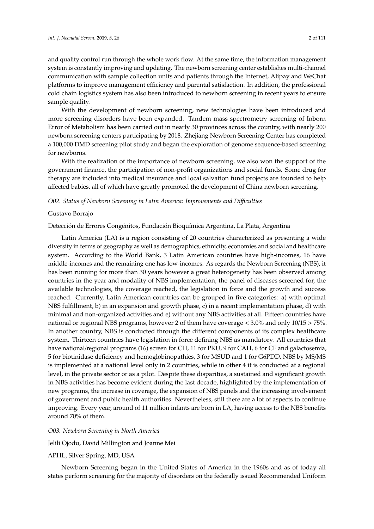and quality control run through the whole work flow. At the same time, the information management system is constantly improving and updating. The newborn screening center establishes multi-channel communication with sample collection units and patients through the Internet, Alipay and WeChat platforms to improve management efficiency and parental satisfaction. In addition, the professional cold chain logistics system has also been introduced to newborn screening in recent years to ensure sample quality.

With the development of newborn screening, new technologies have been introduced and more screening disorders have been expanded. Tandem mass spectrometry screening of Inborn Error of Metabolism has been carried out in nearly 30 provinces across the country, with nearly 200 newborn screening centers participating by 2018. Zhejiang Newborn Screening Center has completed a 100,000 DMD screening pilot study and began the exploration of genome sequence-based screening for newborns.

With the realization of the importance of newborn screening, we also won the support of the government finance, the participation of non-profit organizations and social funds. Some drug for therapy are included into medical insurance and local salvation fund projects are founded to help affected babies, all of which have greatly promoted the development of China newborn screening.

#### *O02. Status of Newborn Screening in Latin America: Improvements and Di*ffi*culties*

### Gustavo Borrajo

#### Detección de Errores Congénitos, Fundación Bioquímica Argentina, La Plata, Argentina

Latin America (LA) is a region consisting of 20 countries characterized as presenting a wide diversity in terms of geography as well as demographics, ethnicity, economies and social and healthcare system. According to the World Bank, 3 Latin American countries have high-incomes, 16 have middle-incomes and the remaining one has low-incomes. As regards the Newborn Screening (NBS), it has been running for more than 30 years however a great heterogeneity has been observed among countries in the year and modality of NBS implementation, the panel of diseases screened for, the available technologies, the coverage reached, the legislation in force and the growth and success reached. Currently, Latin American countries can be grouped in five categories: a) with optimal NBS fulfillment, b) in an expansion and growth phase, c) in a recent implementation phase, d) with minimal and non-organized activities and e) without any NBS activities at all. Fifteen countries have national or regional NBS programs, however 2 of them have coverage < 3.0% and only 10/15 > 75%. In another country, NBS is conducted through the different components of its complex healthcare system. Thirteen countries have legislation in force defining NBS as mandatory. All countries that have national/regional programs (16) screen for CH, 11 for PKU, 9 for CAH, 6 for CF and galactosemia, 5 for biotinidase deficiency and hemoglobinopathies, 3 for MSUD and 1 for G6PDD. NBS by MS/MS is implemented at a national level only in 2 countries, while in other 4 it is conducted at a regional level, in the private sector or as a pilot. Despite these disparities, a sustained and significant growth in NBS activities has become evident during the last decade, highlighted by the implementation of new programs, the increase in coverage, the expansion of NBS panels and the increasing involvement of government and public health authorities. Nevertheless, still there are a lot of aspects to continue improving. Every year, around of 11 million infants are born in LA, having access to the NBS benefits around 70% of them.

# *O03. Newborn Screening in North America*

# Jelili Ojodu, David Millington and Joanne Mei

#### APHL, Silver Spring, MD, USA

Newborn Screening began in the United States of America in the 1960s and as of today all states perform screening for the majority of disorders on the federally issued Recommended Uniform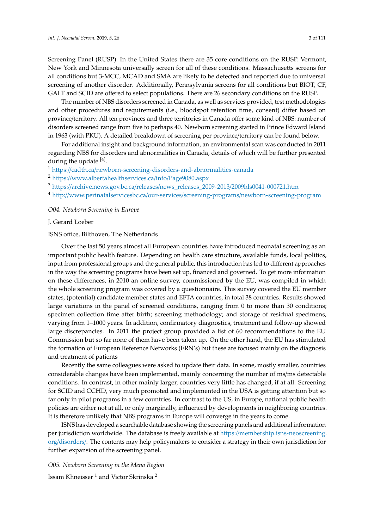Screening Panel (RUSP). In the United States there are 35 core conditions on the RUSP. Vermont, New York and Minnesota universally screen for all of these conditions. Massachusetts screens for all conditions but 3-MCC, MCAD and SMA are likely to be detected and reported due to universal screening of another disorder. Additionally, Pennsylvania screens for all conditions but BIOT, CF, GALT and SCID are offered to select populations. There are 26 secondary conditions on the RUSP.

The number of NBS disorders screened in Canada, as well as services provided, test methodologies and other procedures and requirements (i.e., bloodspot retention time, consent) differ based on province/territory. All ten provinces and three territories in Canada offer some kind of NBS: number of disorders screened range from five to perhaps 40. Newborn screening started in Prince Edward Island in 1963 (with PKU). A detailed breakdown of screening per province/territory can be found below.

For additional insight and background information, an environmental scan was conducted in 2011 regarding NBS for disorders and abnormalities in Canada, details of which will be further presented during the update <sup>[4]</sup>.

<sup>1</sup> https://cadth.ca/[newborn-screening-disorders-and-abnormalities-canada](https://cadth.ca/newborn-screening-disorders-and-abnormalities-canada)

<sup>2</sup> https://[www.albertahealthservices.ca](https://www.albertahealthservices.ca/info/Page9080.aspx)/info/Page9080.aspx

- <sup>3</sup> https://archive.news.gov.bc.ca/releases/[news\\_releases\\_2009-2013](https://archive.news.gov.bc.ca/releases/news_releases_2009-2013/2009hls0041-000721.htm)/2009hls0041-000721.htm
- <sup>4</sup> http://www.perinatalservicesbc.ca/our-services/screening-programs/[newborn-screening-program](http://www.perinatalservicesbc.ca/our-services/screening-programs/newborn-screening-program)

### *O04. Newborn Screening in Europe*

# J. Gerard Loeber

### ISNS office, Bilthoven, The Netherlands

Over the last 50 years almost all European countries have introduced neonatal screening as an important public health feature. Depending on health care structure, available funds, local politics, input from professional groups and the general public, this introduction has led to different approaches in the way the screening programs have been set up, financed and governed. To get more information on these differences, in 2010 an online survey, commissioned by the EU, was compiled in which the whole screening program was covered by a questionnaire. This survey covered the EU member states, (potential) candidate member states and EFTA countries, in total 38 countries. Results showed large variations in the panel of screened conditions, ranging from 0 to more than 30 conditions; specimen collection time after birth; screening methodology; and storage of residual specimens, varying from 1–1000 years. In addition, confirmatory diagnostics, treatment and follow-up showed large discrepancies. In 2011 the project group provided a list of 60 recommendations to the EU Commission but so far none of them have been taken up. On the other hand, the EU has stimulated the formation of European Reference Networks (ERN's) but these are focused mainly on the diagnosis and treatment of patients

Recently the same colleagues were asked to update their data. In some, mostly smaller, countries considerable changes have been implemented, mainly concerning the number of ms/ms detectable conditions. In contrast, in other mainly larger, countries very little has changed, if at all. Screening for SCID and CCHD, very much promoted and implemented in the USA is getting attention but so far only in pilot programs in a few countries. In contrast to the US, in Europe, national public health policies are either not at all, or only marginally, influenced by developments in neighboring countries. It is therefore unlikely that NBS programs in Europe will converge in the years to come.

ISNS has developed a searchable database showing the screening panels and additional information per jurisdiction worldwide. The database is freely available at https://[membership.isns-neoscreening.](https://membership.isns-neoscreening.org/disorders/) org/[disorders](https://membership.isns-neoscreening.org/disorders/)/. The contents may help policymakers to consider a strategy in their own jurisdiction for further expansion of the screening panel.

# *O05. Newborn Screening in the Mena Region*

Issam Khneisser <sup>1</sup> and Victor Skrinska <sup>2</sup>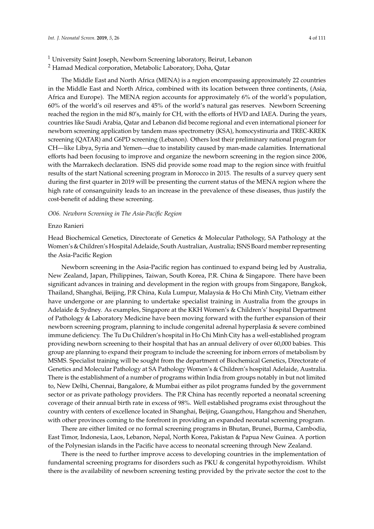# <sup>1</sup> University Saint Joseph, Newborn Screening laboratory, Beirut, Lebanon

<sup>2</sup> Hamad Medical corporation, Metabolic Laboratory, Doha, Qatar

The Middle East and North Africa (MENA) is a region encompassing approximately 22 countries in the Middle East and North Africa, combined with its location between three continents, (Asia, Africa and Europe). The MENA region accounts for approximately 6% of the world's population, 60% of the world's oil reserves and 45% of the world's natural gas reserves. Newborn Screening reached the region in the mid 80's, mainly for CH, with the efforts of HVD and IAEA. During the years, countries like Saudi Arabia, Qatar and Lebanon did become regional and even international pioneer for newborn screening application by tandem mass spectrometry (KSA), homocystinuria and TREC-KREK screening (QATAR) and G6PD screening (Lebanon). Others lost their preliminary national program for CH—like Libya, Syria and Yemen—due to instability caused by man-made calamities. International efforts had been focusing to improve and organize the newborn screening in the region since 2006, with the Marrakech declaration. ISNS did provide some road map to the region since with fruitful results of the start National screening program in Morocco in 2015. The results of a survey query sent during the first quarter in 2019 will be presenting the current status of the MENA region where the high rate of consanguinity leads to an increase in the prevalence of these diseases, thus justify the cost-benefit of adding these screening.

#### *O06. Newborn Screening in The Asia-Pacific Region*

#### Enzo Ranieri

Head Biochemical Genetics, Directorate of Genetics & Molecular Pathology, SA Pathology at the Women's & Children's Hospital Adelaide, South Australian, Australia; ISNS Board member representing the Asia-Pacific Region

Newborn screening in the Asia-Pacific region has continued to expand being led by Australia, New Zealand, Japan, Philippines, Taiwan, South Korea, P.R. China & Singapore. There have been significant advances in training and development in the region with groups from Singapore, Bangkok, Thailand, Shanghai, Beijing, P.R China, Kula Lumpur, Malaysia & Ho Chi Minh City, Vietnam either have undergone or are planning to undertake specialist training in Australia from the groups in Adelaide & Sydney. As examples, Singapore at the KKH Women's & Children's' hospital Department of Pathology & Laboratory Medicine have been moving forward with the further expansion of their newborn screening program, planning to include congenital adrenal hyperplasia & severe combined immune deficiency. The Tu Du Children's hospital in Ho Chi Minh City has a well-established program providing newborn screening to their hospital that has an annual delivery of over 60,000 babies. This group are planning to expand their program to include the screening for inborn errors of metabolism by MSMS. Specialist training will be sought from the department of Biochemical Genetics, Directorate of Genetics and Molecular Pathology at SA Pathology Women's & Children's hospital Adelaide, Australia. There is the establishment of a number of programs within India from groups notably in but not limited to, New Delhi, Chennai, Bangalore, & Mumbai either as pilot programs funded by the government sector or as private pathology providers. The P.R China has recently reported a neonatal screening coverage of their annual birth rate in excess of 98%. Well established programs exist throughout the country with centers of excellence located in Shanghai, Beijing, Guangzhou, Hangzhou and Shenzhen, with other provinces coming to the forefront in providing an expanded neonatal screening program.

There are either limited or no formal screening programs in Bhutan, Brunei, Burma, Cambodia, East Timor, Indonesia, Laos, Lebanon, Nepal, North Korea, Pakistan & Papua New Guinea. A portion of the Polynesian islands in the Pacific have access to neonatal screening through New Zealand.

There is the need to further improve access to developing countries in the implementation of fundamental screening programs for disorders such as PKU & congenital hypothyroidism. Whilst there is the availability of newborn screening testing provided by the private sector the cost to the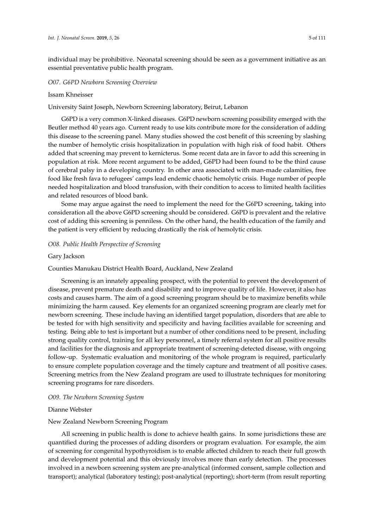individual may be prohibitive. Neonatal screening should be seen as a government initiative as an essential preventative public health program.

*O07. G6PD Newborn Screening Overview*

#### Issam Khneisser

University Saint Joseph, Newborn Screening laboratory, Beirut, Lebanon

G6PD is a very common X-linked diseases. G6PD newborn screening possibility emerged with the Beutler method 40 years ago. Current ready to use kits contribute more for the consideration of adding this disease to the screening panel. Many studies showed the cost benefit of this screening by slashing the number of hemolytic crisis hospitalization in population with high risk of food habit. Others added that screening may prevent to kernicterus. Some recent data are in favor to add this screening in population at risk. More recent argument to be added, G6PD had been found to be the third cause of cerebral palsy in a developing country. In other area associated with man-made calamities, free food like fresh fava to refugees' camps lead endemic chaotic hemolytic crisis. Huge number of people needed hospitalization and blood transfusion, with their condition to access to limited health facilities and related resources of blood bank.

Some may argue against the need to implement the need for the G6PD screening, taking into consideration all the above G6PD screening should be considered. G6PD is prevalent and the relative cost of adding this screening is penniless. On the other hand, the health education of the family and the patient is very efficient by reducing drastically the risk of hemolytic crisis.

# *O08. Public Health Perspective of Screening*

#### Gary Jackson

Counties Manukau District Health Board, Auckland, New Zealand

Screening is an innately appealing prospect, with the potential to prevent the development of disease, prevent premature death and disability and to improve quality of life. However, it also has costs and causes harm. The aim of a good screening program should be to maximize benefits while minimizing the harm caused. Key elements for an organized screening program are clearly met for newborn screening. These include having an identified target population, disorders that are able to be tested for with high sensitivity and specificity and having facilities available for screening and testing. Being able to test is important but a number of other conditions need to be present, including strong quality control, training for all key personnel, a timely referral system for all positive results and facilities for the diagnosis and appropriate treatment of screening-detected disease, with ongoing follow-up. Systematic evaluation and monitoring of the whole program is required, particularly to ensure complete population coverage and the timely capture and treatment of all positive cases. Screening metrics from the New Zealand program are used to illustrate techniques for monitoring screening programs for rare disorders.

#### *O09. The Newborn Screening System*

# Dianne Webster

### New Zealand Newborn Screening Program

All screening in public health is done to achieve health gains. In some jurisdictions these are quantified during the processes of adding disorders or program evaluation. For example, the aim of screening for congenital hypothyroidism is to enable affected children to reach their full growth and development potential and this obviously involves more than early detection. The processes involved in a newborn screening system are pre-analytical (informed consent, sample collection and transport); analytical (laboratory testing); post-analytical (reporting); short-term (from result reporting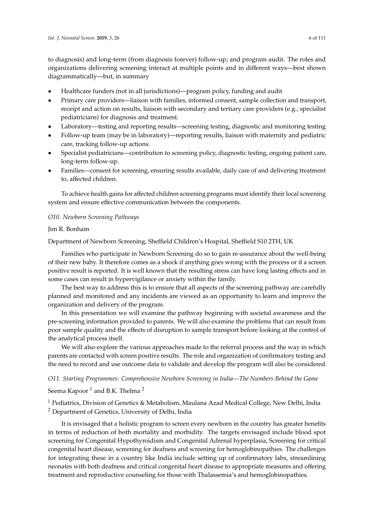to diagnosis) and long-term (from diagnosis forever) follow-up; and program audit. The roles and organizations delivering screening interact at multiple points and in different ways—best shown diagrammatically—but, in summary

- Healthcare funders (not in all jurisdictions)—program policy, funding and audit
- Primary care providers—liaison with families, informed consent, sample collection and transport, receipt and action on results, liaison with secondary and tertiary care providers (e.g., specialist pediatricians) for diagnosis and treatment.
- Laboratory—testing and reporting results—screening testing, diagnostic and monitoring testing
- Follow-up team (may be in laboratory)—reporting results, liaison with maternity and pediatric care, tracking follow-up actions.
- Specialist pediatricians—contribution to screening policy, diagnostic testing, ongoing patient care, long-term follow-up.
- Families—consent for screening, ensuring results available, daily care of and delivering treatment to, affected children.

To achieve health gains for affected children screening programs must identify their local screening system and ensure effective communication between the components.

# *O10. Newborn Screening Pathways*

# Jim R. Bonham

Department of Newborn Screening, Sheffield Children's Hospital, Sheffield S10 2TH, UK

Families who participate in Newborn Screening do so to gain re-assurance about the well-being of their new baby. It therefore comes as a shock if anything goes wrong with the process or if a screen positive result is reported. It is well known that the resulting stress can have long lasting effects and in some cases can result in hypervigilance or anxiety within the family.

The best way to address this is to ensure that all aspects of the screening pathway are carefully planned and monitored and any incidents are viewed as an opportunity to learn and improve the organization and delivery of the program.

In this presentation we will examine the pathway beginning with societal awareness and the pre-screening information provided to parents. We will also examine the problems that can result from poor sample quality and the effects of disruption to sample transport before looking at the control of the analytical process itself.

We will also explore the various approaches made to the referral process and the way in which parents are contacted with screen positive results. The role and organization of confirmatory testing and the need to record and use outcome data to validate and develop the program will also be considered.

# *O11. Starting Programmes: Comprehensive Newborn Screening in India—The Numbers Behind the Game*

# Seema Kapoor<sup>1</sup> and B.K. Thelma<sup>2</sup>

<sup>1</sup> Pediatrics, Division of Genetics & Metabolism, Maulana Azad Medical College, New Delhi, India <sup>2</sup> Department of Genetics, University of Delhi, India

It is envisaged that a holistic program to screen every newborn in the country has greater benefits in terms of reduction of both mortality and morbidity. The targets envisaged include blood spot screening for Congenital Hypothyroidism and Congenital Adrenal hyperplasia, Screening for critical congenital heart disease, screening for deafness and screening for hemoglobinopathies. The challenges for integrating these in a country like India include setting up of confirmatory labs, streamlining neonates with both deafness and critical congenital heart disease to appropriate measures and offering treatment and reproductive counseling for those with Thalassemia's and hemoglobinopathies.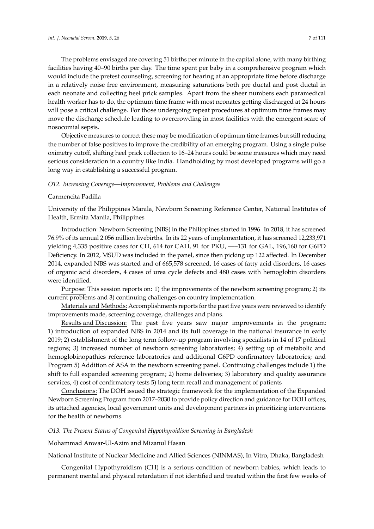The problems envisaged are covering 51 births per minute in the capital alone, with many birthing facilities having 40–90 births per day. The time spent per baby in a comprehensive program which would include the pretest counseling, screening for hearing at an appropriate time before discharge in a relatively noise free environment, measuring saturations both pre ductal and post ductal in each neonate and collecting heel prick samples. Apart from the sheer numbers each paramedical health worker has to do, the optimum time frame with most neonates getting discharged at 24 hours will pose a critical challenge. For those undergoing repeat procedures at optimum time frames may move the discharge schedule leading to overcrowding in most facilities with the emergent scare of

Objective measures to correct these may be modification of optimum time frames but still reducing the number of false positives to improve the credibility of an emerging program. Using a single pulse oximetry cutoff, shifting heel prick collection to 16–24 hours could be some measures which may need serious consideration in a country like India. Handholding by most developed programs will go a long way in establishing a successful program.

#### *O12. Increasing Coverage—Improvement, Problems and Challenges*

#### Carmencita Padilla

nosocomial sepsis.

University of the Philippines Manila, Newborn Screening Reference Center, National Institutes of Health, Ermita Manila, Philippines

Introduction: Newborn Screening (NBS) in the Philippines started in 1996. In 2018, it has screened 76.9% of its annual 2.056 million livebirths. In its 22 years of implementation, it has screened 12,233,971 yielding 4,335 positive cases for CH, 614 for CAH, 91 for PKU, —–131 for GAL, 196,160 for G6PD Deficiency. In 2012, MSUD was included in the panel, since then picking up 122 affected. In December 2014, expanded NBS was started and of 665,578 screened, 16 cases of fatty acid disorders, 16 cases of organic acid disorders, 4 cases of urea cycle defects and 480 cases with hemoglobin disorders were identified.

Purpose: This session reports on: 1) the improvements of the newborn screening program; 2) its current problems and 3) continuing challenges on country implementation.

Materials and Methods: Accomplishments reports for the past five years were reviewed to identify improvements made, screening coverage, challenges and plans.

Results and Discussion: The past five years saw major improvements in the program: 1) introduction of expanded NBS in 2014 and its full coverage in the national insurance in early 2019; 2) establishment of the long term follow-up program involving specialists in 14 of 17 political regions; 3) increased number of newborn screening laboratories; 4) setting up of metabolic and hemoglobinopathies reference laboratories and additional G6PD confirmatory laboratories; and Program 5) Addition of ASA in the newborn screening panel. Continuing challenges include 1) the shift to full expanded screening program; 2) home deliveries; 3) laboratory and quality assurance services, 4) cost of confirmatory tests 5) long term recall and management of patients

Conclusions: The DOH issued the strategic framework for the implementation of the Expanded Newborn Screening Program from 2017–2030 to provide policy direction and guidance for DOH offices, its attached agencies, local government units and development partners in prioritizing interventions for the health of newborns.

### *O13. The Present Status of Congenital Hypothyroidism Screening in Bangladesh*

Mohammad Anwar-Ul-Azim and Mizanul Hasan

National Institute of Nuclear Medicine and Allied Sciences (NINMAS), In Vitro, Dhaka, Bangladesh

Congenital Hypothyroidism (CH) is a serious condition of newborn babies, which leads to permanent mental and physical retardation if not identified and treated within the first few weeks of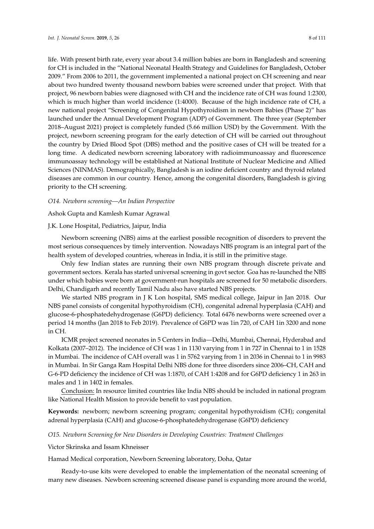life. With present birth rate, every year about 3.4 million babies are born in Bangladesh and screening for CH is included in the "National Neonatal Health Strategy and Guidelines for Bangladesh, October 2009." From 2006 to 2011, the government implemented a national project on CH screening and near about two hundred twenty thousand newborn babies were screened under that project. With that project, 96 newborn babies were diagnosed with CH and the incidence rate of CH was found 1:2300, which is much higher than world incidence (1:4000). Because of the high incidence rate of CH, a new national project "Screening of Congenital Hypothyroidism in newborn Babies (Phase 2)" has launched under the Annual Development Program (ADP) of Government. The three year (September 2018–August 2021) project is completely funded (5.66 million USD) by the Government. With the project, newborn screening program for the early detection of CH will be carried out throughout the country by Dried Blood Spot (DBS) method and the positive cases of CH will be treated for a long time. A dedicated newborn screening laboratory with radioimmunoassay and fluorescence immunoassay technology will be established at National Institute of Nuclear Medicine and Allied Sciences (NINMAS). Demographically, Bangladesh is an iodine deficient country and thyroid related diseases are common in our country. Hence, among the congenital disorders, Bangladesh is giving priority to the CH screening.

#### *O14. Newborn screening—An Indian Perspective*

### Ashok Gupta and Kamlesh Kumar Agrawal

# J.K. Lone Hospital, Pediatrics, Jaipur, India

Newborn screening (NBS) aims at the earliest possible recognition of disorders to prevent the most serious consequences by timely intervention. Nowadays NBS program is an integral part of the health system of developed countries, whereas in India, it is still in the primitive stage.

Only few Indian states are running their own NBS program through discrete private and government sectors. Kerala has started universal screening in govt sector. Goa has re-launched the NBS under which babies were born at government-run hospitals are screened for 50 metabolic disorders. Delhi, Chandigarh and recently Tamil Nadu also have started NBS projects.

We started NBS program in J K Lon hospital, SMS medical college, Jaipur in Jan 2018. Our NBS panel consists of congenital hypothyroidism (CH), congenital adrenal hyperplasia (CAH) and glucose-6-phosphatedehydrogenase (G6PD) deficiency. Total 6476 newborns were screened over a period 14 months (Jan 2018 to Feb 2019). Prevalence of G6PD was 1in 720, of CAH 1in 3200 and none in CH.

ICMR project screened neonates in 5 Centers in India—Delhi, Mumbai, Chennai, Hyderabad and Kolkata (2007–2012). The incidence of CH was 1 in 1130 varying from 1 in 727 in Chennai to 1 in 1528 in Mumbai. The incidence of CAH overall was 1 in 5762 varying from 1 in 2036 in Chennai to 1 in 9983 in Mumbai. In Sir Ganga Ram Hospital Delhi NBS done for three disorders since 2006–CH, CAH and G-6-PD deficiency the incidence of CH was 1:1870, of CAH 1:4208 and for G6PD deficiency 1 in 263 in males and 1 in 1402 in females.

Conclusion: In resource limited countries like India NBS should be included in national program like National Health Mission to provide benefit to vast population.

**Keywords:** newborn; newborn screening program; congenital hypothyroidism (CH); congenital adrenal hyperplasia (CAH) and glucose-6-phosphatedehydrogenase (G6PD) deficiency

### *O15. Newborn Screening for New Disorders in Developing Countries: Treatment Challenges*

Victor Skrinska and Issam Khneisser

Hamad Medical corporation, Newborn Screening laboratory, Doha, Qatar

Ready-to-use kits were developed to enable the implementation of the neonatal screening of many new diseases. Newborn screening screened disease panel is expanding more around the world,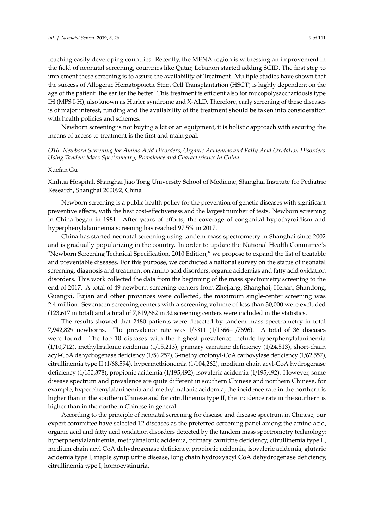reaching easily developing countries. Recently, the MENA region is witnessing an improvement in the field of neonatal screening, countries like Qatar, Lebanon started adding SCID. The first step to implement these screening is to assure the availability of Treatment. Multiple studies have shown that the success of Allogenic Hematopoietic Stem Cell Transplantation (HSCT) is highly dependent on the age of the patient: the earlier the better! This treatment is efficient also for mucopolysaccharidosis type IH (MPS I-H), also known as Hurler syndrome and X-ALD. Therefore, early screening of these diseases is of major interest, funding and the availability of the treatment should be taken into consideration with health policies and schemes.

Newborn screening is not buying a kit or an equipment, it is holistic approach with securing the means of access to treatment is the first and main goal.

*O16. Newborn Screening for Amino Acid Disorders, Organic Acidemias and Fatty Acid Oxidation Disorders Using Tandem Mass Spectrometry, Prevalence and Characteristics in China*

#### Xuefan Gu

Xinhua Hospital, Shanghai Jiao Tong University School of Medicine, Shanghai Institute for Pediatric Research, Shanghai 200092, China

Newborn screening is a public health policy for the prevention of genetic diseases with significant preventive effects, with the best cost-effectiveness and the largest number of tests. Newborn screening in China began in 1981. After years of efforts, the coverage of congenital hypothyroidism and hyperphenylalaninemia screening has reached 97.5% in 2017.

China has started neonatal screening using tandem mass spectrometry in Shanghai since 2002 and is gradually popularizing in the country. In order to update the National Health Committee's "Newborn Screening Technical Specification, 2010 Edition," we propose to expand the list of treatable and preventable diseases. For this purpose, we conducted a national survey on the status of neonatal screening, diagnosis and treatment on amino acid disorders, organic acidemias and fatty acid oxidation disorders. This work collected the data from the beginning of the mass spectrometry screening to the end of 2017. A total of 49 newborn screening centers from Zhejiang, Shanghai, Henan, Shandong, Guangxi, Fujian and other provinces were collected, the maximum single-center screening was 2.4 million. Seventeen screening centers with a screening volume of less than 30,000 were excluded (123,617 in total) and a total of 7,819,662 in 32 screening centers were included in the statistics.

The results showed that 2480 patients were detected by tandem mass spectrometry in total 7,942,829 newborns. The prevalence rate was 1/3311 (1/1366–1/7696). A total of 36 diseases were found. The top 10 diseases with the highest prevalence include hyperphenylalaninemia (1/10,712), methylmalonic acidemia (1/15,213), primary carnitine deficiency (1/24,513), short-chain acyl-CoA dehydrogenase deficiency (1/56,257), 3-methylcrotonyl-CoA carboxylase deficiency (1/62,557), citrullinemia type II (1/68,594), hypermethionemia (1/104,262), medium chain acyl-CoA hydrogenase deficiency (1/150,378), propionic acidemia (1/195,492), isovaleric acidemia (1/195,492). However, some disease spectrum and prevalence are quite different in southern Chinese and northern Chinese, for example, hyperphenylalaninemia and methylmalonic acidemia, the incidence rate in the northern is higher than in the southern Chinese and for citrullinemia type II, the incidence rate in the southern is higher than in the northern Chinese in general.

According to the principle of neonatal screening for disease and disease spectrum in Chinese, our expert committee have selected 12 diseases as the preferred screening panel among the amino acid, organic acid and fatty acid oxidation disorders detected by the tandem mass spectrometry technology: hyperphenylalaninemia, methylmalonic acidemia, primary carnitine deficiency, citrullinemia type II, medium chain acyl CoA dehydrogenase deficiency, propionic acidemia, isovaleric acidemia, glutaric acidemia type I, maple syrup urine disease, long chain hydroxyacyl CoA dehydrogenase deficiency, citrullinemia type I, homocystinuria.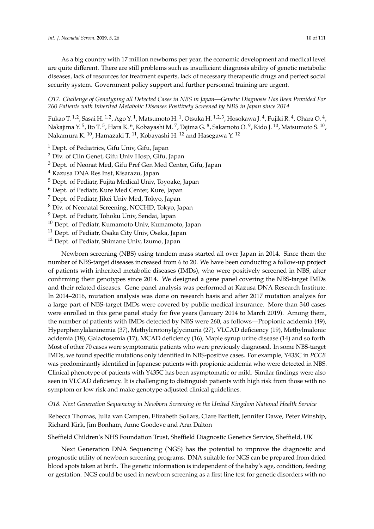As a big country with 17 million newborns per year, the economic development and medical level are quite different. There are still problems such as insufficient diagnosis ability of genetic metabolic diseases, lack of resources for treatment experts, lack of necessary therapeutic drugs and perfect social security system. Government policy support and further personnel training are urgent.

# *O17. Challenge of Genotyping all Detected Cases in NBS in Japan—Genetic Diagnosis Has Been Provided For 260 Patients with Inherited Metabolic Diseases Positively Screened by NBS in Japan since 2014*

Fukao T.  $^{1,2}$ , Sasai H.  $^{1,2}$ , Ago Y.  $^1$ , Matsumoto H.  $^1$ , Otsuka H.  $^{1,2,3}$ , Hosokawa J.  $^4$ , Fujiki R.  $^4$ , Ohara O.  $^4$ , Nakajima Y. <sup>5</sup>, Ito T. <sup>5</sup>, Hara K. <sup>6</sup>, Kobayashi M. <sup>7</sup>, Tajima G. <sup>8</sup>, Sakamoto O. <sup>9</sup>, Kido J. <sup>10</sup>, Matsumoto S. <sup>10</sup>, Nakamura K. <sup>10</sup>, Hamazaki T. <sup>11</sup>, Kobayashi H. <sup>12</sup> and Hasegawa Y. <sup>12</sup>

- $<sup>1</sup>$  Dept. of Pediatrics, Gifu Univ, Gifu, Japan</sup>
- <sup>2</sup> Div. of Clin Genet, Gifu Univ Hosp, Gifu, Japan
- <sup>3</sup> Dept. of Neonat Med, Gifu Pref Gen Med Center, Gifu, Japan
- <sup>4</sup> Kazusa DNA Res Inst, Kisarazu, Japan
- <sup>5</sup> Dept. of Pediatr, Fujita Medical Univ, Toyoake, Japan
- <sup>6</sup> Dept. of Pediatr, Kure Med Center, Kure, Japan
- <sup>7</sup> Dept. of Pediatr, Jikei Univ Med, Tokyo, Japan
- <sup>8</sup> Div. of Neonatal Screening, NCCHD, Tokyo, Japan
- <sup>9</sup> Dept. of Pediatr, Tohoku Univ, Sendai, Japan
- <sup>10</sup> Dept. of Pediatr, Kumamoto Univ, Kumamoto, Japan
- <sup>11</sup> Dept. of Pediatr, Osaka City Univ, Osaka, Japan
- <sup>12</sup> Dept. of Pediatr, Shimane Univ, Izumo, Japan

Newborn screening (NBS) using tandem mass started all over Japan in 2014. Since them the number of NBS-target diseases increased from 6 to 20. We have been conducting a follow-up project of patients with inherited metabolic diseases (IMDs), who were positively screened in NBS, after confirming their genotypes since 2014. We designed a gene panel covering the NBS-target IMDs and their related diseases. Gene panel analysis was performed at Kazusa DNA Research Institute. In 2014–2016, mutation analysis was done on research basis and after 2017 mutation analysis for a large part of NBS-target IMDs were covered by public medical insurance. More than 340 cases were enrolled in this gene panel study for five years (January 2014 to March 2019). Among them, the number of patients with IMDs detected by NBS were 260, as follows—Propionic acidemia (49), Hyperphenylalaninemia (37), Methylcrotonylglycinuria (27), VLCAD deficiency (19), Methylmalonic acidemia (18), Galactosemia (17), MCAD deficiency (16), Maple syrup urine disease (14) and so forth. Most of other 70 cases were symptomatic patients who were previously diagnosed. In some NBS-target IMDs, we found specific mutations only identified in NBS-positive cases. For example, Y435C in *PCCB* was predominantly identified in Japanese patients with propionic acidemia who were detected in NBS. Clinical phenotype of patients with Y435C has been asymptomatic or mild. Similar findings were also seen in VLCAD deficiency. It is challenging to distinguish patients with high risk from those with no symptom or low risk and make genotype-adjusted clinical guidelines.

# *O18. Next Generation Sequencing in Newborn Screening in the United Kingdom National Health Service*

Rebecca Thomas, Julia van Campen, Elizabeth Sollars, Clare Bartlett, Jennifer Dawe, Peter Winship, Richard Kirk, Jim Bonham, Anne Goodeve and Ann Dalton

Sheffield Children's NHS Foundation Trust, Sheffield Diagnostic Genetics Service, Sheffield, UK

Next Generation DNA Sequencing (NGS) has the potential to improve the diagnostic and prognostic utility of newborn screening programs. DNA suitable for NGS can be prepared from dried blood spots taken at birth. The genetic information is independent of the baby's age, condition, feeding or gestation. NGS could be used in newborn screening as a first line test for genetic disorders with no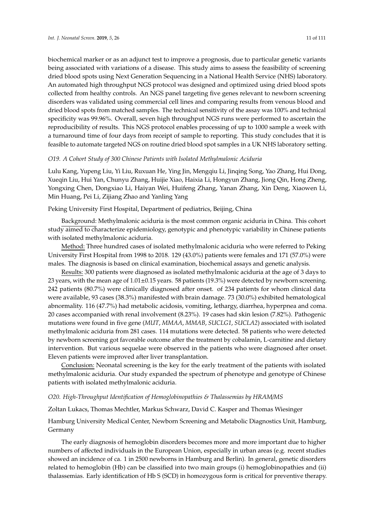biochemical marker or as an adjunct test to improve a prognosis, due to particular genetic variants being associated with variations of a disease. This study aims to assess the feasibility of screening dried blood spots using Next Generation Sequencing in a National Health Service (NHS) laboratory. An automated high throughput NGS protocol was designed and optimized using dried blood spots collected from healthy controls. An NGS panel targeting five genes relevant to newborn screening disorders was validated using commercial cell lines and comparing results from venous blood and dried blood spots from matched samples. The technical sensitivity of the assay was 100% and technical specificity was 99.96%. Overall, seven high throughput NGS runs were performed to ascertain the reproducibility of results. This NGS protocol enables processing of up to 1000 sample a week with a turnaround time of four days from receipt of sample to reporting. This study concludes that it is feasible to automate targeted NGS on routine dried blood spot samples in a UK NHS laboratory setting.

### *O19. A Cohort Study of 300 Chinese Patients with Isolated Methylmalonic Aciduria*

Lulu Kang, Yupeng Liu, Yi Liu, Ruxuan He, Ying Jin, Mengqiu Li, Jinqing Song, Yao Zhang, Hui Dong, Xueqin Liu, Hui Yan, Chunyu Zhang, Huijie Xiao, Haixia Li, Hongyun Zhang, Jiong Qin, Hong Zheng, Yongxing Chen, Dongxiao Li, Haiyan Wei, Huifeng Zhang, Yanan Zhang, Xin Deng, Xiaowen Li, Min Huang, Pei Li, Zijiang Zhao and Yanling Yang

Peking University First Hospital, Department of pediatrics, Beijing, China

Background: Methylmalonic aciduria is the most common organic aciduria in China. This cohort study aimed to characterize epidemiology, genotypic and phenotypic variability in Chinese patients with isolated methylmalonic aciduria.

Method: Three hundred cases of isolated methylmalonic aciduria who were referred to Peking University First Hospital from 1998 to 2018. 129 (43.0%) patients were females and 171 (57.0%) were males. The diagnosis is based on clinical examination, biochemical assays and genetic analysis.

Results: 300 patients were diagnosed as isolated methylmalonic aciduria at the age of 3 days to 23 years, with the mean age of 1.01±0.15 years. 58 patients (19.3%) were detected by newborn screening. 242 patients (80.7%) were clinically diagnosed after onset. of 234 patients for whom clinical data were available, 93 cases (38.3%) manifested with brain damage. 73 (30.0%) exhibited hematological abnormality. 116 (47.7%) had metabolic acidosis, vomiting, lethargy, diarrhea, hyperpnea and coma. 20 cases accompanied with renal involvement (8.23%). 19 cases had skin lesion (7.82%). Pathogenic mutations were found in five gene (*MUT*, *MMAA*, *MMAB*, *SUCLG1*, *SUCLA2*) associated with isolated methylmalonic aciduria from 281 cases. 114 mutations were detected. 58 patients who were detected by newborn screening got favorable outcome after the treatment by cobalamin, L-carnitine and dietary intervention. But various sequelae were observed in the patients who were diagnosed after onset. Eleven patients were improved after liver transplantation.

Conclusion: Neonatal screening is the key for the early treatment of the patients with isolated methylmalonic aciduria. Our study expanded the spectrum of phenotype and genotype of Chinese patients with isolated methylmalonic aciduria.

#### *O20. High-Throughput Identification of Hemoglobinopathies & Thalassemias by HRAM*/*MS*

Zoltan Lukacs, Thomas Mechtler, Markus Schwarz, David C. Kasper and Thomas Wiesinger

Hamburg University Medical Center, Newborn Screening and Metabolic Diagnostics Unit, Hamburg, Germany

The early diagnosis of hemoglobin disorders becomes more and more important due to higher numbers of affected individuals in the European Union, especially in urban areas (e.g. recent studies showed an incidence of ca. 1 in 2500 newborns in Hamburg and Berlin). In general, genetic disorders related to hemoglobin (Hb) can be classified into two main groups (i) hemoglobinopathies and (ii) thalassemias. Early identification of Hb S (SCD) in homozygous form is critical for preventive therapy.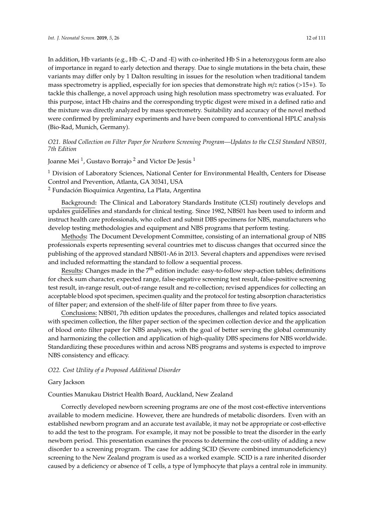In addition, Hb variants (e.g., Hb -C, -D and -E) with co-inherited Hb S in a heterozygous form are also of importance in regard to early detection and therapy. Due to single mutations in the beta chain, these variants may differ only by 1 Dalton resulting in issues for the resolution when traditional tandem mass spectrometry is applied, especially for ion species that demonstrate high *m*/*z* ratios (>15+). To tackle this challenge, a novel approach using high resolution mass spectrometry was evaluated. For this purpose, intact Hb chains and the corresponding tryptic digest were mixed in a defined ratio and the mixture was directly analyzed by mass spectrometry. Suitability and accuracy of the novel method were confirmed by preliminary experiments and have been compared to conventional HPLC analysis (Bio-Rad, Munich, Germany).

# *O21. Blood Collection on Filter Paper for Newborn Screening Program—Updates to the CLSI Standard NBS01, 7th Edition*

Joanne Mei <sup>1</sup>, Gustavo Borrajo <sup>2</sup> and Victor De Jesús <sup>1</sup>

<sup>1</sup> Division of Laboratory Sciences, National Center for Environmental Health, Centers for Disease Control and Prevention, Atlanta, GA 30341, USA

<sup>2</sup> Fundación Bioquímica Argentina, La Plata, Argentina

Background**:** The Clinical and Laboratory Standards Institute (CLSI) routinely develops and updates guidelines and standards for clinical testing. Since 1982, NBS01 has been used to inform and instruct health care professionals, who collect and submit DBS specimens for NBS, manufacturers who develop testing methodologies and equipment and NBS programs that perform testing.

Methods**:** The Document Development Committee, consisting of an international group of NBS professionals experts representing several countries met to discuss changes that occurred since the publishing of the approved standard NBS01-A6 in 2013. Several chapters and appendixes were revised and included reformatting the standard to follow a sequential process.

Results: Changes made in the 7<sup>th</sup> edition include: easy-to-follow step-action tables; definitions for check sum character, expected range, false-negative screening test result, false-positive screening test result, in-range result, out-of-range result and re-collection; revised appendices for collecting an acceptable blood spot specimen, specimen quality and the protocol for testing absorption characteristics of filter paper; and extension of the shelf-life of filter paper from three to five years.

Conclusions: NBS01, 7th edition updates the procedures, challenges and related topics associated with specimen collection, the filter paper section of the specimen collection device and the application of blood onto filter paper for NBS analyses, with the goal of better serving the global community and harmonizing the collection and application of high-quality DBS specimens for NBS worldwide. Standardizing these procedures within and across NBS programs and systems is expected to improve NBS consistency and efficacy.

### *O22. Cost Utility of a Proposed Additional Disorder*

### Gary Jackson

### Counties Manukau District Health Board, Auckland, New Zealand

Correctly developed newborn screening programs are one of the most cost-effective interventions available to modern medicine. However, there are hundreds of metabolic disorders. Even with an established newborn program and an accurate test available, it may not be appropriate or cost-effective to add the test to the program. For example, it may not be possible to treat the disorder in the early newborn period. This presentation examines the process to determine the cost-utility of adding a new disorder to a screening program. The case for adding SCID (Severe combined immunodeficiency) screening to the New Zealand program is used as a worked example. SCID is a rare inherited disorder caused by a deficiency or absence of T cells, a type of lymphocyte that plays a central role in immunity.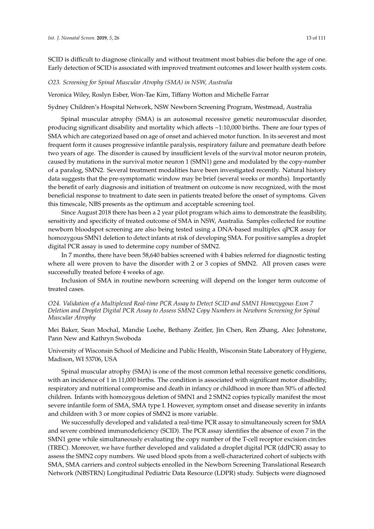SCID is difficult to diagnose clinically and without treatment most babies die before the age of one. Early detection of SCID is associated with improved treatment outcomes and lower health system costs.

#### *O23. Screening for Spinal Muscular Atrophy (SMA) in NSW, Australia*

Veronica Wiley, Roslyn Esber, Won-Tae Kim, Tiffany Wotton and Michelle Farrar

Sydney Children's Hospital Network, NSW Newborn Screening Program, Westmead, Australia

Spinal muscular atrophy (SMA) is an autosomal recessive genetic neuromuscular disorder, producing significant disability and mortality which affects ~1:10,000 births. There are four types of SMA which are categorized based on age of onset and achieved motor function. In its severest and most frequent form it causes progressive infantile paralysis, respiratory failure and premature death before two years of age. The disorder is caused by insufficient levels of the survival motor neuron protein, caused by mutations in the survival motor neuron 1 (SMN1) gene and modulated by the copy-number of a paralog, SMN2. Several treatment modalities have been investigated recently. Natural history data suggests that the pre-symptomatic window may be brief (several weeks or months). Importantly the benefit of early diagnosis and initiation of treatment on outcome is now recognized, with the most beneficial response to treatment to date seen in patients treated before the onset of symptoms. Given this timescale, NBS presents as the optimum and acceptable screening tool.

Since August 2018 there has been a 2 year pilot program which aims to demonstrate the feasibility, sensitivity and specificity of treated outcome of SMA in NSW, Australia. Samples collected for routine newborn bloodspot screening are also being tested using a DNA-based multiplex qPCR assay for homozygous SMN1 deletion to detect infants at risk of developing SMA. For positive samples a droplet digital PCR assay is used to determine copy number of SMN2.

In 7 months, there have been 58,640 babies screened with 4 babies referred for diagnostic testing where all were proven to have the disorder with 2 or 3 copies of SMN2. All proven cases were successfully treated before 4 weeks of age.

Inclusion of SMA in routine newborn screening will depend on the longer term outcome of treated cases.

# *O24. Validation of a Multiplexed Real-time PCR Assay to Detect SCID and SMN1 Homozygous Exon 7 Deletion and Droplet Digital PCR Assay to Assess SMN2 Copy Numbers in Newborn Screening for Spinal Muscular Atrophy*

Mei Baker, Sean Mochal, Mandie Loehe, Bethany Zeitler, Jin Chen, Ren Zhang, Alec Johnstone, Pann New and Kathryn Swoboda

University of Wisconsin School of Medicine and Public Health, Wisconsin State Laboratory of Hygiene, Madison, WI 53706, USA

Spinal muscular atrophy (SMA) is one of the most common lethal recessive genetic conditions, with an incidence of 1 in 11,000 births. The condition is associated with significant motor disability, respiratory and nutritional compromise and death in infancy or childhood in more than 50% of affected children. Infants with homozygous deletion of SMN1 and 2 SMN2 copies typically manifest the most severe infantile form of SMA, SMA type I. However, symptom onset and disease severity in infants and children with 3 or more copies of SMN2 is more variable.

We successfully developed and validated a real-time PCR assay to simultaneously screen for SMA and severe combined immunodeficiency (SCID). The PCR assay identifies the absence of exon 7 in the SMN1 gene while simultaneously evaluating the copy number of the T-cell receptor excision circles (TREC). Moreover, we have further developed and validated a droplet digital PCR (ddPCR) assay to assess the SMN2 copy numbers. We used blood spots from a well-characterized cohort of subjects with SMA, SMA carriers and control subjects enrolled in the Newborn Screening Translational Research Network (NBSTRN) Longitudinal Pediatric Data Resource (LDPR) study. Subjects were diagnosed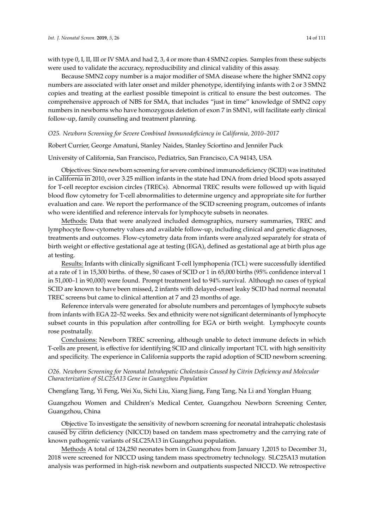with type 0, I, II, III or IV SMA and had 2, 3, 4 or more than 4 SMN2 copies. Samples from these subjects were used to validate the accuracy, reproducibility and clinical validity of this assay.

Because SMN2 copy number is a major modifier of SMA disease where the higher SMN2 copy numbers are associated with later onset and milder phenotype, identifying infants with 2 or 3 SMN2 copies and treating at the earliest possible timepoint is critical to ensure the best outcomes. The comprehensive approach of NBS for SMA, that includes "just in time" knowledge of SMN2 copy numbers in newborns who have homozygous deletion of exon 7 in SMN1, will facilitate early clinical follow-up, family counseling and treatment planning.

#### *O25. Newborn Screening for Severe Combined Immunodeficiency in California, 2010–2017*

Robert Currier, George Amatuni, Stanley Naides, Stanley Sciortino and Jennifer Puck

University of California, San Francisco, Pediatrics, San Francisco, CA 94143, USA

Objectives: Since newborn screening for severe combined immunodeficiency (SCID) was instituted in California in 2010, over 3.25 million infants in the state had DNA from dried blood spots assayed for T-cell receptor excision circles (TRECs). Abnormal TREC results were followed up with liquid blood flow cytometry for T-cell abnormalities to determine urgency and appropriate site for further evaluation and care. We report the performance of the SCID screening program, outcomes of infants who were identified and reference intervals for lymphocyte subsets in neonates.

Methods: Data that were analyzed included demographics, nursery summaries, TREC and lymphocyte flow-cytometry values and available follow-up, including clinical and genetic diagnoses, treatments and outcomes. Flow-cytometry data from infants were analyzed separately for strata of birth weight or effective gestational age at testing (EGA), defined as gestational age at birth plus age at testing.

Results: Infants with clinically significant T-cell lymphopenia (TCL) were successfully identified at a rate of 1 in 15,300 births. of these, 50 cases of SCID or 1 in 65,000 births (95% confidence interval 1 in 51,000–1 in 90,000) were found. Prompt treatment led to 94% survival. Although no cases of typical SCID are known to have been missed, 2 infants with delayed-onset leaky SCID had normal neonatal TREC screens but came to clinical attention at 7 and 23 months of age.

Reference intervals were generated for absolute numbers and percentages of lymphocyte subsets from infants with EGA 22–52 weeks. Sex and ethnicity were not significant determinants of lymphocyte subset counts in this population after controlling for EGA or birth weight. Lymphocyte counts rose postnatally.

Conclusions: Newborn TREC screening, although unable to detect immune defects in which T-cells are present, is effective for identifying SCID and clinically important TCL with high sensitivity and specificity. The experience in California supports the rapid adoption of SCID newborn screening.

# *O26. Newborn Screening for Neonatal Intrahepatic Cholestasis Caused by Citrin Deficiency and Molecular Characterization of SLC25A13 Gene in Guangzhou Population*

Chengfang Tang, Yi Feng, Wei Xu, Sichi Liu, Xiang Jiang, Fang Tang, Na Li and Yonglan Huang

Guangzhou Women and Children's Medical Center, Guangzhou Newborn Screening Center, Guangzhou, China

Objective To investigate the sensitivity of newborn screening for neonatal intrahepatic cholestasis caused by citrin deficiency (NICCD) based on tandem mass spectrometry and the carrying rate of known pathogenic variants of SLC25A13 in Guangzhou population.

Methods A total of 124,250 neonates born in Guangzhou from January 1,2015 to December 31, 2018 were screened for NICCD using tandem mass spectrometry technology. SLC25A13 mutation analysis was performed in high-risk newborn and outpatients suspected NICCD. We retrospective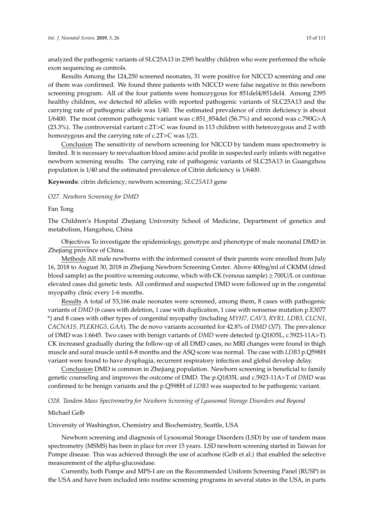analyzed the pathogenic variants of SLC25A13 in 2395 healthy children who were performed the whole exon sequencing as controls.

Results Among the 124,250 screened neonates, 31 were positive for NICCD screening and one of them was confirmed. We found three patients with NICCD were false negative in this newborn screening program. All of the four patients were homozygous for 851del4/851del4. Among 2395 healthy children, we detected 60 alleles with reported pathogenic variants of SLC25A13 and the carrying rate of pathogenic allele was 1/40. The estimated prevalence of citrin deficiency is about 1/6400. The most common pathogenic variant was c.851\_854del (56.7%) and second was c.790G>A (23.3%). The controversial variant c.2T>C was found in 113 children with heterozygous and 2 with homozygous and the carrying rate of c.2T>C was 1/21.

Conclusion The sensitivity of newborn screening for NICCD by tandem mass spectrometry is limited. It is necessary to reevaluation blood amino acid profile in suspected early infants with negative newborn screening results. The carrying rate of pathogenic variants of SLC25A13 in Guangzhou population is 1/40 and the estimated prevalence of Citrin deficiency is 1/6400.

**Keywords:** citrin deficiency; newborn screening; *SLC25A13* gene

#### *O27. Newborn Screening for DMD*

# Fan Tong

The Children's Hospital Zhejiang University School of Medicine, Department of genetics and metabolism, Hangzhou, China

Objectives To investigate the epidemiology, genotype and phenotype of male neonatal DMD in Zhejiang province of China.

Methods All male newborns with the informed consent of their parents were enrolled from July 16, 2018 to August 30, 2018 in Zhejiang Newborn Screening Center. Above 400ng/ml of CKMM (dried blood sample) as the positive screening outcome, which with CK (venous sample)  $\geq 700$ U/L or continue elevated cases did genetic tests. All confirmed and suspected DMD were followed up in the congenital myopathy clinic every 1-6 months.

Results A total of 53,166 male neonates were screened, among them, 8 cases with pathogenic variants of *DMD* (6 cases with deletion, 1 case with duplication, 1 case with nonsense mutation p.E3077 \*) and 8 cases with other types of congenital myopathy (including *MYH7, CAV3, RYR1, LDB3, CLCN1, CACNA1S, PLEKHG5, GAA*). The de novo variants accounted for 42.8% of *DMD* (3/7). The prevalence of DMD was 1:6645. Two cases with benign variants of *DMD* were detected (p.Q1835L, c.5923-11A>T). CK increased gradually during the follow-up of all DMD cases, no MRI changes were found in thigh muscle and sural muscle until 6-8 months and the ASQ score was normal. The case with *LDB3* p.Q598H variant were found to have dysphagia, recurrent respiratory infection and global develop delay.

Conclusion DMD is common in Zhejiang population. Newborn screening is beneficial to family genetic counseling and improves the outcome of DMD. The p.Q1835L and c.5923-11A>T of *DMD* was confirmed to be benign variants and the p.Q598H of *LDB3* was suspected to be pathogenic variant.

*O28. Tandem Mass Spectrometry for Newborn Screening of Lysosomal Storage Disorders and Beyond*

### Michael Gelb

University of Washington, Chemistry and Biochemistry, Seattle, USA

Newborn screening and diagnosis of Lysosomal Storage Disorders (LSD) by use of tandem mass spectrometry (MSMS) has been in place for over 15 years. LSD newborn screening started in Taiwan for Pompe disease. This was achieved through the use of acarbose (Gelb et al.) that enabled the selective measurement of the alpha-glucosidase.

Currently, both Pompe and MPS-I are on the Recommended Uniform Screening Panel (RUSP) in the USA and have been included into routine screening programs in several states in the USA, in parts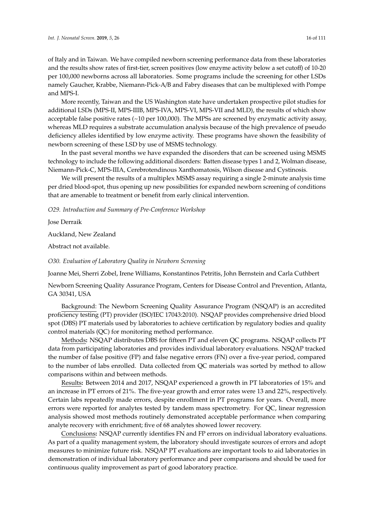of Italy and in Taiwan. We have compiled newborn screening performance data from these laboratories and the results show rates of first-tier, screen positives (low enzyme activity below a set cutoff) of 10-20 per 100,000 newborns across all laboratories. Some programs include the screening for other LSDs namely Gaucher, Krabbe, Niemann-Pick-A/B and Fabry diseases that can be multiplexed with Pompe and MPS-I.

More recently, Taiwan and the US Washington state have undertaken prospective pilot studies for additional LSDs (MPS-II, MPS-IIIB, MPS-IVA, MPS-VI, MPS-VII and MLD), the results of which show acceptable false positive rates (~10 per 100,000). The MPSs are screened by enzymatic activity assay, whereas MLD requires a substrate accumulation analysis because of the high prevalence of pseudo deficiency alleles identified by low enzyme activity. These programs have shown the feasibility of newborn screening of these LSD by use of MSMS technology.

In the past several months we have expanded the disorders that can be screened using MSMS technology to include the following additional disorders: Batten disease types 1 and 2, Wolman disease, Niemann-Pick-C, MPS-IIIA, Cerebrotendinous Xanthomatosis, Wilson disease and Cystinosis.

We will present the results of a multiplex MSMS assay requiring a single 2-minute analysis time per dried blood-spot, thus opening up new possibilities for expanded newborn screening of conditions that are amenable to treatment or benefit from early clinical intervention.

*O29. Introduction and Summary of Pre-Conference Workshop*

Jose Derraik

Auckland, New Zealand

Abstract not available.

*O30. Evaluation of Laboratory Quality in Newborn Screening*

Joanne Mei, Sherri Zobel, Irene Williams, Konstantinos Petritis, John Bernstein and Carla Cuthbert

Newborn Screening Quality Assurance Program, Centers for Disease Control and Prevention, Atlanta, GA 30341, USA

Background: The Newborn Screening Quality Assurance Program (NSQAP) is an accredited proficiency testing (PT) provider (ISO/IEC 17043:2010). NSQAP provides comprehensive dried blood spot (DBS) PT materials used by laboratories to achieve certification by regulatory bodies and quality control materials (QC) for monitoring method performance.

Methods**:** NSQAP distributes DBS for fifteen PT and eleven QC programs. NSQAP collects PT data from participating laboratories and provides individual laboratory evaluations. NSQAP tracked the number of false positive (FP) and false negative errors (FN) over a five-year period, compared to the number of labs enrolled. Data collected from QC materials was sorted by method to allow comparisons within and between methods.

Results**:** Between 2014 and 2017, NSQAP experienced a growth in PT laboratories of 15% and an increase in PT errors of 21%. The five-year growth and error rates were 13 and 22%, respectively. Certain labs repeatedly made errors, despite enrollment in PT programs for years. Overall, more errors were reported for analytes tested by tandem mass spectrometry. For QC, linear regression analysis showed most methods routinely demonstrated acceptable performance when comparing analyte recovery with enrichment; five of 68 analytes showed lower recovery.

Conclusions**:** NSQAP currently identifies FN and FP errors on individual laboratory evaluations. As part of a quality management system, the laboratory should investigate sources of errors and adopt measures to minimize future risk. NSQAP PT evaluations are important tools to aid laboratories in demonstration of individual laboratory performance and peer comparisons and should be used for continuous quality improvement as part of good laboratory practice.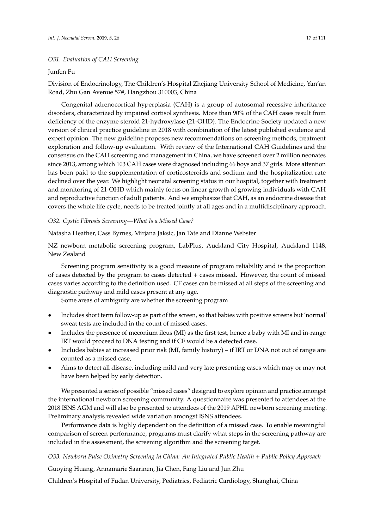# *O31. Evaluation of CAH Screening*

# Junfen Fu

Division of Endocrinology, The Children's Hospital Zhejiang University School of Medicine, Yan'an Road, Zhu Gan Avenue 57#, Hangzhou 310003, China

Congenital adrenocortical hyperplasia (CAH) is a group of autosomal recessive inheritance disorders, characterized by impaired cortisol synthesis. More than 90% of the CAH cases result from deficiency of the enzyme steroid 21-hydroxylase (21-OHD). The Endocrine Society updated a new version of clinical practice guideline in 2018 with combination of the latest published evidence and expert opinion. The new guideline proposes new recommendations on screening methods, treatment exploration and follow-up evaluation. With review of the International CAH Guidelines and the consensus on the CAH screening and management in China, we have screened over 2 million neonates since 2013, among which 103 CAH cases were diagnosed including 66 boys and 37 girls. More attention has been paid to the supplementation of corticosteroids and sodium and the hospitalization rate declined over the year. We highlight neonatal screening status in our hospital, together with treatment and monitoring of 21-OHD which mainly focus on linear growth of growing individuals with CAH and reproductive function of adult patients. And we emphasize that CAH, as an endocrine disease that covers the whole life cycle, needs to be treated jointly at all ages and in a multidisciplinary approach.

# *O32. Cystic Fibrosis Screening—What Is a Missed Case?*

Natasha Heather, Cass Byrnes, Mirjana Jaksic, Jan Tate and Dianne Webster

NZ newborn metabolic screening program, LabPlus, Auckland City Hospital, Auckland 1148, New Zealand

Screening program sensitivity is a good measure of program reliability and is the proportion of cases detected by the program to cases detected + cases missed. However, the count of missed cases varies according to the definition used. CF cases can be missed at all steps of the screening and diagnostic pathway and mild cases present at any age.

Some areas of ambiguity are whether the screening program

- Includes short term follow-up as part of the screen, so that babies with positive screens but 'normal' sweat tests are included in the count of missed cases.
- Includes the presence of meconium ileus (MI) as the first test, hence a baby with MI and in-range IRT would proceed to DNA testing and if CF would be a detected case.
- Includes babies at increased prior risk (MI, family history) if IRT or DNA not out of range are counted as a missed case,
- Aims to detect all disease, including mild and very late presenting cases which may or may not have been helped by early detection.

We presented a series of possible "missed cases" designed to explore opinion and practice amongst the international newborn screening community. A questionnaire was presented to attendees at the 2018 ISNS AGM and will also be presented to attendees of the 2019 APHL newborn screening meeting. Preliminary analysis revealed wide variation amongst ISNS attendees.

Performance data is highly dependent on the definition of a missed case. To enable meaningful comparison of screen performance, programs must clarify what steps in the screening pathway are included in the assessment, the screening algorithm and the screening target.

*O33. Newborn Pulse Oximetry Screening in China: An Integrated Public Health* + *Public Policy Approach*

Guoying Huang, Annamarie Saarinen, Jia Chen, Fang Liu and Jun Zhu

Children's Hospital of Fudan University, Pediatrics, Pediatric Cardiology, Shanghai, China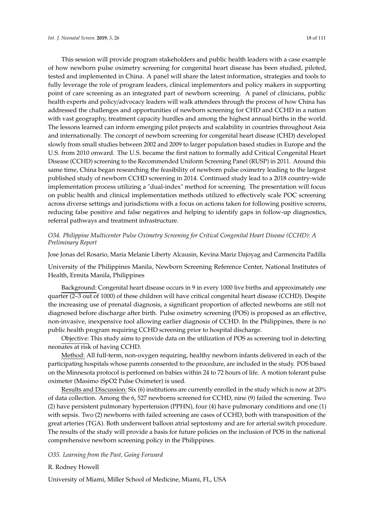This session will provide program stakeholders and public health leaders with a case example of how newborn pulse oximetry screening for congenital heart disease has been studied, piloted, tested and implemented in China. A panel will share the latest information, strategies and tools to fully leverage the role of program leaders, clinical implementors and policy makers in supporting point of care screening as an integrated part of newborn screening. A panel of clinicians, public health experts and policy/advocacy leaders will walk attendees through the process of how China has addressed the challenges and opportunities of newborn screening for CHD and CCHD in a nation with vast geography, treatment capacity hurdles and among the highest annual births in the world. The lessons learned can inform emerging pilot projects and scalability in countries throughout Asia and internationally. The concept of newborn screening for congenital heart disease (CHD) developed slowly from small studies between 2002 and 2009 to larger population based studies in Europe and the U.S. from 2010 onward. The U.S. became the first nation to formally add Critical Congenital Heart Disease (CCHD) screening to the Recommended Uniform Screening Panel (RUSP) in 2011. Around this same time, China began researching the feasibility of newborn pulse oximetry leading to the largest published study of newborn CCHD screening in 2014. Continued study lead to a 2018 country-wide implementation process utilizing a "dual-index" method for screening. The presentation will focus on public health and clinical implementation methods utilized to effectively scale POC screening across diverse settings and jurisdictions with a focus on actions taken for following positive screens, reducing false positive and false negatives and helping to identify gaps in follow-up diagnostics, referral pathways and treatment infrastructure.

# *O34. Philippine Multicenter Pulse Oximetry Screening for Critical Congenital Heart Disease (CCHD): A Preliminary Report*

Jose Jonas del Rosario, Maria Melanie Liberty Alcausin, Kevina Mariz Dajoyag and Carmencita Padilla

University of the Philippines Manila, Newborn Screening Reference Center, National Institutes of Health, Ermita Manila, Philippines

Background: Congenital heart disease occurs in 9 in every 1000 live births and approximately one quarter (2–3 out of 1000) of these children will have critical congenital heart disease (CCHD). Despite the increasing use of prenatal diagnosis, a significant proportion of affected newborns are still not diagnosed before discharge after birth. Pulse oximetry screening (POS) is proposed as an effective, non-invasive, inexpensive tool allowing earlier diagnosis of CCHD. In the Philippines, there is no public health program requiring CCHD screening prior to hospital discharge.

Objective: This study aims to provide data on the utilization of POS as screening tool in detecting neonates at risk of having CCHD.

Method: All full-term, non-oxygen requiring, healthy newborn infants delivered in each of the participating hospitals whose parents consented to the procedure, are included in the study. POS based on the Minnesota protocol is performed on babies within 24 to 72 hours of life. A motion tolerant pulse oximeter (Masimo iSpO2 Pulse Oximeter) is used.

Results and Discussion: Six (6) institutions are currently enrolled in the study which is now at 20% of data collection. Among the 6, 527 newborns screened for CCHD, nine (9) failed the screening. Two (2) have persistent pulmonary hypertension (PPHN), four (4) have pulmonary conditions and one (1) with sepsis. Two (2) newborns with failed screening are cases of CCHD, both with transposition of the great arteries (TGA). Both underwent balloon atrial septostomy and are for arterial switch procedure. The results of the study will provide a basis for future policies on the inclusion of POS in the national comprehensive newborn screening policy in the Philippines.

#### *O35. Learning from the Past, Going Forward*

#### R. Rodney Howell

University of Miami, Miller School of Medicine, Miami, FL, USA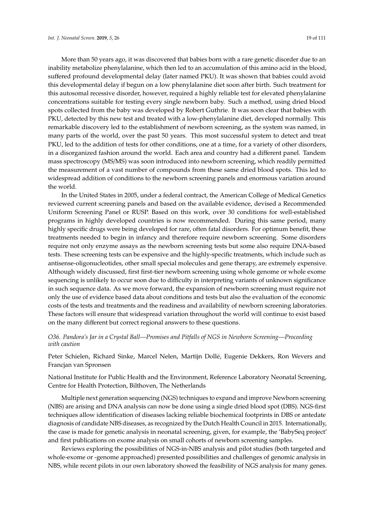More than 50 years ago, it was discovered that babies born with a rare genetic disorder due to an inability metabolize phenylalanine, which then led to an accumulation of this amino acid in the blood, suffered profound developmental delay (later named PKU). It was shown that babies could avoid this developmental delay if begun on a low phenylalanine diet soon after birth. Such treatment for this autosomal recessive disorder, however, required a highly reliable test for elevated phenylalanine concentrations suitable for testing every single newborn baby. Such a method, using dried blood spots collected from the baby was developed by Robert Guthrie. It was soon clear that babies with PKU, detected by this new test and treated with a low-phenylalanine diet, developed normally. This remarkable discovery led to the establishment of newborn screening, as the system was named, in many parts of the world, over the past 50 years. This most successful system to detect and treat PKU, led to the addition of tests for other conditions, one at a time, for a variety of other disorders, in a disorganized fashion around the world. Each area and country had a different panel. Tandem mass spectroscopy (MS/MS) was soon introduced into newborn screening, which readily permitted the measurement of a vast number of compounds from these same dried blood spots. This led to widespread addition of conditions to the newborn screening panels and enormous variation around the world.

In the United States in 2005, under a federal contract, the American College of Medical Genetics reviewed current screening panels and based on the available evidence, devised a Recommended Uniform Screening Panel or RUSP. Based on this work, over 30 conditions for well-established programs in highly developed countries is now recommended. During this same period, many highly specific drugs were being developed for rare, often fatal disorders. For optimum benefit, these treatments needed to begin in infancy and therefore require newborn screening. Some disorders require not only enzyme assays as the newborn screening tests but some also require DNA-based tests. These screening tests can be expensive and the highly-specific treatments, which include such as antisense-oligonucleotides, other small special molecules and gene therapy, are extremely expensive. Although widely discussed, first first-tier newborn screening using whole genome or whole exome sequencing is unlikely to occur soon due to difficulty in interpreting variants of unknown significance in such sequence data. As we move forward, the expansion of newborn screening must require not only the use of evidence based data about conditions and tests but also the evaluation of the economic costs of the tests and treatments and the readiness and availability of newborn screening laboratories. These factors will ensure that widespread variation throughout the world will continue to exist based on the many different but correct regional answers to these questions.

# *O36. Pandora's Jar in a Crystal Ball—Promises and Pitfalls of NGS in Newborn Screening—Proceeding with caution*

Peter Schielen, Richard Sinke, Marcel Nelen, Martijn Dollé, Eugenie Dekkers, Ron Wevers and Francjan van Spronsen

National Institute for Public Health and the Environment, Reference Laboratory Neonatal Screening, Centre for Health Protection, Bilthoven, The Netherlands

Multiple next generation sequencing (NGS) techniques to expand and improve Newborn screening (NBS) are arising and DNA analysis can now be done using a single dried blood spot (DBS). NGS-first techniques allow identification of diseases lacking reliable biochemical footprints in DBS or antedate diagnosis of candidate NBS diseases, as recognized by the Dutch Health Council in 2015. Internationally, the case is made for genetic analysis in neonatal screening, given, for example, the 'BabySeq project' and first publications on exome analysis on small cohorts of newborn screening samples.

Reviews exploring the possibilities of NGS-in-NBS analysis and pilot studies (both targeted and whole-exome or -genome approached) presented possibilities and challenges of genomic analysis in NBS, while recent pilots in our own laboratory showed the feasibility of NGS analysis for many genes.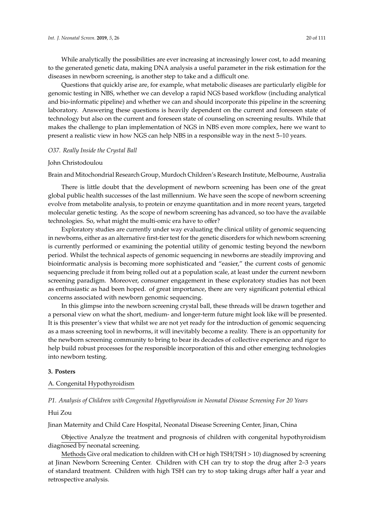While analytically the possibilities are ever increasing at increasingly lower cost, to add meaning to the generated genetic data, making DNA analysis a useful parameter in the risk estimation for the diseases in newborn screening, is another step to take and a difficult one.

Questions that quickly arise are, for example, what metabolic diseases are particularly eligible for genomic testing in NBS, whether we can develop a rapid NGS based workflow (including analytical and bio-informatic pipeline) and whether we can and should incorporate this pipeline in the screening laboratory. Answering these questions is heavily dependent on the current and foreseen state of technology but also on the current and foreseen state of counseling on screening results. While that makes the challenge to plan implementation of NGS in NBS even more complex, here we want to present a realistic view in how NGS can help NBS in a responsible way in the next 5–10 years.

#### *O37. Really Inside the Crystal Ball*

#### John Christodoulou

Brain and Mitochondrial Research Group, Murdoch Children's Research Institute, Melbourne, Australia

There is little doubt that the development of newborn screening has been one of the great global public health successes of the last millennium. We have seen the scope of newborn screening evolve from metabolite analysis, to protein or enzyme quantitation and in more recent years, targeted molecular genetic testing. As the scope of newborn screening has advanced, so too have the available technologies. So, what might the multi-omic era have to offer?

Exploratory studies are currently under way evaluating the clinical utility of genomic sequencing in newborns, either as an alternative first-tier test for the genetic disorders for which newborn screening is currently performed or examining the potential utility of genomic testing beyond the newborn period. Whilst the technical aspects of genomic sequencing in newborns are steadily improving and bioinformatic analysis is becoming more sophisticated and "easier," the current costs of genomic sequencing preclude it from being rolled out at a population scale, at least under the current newborn screening paradigm. Moreover, consumer engagement in these exploratory studies has not been as enthusiastic as had been hoped. of great importance, there are very significant potential ethical concerns associated with newborn genomic sequencing.

In this glimpse into the newborn screening crystal ball, these threads will be drawn together and a personal view on what the short, medium- and longer-term future might look like will be presented. It is this presenter's view that whilst we are not yet ready for the introduction of genomic sequencing as a mass screening tool in newborns, it will inevitably become a reality. There is an opportunity for the newborn screening community to bring to bear its decades of collective experience and rigor to help build robust processes for the responsible incorporation of this and other emerging technologies into newborn testing.

#### **3. Posters**

#### A. Congenital Hypothyroidism

#### *P1. Analysis of Children with Congenital Hypothyroidism in Neonatal Disease Screening For 20 Years*

### Hui Zou

Jinan Maternity and Child Care Hospital, Neonatal Disease Screening Center, Jinan, China

Objective Analyze the treatment and prognosis of children with congenital hypothyroidism diagnosed by neonatal screening.

Methods Give oral medication to children with CH or high TSH(TSH > 10) diagnosed by screening at Jinan Newborn Screening Center. Children with CH can try to stop the drug after 2–3 years of standard treatment. Children with high TSH can try to stop taking drugs after half a year and retrospective analysis.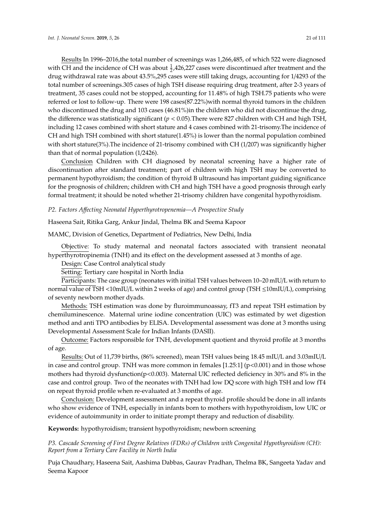Results In 1996–2016,the total number of screenings was 1,266,485, of which 522 were diagnosed with CH and the incidence of CH was about  $\frac{1}{2}$ ,426,227 cases were discontinued after treatment and the drug withdrawal rate was about 43.5%,295 cases were still taking drugs, accounting for 1/4293 of the total number of screenings.305 cases of high TSH disease requiring drug treatment, after 2-3 years of treatment, 35 cases could not be stopped, accounting for 11.48% of high TSH.75 patients who were referred or lost to follow-up. There were 198 cases(87.22%)with normal thyroid tumors in the children who discontinued the drug and 103 cases (46.81%)in the children who did not discontinue the drug, the difference was statistically significant (*p* < 0.05).There were 827 children with CH and high TSH, including 12 cases combined with short stature and 4 cases combined with 21-trisomy.The incidence of CH and high TSH combined with short stature(1.45%) is lower than the normal population combined with short stature(3%).The incidence of 21-trisomy combined with CH (1/207) was significantly higher than that of normal population (1/2426).

Conclusion Children with CH diagnosed by neonatal screening have a higher rate of discontinuation after standard treatment; part of children with high TSH may be converted to permanent hypothyroidism; the condition of thyroid B ultrasound has important guiding significance for the prognosis of children; children with CH and high TSH have a good prognosis through early formal treatment; it should be noted whether 21-trisomy children have congenital hypothyroidism.

### *P2. Factors A*ff*ecting Neonatal Hyperthyrotropenemia—A Prospective Study*

Haseena Sait, Ritika Garg, Ankur Jindal, Thelma BK and Seema Kapoor

MAMC, Division of Genetics, Department of Pediatrics, New Delhi, India

Objective: To study maternal and neonatal factors associated with transient neonatal hyperthyrotropinemia (TNH) and its effect on the development assessed at 3 months of age.

Design: Case Control analytical study

Setting: Tertiary care hospital in North India

Participants: The case group (neonates with initial TSH values between 10–20 mIU/L with return to normal value of TSH <10mIU/L within 2 weeks of age) and control group (TSH ≤10mIU/L), comprising of seventy newborn mother dyads.

Methods: TSH estimation was done by fluroimmunoassay, fT3 and repeat TSH estimation by chemiluminescence. Maternal urine iodine concentration (UIC) was estimated by wet digestion method and anti TPO antibodies by ELISA. Developmental assessment was done at 3 months using Developmental Assessment Scale for Indian Infants (DASII).

Outcome: Factors responsible for TNH, development quotient and thyroid profile at 3 months of age.

Results: Out of 11,739 births, (86% screened), mean TSH values being 18.45 mIU/L and 3.03mIU/L in case and control group. TNH was more common in females  $[1.25:1]$  ( $p<0.001$ ) and in those whose mothers had thyroid dysfunction(p<0.003). Maternal UIC reflected deficiency in 30% and 8% in the case and control group. Two of the neonates with TNH had low DQ score with high TSH and low fT4 on repeat thyroid profile when re-evaluated at 3 months of age.

Conclusion: Development assessment and a repeat thyroid profile should be done in all infants who show evidence of TNH, especially in infants born to mothers with hypothyroidism, low UIC or evidence of autoimmunity in order to initiate prompt therapy and reduction of disability.

**Keywords:** hypothyroidism; transient hypothyroidism; newborn screening

*P3. Cascade Screening of First Degree Relatives (FDRs) of Children with Congenital Hypothyroidism (CH): Report from a Tertiary Care Facility in North India*

Puja Chaudhary, Haseena Sait, Aashima Dabbas, Gaurav Pradhan, Thelma BK, Sangeeta Yadav and Seema Kapoor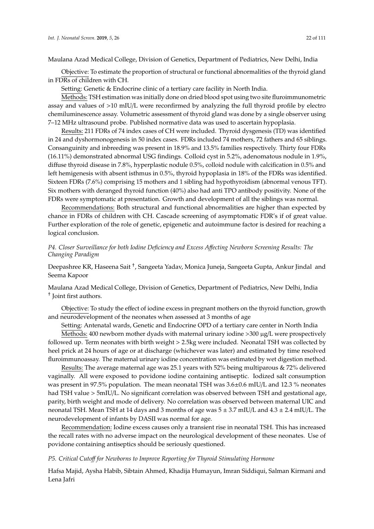Maulana Azad Medical College, Division of Genetics, Department of Pediatrics, New Delhi, India

Objective: To estimate the proportion of structural or functional abnormalities of the thyroid gland in FDRs of children with CH.

Setting: Genetic & Endocrine clinic of a tertiary care facility in North India.

Methods: TSH estimation was initially done on dried blood spot using two site fluroimmunometric assay and values of >10 mIU/L were reconfirmed by analyzing the full thyroid profile by electro chemiluminescence assay. Volumetric assessment of thyroid gland was done by a single observer using 7–12 MHz ultrasound probe. Published normative data was used to ascertain hypoplasia.

Results: 211 FDRs of 74 index cases of CH were included. Thyroid dysgenesis (TD) was identified in 24 and dyshormonogenesis in 50 index cases. FDRs included 74 mothers, 72 fathers and 65 siblings. Consanguinity and inbreeding was present in 18.9% and 13.5% families respectively. Thirty four FDRs (16.11%) demonstrated abnormal USG findings. Colloid cyst in 5.2%, adenomatous nodule in 1.9%, diffuse thyroid disease in 7.8%, hyperplastic nodule 0.5%, colloid nodule with calcification in 0.5% and left hemigenesis with absent isthmus in 0.5%, thyroid hypoplasia in 18% of the FDRs was identified. Sixteen FDRs (7.6%) comprising 15 mothers and 1 sibling had hypothyroidism (abnormal venous TFT). Six mothers with deranged thyroid function (40%) also had anti TPO antibody positivity. None of the FDRs were symptomatic at presentation. Growth and development of all the siblings was normal.

Recommendations: Both structural and functional abnormalities are higher than expected by chance in FDRs of children with CH. Cascade screening of asymptomatic FDR's if of great value. Further exploration of the role of genetic, epigenetic and autoimmune factor is desired for reaching a logical conclusion.

# *P4. Closer Surveillance for both Iodine Deficiency and Excess A*ff*ecting Newborn Screening Results: The Changing Paradigm*

Deepashree KR, Haseena Sait <sup>†</sup>, Sangeeta Yadav, Monica Juneja, Sangeeta Gupta, Ankur Jindal and Seema Kapoor

Maulana Azad Medical College, Division of Genetics, Department of Pediatrics, New Delhi, India † Joint first authors.

Objective: To study the effect of iodine excess in pregnant mothers on the thyroid function, growth and neurodevelopment of the neonates when assessed at 3 months of age

Setting: Antenatal wards, Genetic and Endocrine OPD of a tertiary care center in North India Methods: 400 newborn mother dyads with maternal urinary iodine  $>300 \mu g/L$  were prospectively followed up. Term neonates with birth weight > 2.5kg were included. Neonatal TSH was collected by heel prick at 24 hours of age or at discharge (whichever was later) and estimated by time resolved fluroimmunoassay. The maternal urinary iodine concentration was estimated by wet digestion method.

Results: The average maternal age was 25.1 years with 52% being multiparous & 72% delivered vaginally. All were exposed to povidone iodine containing antiseptic. Iodized salt consumption was present in 97.5% population. The mean neonatal TSH was 3.6±0.6 mIU/L and 12.3 % neonates had TSH value > 5mIU/L. No significant correlation was observed between TSH and gestational age, parity, birth weight and mode of delivery. No correlation was observed between maternal UIC and neonatal TSH. Mean TSH at 14 days and 3 months of age was  $5 \pm 3.7$  mIU/L and  $4.3 \pm 2.4$  mIU/L. The neurodevelopment of infants by DASII was normal for age.

Recommendation: Iodine excess causes only a transient rise in neonatal TSH. This has increased the recall rates with no adverse impact on the neurological development of these neonates. Use of povidone containing antiseptics should be seriously questioned.

### *P5. Critical Cuto*ff *for Newborns to Improve Reporting for Thyroid Stimulating Hormone*

Hafsa Majid, Aysha Habib, Sibtain Ahmed, Khadija Humayun, Imran Siddiqui, Salman Kirmani and Lena Jafri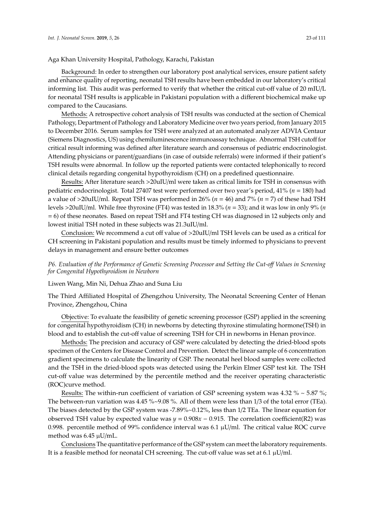# Aga Khan University Hospital, Pathology, Karachi, Pakistan

Background: In order to strengthen our laboratory post analytical services, ensure patient safety and enhance quality of reporting, neonatal TSH results have been embedded in our laboratory's critical informing list. This audit was performed to verify that whether the critical cut-off value of 20 mIU/L for neonatal TSH results is applicable in Pakistani population with a different biochemical make up compared to the Caucasians.

Methods: A retrospective cohort analysis of TSH results was conducted at the section of Chemical Pathology, Department of Pathology and Laboratory Medicine over two years period, from January 2015 to December 2016. Serum samples for TSH were analyzed at an automated analyzer ADVIA Centaur (Siemens Diagnostics, US) using chemiluminescence immunoassay technique. Abnormal TSH cutoff for critical result informing was defined after literature search and consensus of pediatric endocrinologist. Attending physicians or parent/guardians (in case of outside referrals) were informed if their patient's TSH results were abnormal. In follow up the reported patients were contacted telephonically to record clinical details regarding congenital hypothyroidism (CH) on a predefined questionnaire.

Results: After literature search >20uIU/ml were taken as critical limits for TSH in consensus with pediatric endocrinologist. Total 27407 test were performed over two year's period, 41% (*n* = 180) had a value of >20uIU/ml. Repeat TSH was performed in 26% (*n* = 46) and 7% (*n* = 7) of these had TSH levels >20uIU/ml. While free thyroxine (FT4) was tested in 18.3% (*n* = 33); and it was low in only 9% (*n* = 6) of these neonates. Based on repeat TSH and FT4 testing CH was diagnosed in 12 subjects only and lowest initial TSH noted in these subjects was 21.3uIU/ml.

Conclusion: We recommend a cut off value of >20uIU/ml TSH levels can be used as a critical for CH screening in Pakistani population and results must be timely informed to physicians to prevent delays in management and ensure better outcomes

*P6. Evaluation of the Performance of Genetic Screening Processor and Setting the Cut-o*ff *Values in Screening for Congenital Hypothyroidism in Newborn*

### Liwen Wang, Min Ni, Dehua Zhao and Suna Liu

The Third Affiliated Hospital of Zhengzhou University, The Neonatal Screening Center of Henan Province, Zhengzhou, China

Objective: To evaluate the feasibility of genetic screening processor (GSP) applied in the screening for congenital hypothyroidism (CH) in newborns by detecting thyroxine stimulating hormone(TSH) in blood and to establish the cut-off value of screening TSH for CH in newborns in Henan province.

Methods: The precision and accuracy of GSP were calculated by detecting the dried-blood spots specimen of the Centers for Disease Control and Prevention. Detect the linear sample of 6 concentration gradient specimens to calculate the linearity of GSP. The neonatal heel blood samples were collected and the TSH in the dried-blood spots was detected using the Perkin Elmer GSP test kit. The TSH cut-off value was determined by the percentile method and the receiver operating characteristic (ROC)curve method.

Results: The within-run coefficient of variation of GSP screening system was  $4.32\% \sim 5.87\%$ ; The between-run variation was 4.45 %~9.08 %. All of them were less than 1/3 of the total error (TEa). The biases detected by the GSP system was -7.89%~0.12%, less than 1/2 TEa. The linear equation for observed TSH value by expected value was *y* = 0.908*x* − 0.915. The correlation coefficient(R2) was 0.998. percentile method of 99% confidence interval was 6.1  $\mu$ U/ml. The critical value ROC curve method was 6.45 µU/mL.

Conclusions The quantitative performance of the GSP system can meet the laboratory requirements. It is a feasible method for neonatal CH screening. The cut-off value was set at 6.1  $\mu$ U/ml.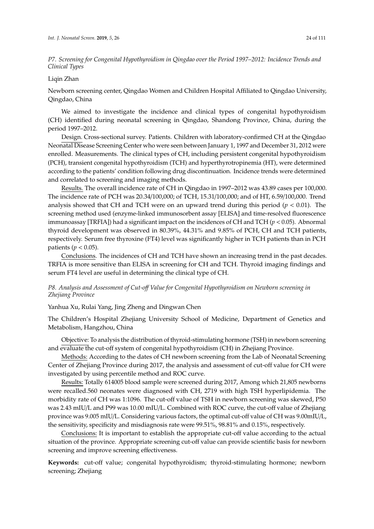# *P7. Screening for Congenital Hypothyroidism in Qingdao over the Period 1997–2012: Incidence Trends and Clinical Types*

# Liqin Zhan

Newborn screening center, Qingdao Women and Children Hospital Affiliated to Qingdao University, Qingdao, China

We aimed to investigate the incidence and clinical types of congenital hypothyroidism (CH) identified during neonatal screening in Qingdao, Shandong Province, China, during the period 1997–2012.

Design. Cross-sectional survey. Patients. Children with laboratory-confirmed CH at the Qingdao Neonatal Disease Screening Center who were seen between January 1, 1997 and December 31, 2012 were enrolled. Measurements. The clinical types of CH, including persistent congenital hypothyroidism (PCH), transient congenital hypothyroidism (TCH) and hyperthyrotropinemia (HT), were determined according to the patients' condition following drug discontinuation. Incidence trends were determined and correlated to screening and imaging methods.

Results. The overall incidence rate of CH in Qingdao in 1997–2012 was 43.89 cases per 100,000. The incidence rate of PCH was 20.34/100,000; of TCH, 15.31/100,000; and of HT, 6.59/100,000. Trend analysis showed that CH and TCH were on an upward trend during this period ( $p < 0.01$ ). The screening method used (enzyme-linked immunosorbent assay [ELISA] and time-resolved fluorescence immunoassay [TRFIA]) had a significant impact on the incidences of CH and TCH (*p* < 0.05). Abnormal thyroid development was observed in 80.39%, 44.31% and 9.85% of PCH, CH and TCH patients, respectively. Serum free thyroxine (FT4) level was significantly higher in TCH patients than in PCH patients ( $p < 0.05$ ).

Conclusions. The incidences of CH and TCH have shown an increasing trend in the past decades. TRFIA is more sensitive than ELISA in screening for CH and TCH. Thyroid imaging findings and serum FT4 level are useful in determining the clinical type of CH.

# *P8. Analysis and Assessment of Cut-o*ff *Value for Congenital Hypothyroidism on Newborn screening in Zhejiang Province*

Yanhua Xu, Rulai Yang, Jing Zheng and Dingwan Chen

The Children's Hospital Zhejiang University School of Medicine, Department of Genetics and Metabolism, Hangzhou, China

Objective: To analysis the distribution of thyroid-stimulating hormone (TSH) in newborn screening and evaluate the cut-off system of congenital hypothyroidism (CH) in Zhejiang Province.

Methods: According to the dates of CH newborn screening from the Lab of Neonatal Screening Center of Zhejiang Province during 2017, the analysis and assessment of cut-off value for CH were investigated by using percentile method and ROC curve.

Results: Totally 614005 blood sample were screened during 2017, Among which 21,805 newborns were recalled.560 neonates were diagnosed with CH, 2719 with high TSH hyperlipidemia. The morbidity rate of CH was 1:1096. The cut-off value of TSH in newborn screening was skewed, P50 was 2.43 mIU/L and P99 was 10.00 mIU/L. Combined with ROC curve, the cut-off value of Zhejiang province was 9.005 mIU/L. Considering various factors, the optimal cut-off value of CH was 9.00mIU/L, the sensitivity, specificity and misdiagnosis rate were 99.51%, 98.81% and 0.15%, respectively.

Conclusions: It is important to establish the appropriate cut-off value according to the actual situation of the province. Appropriate screening cut-off value can provide scientific basis for newborn screening and improve screening effectiveness.

**Keywords:** cut-off value; congenital hypothyroidism; thyroid-stimulating hormone; newborn screening; Zhejiang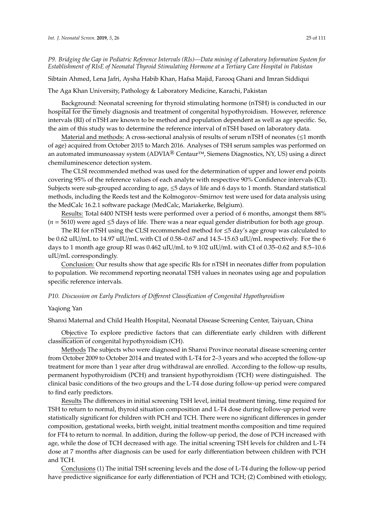# *P9. Bridging the Gap in Pediatric Reference Intervals (RIs)—Data mining of Laboratory Information System for Establishment of RIsE of Neonatal Thyroid Stimulating Hormone at a Tertiary Care Hospital in Pakistan*

Sibtain Ahmed, Lena Jafri, Aysha Habib Khan, Hafsa Majid, Farooq Ghani and Imran Siddiqui

The Aga Khan University, Pathology & Laboratory Medicine, Karachi, Pakistan

Background: Neonatal screening for thyroid stimulating hormone (nTSH) is conducted in our hospital for the timely diagnosis and treatment of congenital hypothyroidism. However, reference intervals (RI) of nTSH are known to be method and population dependent as well as age specific. So, the aim of this study was to determine the reference interval of nTSH based on laboratory data.

Material and methods: A cross-sectional analysis of results of serum nTSH of neonates ( $\leq 1$  month of age) acquired from October 2015 to March 2016. Analyses of TSH serum samples was performed on an automated immunoassay system (ADVIA® Centaur™, Siemens Diagnostics, NY, US) using a direct chemiluminescence detection system.

The CLSI recommended method was used for the determination of upper and lower end points covering 95% of the reference values of each analyte with respective 90% Confidence intervals (CI). Subjects were sub-grouped according to age, ≤5 days of life and 6 days to 1 month. Standard statistical methods, including the Reeds test and the Kolmogorov–Smirnov test were used for data analysis using the MedCalc 16.2.1 software package (MedCalc, Mariakerke, Belgium).

Results: Total 6400 NTSH tests were performed over a period of 6 months, amongst them 88%  $(n = 5610)$  were aged  $\leq 5$  days of life. There was a near equal gender distribution for both age group.

The RI for nTSH using the CLSI recommended method for  $\leq$ 5 day's age group was calculated to be 0.62 uIU/mL to 14.97 uIU/mL with CI of 0.58–0.67 and 14.5–15.63 uIU/mL respectively. For the 6 days to 1 month age group RI was 0.462 uIU/mL to 9.102 uIU/mL with CI of 0.35–0.62 and 8.5–10.6 uIU/mL correspondingly.

Conclusion: Our results show that age specific RIs for nTSH in neonates differ from population to population. We recommend reporting neonatal TSH values in neonates using age and population specific reference intervals.

# *P10. Discussion on Early Predictors of Di*ff*erent Classification of Congenital Hypothyroidism*

#### Yaqiong Yan

Shanxi Maternal and Child Health Hospital, Neonatal Disease Screening Center, Taiyuan, China

Objective To explore predictive factors that can differentiate early children with different classification of congenital hypothyroidism (CH).

Methods The subjects who were diagnosed in Shanxi Province neonatal disease screening center from October 2009 to October 2014 and treated with L-T4 for 2–3 years and who accepted the follow-up treatment for more than 1 year after drug withdrawal are enrolled. According to the follow-up results, permanent hypothyroidism (PCH) and transient hypothyroidism (TCH) were distinguished. The clinical basic conditions of the two groups and the L-T4 dose during follow-up period were compared to find early predictors.

Results The differences in initial screening TSH level, initial treatment timing, time required for TSH to return to normal, thyroid situation composition and L-T4 dose during follow-up period were statistically significant for children with PCH and TCH. There were no significant differences in gender composition, gestational weeks, birth weight, initial treatment months composition and time required for FT4 to return to normal. In addition, during the follow-up period, the dose of PCH increased with age, while the dose of TCH decreased with age. The initial screening TSH levels for children and L-T4 dose at 7 months after diagnosis can be used for early differentiation between children with PCH and TCH.

Conclusions (1) The initial TSH screening levels and the dose of L-T4 during the follow-up period have predictive significance for early differentiation of PCH and TCH; (2) Combined with etiology,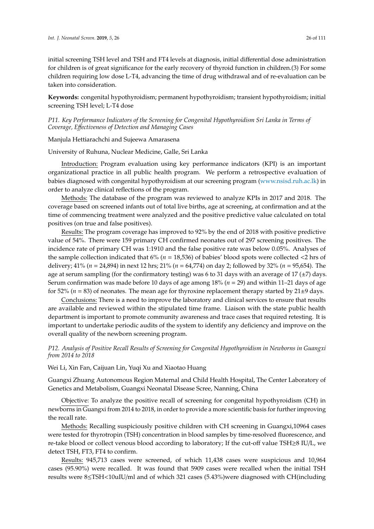initial screening TSH level and TSH and FT4 levels at diagnosis, initial differential dose administration for children is of great significance for the early recovery of thyroid function in children.(3) For some children requiring low dose L-T4, advancing the time of drug withdrawal and of re-evaluation can be taken into consideration.

**Keywords:** congenital hypothyroidism; permanent hypothyroidism; transient hypothyroidism; initial screening TSH level; L-T4 dose

*P11. Key Performance Indicators of the Screening for Congenital Hypothyroidism Sri Lanka in Terms of Coverage, E*ff*ectiveness of Detection and Managing Cases*

Manjula Hettiarachchi and Sujeewa Amarasena

University of Ruhuna, Nuclear Medicine, Galle, Sri Lanka

Introduction: Program evaluation using key performance indicators (KPI) is an important organizational practice in all public health program. We perform a retrospective evaluation of babies diagnosed with congenital hypothyroidism at our screening program [\(www.nsisd.ruh.ac.lk\)](www.nsisd.ruh.ac.lk) in order to analyze clinical reflections of the program.

Methods: The database of the program was reviewed to analyze KPIs in 2017 and 2018. The coverage based on screened infants out of total live births, age at screening, at confirmation and at the time of commencing treatment were analyzed and the positive predictive value calculated on total positives (on true and false positives).

Results: The program coverage has improved to 92% by the end of 2018 with positive predictive value of 54%. There were 159 primary CH confirmed neonates out of 297 screening positives. The incidence rate of primary CH was 1:1910 and the false positive rate was below 0.05%. Analyses of the sample collection indicated that 6% (*n* = 18,536) of babies' blood spots were collected <2 hrs of delivery; 41% (*n* = 24,894) in next 12 hrs; 21% (*n* = 64,774) on day 2; followed by 32% (*n* = 95,654). The age at serum sampling (for the confirmatory testing) was 6 to 31 days with an average of 17 ( $\pm$ 7) days. Serum confirmation was made before 10 days of age among 18% (*n* = 29) and within 11–21 days of age for 52% ( $n = 83$ ) of neonates. The mean age for thyroxine replacement therapy started by 21 $\pm$ 9 days.

Conclusions: There is a need to improve the laboratory and clinical services to ensure that results are available and reviewed within the stipulated time frame. Liaison with the state public health department is important to promote community awareness and trace cases that required retesting. It is important to undertake periodic audits of the system to identify any deficiency and improve on the overall quality of the newborn screening program.

# *P12. Analysis of Positive Recall Results of Screening for Congenital Hypothyroidism in Newborns in Guangxi from 2014 to 2018*

# Wei Li, Xin Fan, Caijuan Lin, Yuqi Xu and Xiaotao Huang

Guangxi Zhuang Autonomous Region Maternal and Child Health Hospital, The Center Laboratory of Genetics and Metabolism, Guangxi Neonatal Disease Scree, Nanning, China

Objective: To analyze the positive recall of screening for congenital hypothyroidism (CH) in newborns in Guangxi from 2014 to 2018, in order to provide a more scientific basis for further improving the recall rate.

Methods: Recalling suspiciously positive children with CH screening in Guangxi,10964 cases were tested for thyrotropin (TSH) concentration in blood samples by time-resolved fluorescence, and re-take blood or collect venous blood according to laboratory; If the cut-off value TSH≥8 IU/L, we detect TSH, FT3, FT4 to confirm.

Results: 945,713 cases were screened, of which 11,438 cases were suspicious and 10,964 cases (95.90%) were recalled. It was found that 5909 cases were recalled when the initial TSH results were 8≤TSH<10uIU/ml and of which 321 cases (5.43%)were diagnosed with CH(including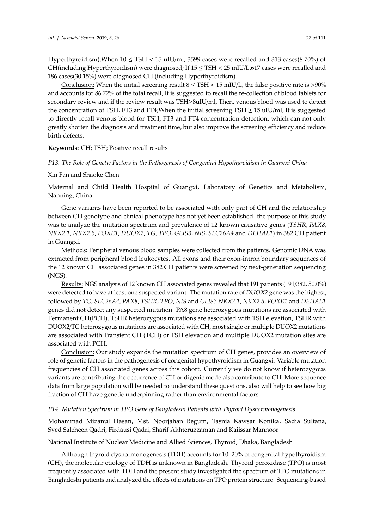Hyperthyroidism);When  $10 \leq TSH < 15 \text{ uIU/ml}$ , 3599 cases were recalled and 313 cases(8.70%) of CH(including Hyperthyroidism) were diagnosed; If  $15 \leq$  TSH  $<$  25 mIU/L,617 cases were recalled and 186 cases(30.15%) were diagnosed CH (including Hyperthyroidism).

Conclusion: When the initial screening result  $8 \leq TSH < 15$  mIU/L, the false positive rate is >90% and accounts for 86.72% of the total recall, It is suggested to recall the re-collection of blood tablets for secondary review and if the review result was TSH≥8uIU/ml, Then, venous blood was used to detect the concentration of TSH, FT3 and FT4; When the initial screening TSH  $\geq$  15 uIU/ml, It is suggested to directly recall venous blood for TSH, FT3 and FT4 concentration detection, which can not only greatly shorten the diagnosis and treatment time, but also improve the screening efficiency and reduce birth defects.

# **Keywords:** CH; TSH; Positive recall results

*P13. The Role of Genetic Factors in the Pathogenesis of Congenital Hypothyroidism in Guangxi China*

### Xin Fan and Shaoke Chen

Maternal and Child Health Hospital of Guangxi, Laboratory of Genetics and Metabolism, Nanning, China

Gene variants have been reported to be associated with only part of CH and the relationship between CH genotype and clinical phenotype has not yet been established. the purpose of this study was to analyze the mutation spectrum and prevalence of 12 known causative genes (*TSHR*, *PAX8*, *NKX2.1*, *NKX2.5*, *FOXE1*, *DUOX2*, *TG*, *TPO*, *GLIS3*, *NIS*, *SLC26A4* and *DEHAL1*) in 382 CH patient in Guangxi.

Methods: Peripheral venous blood samples were collected from the patients. Genomic DNA was extracted from peripheral blood leukocytes. All exons and their exon-intron boundary sequences of the 12 known CH associated genes in 382 CH patients were screened by next-generation sequencing (NGS).

Results: NGS analysis of 12 known CH associated genes revealed that 191 patients (191/382, 50.0%) were detected to have at least one suspected variant. The mutation rate of *DUOX2* gene was the highest, followed by *TG*, *SLC26A4*, *PAX8*, *TSHR*, *TPO*, *NIS* and *GLIS3.NKX2.1*, *NKX2.5*, *FOXE1* and *DEHAL1* genes did not detect any suspected mutation. PA8 gene heterozygous mutations are associated with Permanent CH(PCH), TSHR heterozygous mutations are associated with TSH elevation, TSHR with DUOX2/TG heterozygous mutations are associated with CH, most single or multiple DUOX2 mutations are associated with Transient CH (TCH) or TSH elevation and multiple DUOX2 mutation sites are associated with PCH.

Conclusion: Our study expands the mutation spectrum of CH genes, provides an overview of role of genetic factors in the pathogenesis of congenital hypothyroidism in Guangxi. Variable mutation frequencies of CH associated genes across this cohort. Currently we do not know if heterozygous variants are contributing the occurrence of CH or digenic mode also contribute to CH. More sequence data from large population will be needed to understand these questions, also will help to see how big fraction of CH have genetic underpinning rather than environmental factors.

### *P14. Mutation Spectrum in TPO Gene of Bangladeshi Patients with Thyroid Dyshormonogenesis*

Mohammad Mizanul Hasan, Mst. Noorjahan Begum, Tasnia Kawsar Konika, Sadia Sultana, Syed Saleheen Qadri, Firdausi Qadri, Sharif Akhteruzzaman and Kaiissar Mannoor

National Institute of Nuclear Medicine and Allied Sciences, Thyroid, Dhaka, Bangladesh

Although thyroid dyshormonogenesis (TDH) accounts for 10–20% of congenital hypothyroidism (CH), the molecular etiology of TDH is unknown in Bangladesh. Thyroid peroxidase (TPO) is most frequently associated with TDH and the present study investigated the spectrum of TPO mutations in Bangladeshi patients and analyzed the effects of mutations on TPO protein structure. Sequencing-based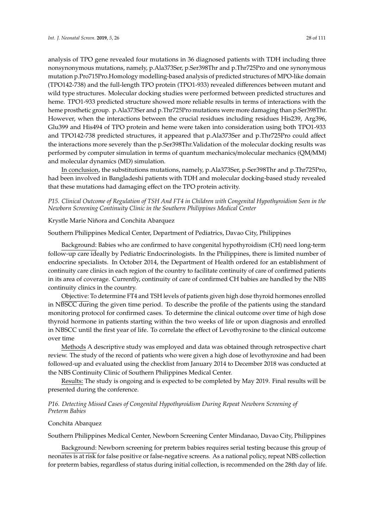analysis of TPO gene revealed four mutations in 36 diagnosed patients with TDH including three nonsynonymous mutations, namely, p.Ala373Ser, p.Ser398Thr and p.Thr725Pro and one synonymous mutation p.Pro715Pro.Homology modelling-based analysis of predicted structures of MPO-like domain (TPO142-738) and the full-length TPO protein (TPO1-933) revealed differences between mutant and wild type structures. Molecular docking studies were performed between predicted structures and heme. TPO1-933 predicted structure showed more reliable results in terms of interactions with the heme prosthetic group. p.Ala373Ser and p.Thr725Pro mutations were more damaging than p.Ser398Thr. However, when the interactions between the crucial residues including residues His239, Arg396, Glu399 and His494 of TPO protein and heme were taken into consideration using both TPO1-933 and TPO142-738 predicted structures, it appeared that p.Ala373Ser and p.Thr725Pro could affect the interactions more severely than the p.Ser398Thr.Validation of the molecular docking results was performed by computer simulation in terms of quantum mechanics/molecular mechanics (QM/MM) and molecular dynamics (MD) simulation.

In conclusion, the substitutions mutations, namely, p.Ala373Ser, p.Ser398Thr and p.Thr725Pro, had been involved in Bangladeshi patients with TDH and molecular docking-based study revealed that these mutations had damaging effect on the TPO protein activity.

*P15. Clinical Outcome of Regulation of TSH And FT4 in Children with Congenital Hypothyroidism Seen in the Newborn Screening Continuity Clinic in the Southern Philippines Medical Center*

# Krystle Marie Niñora and Conchita Abarquez

Southern Philippines Medical Center, Department of Pediatrics, Davao City, Philippines

Background: Babies who are confirmed to have congenital hypothyroidism (CH) need long-term follow-up care ideally by Pediatric Endocrinologists. In the Philippines, there is limited number of endocrine specialists. In October 2014, the Department of Health ordered for an establishment of continuity care clinics in each region of the country to facilitate continuity of care of confirmed patients in its area of coverage. Currently, continuity of care of confirmed CH babies are handled by the NBS continuity clinics in the country.

Objective: To determine FT4 and TSH levels of patients given high dose thyroid hormones enrolled in NBSCC during the given time period. To describe the profile of the patients using the standard monitoring protocol for confirmed cases. To determine the clinical outcome over time of high dose thyroid hormone in patients starting within the two weeks of life or upon diagnosis and enrolled in NBSCC until the first year of life. To correlate the effect of Levothyroxine to the clinical outcome over time

Methods A descriptive study was employed and data was obtained through retrospective chart review. The study of the record of patients who were given a high dose of levothyroxine and had been followed-up and evaluated using the checklist from January 2014 to December 2018 was conducted at the NBS Continuity Clinic of Southern Philippines Medical Center.

Results: The study is ongoing and is expected to be completed by May 2019. Final results will be presented during the conference.

# *P16. Detecting Missed Cases of Congenital Hypothyroidism During Repeat Newborn Screening of Preterm Babies*

### Conchita Abarquez

Southern Philippines Medical Center, Newborn Screening Center Mindanao, Davao City, Philippines

Background: Newborn screening for preterm babies requires serial testing because this group of neonates is at risk for false positive or false-negative screens. As a national policy, repeat NBS collection for preterm babies, regardless of status during initial collection, is recommended on the 28th day of life.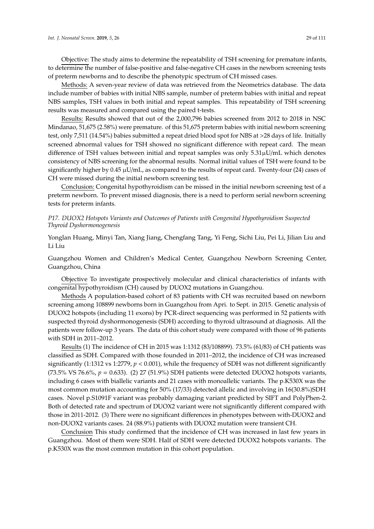Objective: The study aims to determine the repeatability of TSH screening for premature infants, to determine the number of false-positive and false-negative CH cases in the newborn screening tests of preterm newborns and to describe the phenotypic spectrum of CH missed cases.

Methods: A seven-year review of data was retrieved from the Neometrics database. The data include number of babies with initial NBS sample, number of preterm babies with initial and repeat NBS samples, TSH values in both initial and repeat samples. This repeatability of TSH screening results was measured and compared using the paired t-tests.

Results: Results showed that out of the 2,000,796 babies screened from 2012 to 2018 in NSC Mindanao, 51,675 (2.58%) were premature. of this 51,675 preterm babies with initial newborn screening test, only 7,511 (14.54%) babies submitted a repeat dried blood spot for NBS at >28 days of life. Initially screened abnormal values for TSH showed no significant difference with repeat card. The mean difference of TSH values between initial and repeat samples was only  $5.31\mu$ U/mL which denotes consistency of NBS screening for the abnormal results. Normal initial values of TSH were found to be significantly higher by 0.45  $\mu$ U/mL, as compared to the results of repeat card. Twenty-four (24) cases of CH were missed during the initial newborn screening test.

Conclusion: Congenital hypothyroidism can be missed in the initial newborn screening test of a preterm newborn. To prevent missed diagnosis, there is a need to perform serial newborn screening tests for preterm infants.

# *P17. DUOX2 Hotspots Variants and Outcomes of Patients with Congenital Hypothyroidism Suspected Thyroid Dyshormonogenesis*

Yonglan Huang, Minyi Tan, Xiang Jiang, Chengfang Tang, Yi Feng, Sichi Liu, Pei Li, Jilian Liu and Li Liu

Guangzhou Women and Children's Medical Center, Guangzhou Newborn Screening Center, Guangzhou, China

Objective To investigate prospectively molecular and clinical characteristics of infants with congenital hypothyroidism (CH) caused by DUOX2 mutations in Guangzhou.

Methods A population-based cohort of 83 patients with CH was recruited based on newborn screening among 108899 newborns born in Guangzhou from Apri. to Sept. in 2015. Genetic analysis of DUOX2 hotspots (including 11 exons) by PCR-direct sequencing was performed in 52 patients with suspected thyroid dyshormonogenesis (SDH) according to thyroid ultrasound at diagnosis. All the patients were follow-up 3 years. The data of this cohort study were compared with those of 96 patients with SDH in 2011–2012.

Results (1) The incidence of CH in 2015 was 1:1312 (83/108899). 73.5% (61/83) of CH patients was classified as SDH. Compared with those founded in 2011–2012, the incidence of CH was increased significantly (1:1312 vs 1:2779, *p* < 0.001), while the frequency of SDH was not different significantly (73.5% VS 76.6%, *p* = 0.633). (2) 27 (51.9%) SDH patients were detected DUOX2 hotspots variants, including 6 cases with biallelic variants and 21 cases with monoallelic variants. The p.K530X was the most common mutation accounting for 50% (17/33) detected allelic and involving in 16(30.8%)SDH cases. Novel p.S1091F variant was probably damaging variant predicted by SIFT and PolyPhen-2. Both of detected rate and spectrum of DUOX2 variant were not significantly different compared with those in 2011-2012. (3) There were no significant differences in phenotypes between with-DUOX2 and non-DUOX2 variants cases. 24 (88.9%) patients with DUOX2 mutation were transient CH.

Conclusion This study confirmed that the incidence of CH was increased in last few years in Guangzhou. Most of them were SDH. Half of SDH were detected DUOX2 hotspots variants. The p.K530X was the most common mutation in this cohort population.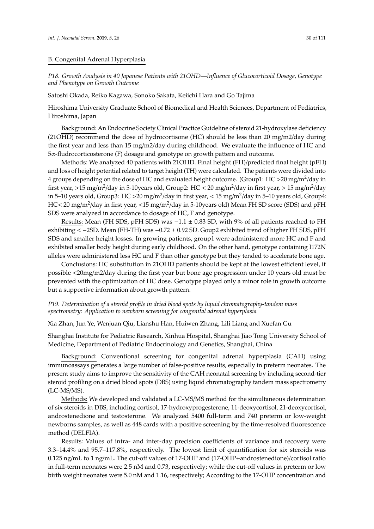### B. Congenital Adrenal Hyperplasia

*P18. Growth Analysis in 40 Japanese Patients with 21OHD—Influence of Glucocorticoid Dosage, Genotype and Phenotype on Growth Outcome*

Satoshi Okada, Reiko Kagawa, Sonoko Sakata, Keiichi Hara and Go Tajima

Hiroshima University Graduate School of Biomedical and Health Sciences, Department of Pediatrics, Hiroshima, Japan

Background: An Endocrine Society Clinical Practice Guideline of steroid 21-hydroxylase deficiency (21OHD) recommend the dose of hydrocortisone (HC) should be less than 20 mg/m2/day during the first year and less than 15 mg/m2/day during childhood. We evaluate the influence of HC and 5α-fludrocorticosterone (F) dosage and genotype on growth pattern and outcome.

Methods: We analyzed 40 patients with 21OHD. Final height (FH)/predicted final height (pFH) and loss of height potential related to target height (TH) were calculated. The patients were divided into 4 groups depending on the dose of HC and evaluated height outcome. (Group1: HC >20 mg/m<sup>2</sup>/day in first year, >15 mg/m<sup>2</sup>/day in 5-10years old, Group2: HC < 20 mg/m<sup>2</sup>/day in first year, > 15 mg/m<sup>2</sup>/day in 5–10 years old, Group3: HC >20 mg/m<sup>2</sup>/day in first year, < 15 mg/m<sup>2</sup>/day in 5–10 years old, Group4: HC< 20 mg/m<sup>2</sup>/day in first year, <15 mg/m<sup>2</sup>/day in 5-10years old) Mean FH SD score (SDS) and pFH SDS were analyzed in accordance to dosage of HC, F and genotype.

Results: Mean (FH SDS, pFH SDS) was  $-1.1 \pm 0.83$  SD, with 9% of all patients reached to FH exhibiting < −2SD. Mean (FH-TH) was −0.72 ± 0.92 SD. Goup2 exhibited trend of higher FH SDS, pFH SDS and smaller height losses. In growing patients, group1 were administered more HC and F and exhibited smaller body height during early childhood. On the other hand, genotype containing I172N alleles were administered less HC and F than other genotype but they tended to accelerate bone age.

Conclusions: HC substitution in 21OHD patients should be kept at the lowest efficient level, if possible <20mg/m2/day during the first year but bone age progression under 10 years old must be prevented with the optimization of HC dose. Genotype played only a minor role in growth outcome but a supportive information about growth pattern.

# *P19. Determination of a steroid profile in dried blood spots by liquid chromatography-tandem mass spectrometry: Application to newborn screening for congenital adrenal hyperplasia*

Xia Zhan, Jun Ye, Wenjuan Qiu, Lianshu Han, Huiwen Zhang, Lili Liang and Xuefan Gu

Shanghai Institute for Pediatric Research, Xinhua Hospital, Shanghai Jiao Tong University School of Medicine, Department of Pediatric Endocrinology and Genetics, Shanghai, China

Background: Conventional screening for congenital adrenal hyperplasia (CAH) using immunoassays generates a large number of false-positive results, especially in preterm neonates. The present study aims to improve the sensitivity of the CAH neonatal screening by including second-tier steroid profiling on a dried blood spots (DBS) using liquid chromatography tandem mass spectrometry (LC-MS/MS).

Methods: We developed and validated a LC-MS/MS method for the simultaneous determination of six steroids in DBS, including cortisol, 17-hydroxyprogesterone, 11-deoxycortisol, 21-deoxycortisol, androstenedione and testosterone. We analyzed 5400 full-term and 740 preterm or low-weight newborns samples, as well as 448 cards with a positive screening by the time-resolved fluorescence method (DELFIA).

Results: Values of intra- and inter-day precision coefficients of variance and recovery were 3.3–14.4% and 95.7–117.8%, respectively. The lowest limit of quantification for six steroids was 0.125 ng/mL to 1 ng/mL. The cut-off values of 17-OHP and (17-OHP+androstenedione)/cortisol ratio in full-term neonates were 2.5 nM and 0.73, respectively; while the cut-off values in preterm or low birth weight neonates were 5.0 nM and 1.16, respectively; According to the 17-OHP concentration and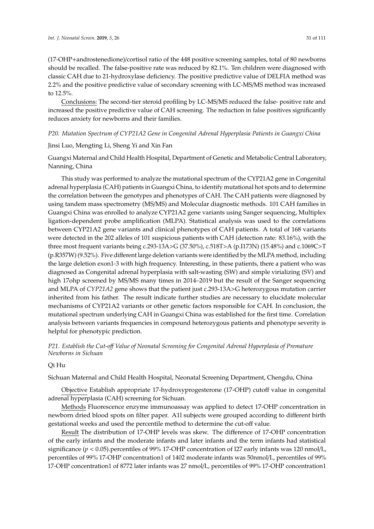(17-OHP+androstenedione)/cortisol ratio of the 448 positive screening samples, total of 80 newborns should be recalled. The false-positive rate was reduced by 82.1%. Ten children were diagnosed with classic CAH due to 21-hydroxylase deficiency. The positive predictive value of DELFIA method was 2.2% and the positive predictive value of secondary screening with LC-MS/MS method was increased to 12.5%.

Conclusions: The second-tier steroid profiling by LC-MS/MS reduced the false- positive rate and increased the positive predictive value of CAH screening. The reduction in false positives significantly reduces anxiety for newborns and their families.

# *P20. Mutation Spectrum of CYP21A2 Gene in Congenital Adrenal Hyperplasia Patients in Guangxi China*

Jinsi Luo, Mengting Li, Sheng Yi and Xin Fan

Guangxi Maternal and Child Health Hospital, Department of Genetic and Metabolic Central Laboratory, Nanning, China

This study was performed to analyze the mutational spectrum of the CYP21A2 gene in Congenital adrenal hyperplasia (CAH) patients in Guangxi China, to identify mutational hot spots and to determine the correlation between the genotypes and phenotypes of CAH. The CAH patients were diagnosed by using tandem mass spectrometry (MS/MS) and Molecular diagnostic methods. 101 CAH families in Guangxi China was enrolled to analyze CYP21A2 gene variants using Sanger sequencing, Multiplex ligation-dependent probe amplification (MLPA). Statistical analysis was used to the correlations between CYP21A2 gene variants and clinical phenotypes of CAH patients. A total of 168 variants were detected in the 202 alleles of 101 suspicious patients with CAH (detection rate: 83.16%), with the three most frequent variants being c.293-13A>G (37.50%), c.518T>A (p.I173N) (15.48%) and c.1069C>T (p.R357W) (9.52%). Five different large deletion variants were identified by the MLPA method, including the large deletion exon1-3 with high frequency. Interesting, in these patients, there a patient who was diagnosed as Congenital adrenal hyperplasia with salt-wasting (SW) and simple virializing (SV) and high 17ohp screened by MS/MS many times in 2014–2019 but the result of the Sanger sequencing and MLPA of *CYP21A2* gene shows that the patient just c.293-13A>G heterozygous mutation carrier inherited from his father. The result indicate further studies are necessary to elucidate molecular mechanisms of CYP21A2 variants or other genetic factors responsible for CAH. In conclusion, the mutational spectrum underlying CAH in Guangxi China was established for the first time. Correlation analysis between variants frequencies in compound heterozygous patients and phenotype severity is helpful for phenotypic prediction.

*P21. Establish the Cut-o*ff *Value of Neonatal Screening for Congenital Adrenal Hyperplasia of Premature Newborns in Sichuan*

# Qi Hu

Sichuan Maternal and Child Health Hospital, Neonatal Screening Department, Chengdu, China

Objective Establish appropriate 17-hydroxyprogesterone (17-OHP) cutoff value in congenital adrenal hyperplasia (CAH) screening for Sichuan.

Methods Fluorescence enzyme immunoassay was applied to detect 17-OHP concentration in newborn dried blood spots on filter paper. A1l subjects were grouped according to different birth gestational weeks and used the percentile method to determine the cut-off value.

Result The distribution of 17-OHP levels was skew. The difference of 17-OHP concentration of the early infants and the moderate infants and later infants and the term infants had statistical significance ( $p < 0.05$ ). percentiles of 99% 17-OHP concentration of 127 early infants was 120 nmol/L, percentiles of 99% 17-OHP concentration1 of 1402 moderate infants was 50nmol/L, percentiles of 99% 17-OHP concentration1 of 8772 later infants was 27 nmol/L, percentiles of 99% 17-OHP concentration1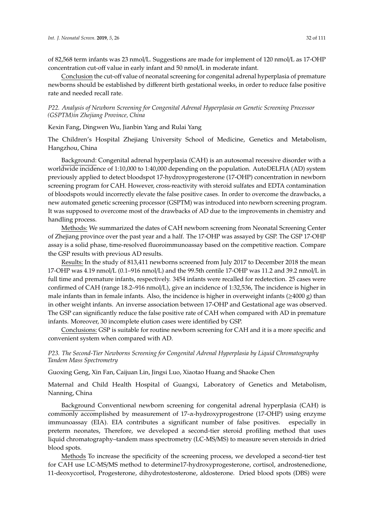of 82,568 term infants was 23 nmol/L. Suggestions are made for implement of 120 nmol/L as 17-OHP concentration cut-off value in early infant and 50 nmol/L in moderate infant.

Conclusion the cut-off value of neonatal screening for congenital adrenal hyperplasia of premature newborns should be established by different birth gestational weeks, in order to reduce false positive rate and needed recall rate.

# *P22. Analysis of Newborn Screening for Congenital Adrenal Hyperplasia on Genetic Screening Processor (GSPTM)in Zhejiang Province, China*

# Kexin Fang, Dingwen Wu, Jianbin Yang and Rulai Yang

The Children's Hospital Zhejiang University School of Medicine, Genetics and Metabolism, Hangzhou, China

Background: Congenital adrenal hyperplasia (CAH) is an autosomal recessive disorder with a worldwide incidence of 1:10,000 to 1:40,000 depending on the population. AutoDELFIA (AD) system previously applied to detect bloodspot 17-hydroxyprogesterone (17-OHP) concentration in newborn screening program for CAH. However, cross-reactivity with steroid sulfates and EDTA contamination of bloodspots would incorrectly elevate the false positive cases. In order to overcome the drawbacks, a new automated genetic screening processor (GSPTM) was introduced into newborn screening program. It was supposed to overcome most of the drawbacks of AD due to the improvements in chemistry and handling process.

Methods: We summarized the dates of CAH newborn screening from Neonatal Screening Center of Zhejiang province over the past year and a half. The 17-OHP was assayed by GSP. The GSP 17-OHP assay is a solid phase, time-resolved fluoroimmunoassay based on the competitive reaction. Compare the GSP results with previous AD results.

Results: In the study of 813,411 newborns screened from July 2017 to December 2018 the mean 17-OHP was 4.19 nmol/L (0.1–916 nmol/L) and the 99.5th centile 17-OHP was 11.2 and 39.2 nmol/L in full time and premature infants, respectively. 3454 infants were recalled for redetection. 25 cases were confirmed of CAH (range 18.2–916 nmol/L), give an incidence of 1:32,536, The incidence is higher in male infants than in female infants. Also, the incidence is higher in overweight infants (≥4000 g) than in other weight infants. An inverse association between 17-OHP and Gestational age was observed. The GSP can significantly reduce the false positive rate of CAH when compared with AD in premature infants. Moreover, 30 incomplete elution cases were identified by GSP.

Conclusions: GSP is suitable for routine newborn screening for CAH and it is a more specific and convenient system when compared with AD.

# *P23. The Second-Tier Newborns Screening for Congenital Adrenal Hyperplasia by Liquid Chromatography Tandem Mass Spectrometry*

Guoxing Geng, Xin Fan, Caijuan Lin, Jingsi Luo, Xiaotao Huang and Shaoke Chen

Maternal and Child Health Hospital of Guangxi, Laboratory of Genetics and Metabolism, Nanning, China

Background Conventional newborn screening for congenital adrenal hyperplasia (CAH) is commonly accomplished by measurement of 17-α-hydroxyprogestrone (17-OHP) using enzyme immunoassay (EIA). EIA contributes a significant number of false positives. especially in preterm neonates, Therefore, we developed a second-tier steroid profiling method that uses liquid chromatography–tandem mass spectrometry (LC-MS/MS) to measure seven steroids in dried blood spots.

Methods To increase the specificity of the screening process, we developed a second-tier test for CAH use LC-MS/MS method to determine17-hydroxyprogesterone, cortisol, androstenedione, 11-deoxycortisol, Progesterone, dihydrotestosterone, aldosterone. Dried blood spots (DBS) were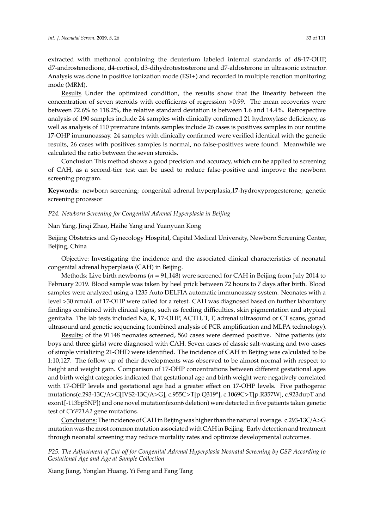extracted with methanol containing the deuterium labeled internal standards of d8-17-OHP, d7-androstenedione, d4-cortisol, d3-dihydrotestosterone and d7-aldosterone in ultrasonic extractor. Analysis was done in positive ionization mode (ESI±) and recorded in multiple reaction monitoring mode (MRM).

Results Under the optimized condition, the results show that the linearity between the concentration of seven steroids with coefficients of regression >0.99. The mean recoveries were between 72.6% to 118.2%, the relative standard deviation is between 1.6 and 14.4%. Retrospective analysis of 190 samples include 24 samples with clinically confirmed 21 hydroxylase deficiency, as well as analysis of 110 premature infants samples include 26 cases is positives samples in our routine 17-OHP immunoassay. 24 samples with clinically confirmed were verified identical with the genetic results, 26 cases with positives samples is normal, no false-positives were found. Meanwhile we calculated the ratio between the seven steroids.

Conclusion This method shows a good precision and accuracy, which can be applied to screening of CAH, as a second-tier test can be used to reduce false-positive and improve the newborn screening program.

**Keywords:** newborn screening; congenital adrenal hyperplasia,17-hydroxyprogesterone; genetic screening processor

### *P24. Newborn Screening for Congenital Adrenal Hyperplasia in Beijing*

Nan Yang, Jinqi Zhao, Haihe Yang and Yuanyuan Kong

Beijing Obstetrics and Gynecology Hospital, Capital Medical University, Newborn Screening Center, Beijing, China

Objective: Investigating the incidence and the associated clinical characteristics of neonatal congenital adrenal hyperplasia (CAH) in Beijing.

Methods: Live birth newborns (*n* = 91,148) were screened for CAH in Beijing from July 2014 to February 2019. Blood sample was taken by heel prick between 72 hours to 7 days after birth. Blood samples were analyzed using a 1235 Auto DELFIA automatic immunoassay system. Neonates with a level >30 nmol/L of 17-OHP were called for a retest. CAH was diagnosed based on further laboratory findings combined with clinical signs, such as feeding difficulties, skin pigmentation and atypical genitalia. The lab tests included Na, K, 17-OHP, ACTH, T, F, adrenal ultrasound or CT scans, gonad ultrasound and genetic sequencing (combined analysis of PCR amplification and MLPA technology).

Results: of the 91148 neonates screened, 560 cases were deemed positive. Nine patients (six boys and three girls) were diagnosed with CAH. Seven cases of classic salt-wasting and two cases of simple virializing 21-OHD were identified. The incidence of CAH in Beijing was calculated to be 1:10,127. The follow up of their developments was observed to be almost normal with respect to height and weight gain. Comparison of 17-OHP concentrations between different gestational ages and birth weight categories indicated that gestational age and birth weight were negatively correlated with 17-OHP levels and gestational age had a greater effect on 17-OHP levels. Five pathogenic mutations(c.293-13C/A>G[IVS2-13C/A>G], c.955C>T[p.Q319\*], c.1069C>T[p.R357W], c.923dupT and exon1[-113bpSNP]) and one novel mutation(exon6 deletion) were detected in five patients taken genetic test of *CYP21A2* gene mutations.

Conclusions: The incidence of CAH in Beijing was higher than the national average. c.293-13C/A>G mutation was the most common mutation associated with CAH in Beijing. Early detection and treatment through neonatal screening may reduce mortality rates and optimize developmental outcomes.

*P25. The Adjustment of Cut-o*ff *for Congenital Adrenal Hyperplasia Neonatal Screening by GSP According to Gestational Age and Age at Sample Collection*

Xiang Jiang, Yonglan Huang, Yi Feng and Fang Tang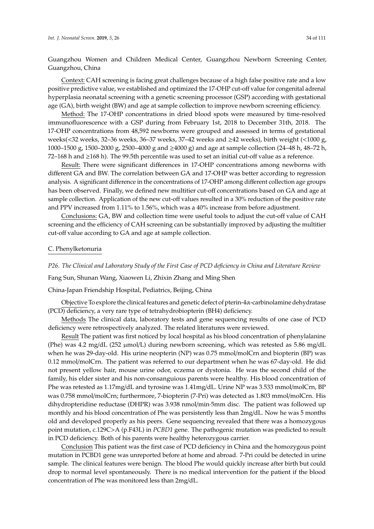Guangzhou Women and Children Medical Center, Guangzhou Newborn Screening Center, Guangzhou, China

Context: CAH screening is facing great challenges because of a high false positive rate and a low positive predictive value, we established and optimized the 17-OHP cut-off value for congenital adrenal hyperplasia neonatal screening with a genetic screening processor (GSP) according with gestational age (GA), birth weight (BW) and age at sample collection to improve newborn screening efficiency.

Method: The 17-OHP concentrations in dried blood spots were measured by time-resolved immunofluorescence with a GSP during from February 1st, 2018 to December 31th, 2018. The 17-OHP concentrations from 48,592 newborns were grouped and assessed in terms of gestational weeks(<32 weeks, 32–36 weeks, 36–37 weeks, 37–42 weeks and ≥42 weeks), birth weight (<1000 g, 1000–1500 g, 1500–2000 g, 2500–4000 g and ≥4000 g) and age at sample collection (24–48 h, 48–72 h, 72–168 h and ≥168 h). The 99.5th percentile was used to set an initial cut-off value as a reference.

Result: There were significant differences in 17-OHP concentrations among newborns with different GA and BW. The correlation between GA and 17-OHP was better according to regression analysis. A significant difference in the concentrations of 17-OHP among different collection age groups has been observed. Finally, we defined new multitier cut-off concentrations based on GA and age at sample collection. Application of the new cut-off values resulted in a 30% reduction of the positive rate and PPV increased from 1.11% to 1.56%, which was a 40% increase from before adjustment.

Conclusions: GA, BW and collection time were useful tools to adjust the cut-off value of CAH screening and the efficiency of CAH screening can be substantially improved by adjusting the multitier cut-off value according to GA and age at sample collection.

#### C. Phenylketonuria

*P26. The Clinical and Laboratory Study of the First Case of PCD deficiency in China and Literature Review*

Fang Sun, Shunan Wang, Xiaowen Li, Zhixin Zhang and Ming Shen

China-Japan Friendship Hospital, Pediatrics, Beijing, China

Objective To explore the clinical features and genetic defect of pterin-4α-carbinolamine dehydratase (PCD) deficiency, a very rare type of tetrahydrobiopterin (BH4) deficiency.

Methods The clinical data, laboratory tests and gene sequencing results of one case of PCD deficiency were retrospectively analyzed. The related literatures were reviewed.

Result The patient was first noticed by local hospital as his blood concentration of phenylalanine (Phe) was 4.2 mg/dL (252  $\mu$ mol/L) during newborn screening, which was retested as 5.86 mg/dL when he was 29-day-old. His urine neopterin (NP) was 0.75 mmol/molCrn and biopterin (BP) was 0.12 mmol/molCrn. The patient was referred to our department when he was 67-day-old. He did not present yellow hair, mouse urine odor, eczema or dystonia. He was the second child of the family, his elder sister and his non-consanguious parents were healthy. His blood concentration of Phe was retested as 1.17mg/dL and tyrosine was 1.41mg/dL. Urine NP was 3.533 mmol/molCrn, BP was 0.758 mmol/molCrn; furthermore, 7-biopterin (7-Pri) was detected as 1.803 mmol/molCrn. His dihydropteridine reductase (DHPR) was 3.938 nmol/min·5mm disc. The patient was followed up monthly and his blood concentration of Phe was persistently less than 2mg/dL. Now he was 5 months old and developed properly as his peers. Gene sequencing revealed that there was a homozygous point mutation, c.129C>A (p.F43L) in *PCBD1* gene. The pathogenic mutation was predicted to result in PCD deficiency. Both of his parents were healthy heterozygous carrier.

Conclusion This patient was the first case of PCD deficiency in China and the homozygous point mutation in PCBD1 gene was unreported before at home and abroad. 7-Pri could be detected in urine sample. The clinical features were benign. The blood Phe would quickly increase after birth but could drop to normal level spontaneously. There is no medical intervention for the patient if the blood concentration of Phe was monitored less than 2mg/dL.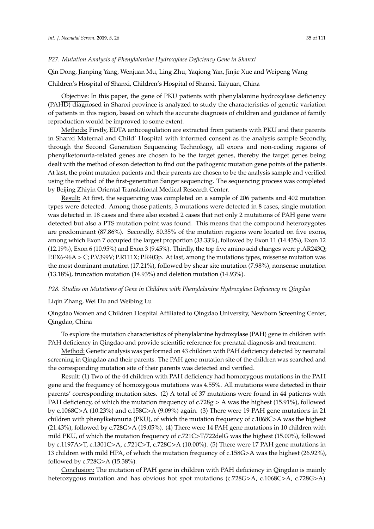### *P27. Mutation Analysis of Phenylalanine Hydroxylase Deficiency Gene in Shanxi*

Qin Dong, Jianping Yang, Wenjuan Mu, Ling Zhu, Yaqiong Yan, Jinjie Xue and Weipeng Wang

Children's Hospital of Shanxi, Children's Hospital of Shanxi, Taiyuan, China

Objective: In this paper, the gene of PKU patients with phenylalanine hydroxylase deficiency (PAHD) diagnosed in Shanxi province is analyzed to study the characteristics of genetic variation of patients in this region, based on which the accurate diagnosis of children and guidance of family reproduction would be improved to some extent.

Methods: Firstly, EDTA anticoagulation are extracted from patients with PKU and their parents in Shanxi Maternal and Child' Hospital with informed consent as the analysis sample Secondly, through the Second Generation Sequencing Technology, all exons and non-coding regions of phenylketonuria-related genes are chosen to be the target genes, thereby the target genes being dealt with the method of exon detection to find out the pathogenic mutation gene points of the patients. At last, the point mutation patients and their parents are chosen to be the analysis sample and verified using the method of the first-generation Sanger sequencing. The sequencing process was completed by Beijing Zhiyin Oriental Translational Medical Research Center.

Result: At first, the sequencing was completed on a sample of 206 patients and 402 mutation types were detected. Among those patients, 3 mutations were detected in 8 cases, single mutation was detected in 18 cases and there also existed 2 cases that not only 2 mutations of PAH gene were detected but also a PTS mutation point was found. This means that the compound heterozygotes are predominant (87.86%). Secondly, 80.35% of the mutation regions were located on five exons, among which Exon 7 occupied the largest proportion (33.33%), followed by Exon 11 (14.43%), Exon 12 (12.19%), Exon 6 (10.95%) and Exon 3 (9.45%). Thirdly, the top five amino acid changes were p.AR243Q; P.EX6-96A > C; P.V399V; P.R111X; P.R403p. At last, among the mutations types, missense mutation was the most dominant mutation (17.21%), followed by shear site mutation (7.98%), nonsense mutation (13.18%), truncation mutation (14.93%) and deletion mutation (14.93%).

*P28. Studies on Mutations of Gene in Children with Phenylalanine Hydroxylase Deficiency in Qingdao*

# Liqin Zhang, Wei Du and Weibing Lu

Qingdao Women and Children Hospital Affiliated to Qingdao University, Newborn Screening Center, Qingdao, China

To explore the mutation characteristics of phenylalanine hydroxylase (PAH) gene in children with PAH deficiency in Qingdao and provide scientific reference for prenatal diagnosis and treatment.

Method: Genetic analysis was performed on 43 children with PAH deficiency detected by neonatal screening in Qingdao and their parents. The PAH gene mutation site of the children was searched and the corresponding mutation site of their parents was detected and verified.

Result: (1) Two of the 44 children with PAH deficiency had homozygous mutations in the PAH gene and the frequency of homozygous mutations was 4.55%. All mutations were detected in their parents' corresponding mutation sites. (2) A total of 37 mutations were found in 44 patients with PAH deficiency, of which the mutation frequency of c.728g  $> A$  was the highest (15.91%), followed by c.1068C>A (10.23%) and c.158G>A (9.09%) again. (3) There were 19 PAH gene mutations in 21 children with phenylketonuria (PKU), of which the mutation frequency of c.1068C>A was the highest (21.43%), followed by c.728G>A (19.05%). (4) There were 14 PAH gene mutations in 10 children with mild PKU, of which the mutation frequency of c.721C>T/722delG was the highest (15.00%), followed by c.1197A>T, c.1301C>A, c.721C>T, c.728G>A (10.00%). (5) There were 17 PAH gene mutations in 13 children with mild HPA, of which the mutation frequency of c.158G>A was the highest (26.92%), followed by c.728G>A (15.38%).

Conclusion: The mutation of PAH gene in children with PAH deficiency in Qingdao is mainly heterozygous mutation and has obvious hot spot mutations (c.728G>A, c.1068C>A, c.728G>A).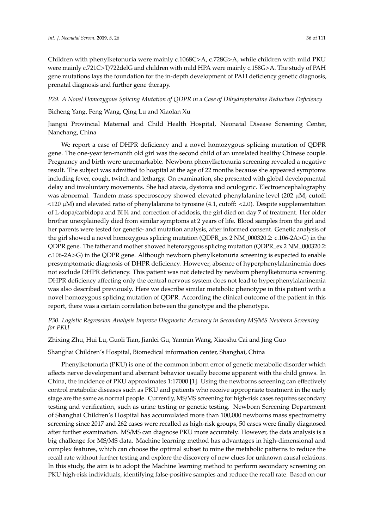Children with phenylketonuria were mainly c.1068C>A, c.728G>A, while children with mild PKU were mainly c.721C>T/722delG and children with mild HPA were mainly c.158G>A. The study of PAH gene mutations lays the foundation for the in-depth development of PAH deficiency genetic diagnosis, prenatal diagnosis and further gene therapy.

# *P29. A Novel Homozygous Splicing Mutation of QDPR in a Case of Dihydropteridine Reductase Deficiency*

Bicheng Yang, Feng Wang, Qing Lu and Xiaolan Xu

Jiangxi Provincial Maternal and Child Health Hospital, Neonatal Disease Screening Center, Nanchang, China

We report a case of DHPR deficiency and a novel homozygous splicing mutation of QDPR gene. The one-year ten-month old girl was the second child of an unrelated healthy Chinese couple. Pregnancy and birth were unremarkable. Newborn phenylketonuria screening revealed a negative result. The subject was admitted to hospital at the age of 22 months because she appeared symptoms including fever, cough, twitch and lethargy. On examination, she presented with global developmental delay and involuntary movements. She had ataxia, dystonia and oculogyric. Electroencephalography was abnormal. Tandem mass spectroscopy showed elevated phenylalanine level (202 µM, cutoff:  $<$ 120  $\mu$ M) and elevated ratio of phenylalanine to tyrosine (4.1, cutoff:  $<$ 2.0). Despite supplementation of L-dopa/carbidopa and BH4 and correction of acidosis, the girl died on day 7 of treatment. Her older brother unexplainedly died from similar symptoms at 2 years of life. Blood samples from the girl and her parents were tested for genetic- and mutation analysis, after informed consent. Genetic analysis of the girl showed a novel homozygous splicing mutation (QDPR\_ex 2 NM\_000320.2: c.106-2A>G) in the QDPR gene. The father and mother showed heterozygous splicing mutation (QDPR\_ex 2 NM\_000320.2: c.106-2A>G) in the QDPR gene. Although newborn phenylketonuria screening is expected to enable presymptomatic diagnosis of DHPR deficiency. However, absence of hyperphenylalaninemia does not exclude DHPR deficiency. This patient was not detected by newborn phenylketonuria screening. DHPR deficiency affecting only the central nervous system does not lead to hyperphenylalaninemia was also described previously. Here we describe similar metabolic phenotype in this patient with a novel homozygous splicing mutation of QDPR. According the clinical outcome of the patient in this report, there was a certain correlation between the genotype and the phenotype.

# *P30. Logistic Regression Analysis Improve Diagnostic Accuracy in Secondary MS*/*MS Newborn Screening for PKU*

### Zhixing Zhu, Hui Lu, Guoli Tian, Jianlei Gu, Yanmin Wang, Xiaoshu Cai and Jing Guo

Shanghai Children's Hospital, Biomedical information center, Shanghai, China

Phenylketonuria (PKU) is one of the common inborn error of genetic metabolic disorder which affects nerve development and aberrant behavior usually become apparent with the child grows. In China, the incidence of PKU approximates 1:17000 [1]. Using the newborns screening can effectively control metabolic diseases such as PKU and patients who receive appropriate treatment in the early stage are the same as normal people. Currently, MS/MS screening for high-risk cases requires secondary testing and verification, such as urine testing or genetic testing. Newborn Screening Department of Shanghai Children's Hospital has accumulated more than 100,000 newborns mass spectrometry screening since 2017 and 262 cases were recalled as high-risk groups, 50 cases were finally diagnosed after further examination. MS/MS can diagnose PKU more accurately. However, the data analysis is a big challenge for MS/MS data. Machine learning method has advantages in high-dimensional and complex features, which can choose the optimal subset to mine the metabolic patterns to reduce the recall rate without further testing and explore the discovery of new clues for unknown causal relations. In this study, the aim is to adopt the Machine learning method to perform secondary screening on PKU high-risk individuals, identifying false-positive samples and reduce the recall rate. Based on our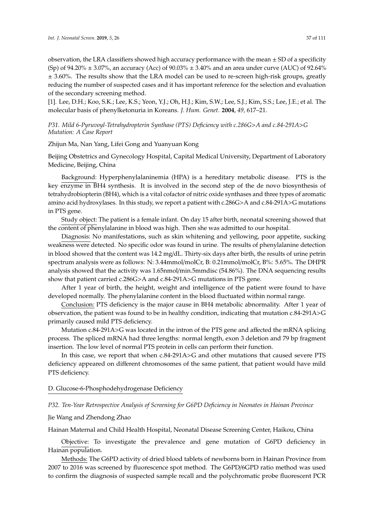observation, the LRA classifiers showed high accuracy performance with the mean  $\pm$  SD of a specificity (Sp) of 94.20%  $\pm$  3.07%, an accuracy (Acc) of 90.03%  $\pm$  3.40% and an area under curve (AUC) of 92.64%  $\pm$  3.60%. The results show that the LRA model can be used to re-screen high-risk groups, greatly reducing the number of suspected cases and it has important reference for the selection and evaluation of the secondary screening method.

[1]. Lee, D.H.; Koo, S.K.; Lee, K.S.; Yeon, Y.J.; Oh, H.J.; Kim, S.W.; Lee, S.J.; Kim, S.S.; Lee, J.E.; et al. The molecular basis of phenylketonuria in Koreans. *J. Hum. Genet*. **2004**, *49,* 617–21.

# *P31. Mild 6-Pyruvoyl-Tetrahydropterin Synthase (PTS) Deficiency with c.286G*>*A and c.84-291A*>*G Mutation: A Case Report*

Zhijun Ma, Nan Yang, Lifei Gong and Yuanyuan Kong

Beijing Obstetrics and Gynecology Hospital, Capital Medical University, Department of Laboratory Medicine, Beijing, China

Background: Hyperphenylalaninemia (HPA) is a hereditary metabolic disease. PTS is the key enzyme in BH4 synthesis. It is involved in the second step of the de novo biosynthesis of tetrahydrobiopterin (BH4), which is a vital cofactor of nitric oxide synthases and three types of aromatic amino acid hydroxylases. In this study, we report a patient with c.286G>A and c.84-291A>G mutations in PTS gene.

Study object: The patient is a female infant. On day 15 after birth, neonatal screening showed that the content of phenylalanine in blood was high. Then she was admitted to our hospital.

Diagnosis: No manifestations, such as skin whitening and yellowing, poor appetite, sucking weakness were detected. No specific odor was found in urine. The results of phenylalanine detection in blood showed that the content was 14.2 mg/dL. Thirty-six days after birth, the results of urine petrin spectrum analysis were as follows: N: 3.44mmol/molCr, B: 0.21mmol/molCr, B%: 5.65%. The DHPR analysis showed that the activity was 1.65nmol/min.5mmdisc (54.86%). The DNA sequencing results show that patient carried c.286G>A and c.84-291A>G mutations in PTS gene.

After 1 year of birth, the height, weight and intelligence of the patient were found to have developed normally. The phenylalanine content in the blood fluctuated within normal range.

Conclusion: PTS deficiency is the major cause in BH4 metabolic abnormality. After 1 year of observation, the patient was found to be in healthy condition, indicating that mutation c.84-291A>G primarily caused mild PTS deficiency.

Mutation c.84-291A>G was located in the intron of the PTS gene and affected the mRNA splicing process. The spliced mRNA had three lengths: normal length, exon 3 deletion and 79 bp fragment insertion. The low level of normal PTS protein in cells can perform their function.

In this case, we report that when c.84-291A>G and other mutations that caused severe PTS deficiency appeared on different chromosomes of the same patient, that patient would have mild PTS deficiency.

## D. Glucose-6-Phosphodehydrogenase Deficiency

*P32. Ten-Year Retrospective Analysis of Screening for G6PD Deficiency in Neonates in Hainan Province*

## Jie Wang and Zhendong Zhao

Hainan Maternal and Child Health Hospital, Neonatal Disease Screening Center, Haikou, China

Objective: To investigate the prevalence and gene mutation of G6PD deficiency in Hainan population.

Methods: The G6PD activity of dried blood tablets of newborns born in Hainan Province from 2007 to 2016 was screened by fluorescence spot method. The G6PD/6GPD ratio method was used to confirm the diagnosis of suspected sample recall and the polychromatic probe fluorescent PCR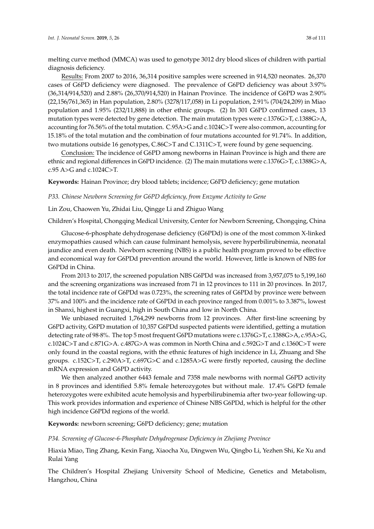melting curve method (MMCA) was used to genotype 3012 dry blood slices of children with partial diagnosis deficiency.

Results: From 2007 to 2016, 36,314 positive samples were screened in 914,520 neonates. 26,370 cases of G6PD deficiency were diagnosed. The prevalence of G6PD deficiency was about 3.97% (36,314/914,520) and 2.88% (26,370/914,520) in Hainan Province. The incidence of G6PD was 2.90% (22,156/761,365) in Han population, 2.80% (3278/117,058) in Li population, 2.91% (704/24,209) in Miao population and 1.95% (232/11,888) in other ethnic groups. (2) In 301 G6PD confirmed cases, 13 mutation types were detected by gene detection. The main mutation types were c.1376G>T, c.1388G>A, accounting for 76.56% of the total mutation. C.95A>G and c.1024C>T were also common, accounting for 15.18% of the total mutation and the combination of four mutations accounted for 91.74%. In addition, two mutations outside 16 genotypes, C.86C>T and C.1311C>T, were found by gene sequencing.

Conclusion: The incidence of G6PD among newborns in Hainan Province is high and there are ethnic and regional differences in G6PD incidence. (2) The main mutations were c.1376G>T, c.1388G>A, c.95 A>G and c.1024C>T.

**Keywords:** Hainan Province; dry blood tablets; incidence; G6PD deficiency; gene mutation

# *P33. Chinese Newborn Screening for G6PD deficiency, from Enzyme Activity to Gene*

# Lin Zou, Chaowen Yu, Zhidai Liu, Qingge Li and Zhiguo Wang

Children's Hospital, Chongqing Medical University, Center for Newborn Screening, Chongqing, China

Glucose-6-phosphate dehydrogenase deficiency (G6PDd) is one of the most common X-linked enzymopathies caused which can cause fulminant hemolysis, severe hyperbilirubinemia, neonatal jaundice and even death. Newborn screening (NBS) is a public health program proved to be effective and economical way for G6PDd prevention around the world. However, little is known of NBS for G6PDd in China.

From 2013 to 2017, the screened population NBS G6PDd was increased from 3,957,075 to 5,199,160 and the screening organizations was increased from 71 in 12 provinces to 111 in 20 provinces. In 2017, the total incidence rate of G6PDd was 0.723%, the screening rates of G6PDd by province were between 37% and 100% and the incidence rate of G6PDd in each province ranged from 0.001% to 3.387%, lowest in Shanxi, highest in Guangxi, high in South China and low in North China.

We unbiased recruited 1,764,299 newborns from 12 provinces. After first-line screening by G6PD activity, G6PD mutation of 10,357 G6PDd suspected patients were identified, getting a mutation detecting rate of 98·8%. The top 5 most frequent G6PD mutations were c.1376G>T, c.1388G>A, c.95A>G, c.1024C>T and c.871G>A. c.487G>A was common in North China and c.592G>T and c.1360C>T were only found in the coastal regions, with the ethnic features of high incidence in Li, Zhuang and She groups. c.152C>T, c.290A>T, c.697G>C and c.1285A>G were firstly reported, causing the decline mRNA expression and G6PD activity.

We then analyzed another 6443 female and 7358 male newborns with normal G6PD activity in 8 provinces and identified 5.8% female heterozygotes but without male. 17.4% G6PD female heterozygotes were exhibited acute hemolysis and hyperbilirubinemia after two-year following-up. This work provides information and experience of Chinese NBS G6PDd, which is helpful for the other high incidence G6PDd regions of the world.

# **Keywords:** newborn screening; G6PD deficiency; gene; mutation

*P34. Screening of Glucose-6-Phosphate Dehydrogenase Deficiency in Zhejiang Province*

Hiaxia Miao, Ting Zhang, Kexin Fang, Xiaocha Xu, Dingwen Wu, Qingbo Li, Yezhen Shi, Ke Xu and Rulai Yang

The Children's Hospital Zhejiang University School of Medicine, Genetics and Metabolism, Hangzhou, China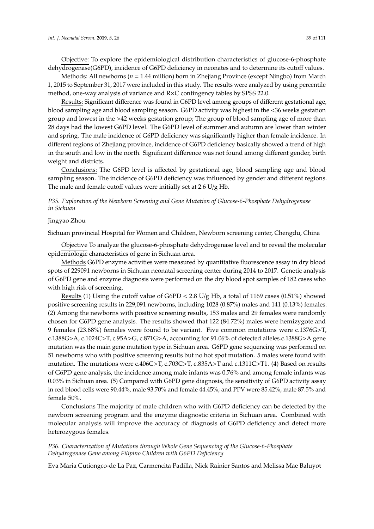Objective: To explore the epidemiological distribution characteristics of glucose-6-phosphate dehydrogenase(G6PD), incidence of G6PD deficiency in neonates and to determine its cutoff values.

Methods: All newborns (*n* = 1.44 million) born in Zhejiang Province (except Ningbo) from March 1, 2015 to September 31, 2017 were included in this study. The results were analyzed by using percentile method, one-way analysis of variance and R×C contingency tables by SPSS 22.0.

Results: Significant difference was found in G6PD level among groups of different gestational age, blood sampling age and blood sampling season. G6PD activity was highest in the <36 weeks gestation group and lowest in the >42 weeks gestation group; The group of blood sampling age of more than 28 days had the lowest G6PD level. The G6PD level of summer and autumn are lower than winter and spring. The male incidence of G6PD deficiency was significantly higher than female incidence. In different regions of Zhejiang province, incidence of G6PD deficiency basically showed a trend of high in the south and low in the north. Significant difference was not found among different gender, birth weight and districts.

Conclusions: The G6PD level is affected by gestational age, blood sampling age and blood sampling season. The incidence of G6PD deficiency was influenced by gender and different regions. The male and female cutoff values were initially set at 2.6 U/g Hb.

# *P35. Exploration of the Newborn Screening and Gene Mutation of Glucose-6-Phosphate Dehydrogenase in Sichuan*

#### Jingyao Zhou

Sichuan provincial Hospital for Women and Children, Newborn screening center, Chengdu, China

Objective To analyze the glucose-6-phosphate dehydrogenase level and to reveal the molecular epidemiologic characteristics of gene in Sichuan area.

Methods G6PD enzyme activities were measured by quantitative fluorescence assay in dry blood spots of 229091 newborns in Sichuan neonatal screening center during 2014 to 2017. Genetic analysis of G6PD gene and enzyme diagnosis were performed on the dry blood spot samples of 182 cases who with high risk of screening.

Results (1) Using the cutoff value of G6PD < 2.8 U/g Hb, a total of 1169 cases (0.51%) showed positive screening results in 229,091 newborns, including 1028 (0.87%) males and 141 (0.13%) females. (2) Among the newborns with positive screening results, 153 males and 29 females were randomly chosen for G6PD gene analysis. The results showed that 122 (84.72%) males were hemizygote and 9 females (23.68%) females were found to be variant. Five common mutations were c.1376G>T, c.1388G>A, c.1024C>T, c.95A>G, c.871G>A, accounting for 91.06% of detected alleles.c.1388G>A gene mutation was the main gene mutation type in Sichuan area. G6PD gene sequencing was performed on 51 newborns who with positive screening results but no hot spot mutation. 5 males were found with mutation. The mutations were c.406C>T, c.703C>T, c.835A>T and c.1311C>T1. (4) Based on results of G6PD gene analysis, the incidence among male infants was 0.76% and among female infants was 0.03% in Sichuan area. (5) Compared with G6PD gene diagnosis, the sensitivity of G6PD activity assay in red blood cells were 90.44%, male 93.70% and female 44.45%; and PPV were 85.42%, male 87.5% and female 50%.

Conclusions The majority of male children who with G6PD deficiency can be detected by the newborn screening program and the enzyme diagnostic criteria in Sichuan area. Combined with molecular analysis will improve the accuracy of diagnosis of G6PD deficiency and detect more heterozygous females.

*P36. Characterization of Mutations through Whole Gene Sequencing of the Glucose-6-Phosphate Dehydrogenase Gene among Filipino Children with G6PD Deficiency*

Eva Maria Cutiongco-de La Paz, Carmencita Padilla, Nick Rainier Santos and Melissa Mae Baluyot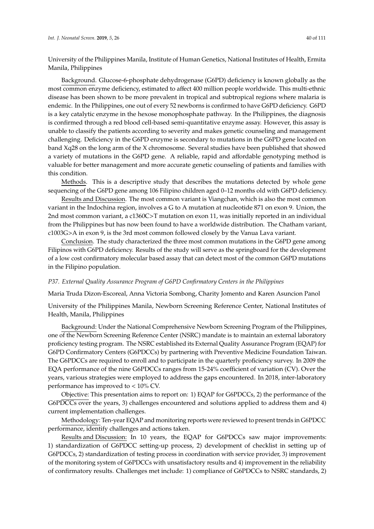University of the Philippines Manila, Institute of Human Genetics, National Institutes of Health, Ermita Manila, Philippines

Background. Glucose-6-phosphate dehydrogenase (G6PD) deficiency is known globally as the most common enzyme deficiency, estimated to affect 400 million people worldwide. This multi-ethnic disease has been shown to be more prevalent in tropical and subtropical regions where malaria is endemic. In the Philippines, one out of every 52 newborns is confirmed to have G6PD deficiency. G6PD is a key catalytic enzyme in the hexose monophosphate pathway. In the Philippines, the diagnosis is confirmed through a red blood cell-based semi-quantitative enzyme assay. However, this assay is unable to classify the patients according to severity and makes genetic counseling and management challenging. Deficiency in the G6PD enzyme is secondary to mutations in the G6PD gene located on band Xq28 on the long arm of the X chromosome. Several studies have been published that showed a variety of mutations in the G6PD gene. A reliable, rapid and affordable genotyping method is valuable for better management and more accurate genetic counseling of patients and families with this condition.

Methods. This is a descriptive study that describes the mutations detected by whole gene sequencing of the G6PD gene among 106 Filipino children aged 0–12 months old with G6PD deficiency.

Results and Discussion. The most common variant is Viangchan, which is also the most common variant in the Indochina region, involves a G to A mutation at nucleotide 871 on exon 9. Union, the 2nd most common variant, a c1360C>T mutation on exon 11, was initially reported in an individual from the Philippines but has now been found to have a worldwide distribution. The Chatham variant, c1003G>A in exon 9, is the 3rd most common followed closely by the Vanua Lava variant.

Conclusion. The study characterized the three most common mutations in the G6PD gene among Filipinos with G6PD deficiency. Results of the study will serve as the springboard for the development of a low cost confirmatory molecular based assay that can detect most of the common G6PD mutations in the Filipino population.

#### *P37. External Quality Assurance Program of G6PD Confirmatory Centers in the Philippines*

Maria Truda Dizon-Escoreal, Anna Victoria Sombong, Charity Jomento and Karen Asuncion Panol

University of the Philippines Manila, Newborn Screening Reference Center, National Institutes of Health, Manila, Philippines

Background: Under the National Comprehensive Newborn Screening Program of the Philippines, one of the Newborn Screening Reference Center (NSRC) mandate is to maintain an external laboratory proficiency testing program. The NSRC established its External Quality Assurance Program (EQAP) for G6PD Confirmatory Centers (G6PDCCs) by partnering with Preventive Medicine Foundation Taiwan. The G6PDCCs are required to enroll and to participate in the quarterly proficiency survey. In 2009 the EQA performance of the nine G6PDCCs ranges from 15-24% coefficient of variation (CV). Over the years, various strategies were employed to address the gaps encountered. In 2018, inter-laboratory performance has improved to < 10% CV.

Objective: This presentation aims to report on: 1) EQAP for G6PDCCs, 2) the performance of the G6PDCCs over the years, 3) challenges encountered and solutions applied to address them and 4) current implementation challenges.

Methodology: Ten-year EQAP and monitoring reports were reviewed to present trends in G6PDCC performance, identify challenges and actions taken.

Results and Discussion: In 10 years, the EQAP for G6PDCCs saw major improvements: 1) standardization of G6PDCC setting-up process, 2) development of checklist in setting up of G6PDCCs, 2) standardization of testing process in coordination with service provider, 3) improvement of the monitoring system of G6PDCCs with unsatisfactory results and 4) improvement in the reliability of confirmatory results. Challenges met include: 1) compliance of G6PDCCs to NSRC standards, 2)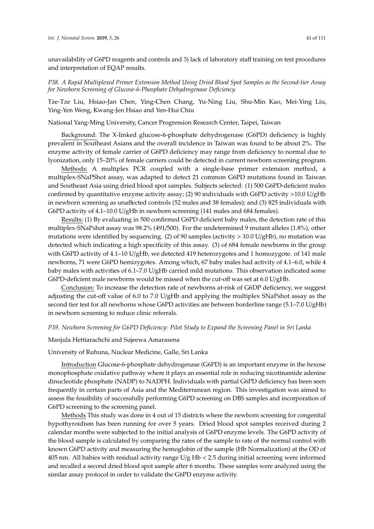unavailability of G6PD reagents and controls and 3) lack of laboratory staff training on test procedures and interpretation of EQAP results.

*P38. A Rapid Multiplexed Primer Extension Method Using Dried Blood Spot Samples as the Second-tier Assay for Newborn Screening of Glucose-6-Phosphate Dehydrogenase Deficiency*

Tze-Tze Liu, Hsiao-Jan Chen, Ying-Chen Chang, Yu-Ning Liu, Shu-Min Kao, Mei-Ying Liu, Ying-Yen Weng, Kwang-Jen Hsiao and Yen-Hui Chiu

National Yang-Ming University, Cancer Progression Research Center, Taipei, Taiwan

Background: The X-linked glucose-6-phosphate dehydrogenase (G6PD) deficiency is highly prevalent in Southeast Asians and the overall incidence in Taiwan was found to be about 2%. The enzyme activity of female carrier of G6PD deficiency may range from deficiency to normal due to lyonization, only 15–20% of female carriers could be detected in current newborn screening program.

Methods: A multiplex PCR coupled with a single-base primer extension method, a multiplex-SNaPShot assay, was adapted to detect 21 common G6PD mutations found in Taiwan and Southeast Asia using dried blood spot samples. Subjects selected: (1) 500 G6PD-deficient males confirmed by quantitative enzyme activity assay; (2) 90 individuals with G6PD activity >10.0 U/gHb in newborn screening as unaffected controls (52 males and 38 females); and (3) 825 individuals with G6PD activity of 4.1–10.0 U/gHb in newborn screening (141 males and 684 females).

Results: (1) By evaluating in 500 confirmed G6PD deficient baby males, the detection rate of this multiplex-SNaPshot assay was 98.2% (491/500). For the undetermined 9 mutant alleles (1.8%), other mutations were identified by sequencing. (2) of 90 samples (activity  $> 10.0$  U/gHb), no mutation was detected which indicating a high specificity of this assay. (3) of 684 female newborns in the group with G6PD activity of 4.1–10 U/gHb, we detected 419 heterozygotes and 1 homozygote. of 141 male newborns, 71 were G6PD hemizygotes. Among which, 67 baby males had activity of 4.1–6.0, while 4 baby males with activities of 6.1–7.0 U/gHb carried mild mutations. This observation indicated some G6PD-deficient male newborns would be missed when the cut-off was set at 6.0 U/gHb.

Conclusion: To increase the detection rate of newborns at-risk of G6DP deficiency, we suggest adjusting the cut-off value of 6.0 to 7.0 U/gHb and applying the multiplex SNaPshot assay as the second tier test for all newborns whose G6PD activities are between borderline range (5.1–7.0 U/gHb) in newborn screening to reduce clinic referrals.

*P39. Newborn Screening for G6PD Deficiency: Pilot Study to Expand the Screening Panel in Sri Lanka*

Manjula Hettiarachchi and Sujeewa Amarasena

University of Ruhuna, Nuclear Medicine, Galle, Sri Lanka

Introduction Glucose-6-phosphate dehydrogenase (G6PD) is an important enzyme in the hexose monophosphate oxidative pathway where it plays an essential role in reducing nicotinamide adenine dinucleotide phosphate (NADP) to NADPH. Individuals with partial G6PD deficiency has been seen frequently in certain parts of Asia and the Mediterranean region. This investigation was aimed to assess the feasibility of successfully performing G6PD screening on DBS samples and incorporation of G6PD screening to the screening panel.

Methods This study was done in 4 out of 15 districts where the newborn screening for congenital hypothyroidism has been running for over 5 years. Dried blood spot samples received during 2 calendar months were subjected to the initial analysis of G6PD enzyme levels. The G6PD activity of the blood sample is calculated by comparing the rates of the sample to rate of the normal control with known G6PD activity and measuring the hemoglobin of the sample (Hb Normalization) at the OD of 405 nm. All babies with residual activity range  $U/g$  Hb  $\lt$  2.5 during initial screening were informed and recalled a second dried blood spot sample after 6 months. These samples were analyzed using the similar assay protocol in order to validate the G6PD enzyme activity.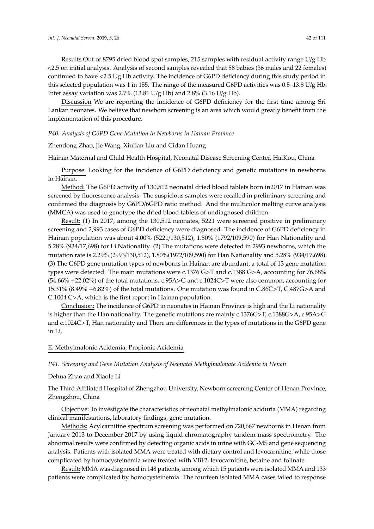Results Out of 8795 dried blood spot samples, 215 samples with residual activity range U/g Hb <2.5 on initial analysis. Analysis of second samples revealed that 58 babies (36 males and 22 females) continued to have <2.5 Ug Hb activity. The incidence of G6PD deficiency during this study period in this selected population was 1 in 155. The range of the measured G6PD activities was 0.5–13.8 U/g Hb. Inter assay variation was 2.7% (13.81 U/g Hb) and 2.8% (3.16 U/g Hb).

Discussion We are reporting the incidence of G6PD deficiency for the first time among Sri Lankan neonates. We believe that newborn screening is an area which would greatly benefit from the implementation of this procedure.

# *P40. Analysis of G6PD Gene Mutation in Newborns in Hainan Province*

Zhendong Zhao, Jie Wang, Xiulian Liu and Cidan Huang

Hainan Maternal and Child Health Hospital, Neonatal Disease Screening Center, HaiKou, China

Purpose: Looking for the incidence of G6PD deficiency and genetic mutations in newborns in Hainan.

Method: The G6PD activity of 130,512 neonatal dried blood tablets born in2017 in Hainan was screened by fluorescence analysis. The suspicious samples were recalled in preliminary screening and confirmed the diagnosis by G6PD/6GPD ratio method. And the multicolor melting curve analysis (MMCA) was used to genotype the dried blood tablets of undiagnosed children.

Result: (1) In 2017, among the 130,512 neonates, 5221 were screened positive in preliminary screening and 2,993 cases of G6PD deficiency were diagnosed. The incidence of G6PD deficiency in Hainan population was about 4.00% (5221/130,512), 1.80% (1792/109,590) for Han Nationality and 5.28% (934/17,698) for Li Nationality. (2) The mutations were detected in 2993 newborns, which the mutation rate is 2.29% (2993/130,512), 1.80%(1972/109,590) for Han Nationality and 5.28% (934/17,698). (3) The G6PD gene mutation types of newborns in Hainan are abundant, a total of 13 gene mutation types were detected. The main mutations were c.1376 G>T and c.1388 G>A, accounting for 76.68% (54.66% +22.02%) of the total mutations. c.95A>G and c.1024C>T were also common, accounting for 15.31% (8.49% +6.82%) of the total mutations. One mutation was found in C.86C>T, C.487G>A and C.1004 C>A, which is the first report in Hainan population.

Conclusion: The incidence of G6PD in neonates in Hainan Province is high and the Li nationality is higher than the Han nationality. The genetic mutations are mainly c.1376G>T, c.1388G>A, c.95A>G and c.1024C>T, Han nationality and There are differences in the types of mutations in the G6PD gene in Li.

## E. Methylmalonic Acidemia, Propionic Acidemia

*P41. Screening and Gene Mutation Analysis of Neonatal Methylmalonate Acidemia in Henan*

## Dehua Zhao and Xiaole Li

The Third Affiliated Hospital of Zhengzhou University, Newborn screening Center of Henan Province, Zhengzhou, China

Objective: To investigate the characteristics of neonatal methylmalonic aciduria (MMA) regarding clinical manifestations, laboratory findings, gene mutation.

Methods: Acylcarnitine spectrum screening was performed on 720,667 newborns in Henan from January 2013 to December 2017 by using liquid chromatography tandem mass spectrometry. The abnormal results were confirmed by detecting organic acids in urine with GC-MS and gene sequencing analysis. Patients with isolated MMA were treated with dietary control and levocarnitine, while those complicated by homocysteinemia were treated with VB12, levocarnitine, betaine and folinate.

Result: MMA was diagnosed in 148 patients, among which 15 patients were isolated MMA and 133 patients were complicated by homocysteinemia. The fourteen isolated MMA cases failed to response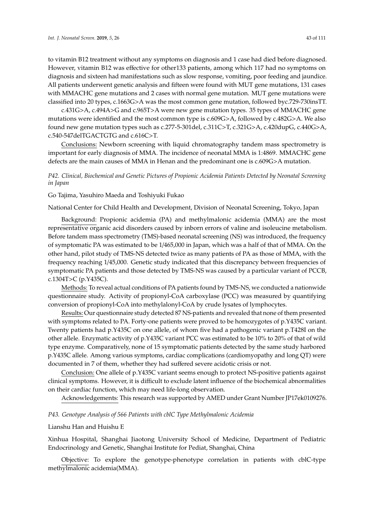to vitamin B12 treatment without any symptoms on diagnosis and 1 case had died before diagnosed. However, vitamin B12 was effective for other133 patients, among which 117 had no symptoms on diagnosis and sixteen had manifestations such as slow response, vomiting, poor feeding and jaundice. All patients underwent genetic analysis and fifteen were found with MUT gene mutations, 131 cases with MMACHC gene mutations and 2 cases with normal gene mutation. MUT gene mutations were classified into 20 types, c.1663G>A was the most common gene mutation, followed byc.729-730insTT.

c.431G>A, c.494A>G and c.965T>A were new gene mutation types. 35 types of MMACHC gene mutations were identified and the most common type is c.609G>A, followed by c.482G>A. We also found new gene mutation types such as c.277-5-301del, c.311C>T, c.321G>A, c.420dupG, c.440G>A, c.540-547delTGACTGTG and c.616C>T.

Conclusions: Newborn screening with liquid chromatography tandem mass spectrometry is important for early diagnosis of MMA. The incidence of neonatal MMA is 1:4869. MMACHC gene defects are the main causes of MMA in Henan and the predominant one is c.609G>A mutation.

# *P42. Clinical, Biochemical and Genetic Pictures of Propionic Acidemia Patients Detected by Neonatal Screening in Japan*

Go Tajima, Yasuhiro Maeda and Toshiyuki Fukao

National Center for Child Health and Development, Division of Neonatal Screening, Tokyo, Japan

Background: Propionic acidemia (PA) and methylmalonic acidemia (MMA) are the most representative organic acid disorders caused by inborn errors of valine and isoleucine metabolism. Before tandem mass spectrometry (TMS)-based neonatal screening (NS) was introduced, the frequency of symptomatic PA was estimated to be 1/465,000 in Japan, which was a half of that of MMA. On the other hand, pilot study of TMS-NS detected twice as many patients of PA as those of MMA, with the frequency reaching 1/45,000. Genetic study indicated that this discrepancy between frequencies of symptomatic PA patients and those detected by TMS-NS was caused by a particular variant of PCCB, c.1304T>C (p.Y435C).

Methods: To reveal actual conditions of PA patients found by TMS-NS, we conducted a nationwide questionnaire study. Activity of propionyl-CoA carboxylase (PCC) was measured by quantifying conversion of propionyl-CoA into methylalonyl-CoA by crude lysates of lymphocytes.

Results: Our questionnaire study detected 87 NS-patients and revealed that none of them presented with symptoms related to PA. Forty-one patients were proved to be homozygotes of p.Y435C variant. Twenty patients had p.Y435C on one allele, of whom five had a pathogenic variant p.T428I on the other allele. Enzymatic activity of p.Y435C variant PCC was estimated to be 10% to 20% of that of wild type enzyme. Comparatively, none of 15 symptomatic patients detected by the same study harbored p.Y435C allele. Among various symptoms, cardiac complications (cardiomyopathy and long QT) were documented in 7 of them, whether they had suffered severe acidotic crisis or not.

Conclusion: One allele of p.Y435C variant seems enough to protect NS-positive patients against clinical symptoms. However, it is difficult to exclude latent influence of the biochemical abnormalities on their cardiac function, which may need life-long observation.

Acknowledgements: This research was supported by AMED under Grant Number JP17ek0109276.

## *P43. Genotype Analysis of 566 Patients with cblC Type Methylmalonic Acidemia*

## Lianshu Han and Huishu E

Xinhua Hospital, Shanghai Jiaotong University School of Medicine, Department of Pediatric Endocrinology and Genetic, Shanghai Institute for Pediat, Shanghai, China

Objective: To explore the genotype-phenotype correlation in patients with cblC-type methylmalonic acidemia(MMA).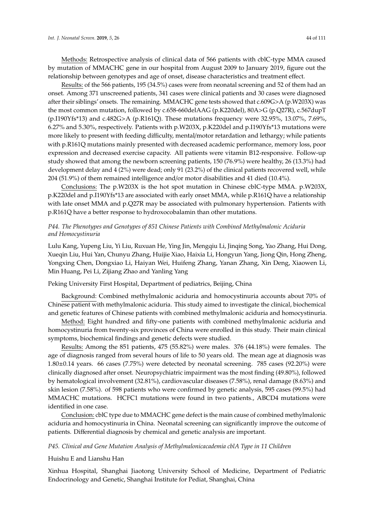Methods: Retrospective analysis of clinical data of 566 patients with cblC-type MMA caused by mutation of MMACHC gene in our hospital from August 2009 to January 2019, figure out the relationship between genotypes and age of onset, disease characteristics and treatment effect.

Results: of the 566 patients, 195 (34.5%) cases were from neonatal screening and 52 of them had an onset. Among 371 unscreened patients, 341 cases were clinical patients and 30 cases were diagnosed after their siblings' onsets. The remaining. MMACHC gene tests showed that c.609G>A (p.W203X) was the most common mutation, followed by c.658-660delAAG (p.K220del), 80A>G (p.Q27R), c.567dupT (p.I190Yfs\*13) and c.482G>A (p.R161Q). These mutations frequency were 32.95%, 13.07%, 7.69%, 6.27% and 5.30%, respectively. Patients with p.W203X, p.K220del and p.I190Yfs\*13 mutations were more likely to present with feeding difficulty, mental/motor retardation and lethargy; while patients with p.R161Q mutations mainly presented with decreased academic performance, memory loss, poor expression and decreased exercise capacity. All patients were vitamin B12-responsive. Follow-up study showed that among the newborn screening patients, 150 (76.9%) were healthy, 26 (13.3%) had development delay and 4 (2%) were dead; only 91 (23.2%) of the clinical patients recovered well, while 204 (51.9%) of them remained intelligence and/or motor disabilities and 41 died (10.4%).

Conclusions: The p.W203X is the hot spot mutation in Chinese cblC-type MMA. p.W203X, p.K220del and p.I190Yfs\*13 are associated with early onset MMA, while p.R161Q have a relationship with late onset MMA and p.Q27R may be associated with pulmonary hypertension. Patients with p.R161Q have a better response to hydroxocobalamin than other mutations.

# *P44. The Phenotypes and Genotypes of 851 Chinese Patients with Combined Methylmalonic Aciduria and Homocystinuria*

Lulu Kang, Yupeng Liu, Yi Liu, Ruxuan He, Ying Jin, Mengqiu Li, Jinqing Song, Yao Zhang, Hui Dong, Xueqin Liu, Hui Yan, Chunyu Zhang, Huijie Xiao, Haixia Li, Hongyun Yang, Jiong Qin, Hong Zheng, Yongxing Chen, Dongxiao Li, Haiyan Wei, Huifeng Zhang, Yanan Zhang, Xin Deng, Xiaowen Li, Min Huang, Pei Li, Zijiang Zhao and Yanling Yang

Peking University First Hospital, Department of pediatrics, Beijing, China

Background: Combined methylmalonic aciduria and homocystinuria accounts about 70% of Chinese patient with methylmalonic aciduria. This study aimed to investigate the clinical, biochemical and genetic features of Chinese patients with combined methylmalonic aciduria and homocystinuria.

Method: Eight hundred and fifty-one patients with combined methylmalonic aciduria and homocystinuria from twenty-six provinces of China were enrolled in this study. Their main clinical symptoms, biochemical findings and genetic defects were studied.

Results: Among the 851 patients, 475 (55.82%) were males. 376 (44.18%) were females. The age of diagnosis ranged from several hours of life to 50 years old. The mean age at diagnosis was 1.80±0.14 years. 66 cases (7.75%) were detected by neonatal screening. 785 cases (92.20%) were clinically diagnosed after onset. Neuropsychiatric impairment was the most finding (49.80%), followed by hematological involvement (32.81%), cardiovascular diseases (7.58%), renal damage (8.63%) and skin lesion (7.58%). of 598 patients who were confirmed by genetic analysis, 595 cases (99.5%) had MMACHC mutations. HCFC1 mutations were found in two patients., ABCD4 mutations were identified in one case.

Conclusion: cblC type due to MMACHC gene defect is the main cause of combined methylmalonic aciduria and homocystinuria in China. Neonatal screening can significantly improve the outcome of patients. Differential diagnosis by chemical and genetic analysis are important.

*P45. Clinical and Gene Mutation Analysis of Methylmalonicacademia cblA Type in 11 Children*

Huishu E and Lianshu Han

Xinhua Hospital, Shanghai Jiaotong University School of Medicine, Department of Pediatric Endocrinology and Genetic, Shanghai Institute for Pediat, Shanghai, China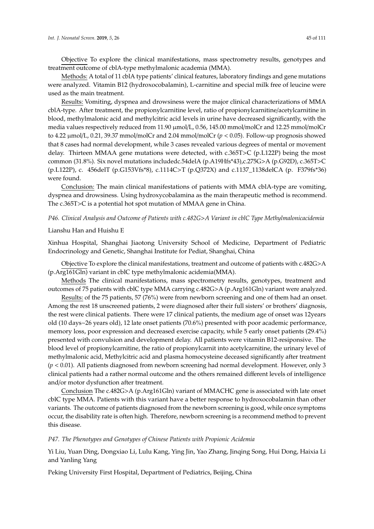Objective To explore the clinical manifestations, mass spectrometry results, genotypes and treatment outcome of cblA-type methylmalonic academia (MMA).

Methods: A total of 11 cblA type patients' clinical features, laboratory findings and gene mutations were analyzed. Vitamin B12 (hydroxocobalamin), L-carnitine and special milk free of leucine were used as the main treatment.

Results: Vomiting, dyspnea and drowsiness were the major clinical characterizations of MMA cblA-type. After treatment, the propionylcarnitine level, ratio of propionylcarnitine/acetylcarnitine in blood, methylmalonic acid and methylcitric acid levels in urine have decreased significantly, with the media values respectively reduced from 11.90 μmol/L, 0.56, 145.00 mmol/molCr and 12.25 mmol/molCr to 4.22 µmol/L, 0.21, 39.37 mmol/molCr and 2.04 mmol/molCr (*p* < 0.05). Follow-up prognosis showed that 8 cases had normal development, while 3 cases revealed various degrees of mental or movement delay. Thirteen MMAA gene mutations were detected, with c.365T>C (p.L122P) being the most common (31.8%). Six novel mutations includedc.54delA (p.A19Hfs\*43),c.275G>A (p.G92D), c.365T>C (p.L122P), c. 456delT (p.G153Vfs\*8), c.1114C>T (p.Q372X) and c.1137\_1138delCA (p. F379fs\*36) were found.

Conclusion: The main clinical manifestations of patients with MMA cblA-type are vomiting, dyspnea and drowsiness. Using hydroxycobalamina as the main therapeutic method is recommend. The c.365T>C is a potential hot spot mutation of MMAA gene in China.

### *P46. Clinical Analysis and Outcome of Patients with c.482G*>*A Variant in cblC Type Methylmalonicacidemia*

#### Lianshu Han and Huishu E

Xinhua Hospital, Shanghai Jiaotong University School of Medicine, Department of Pediatric Endocrinology and Genetic, Shanghai Institute for Pediat, Shanghai, China

Objective To explore the clinical manifestations, treatment and outcome of patients with c.482G>A (p.Arg161Gln) variant in cblC type methylmalonic acidemia(MMA).

Methods The clinical manifestations, mass spectrometry results, genotypes, treatment and outcomes of 75 patients with cblC type MMA carrying c.482G>A (p.Arg161Gln) variant were analyzed.

Results: of the 75 patients, 57 (76%) were from newborn screening and one of them had an onset. Among the rest 18 unscreened patients, 2 were diagnosed after their full sisters' or brothers' diagnosis, the rest were clinical patients. There were 17 clinical patients, the medium age of onset was 12years old (10 days~26 years old), 12 late onset patients (70.6%) presented with poor academic performance, memory loss, poor expression and decreased exercise capacity, while 5 early onset patients (29.4%) presented with convulsion and development delay. All patients were vitamin B12-resiponsive. The blood level of propionylcarnitine, the ratio of propionylcarnit into acetylcarnitine, the urinary level of methylmalonic acid, Methylcitric acid and plasma homocysteine deceased significantly after treatment (*p* < 0.01). All patients diagnosed from newborn screening had normal development. However, only 3 clinical patients had a rather normal outcome and the others remained different levels of intelligence and/or motor dysfunction after treatment.

Conclusion The c.482G>A (p.Arg161Gln) variant of MMACHC gene is associated with late onset cblC type MMA. Patients with this variant have a better response to hydroxocobalamin than other variants. The outcome of patients diagnosed from the newborn screening is good, while once symptoms occur, the disability rate is often high. Therefore, newborn screening is a recommend method to prevent this disease.

### *P47. The Phenotypes and Genotypes of Chinese Patients with Propionic Acidemia*

Yi Liu, Yuan Ding, Dongxiao Li, Lulu Kang, Ying Jin, Yao Zhang, Jinqing Song, Hui Dong, Haixia Li and Yanling Yang

Peking University First Hospital, Department of Pediatrics, Beijing, China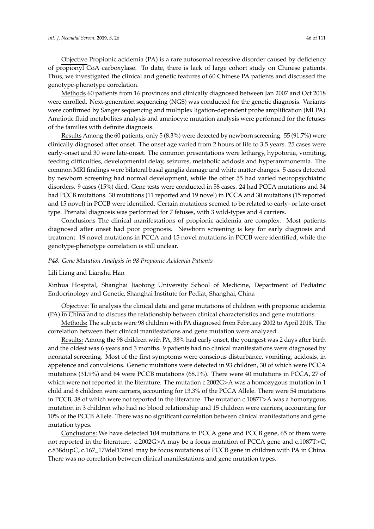Objective Propionic acidemia (PA) is a rare autosomal recessive disorder caused by deficiency of propionyl CoA carboxylase. To date, there is lack of large cohort study on Chinese patients. Thus, we investigated the clinical and genetic features of 60 Chinese PA patients and discussed the genotype-phenotype correlation.

Methods 60 patients from 16 provinces and clinically diagnosed between Jan 2007 and Oct 2018 were enrolled. Next-generation sequencing (NGS) was conducted for the genetic diagnosis. Variants were confirmed by Sanger sequencing and multiplex ligation-dependent probe amplification (MLPA). Amniotic fluid metabolites analysis and amniocyte mutation analysis were performed for the fetuses of the families with definite diagnosis.

Results Among the 60 patients, only 5 (8.3%) were detected by newborn screening. 55 (91.7%) were clinically diagnosed after onset. The onset age varied from 2 hours of life to 3.5 years. 25 cases were early-onset and 30 were late-onset. The common presentations were lethargy, hypotonia, vomiting, feeding difficulties, developmental delay, seizures, metabolic acidosis and hyperammonemia. The common MRI findings were bilateral basal ganglia damage and white matter changes. 5 cases detected by newborn screening had normal development, while the other 55 had varied neuropsychiatric disorders. 9 cases (15%) died. Gene tests were conducted in 58 cases. 24 had PCCA mutations and 34 had PCCB mutations. 30 mutations (11 reported and 19 novel) in PCCA and 30 mutations (15 reported and 15 novel) in PCCB were identified. Certain mutations seemed to be related to early- or late-onset type. Prenatal diagnosis was performed for 7 fetuses, with 3 wild-types and 4 carriers.

Conclusions The clinical manifestations of propionic acidemia are complex. Most patients diagnosed after onset had poor prognosis. Newborn screening is key for early diagnosis and treatment. 19 novel mutations in PCCA and 15 novel mutations in PCCB were identified, while the genotype-phenotype correlation is still unclear.

### *P48. Gene Mutation Analysis in 98 Propionic Acidemia Patients*

#### Lili Liang and Lianshu Han

Xinhua Hospital, Shanghai Jiaotong University School of Medicine, Department of Pediatric Endocrinology and Genetic, Shanghai Institute for Pediat, Shanghai, China

Objective: To analysis the clinical data and gene mutations of children with propionic acidemia (PA) in China and to discuss the relationship between clinical characteristics and gene mutations.

Methods: The subjects were 98 children with PA diagnosed from February 2002 to April 2018. The correlation between their clinical manifestations and gene mutation were analyzed.

Results: Among the 98 children with PA, 38% had early onset, the youngest was 2 days after birth and the oldest was 6 years and 3 months. 9 patients had no clinical manifestations were diagnosed by neonatal screening. Most of the first symptoms were conscious disturbance, vomiting, acidosis, in appetence and convulsions. Genetic mutations were detected in 93 children, 30 of which were PCCA mutations (31.9%) and 64 were PCCB mutations (68.1%). There were 40 mutations in PCCA, 27 of which were not reported in the literature. The mutation c.2002G>A was a homozygous mutation in 1 child and 6 children were carriers, accounting for 13.3% of the PCCA Allele. There were 54 mutations in PCCB, 38 of which were not reported in the literature. The mutation c.1087T>A was a homozygous mutation in 3 children who had no blood relationship and 15 children were carriers, accounting for 10% of the PCCB Allele. There was no significant correlation between clinical manifestations and gene mutation types.

Conclusions: We have detected 104 mutations in PCCA gene and PCCB gene, 65 of them were not reported in the literature. c.2002G>A may be a focus mutation of PCCA gene and c.1087T>C, c.838dupC, c.167\_179del13ins1 may be focus mutations of PCCB gene in children with PA in China. There was no correlation between clinical manifestations and gene mutation types.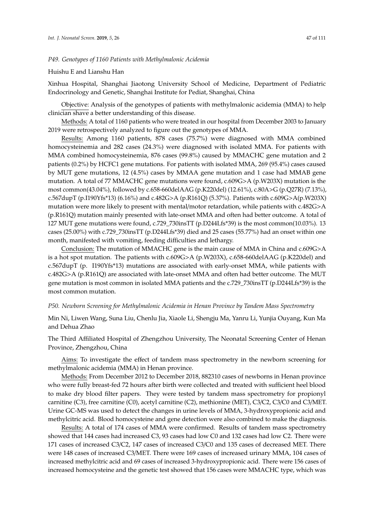## *P49. Genotypes of 1160 Patients with Methylmalonic Acidemia*

#### Huishu E and Lianshu Han

Xinhua Hospital, Shanghai Jiaotong University School of Medicine, Department of Pediatric Endocrinology and Genetic, Shanghai Institute for Pediat, Shanghai, China

Objective: Analysis of the genotypes of patients with methylmalonic acidemia (MMA) to help clinician shave a better understanding of this disease.

Methods: A total of 1160 patients who were treated in our hospital from December 2003 to January 2019 were retrospectively analyzed to figure out the genotypes of MMA.

Results: Among 1160 patients, 878 cases (75.7%) were diagnosed with MMA combined homocysteinemia and 282 cases (24.3%) were diagnosed with isolated MMA. For patients with MMA combined homocysteinemia, 876 cases (99.8%) caused by MMACHC gene mutation and 2 patients (0.2%) by HCFC1 gene mutations. For patients with isolated MMA, 269 (95.4%) cases caused by MUT gene mutations, 12 (4.5%) cases by MMAA gene mutation and 1 case had MMAB gene mutation. A total of 77 MMACHC gene mutations were found, c.609G>A (p.W203X) mutation is the most common(43.04%), followed by c.658-660delAAG (p.K220del) (12.61%), c.80A>G (p.Q27R) (7.13%), c.567dupT (p.I190Yfs\*13) (6.16%) and c.482G>A (p.R161Q) (5.37%). Patients with c.609G>A(p.W203X) mutation were more likely to present with mental/motor retardation, while patients with c.482G>A (p.R161Q) mutation mainly presented with late-onset MMA and often had better outcome. A total of 127 MUT gene mutations were found, c.729\_730insTT (p.D244Lfs\*39) is the most common(10.03%). 13 cases (25.00%) with c.729\_730insTT (p.D244Lfs\*39) died and 25 cases (55.77%) had an onset within one month, manifested with vomiting, feeding difficulties and lethargy.

Conclusion: The mutation of MMACHC gene is the main cause of MMA in China and c.609G>A is a hot spot mutation. The patients with c.609G>A (p.W203X), c.658-660delAAG (p.K220del) and c.567dupT (p. I190Yfs\*13) mutations are associated with early-onset MMA, while patients with c.482G>A (p.R161Q) are associated with late-onset MMA and often had better outcome. The MUT gene mutation is most common in isolated MMA patients and the c.729\_730insTT (p.D244Lfs\*39) is the most common mutation.

#### *P50. Newborn Screening for Methylmalonic Acidemia in Henan Province by Tandem Mass Spectrometry*

Min Ni, Liwen Wang, Suna Liu, Chenlu Jia, Xiaole Li, Shengju Ma, Yanru Li, Yunjia Ouyang, Kun Ma and Dehua Zhao

The Third Affiliated Hospital of Zhengzhou University, The Neonatal Screening Center of Henan Province, Zhengzhou, China

Aims: To investigate the effect of tandem mass spectrometry in the newborn screening for methylmalonic acidemia (MMA) in Henan province.

Methods: From December 2012 to December 2018, 882310 cases of newborns in Henan province who were fully breast-fed 72 hours after birth were collected and treated with sufficient heel blood to make dry blood filter papers. They were tested by tandem mass spectrometry for propionyl carnitine (C3), free carnitine (C0), acetyl carnitine (C2), methionine (MET), C3/C2, C3/C0 and C3/MET. Urine GC-MS was used to detect the changes in urine levels of MMA, 3-hydroxypropionic acid and methylcitric acid. Blood homocysteine and gene detection were also combined to make the diagnosis.

Results: A total of 174 cases of MMA were confirmed. Results of tandem mass spectrometry showed that 144 cases had increased C3, 93 cases had low C0 and 132 cases had low C2. There were 171 cases of increased C3/C2, 147 cases of increased C3/C0 and 135 cases of decreased MET. There were 148 cases of increased C3/MET. There were 169 cases of increased urinary MMA, 104 cases of increased methylcitric acid and 69 cases of increased 3-hydroxypropionic acid. There were 156 cases of increased homocysteine and the genetic test showed that 156 cases were MMACHC type, which was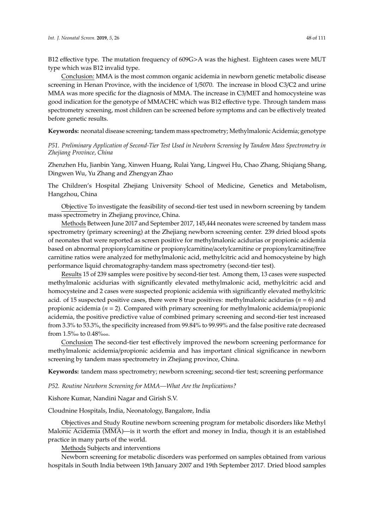B12 effective type. The mutation frequency of 609G>A was the highest. Eighteen cases were MUT type which was B12 invalid type.

Conclusion: MMA is the most common organic acidemia in newborn genetic metabolic disease screening in Henan Province, with the incidence of 1/5070. The increase in blood C3/C2 and urine MMA was more specific for the diagnosis of MMA. The increase in C3/MET and homocysteine was good indication for the genotype of MMACHC which was B12 effective type. Through tandem mass spectrometry screening, most children can be screened before symptoms and can be effectively treated before genetic results.

**Keywords:** neonatal disease screening; tandem mass spectrometry; Methylmalonic Acidemia; genotype

*P51. Preliminary Application of Second-Tier Test Used in Newborn Screening by Tandem Mass Spectrometry in Zhejiang Province, China*

Zhenzhen Hu, Jianbin Yang, Xinwen Huang, Rulai Yang, Lingwei Hu, Chao Zhang, Shiqiang Shang, Dingwen Wu, Yu Zhang and Zhengyan Zhao

The Children's Hospital Zhejiang University School of Medicine, Genetics and Metabolism, Hangzhou, China

Objective To investigate the feasibility of second-tier test used in newborn screening by tandem mass spectrometry in Zhejiang province, China.

Methods Between June 2017 and September 2017, 145,444 neonates were screened by tandem mass spectrometry (primary screening) at the Zhejiang newborn screening center. 239 dried blood spots of neonates that were reported as screen positive for methylmalonic acidurias or propionic acidemia based on abnormal propionylcarnitine or propionylcarnitine/acetylcarnitine or propionylcarnitine/free carnitine ratios were analyzed for methylmalonic acid, methylcitric acid and homocysteine by high performance liquid chromatography-tandem mass spectrometry (second-tier test).

Results 15 of 239 samples were positive by second-tier test. Among them, 13 cases were suspected methylmalonic acidurias with significantly elevated methylmalonic acid, methylcitric acid and homocysteine and 2 cases were suspected propionic acidemia with significantly elevated methylcitric acid. of 15 suspected positive cases, there were 8 true positives: methylmalonic acidurias (*n* = 6) and propionic acidemia (*n* = 2). Compared with primary screening for methylmalonic acidemia/propionic acidemia, the positive predictive value of combined primary screening and second-tier test increased from 3.3% to 53.3%, the specificity increased from 99.84% to 99.99% and the false positive rate decreased from 1.5% to 0.48%...

Conclusion The second-tier test effectively improved the newborn screening performance for methylmalonic acidemia/propionic acidemia and has important clinical significance in newborn screening by tandem mass spectrometry in Zhejiang province, China.

**Keywords:** tandem mass spectrometry; newborn screening; second-tier test; screening performance

*P52. Routine Newborn Screening for MMA—What Are the Implications?*

Kishore Kumar, Nandini Nagar and Girish S.V.

Cloudnine Hospitals, India, Neonatology, Bangalore, India

Objectives and Study Routine newborn screening program for metabolic disorders like Methyl Malonic Acidemia (MMA)—is it worth the effort and money in India, though it is an established practice in many parts of the world.

Methods Subjects and interventions

Newborn screening for metabolic disorders was performed on samples obtained from various hospitals in South India between 19th January 2007 and 19th September 2017. Dried blood samples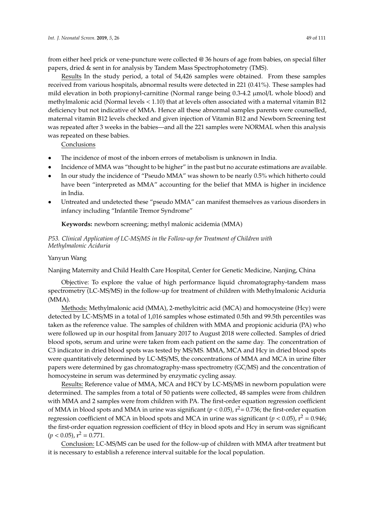from either heel prick or vene-puncture were collected @ 36 hours of age from babies, on special filter papers, dried & sent in for analysis by Tandem Mass Spectrophotometry (TMS).

Results In the study period, a total of 54,426 samples were obtained. From these samples received from various hospitals, abnormal results were detected in 221 (0.41%). These samples had mild elevation in both propionyl-carnitine (Normal range being 0.3-4.2 µmol/L whole blood) and methylmalonic acid (Normal levels < 1.10) that at levels often associated with a maternal vitamin B12 deficiency but not indicative of MMA. Hence all these abnormal samples parents were counselled, maternal vitamin B12 levels checked and given injection of Vitamin B12 and Newborn Screening test was repeated after 3 weeks in the babies—and all the 221 samples were NORMAL when this analysis was repeated on these babies.

Conclusions

- The incidence of most of the inborn errors of metabolism is unknown in India.
- Incidence of MMA was "thought to be higher" in the past but no accurate estimations are available.
- In our study the incidence of "Pseudo MMA" was shown to be nearly 0.5% which hitherto could have been "interpreted as MMA" accounting for the belief that MMA is higher in incidence in India.
- Untreated and undetected these "pseudo MMA" can manifest themselves as various disorders in infancy including "Infantile Tremor Syndrome"

## **Keywords:** newborn screening; methyl malonic acidemia (MMA)

# *P53. Clinical Application of LC-MS*/*MS in the Follow-up for Treatment of Children with Methylmalonic Aciduria*

# Yanyun Wang

Nanjing Maternity and Child Health Care Hospital, Center for Genetic Medicine, Nanjing, China

Objective: To explore the value of high performance liquid chromatography-tandem mass spectrometry (LC-MS/MS) in the follow-up for treatment of children with Methylmalonic Aciduria (MMA).

Methods: Methylmalonic acid (MMA), 2-methylcitric acid (MCA) and homocysteine (Hcy) were detected by LC-MS/MS in a total of 1,016 samples whose estimated 0.5th and 99.5th percentiles was taken as the reference value. The samples of children with MMA and propionic aciduria (PA) who were followed up in our hospital from January 2017 to August 2018 were collected. Samples of dried blood spots, serum and urine were taken from each patient on the same day. The concentration of C3 indicator in dried blood spots was tested by MS/MS. MMA, MCA and Hcy in dried blood spots were quantitatively determined by LC-MS/MS, the concentrations of MMA and MCA in urine filter papers were determined by gas chromatography-mass spectrometry (GC/MS) and the concentration of homocysteine in serum was determined by enzymatic cycling assay.

Results: Reference value of MMA, MCA and HCY by LC-MS/MS in newborn population were determined. The samples from a total of 50 patients were collected, 48 samples were from children with MMA and 2 samples were from children with PA. The first-order equation regression coefficient of MMA in blood spots and MMA in urine was significant ( $p < 0.05$ ),  $r^2 = 0.736$ ; the first-order equation regression coefficient of MCA in blood spots and MCA in urine was significant ( $p < 0.05$ ),  $r^2 = 0.946$ ; the first-order equation regression coefficient of tHcy in blood spots and Hcy in serum was significant  $(p < 0.05)$ ,  $r^2 = 0.771$ .

Conclusion: LC-MS/MS can be used for the follow-up of children with MMA after treatment but it is necessary to establish a reference interval suitable for the local population.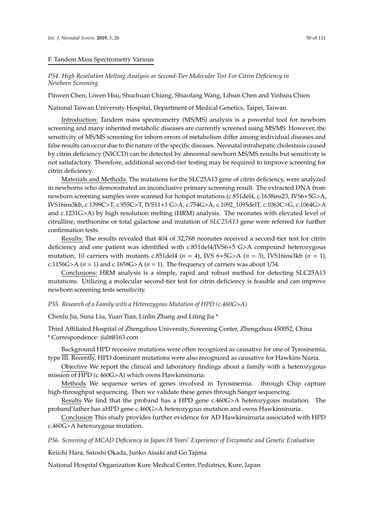## F. Tandem Mass Spectrometry Various

*P54. High Resolution Melting Analysis as Second-Tier Molecular Test For Citrin Deficiency in Newborn Screening*

Pinwen Chen, Liwen Hsu, Shuchuan Chiang, Shiaofang Wang, Lihsin Chen and Yinhsiu Chien

National Taiwan University Hospital, Department of Medical Genetics, Taipei, Taiwan

Introduction: Tandem mass spectrometry (MS/MS) analysis is a powerful tool for newborn screening and many inherited metabolic diseases are currently screened using MS/MS. However, the sensitivity of MS/MS screening for inborn errors of metabolism differ among individual diseases and false results can occur due to the nature of the specific diseases. Neonatal intrahepatic cholestasis caused by citrin deficiency (NICCD) can be detected by abnormal newborn MS/MS results but sensitivity is not satisfactory. Therefore, additional second-tier testing may be required to improve screening for citrin deficiency.

Materials and Methods: The mutations for the SLC25A13 gene of citrin deficiency, were analyzed in newborns who demonstrated an inconclusive primary screening result. The extracted DNA from newborn screening samples were scanned for hotspot mutations (c.851del4, c.1638ins23, IVS6+5G>A, IVS16ins3kb, c.1399C>T, c.955C>T, IVS11+1 G>A, c.754G>A, c.1092\_1095delT, c.1063C>G, c.1064G>A and c.1231G>A) by high resolution melting (HRM) analysis. The neonates with elevated level of citrulline, methionine or total galactose and mutation of *SLC25A13* gene were referred for further confirmation tests.

Results: The results revealed that 404 of 32,768 neonates received a second-tier test for citrin deficiency and one patient was identified with c.851del4/IVS6+5 G>A compound heterozygous mutation, 10 carriers with mutants c.851del4 (*n* = 4), IVS 6+5G>A (*n* = 3), IVS16ins3kb (*n* = 1), c.1156G>A ( $n = 1$ ) and c.1658G>A ( $n = 1$ ). The frequency of carriers was about 1/34.

Conclusions: HRM analysis is a simple, rapid and robust method for detecting SLC25A13 mutations. Utilizing a molecular second-tier test for citrin deficiency is feasible and can improve newborn screening tests sensitivity.

*P55. Research of a Family with a Heterozygous Mutation of HPD (c.460G*>*A)*

Chenlu Jia, Suna Liu, Yuan Tian, Linlin Zhang and Liting Jia \*

Third Affiliated Hospital of Zhengzhou University, Screening Center, Zhengzhou 450052, China \* Correspondence: jialt@163.com

Background HPD recessive mutations were often recognized as causative for one of Tyrosinemia, type III. Recently, HPD dominant mutations were also recognized as causative for Hawkins Nuria.

Objective We report the clinical and laboratory findings about a family with a heterozygous mission of HPD (c.460G>A) which owns Hawkinsinuria.

Methods We sequence series of genes involved in Tyrosinemia. through Chip capture high-throughput sequencing. Then we validate these genes through Sanger sequencing.

Results We find that the proband has a HPD gene c.460G>A heterozygous mutation. The proband'father has aHPD gene c.460G>A heterozygous mutation and owns Hawkinsinuria.

Conclusion This study provides further evidence for AD Hawkinsinuria associated with HPD c.460G>A heterozygous mutation.

*P56. Screening of MCAD Deficiency in Japan:18 Years' Experience of Enzymatic and Genetic Evaluation*

Keiichi Hara, Satoshi Okada, Junko Aisaki and Go Tajima

National Hospital Organization Kure Medical Center, Pediatrics, Kure, Japan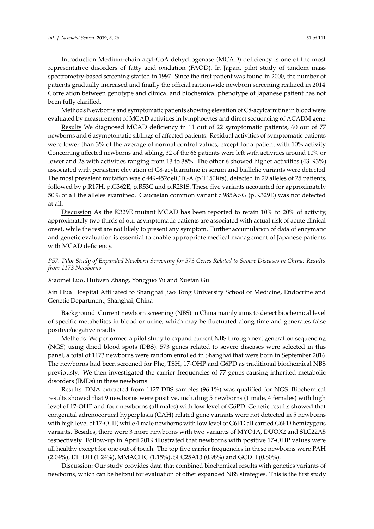Introduction Medium-chain acyl-CoA dehydrogenase (MCAD) deficiency is one of the most representative disorders of fatty acid oxidation (FAOD). In Japan, pilot study of tandem mass spectrometry-based screening started in 1997. Since the first patient was found in 2000, the number of patients gradually increased and finally the official nationwide newborn screening realized in 2014. Correlation between genotype and clinical and biochemical phenotype of Japanese patient has not been fully clarified.

Methods Newborns and symptomatic patients showing elevation of C8-acylcarnitine in blood were evaluated by measurement of MCAD activities in lymphocytes and direct sequencing of ACADM gene.

Results We diagnosed MCAD deficiency in 11 out of 22 symptomatic patients, 60 out of 77 newborns and 6 asymptomatic siblings of affected patients. Residual activities of symptomatic patients were lower than 3% of the average of normal control values, except for a patient with 10% activity. Concerning affected newborns and sibling, 32 of the 66 patients were left with activities around 10% or lower and 28 with activities ranging from 13 to 38%. The other 6 showed higher activities (43–93%) associated with persistent elevation of C8-acylcarnitine in serum and biallelic variants were detected. The most prevalent mutation was c.449-452delCTGA (p.T150Rfs), detected in 29 alleles of 25 patients, followed by p.R17H, p.G362E, p.R53C and p.R281S. These five variants accounted for approximately 50% of all the alleles examined. Caucasian common variant c.985A>G (p.K329E) was not detected at all.

Discussion As the K329E mutant MCAD has been reported to retain 10% to 20% of activity, approximately two thirds of our asymptomatic patients are associated with actual risk of acute clinical onset, while the rest are not likely to present any symptom. Further accumulation of data of enzymatic and genetic evaluation is essential to enable appropriate medical management of Japanese patients with MCAD deficiency.

# *P57. Pilot Study of Expanded Newborn Screening for 573 Genes Related to Severe Diseases in China: Results from 1173 Newborns*

### Xiaomei Luo, Huiwen Zhang, Yongguo Yu and Xuefan Gu

Xin Hua Hospital Affiliated to Shanghai Jiao Tong University School of Medicine, Endocrine and Genetic Department, Shanghai, China

Background: Current newborn screening (NBS) in China mainly aims to detect biochemical level of specific metabolites in blood or urine, which may be fluctuated along time and generates false positive/negative results.

Methods: We performed a pilot study to expand current NBS through next generation sequencing (NGS) using dried blood spots (DBS). 573 genes related to severe diseases were selected in this panel, a total of 1173 newborns were random enrolled in Shanghai that were born in September 2016. The newborns had been screened for Phe, TSH, 17-OHP and G6PD as traditional biochemical NBS previously. We then investigated the carrier frequencies of 77 genes causing inherited metabolic disorders (IMDs) in these newborns.

Results: DNA extracted from 1127 DBS samples (96.1%) was qualified for NGS. Biochemical results showed that 9 newborns were positive, including 5 newborns (1 male, 4 females) with high level of 17-OHP and four newborns (all males) with low level of G6PD. Genetic results showed that congenital adrenocortical hyperplasia (CAH) related gene variants were not detected in 5 newborns with high level of 17-OHP, while 4 male newborns with low level of G6PD all carried G6PD hemizygous variants. Besides, there were 3 more newborns with two variants of MYO1A, DUOX2 and SLC22A5 respectively. Follow-up in April 2019 illustrated that newborns with positive 17-OHP values were all healthy except for one out of touch. The top five carrier frequencies in these newborns were PAH (2.04%), ETFDH (1.24%), MMACHC (1.15%), SLC25A13 (0.98%) and GCDH (0.80%).

Discussion: Our study provides data that combined biochemical results with genetics variants of newborns, which can be helpful for evaluation of other expanded NBS strategies. This is the first study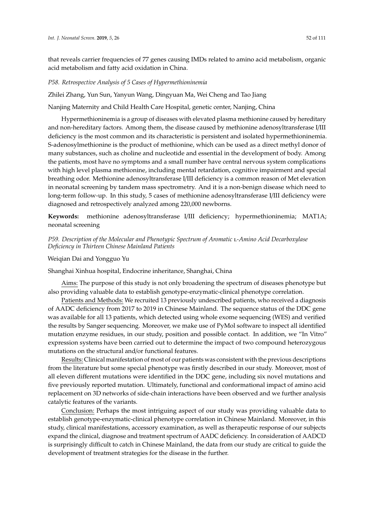that reveals carrier frequencies of 77 genes causing IMDs related to amino acid metabolism, organic acid metabolism and fatty acid oxidation in China.

### *P58. Retrospective Analysis of 5 Cases of Hypermethioninemia*

Zhilei Zhang, Yun Sun, Yanyun Wang, Dingyuan Ma, Wei Cheng and Tao Jiang

Nanjing Maternity and Child Health Care Hospital, genetic center, Nanjing, China

Hypermethioninemia is a group of diseases with elevated plasma methionine caused by hereditary and non-hereditary factors. Among them, the disease caused by methionine adenosyltransferase I/III deficiency is the most common and its characteristic is persistent and isolated hypermethioninemia. S-adenosylmethionine is the product of methionine, which can be used as a direct methyl donor of many substances, such as choline and nucleotide and essential in the development of body. Among the patients, most have no symptoms and a small number have central nervous system complications with high level plasma methionine, including mental retardation, cognitive impairment and special breathing odor. Methionine adenosyltransferase I/III deficiency is a common reason of Met elevation in neonatal screening by tandem mass spectrometry. And it is a non-benign disease which need to long-term follow-up. In this study, 5 cases of methionine adenosyltransferase I/III deficiency were diagnosed and retrospectively analyzed among 220,000 newborns.

**Keywords:** methionine adenosyltransferase I/III deficiency; hypermethioninemia; MAT1A; neonatal screening

*P59. Description of the Molecular and Phenotypic Spectrum of Aromatic L-Amino Acid Decarboxylase Deficiency in Thirteen Chinese Mainland Patients*

Weiqian Dai and Yongguo Yu

Shanghai Xinhua hospital, Endocrine inheritance, Shanghai, China

Aims: The purpose of this study is not only broadening the spectrum of diseases phenotype but also providing valuable data to establish genotype-enzymatic-clinical phenotype correlation.

Patients and Methods: We recruited 13 previously undescribed patients, who received a diagnosis of AADC deficiency from 2017 to 2019 in Chinese Mainland. The sequence status of the DDC gene was available for all 13 patients, which detected using whole exome sequencing (WES) and verified the results by Sanger sequencing. Moreover, we make use of PyMol software to inspect all identified mutation enzyme residues, in our study, position and possible contact. In addition, we "In Vitro" expression systems have been carried out to determine the impact of two compound heterozygous mutations on the structural and/or functional features.

Results: Clinical manifestation of most of our patients was consistent with the previous descriptions from the literature but some special phenotype was firstly described in our study. Moreover, most of all eleven different mutations were identified in the DDC gene, including six novel mutations and five previously reported mutation. Ultimately, functional and conformational impact of amino acid replacement on 3D networks of side-chain interactions have been observed and we further analysis catalytic features of the variants.

Conclusion: Perhaps the most intriguing aspect of our study was providing valuable data to establish genotype-enzymatic-clinical phenotype correlation in Chinese Mainland. Moreover, in this study, clinical manifestations, accessory examination, as well as therapeutic response of our subjects expand the clinical, diagnose and treatment spectrum of AADC deficiency. In consideration of AADCD is surprisingly difficult to catch in Chinese Mainland, the data from our study are critical to guide the development of treatment strategies for the disease in the further.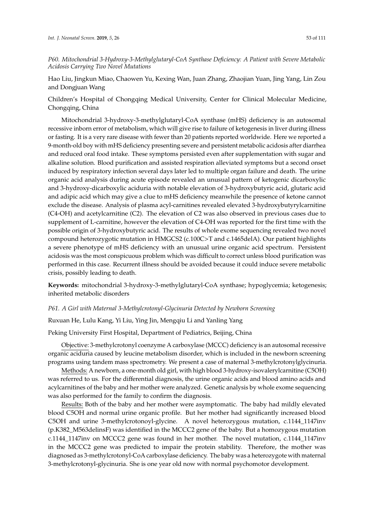*P60. Mitochondrial 3-Hydroxy-3-Methylglutaryl-CoA Synthase Deficiency: A Patient with Severe Metabolic Acidosis Carrying Two Novel Mutations*

Hao Liu, Jingkun Miao, Chaowen Yu, Kexing Wan, Juan Zhang, Zhaojian Yuan, Jing Yang, Lin Zou and Dongjuan Wang

Children's Hospital of Chongqing Medical University, Center for Clinical Molecular Medicine, Chongqing, China

Mitochondrial 3-hydroxy-3-methylglutaryl-CoA synthase (mHS) deficiency is an autosomal recessive inborn error of metabolism, which will give rise to failure of ketogenesis in liver during illness or fasting. It is a very rare disease with fewer than 20 patients reported worldwide. Here we reported a 9-month-old boy with mHS deficiency presenting severe and persistent metabolic acidosis after diarrhea and reduced oral food intake. These symptoms persisted even after supplementation with sugar and alkaline solution. Blood purification and assisted respiration alleviated symptoms but a second onset induced by respiratory infection several days later led to multiple organ failure and death. The urine organic acid analysis during acute episode revealed an unusual pattern of ketogenic dicarboxylic and 3-hydroxy-dicarboxylic aciduria with notable elevation of 3-hydroxybutyric acid, glutaric acid and adipic acid which may give a clue to mHS deficiency meanwhile the presence of ketone cannot exclude the disease. Analysis of plasma acyl-carnitines revealed elevated 3-hydroxybutyrylcarnitine (C4-OH) and acetylcarnitine (C2). The elevation of C2 was also observed in previous cases due to supplement of L-carnitine, however the elevation of C4-OH was reported for the first time with the possible origin of 3-hydroxybutyric acid. The results of whole exome sequencing revealed two novel compound heterozygotic mutation in HMGCS2 (c.100C>T and c.1465delA). Our patient highlights a severe phenotype of mHS deficiency with an unusual urine organic acid spectrum. Persistent acidosis was the most conspicuous problem which was difficult to correct unless blood purification was performed in this case. Recurrent illness should be avoided because it could induce severe metabolic crisis, possibly leading to death.

**Keywords:** mitochondrial 3-hydroxy-3-methylglutaryl-CoA synthase; hypoglycemia; ketogenesis; inherited metabolic disorders

*P61. A Girl with Maternal 3-Methylcrotonyl-Glycinuria Detected by Newborn Screening*

Ruxuan He, Lulu Kang, Yi Liu, Ying Jin, Mengqiu Li and Yanling Yang

Peking University First Hospital, Department of Pediatrics, Beijing, China

Objective: 3-methylcrotonyl coenzyme A carboxylase (MCCC) deficiency is an autosomal recessive organic aciduria caused by leucine metabolism disorder, which is included in the newborn screening programs using tandem mass spectrometry. We present a case of maternal 3-methylcrotonylglycinuria.

Methods: A newborn, a one-month old girl, with high blood 3-hydroxy-isovalerylcarnitine (C5OH) was referred to us. For the differential diagnosis, the urine organic acids and blood amino acids and acylcarnitines of the baby and her mother were analyzed. Genetic analysis by whole exome sequencing was also performed for the family to confirm the diagnosis.

Results: Both of the baby and her mother were asymptomatic. The baby had mildly elevated blood C5OH and normal urine organic profile. But her mother had significantly increased blood C5OH and urine 3-methylcrotonoyl-glycine. A novel heterozygous mutation, c.1144\_1147inv (p.K382\_M563delinsF) was identified in the MCCC2 gene of the baby. But a homozygous mutation c.1144\_1147inv on MCCC2 gene was found in her mother. The novel mutation, c.1144\_1147inv in the MCCC2 gene was predicted to impair the protein stability. Therefore, the mother was diagnosed as 3-methylcrotonyl-CoA carboxylase deficiency. The baby was a heterozygote with maternal 3-methylcrotonyl-glycinuria. She is one year old now with normal psychomotor development.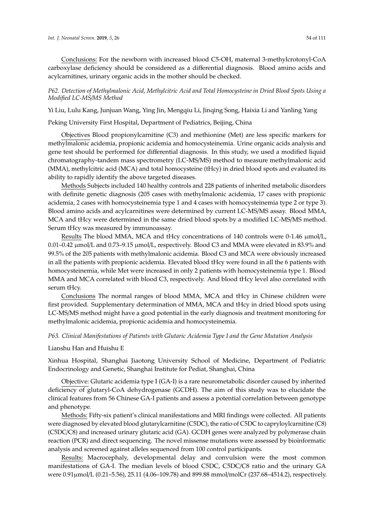Conclusions: For the newborn with increased blood C5-OH, maternal 3-methylcrotonyl-CoA carboxylase deficiency should be considered as a differential diagnosis. Blood amino acids and acylcarnitines, urinary organic acids in the mother should be checked.

# *P62. Detection of Methylmalonic Acid, Methylcitric Acid and Total Homocysteine in Dried Blood Spots Using a Modified LC-MS*/*MS Method*

Yi Liu, Lulu Kang, Junjuan Wang, Ying Jin, Mengqiu Li, Jinqing Song, Haixia Li and Yanling Yang

Peking University First Hospital, Department of Pediatrics, Beijing, China

Objectives Blood propionylcarnitine (C3) and methionine (Met) are less specific markers for methylmalonic acidemia, propionic acidemia and homocysteinemia. Urine organic acids analysis and gene test should be performed for differential diagnosis. In this study, we used a modified liquid chromatography-tandem mass spectrometry (LC-MS/MS) method to measure methylmalonic acid (MMA), methylcitric acid (MCA) and total homocysteine (tHcy) in dried blood spots and evaluated its ability to rapidly identify the above targeted diseases.

Methods Subjects included 140 healthy controls and 228 patients of inherited metabolic disorders with definite genetic diagnosis (205 cases with methylmalonic acidemia, 17 cases with propionic acidemia, 2 cases with homocysteinemia type 1 and 4 cases with homocysteinemia type 2 or type 3). Blood amino acids and acylcarnitines were determined by current LC-MS/MS assay. Blood MMA, MCA and tHcy were determined in the same dried blood spots by a modified LC-MS/MS method. Serum tHcy was measured by immunoassay.

Results The blood MMA, MCA and tHcy concentrations of 140 controls were 0-1.46  $\mu$ mol/L, 0.01–0.42 µmol/L and 0.73–9.15 µmol/L, respectively. Blood C3 and MMA were elevated in 83.9% and 99.5% of the 205 patients with methylmalonic acidemia. Blood C3 and MCA were obviously increased in all the patients with propionic acidemia. Elevated blood tHcy were found in all the 6 patients with homocysteinemia, while Met were increased in only 2 patients with homocysteinemia type 1. Blood MMA and MCA correlated with blood C3, respectively. And blood tHcy level also correlated with serum tHcy.

Conclusions The normal ranges of blood MMA, MCA and tHcy in Chinese children were first provided. Supplementary determination of MMA, MCA and tHcy in dried blood spots using LC-MS/MS method might have a good potential in the early diagnosis and treatment monitoring for methylmalonic acidemia, propionic acidemia and homocysteinemia.

## *P63. Clinical Manifestations of Patients with Glutaric Acidemia Type I and the Gene Mutation Analysis*

## Lianshu Han and Huishu E

Xinhua Hospital, Shanghai Jiaotong University School of Medicine, Department of Pediatric Endocrinology and Genetic, Shanghai Institute for Pediat, Shanghai, China

Objective: Glutaric acidemia type I (GA-I) is a rare neurometabolic disorder caused by inherited deficiency of glutaryl-CoA dehydrogenase (GCDH). The aim of this study was to elucidate the clinical features from 56 Chinese GA-I patients and assess a potential correlation between genotype and phenotype.

Methods: Fifty-six patient's clinical manifestations and MRI findings were collected. All patients were diagnosed by elevated blood glutarylcarnitine (C5DC), the ratio of C5DC to capryloylcarnitine (C8) (C5DC/C8) and increased urinary glutaric acid (GA). GCDH genes were analyzed by polymerase chain reaction (PCR) and direct sequencing. The novel missense mutations were assessed by bioinformatic analysis and screened against alleles sequenced from 100 control participants.

Results: Macrocephaly, developmental delay and convulsion were the most common manifestations of GA-I. The median levels of blood C5DC, C5DC/C8 ratio and the urinary GA were 0.91µmol/L (0.21–5.56), 25.11 (4.06–109.78) and 899.88 mmol/molCr (237.68–4514.2), respectively.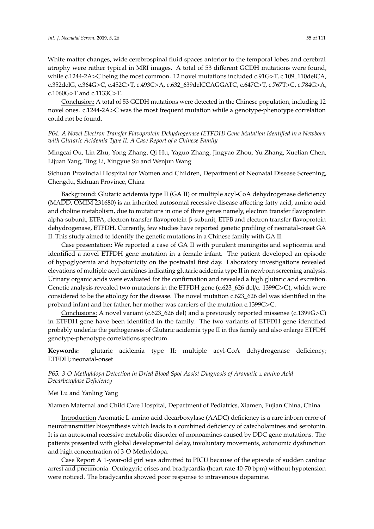White matter changes, wide cerebrospinal fluid spaces anterior to the temporal lobes and cerebral atrophy were rather typical in MRI images. A total of 53 different GCDH mutations were found, while c.1244-2A>C being the most common. 12 novel mutations included c.91G>T, c.109\_110delCA, c.352delG, c.364G>C, c.452C>T, c.493C>A, c.632\_639delCCAGGATC, c.647C>T, c.767T>C, c.784G>A, c.1060G>T and c.1133C>T.

Conclusion: A total of 53 GCDH mutations were detected in the Chinese population, including 12 novel ones. c.1244-2A>C was the most frequent mutation while a genotype-phenotype correlation could not be found.

# *P64. A Novel Electron Transfer Flavoprotein Dehydrogenase (ETFDH) Gene Mutation Identified in a Newborn with Glutaric Acidemia Type II: A Case Report of a Chinese Family*

Mingcai Ou, Lin Zhu, Yong Zhang, Qi Hu, Yaguo Zhang, Jingyao Zhou, Yu Zhang, Xuelian Chen, Lijuan Yang, Ting Li, Xingyue Su and Wenjun Wang

Sichuan Provincial Hospital for Women and Children, Department of Neonatal Disease Screening, Chengdu, Sichuan Province, China

Background: Glutaric acidemia type II (GA II) or multiple acyl-CoA dehydrogenase deficiency (MADD, OMIM 231680) is an inherited autosomal recessive disease affecting fatty acid, amino acid and choline metabolism, due to mutations in one of three genes namely, electron transfer flavoprotein alpha-subunit, ETFA, electron transfer flavoprotein β-subunit, ETFB and electron transfer flavoprotein dehydrogenase, ETFDH. Currently, few studies have reported genetic profiling of neonatal-onset GA II. This study aimed to identify the genetic mutations in a Chinese family with GA II.

Case presentation: We reported a case of GA II with purulent meningitis and septicemia and identified a novel ETFDH gene mutation in a female infant. The patient developed an episode of hypoglycemia and hypotonicity on the postnatal first day. Laboratory investigations revealed elevations of multiple acyl carnitines indicating glutaric acidemia type II in newborn screening analysis. Urinary organic acids were evaluated for the confirmation and revealed a high glutaric acid excretion. Genetic analysis revealed two mutations in the ETFDH gene (c.623\_626 del/c. 1399G>C), which were considered to be the etiology for the disease. The novel mutation c.623\_626 del was identified in the proband infant and her father, her mother was carriers of the mutation c.1399G>C.

Conclusions: A novel variant (c.623\_626 del) and a previously reported missense (c.1399G>C) in ETFDH gene have been identified in the family. The two variants of ETFDH gene identified probably underlie the pathogenesis of Glutaric acidemia type II in this family and also enlarge ETFDH genotype-phenotype correlations spectrum.

**Keywords:** glutaric acidemia type II; multiple acyl-CoA dehydrogenase deficiency; ETFDH; neonatal-onset

# P65. 3-O-Methyldopa Detection in Dried Blood Spot Assist Diagnosis of Aromatic *L-amino Acid Decarboxylase Deficiency*

## Mei Lu and Yanling Yang

Xiamen Maternal and Child Care Hospital, Department of Pediatrics, Xiamen, Fujian China, China

Introduction Aromatic L-amino acid decarboxylase (AADC) deficiency is a rare inborn error of neurotransmitter biosynthesis which leads to a combined deficiency of catecholamines and serotonin. It is an autosomal recessive metabolic disorder of monoamines caused by DDC gene mutations. The patients presented with global developmental delay, involuntary movements, autonomic dysfunction and high concentration of 3-O-Methyldopa.

Case Report A 1-year-old girl was admitted to PICU because of the episode of sudden cardiac arrest and pneumonia. Oculogyric crises and bradycardia (heart rate 40-70 bpm) without hypotension were noticed. The bradycardia showed poor response to intravenous dopamine.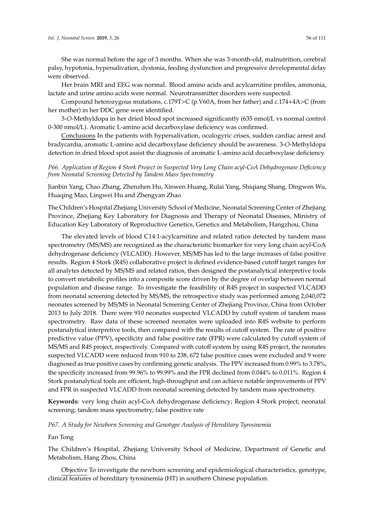She was normal before the age of 3 months. When she was 3-month-old, malnutrition, cerebral palsy, hypotonia, hypersalivation, dystonia, feeding dysfunction and progressive developmental delay were observed.

Her brain MRI and EEG was normal. Blood amino acids and acylcarnitine profiles, ammonia, lactate and urine amino acids were normal. Neurotransmitter disorders were suspected.

Compound heterozygous mutations, c.179T>C (p.V60A, from her father) and c.174+4A>C (from her mother) in her DDC gene were identified.

3-*O*-Methyldopa in her dried blood spot increased significantly (635 nmol/L vs normal control 0-300 nmol/L). Aromatic L-amino acid decarboxylase deficiency was confirmed.

Conclusions In the patients with hypersalivation, oculogyric crises, sudden cardiac arrest and bradycardia, aromatic L-amino acid decarboxylase deficiency should be awareness. 3-*O*-Methyldopa detection in dried blood spot assist the diagnosis of aromatic L-amino acid decarboxylase deficiency.

*P66. Application of Region 4 Stork Project in Suspected Very Long Chain acyl-CoA Dehydrogenase Deficiency from Neonatal Screening Detected by Tandem Mass Spectrometry*

Jianbin Yang, Chao Zhang, Zhenzhen Hu, Xinwen Huang, Rulai Yang, Shiqiang Shang, Dingwen Wu, Huaqing Mao, Lingwei Hu and Zhengyan Zhao

The Children's Hospital Zhejiang University School of Medicine, Neonatal Screening Center of Zhejiang Province, Zhejiang Key Laboratory for Diagnosis and Therapy of Neonatal Diseases, Ministry of Education Key Laboratory of Reproductive Genetics, Genetics and Metabolism, Hangzhou, China

The elevated levels of blood C14:1-acylcarnitine and related ratios detected by tandem mass spectrometry (MS/MS) are recognized as the characteristic biomarker for very long chain acyl-CoA dehydrogenase deficiency (VLCADD). However, MS/MS has led to the large increases of false positive results. Region 4 Stork (R4S) collaborative project is defined evidence-based cutoff target ranges for all analytes detected by MS/MS and related ratios, then designed the postanalytical interpretive tools to convert metabolic profiles into a composite score driven by the degree of overlap between normal population and disease range. To investigate the feasibility of R4S project in suspected VLCADD from neonatal screening detected by MS/MS, the retrospective study was performed among 2,040,072 neonates screened by MS/MS in Neonatal Screening Center of Zhejiang Province, China from October 2013 to July 2018. There were 910 neonates suspected VLCADD by cutoff system of tandem mass spectrometry. Raw data of these screened neonates were uploaded into R4S website to perform postanalytical interpretive tools, then compared with the results of cutoff system. The rate of positive predictive value (PPV), specificity and false positive rate (FPR) were calculated by cutoff system of MS/MS and R4S project, respectively. Compared with cutoff system by using R4S project, the neonates suspected VLCADD were reduced from 910 to 238, 672 false positive cases were excluded and 9 were diagnosed as true positive cases by confirming genetic analysis. The PPV increased from 0.99% to 3.78%, the specificity increased from 99.96% to 99.99% and the FPR declined from 0.044% to 0.011%. Region 4 Stork postanalytical tools are efficient, high-throughput and can achieve notable improvements of PPV and FPR in suspected VLCADD from neonatal screening detected by tandem mass spectrometry.

**Keywords:** very long chain acyl-CoA dehydrogenase deficiency; Region 4 Stork project; neonatal screening; tandem mass spectrometry; false positive rate

*P67. A Study for Newborn Screening and Genotype Analysis of Hereditary Tyrosinemia*

# Fan Tong

The Children's Hospital, Zhejiang University School of Medicine, Department of Genetic and Metabolism, Hang Zhou, China

Objective To investigate the newborn screening and epidemiological characteristics, genotype, clinical features of hereditary tyrosinemia (HT) in southern Chinese population.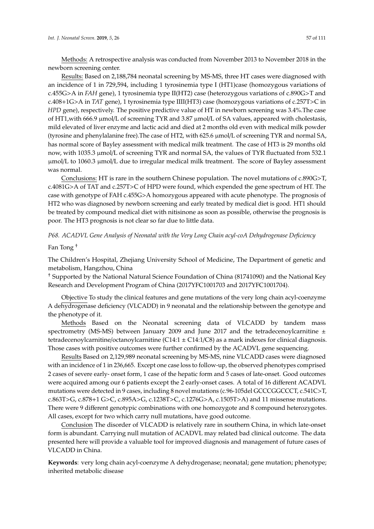Methods: A retrospective analysis was conducted from November 2013 to November 2018 in the newborn screening center.

Results: Based on 2,188,784 neonatal screening by MS-MS, three HT cases were diagnosed with an incidence of 1 in 729,594, including 1 tyrosinemia type I (HT1)case (homozygous variations of c.455G>A in *FAH* gene), 1 tyrosinemia type II(HT2) case (heterozygous variations of c.890G>T and c.408+1G>A in *TAT* gene), 1 tyrosinemia type IIII(HT3) case (homozygous variations of c.257T>C in *HPD* gene), respectively. The positive predictive value of HT in newborn screening was 3.4%.The case of HT1, with 666.9 µmol/L of screening TYR and 3.87 µmol/L of SA values, appeared with cholestasis, mild elevated of liver enzyme and lactic acid and died at 2 months old even with medical milk powder (tyrosine and phenylalanine free).The case of HT2, with 625.6 µmol/L of screening TYR and normal SA, has normal score of Bayley assessment with medical milk treatment. The case of HT3 is 29 months old now, with 1035.3 µmol/L of screening TYR and normal SA, the values of TYR fluctuated from 532.1 µmol/L to 1060.3 µmol/L due to irregular medical milk treatment. The score of Bayley assessment was normal.

Conclusions: HT is rare in the southern Chinese population. The novel mutations of c.890G>T, c.4081G>A of TAT and c.257T>C of HPD were found, which expended the gene spectrum of HT. The case with genotype of FAH c.455G>A homozygous appeared with acute phenotype. The prognosis of HT2 who was diagnosed by newborn screening and early treated by medical diet is good. HT1 should be treated by compound medical diet with nitisinone as soon as possible, otherwise the prognosis is poor. The HT3 prognosis is not clear so far due to little data.

# *P68. ACADVL Gene Analysis of Neonatal with the Very Long Chain acyl-coA Dehydrogenase Deficiency*

# Fan Tong †

The Children's Hospital, Zhejiang University School of Medicine, The Department of genetic and metabolism, Hangzhou, China

† Supported by the National Natural Science Foundation of China (81741090) and the National Key Research and Development Program of China (2017YFC1001703 and 2017YFC1001704).

Objective To study the clinical features and gene mutations of the very long chain acyl-coenzyme A dehydrogenase deficiency (VLCADD) in 9 neonatal and the relationship between the genotype and the phenotype of it.

Methods Based on the Neonatal screening data of VLCADD by tandem mass spectrometry (MS-MS) between January 2009 and June 2017 and the tetradecenoylcarnitine  $\pm$ tetradecenoylcarnitine/octanoylcarnitine (C14:1  $\pm$  C14:1/C8) as a mark indexes for clinical diagnosis. Those cases with positive outcomes were further confirmed by the ACADVL gene sequencing.

Results Based on 2,129,989 neonatal screening by MS-MS, nine VLCADD cases were diagnosed with an incidence of 1 in 236,665. Except one case loss to follow-up, the observed phenotypes comprised 2 cases of severe early- onset form, 1 case of the hepatic form and 5 cases of late-onset. Good outcomes were acquired among our 6 patients except the 2 early-onset cases. A total of 16 different ACADVL mutations were detected in 9 cases, including 8 novel mutations (c.96-105del GCCCGGCCCT, c.541C>T, c.863T>G, c.878+1 G>C, c.895A>G, c.1238T>C, c.1276G>A, c.1505T>A) and 11 missense mutations. There were 9 different genotypic combinations with one homozygote and 8 compound heterozygotes. All cases, except for two which carry null mutations, have good outcome.

Conclusion The disorder of VLCADD is relatively rare in southern China, in which late-onset form is abundant. Carrying null mutation of ACADVL may related bad clinical outcome. The data presented here will provide a valuable tool for improved diagnosis and management of future cases of VLCADD in China.

**Keywords**: very long chain acyl-coenzyme A dehydrogenase; neonatal; gene mutation; phenotype; inherited metabolic disease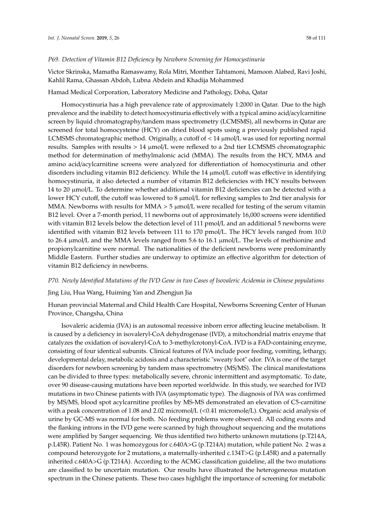# *P69. Detection of Vitamin B12 Deficiency by Newborn Screening for Homocystinuria*

Victor Skrinska, Mamatha Ramaswamy, Rola Mitri, Monther Tahtamoni, Mamoon Alabed, Ravi Joshi, Kahlil Rama, Ghassan Abdoh, Lubna Abdein and Khadija Mohammed

# Hamad Medical Corporation, Laboratory Medicine and Pathology, Doha, Qatar

Homocystinuria has a high prevalence rate of approximately 1:2000 in Qatar. Due to the high prevalence and the inability to detect homocystinuria effectively with a typical amino acid/acylcarnitine screen by liquid chromatography/tandem mass spectrometry (LCMSMS), all newborns in Qatar are screened for total homocysteine (HCY) on dried blood spots using a previously published rapid LCMSMS chromatographic method. Originally, a cutoff of  $< 14 \mu$ mol/L was used for reporting normal results. Samples with results > 14 µmol/L were reflexed to a 2nd tier LCMSMS chromatographic method for determination of methylmalonic acid (MMA). The results from the HCY, MMA and amino acid/acylcarnitine screens were analyzed for differentiation of homocystinuria and other disorders including vitamin B12 deficiency. While the 14  $\mu$ mol/L cutoff was effective in identifying homocystinuria, it also detected a number of vitamin B12 deficiencies with HCY results between 14 to 20 µmol/L. To determine whether additional vitamin B12 deficiencies can be detected with a lower HCY cutoff, the cutoff was lowered to 8 µmol/L for reflexing samples to 2nd tier analysis for MMA. Newborns with results for MMA  $>$  5 µmol/L were recalled for testing of the serum vitamin B12 level. Over a 7-month period, 11 newborns out of approximately 16,000 screens were identified with vitamin B12 levels below the detection level of 111 pmol/L and an additional 5 newborns were identified with vitamin B12 levels between 111 to 170 pmol/L. The HCY levels ranged from 10.0 to 26.4 µmol/L and the MMA levels ranged from 5.6 to 16.1 µmol/L. The levels of methionine and propionylcarnitine were normal. The nationalities of the deficient newborns were predominantly Middle Eastern. Further studies are underway to optimize an effective algorithm for detection of vitamin B12 deficiency in newborns.

## *P70. Newly Identified Mutations of the IVD Gene in two Cases of Isovaleric Acidemia in Chinese populations*

Jing Liu, Hua Wang, Huiming Yan and Zhengjun Jia

Hunan provincial Maternal and Child Health Care Hospital, Newborns Screening Center of Hunan Province, Changsha, China

Isovaleric acidemia (IVA) is an autosomal recessive inborn error affecting leucine metabolism. It is caused by a deficiency in isovaleryl-CoA dehydrogenase (IVD), a mitochondrial matrix enzyme that catalyzes the oxidation of isovaleryl-CoA to 3-methylcrotonyl-CoA. IVD is a FAD-containing enzyme, consisting of four identical subunits. Clinical features of IVA include poor feeding, vomiting, lethargy, developmental delay, metabolic acidosis and a characteristic "sweaty foot" odor. IVA is one of the target disorders for newborn screening by tandem mass spectrometry (MS/MS). The clinical manifestations can be divided to three types: metabolically severe, chronic intermittent and asymptomatic. To date, over 90 disease-causing mutations have been reported worldwide. In this study, we searched for IVD mutations in two Chinese patients with IVA (asymptomatic type). The diagnosis of IVA was confirmed by MS/MS, blood spot acylcarnitine profiles by MS-MS demonstrated an elevation of C5-carnitine with a peak concentration of 1.08 and 2.02 micromol/L (<0.41 micromole/L). Organic acid analysis of urine by GC-MS was normal for both. No feeding problems were observed. All coding exons and the flanking introns in the IVD gene were scanned by high throughout sequencing and the mutations were amplified by Sanger sequencing. We thus identified two hitherto unknown mutations (p.T214A, p.L45R). Patient No. 1 was homozygous for c.640A>G (p.T214A) mutation, while patient No. 2 was a compound heterozygote for 2 mutations, a maternally-inherited c.134T>G (p.L45R) and a paternally inherited c.640A>G (p.T214A). According to the ACMG classification guideline, all the two mutations are classified to be uncertain mutation. Our results have illustrated the heterogeneous mutation spectrum in the Chinese patients. These two cases highlight the importance of screening for metabolic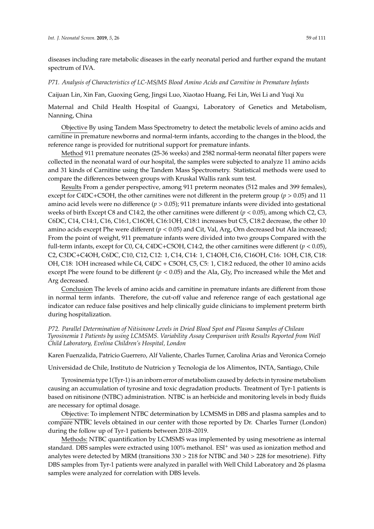diseases including rare metabolic diseases in the early neonatal period and further expand the mutant spectrum of IVA.

#### *P71. Analysis of Characteristics of LC-MS*/*MS Blood Amino Acids and Carnitine in Premature Infants*

Caijuan Lin, Xin Fan, Guoxing Geng, Jingsi Luo, Xiaotao Huang, Fei Lin, Wei Li and Yuqi Xu

Maternal and Child Health Hospital of Guangxi, Laboratory of Genetics and Metabolism, Nanning, China

Objective By using Tandem Mass Spectrometry to detect the metabolic levels of amino acids and carnitine in premature newborns and normal-term infants, according to the changes in the blood, the reference range is provided for nutritional support for premature infants.

Method 911 premature neonates (25-36 weeks) and 2582 normal-term neonatal filter papers were collected in the neonatal ward of our hospital, the samples were subjected to analyze 11 amino acids and 31 kinds of Carnitine using the Tandem Mass Spectrometry. Statistical methods were used to compare the differences between groups with Kruskal Wallis rank sum test.

Results From a gender perspective, among 911 preterm neonates (512 males and 399 females), except for C4DC+C5OH, the other carnitines were not different in the preterm group ( $p > 0.05$ ) and 11 amino acid levels were no difference (*p* > 0.05); 911 premature infants were divided into gestational weeks of birth Except C8 and C14:2, the other carnitines were different  $(p < 0.05)$ , among which C2, C3, C6DC, C14, C14:1, C16, C16:1, C16OH, C16:1OH, C18:1 increases but C5, C18:2 decrease, the other 10 amino acids except Phe were different ( $p < 0.05$ ) and Cit, Val, Arg, Orn decreased but Ala increased; From the point of weight, 911 premature infants were divided into two groups Compared with the full-term infants, except for C0, C4, C4DC+C5OH, C14:2, the other carnitines were different ( $p < 0.05$ ), C2, C3DC+C4OH, C6DC, C10, C12, C12: 1, C14, C14: 1, C14OH, C16, C16OH, C16: 1OH, C18, C18: OH, C18: 1OH increased while C4, C4DC + C5OH, C5, C5: 1, C18:2 reduced, the other 10 amino acids except Phe were found to be different (*p* < 0.05) and the Ala, Gly, Pro increased while the Met and Arg decreased.

Conclusion The levels of amino acids and carnitine in premature infants are different from those in normal term infants. Therefore, the cut-off value and reference range of each gestational age indicator can reduce false positives and help clinically guide clinicians to implement preterm birth during hospitalization.

# *P72. Parallel Determination of Nitisinone Levels in Dried Blood Spot and Plasma Samples of Chilean Tyrosinemia 1 Patients by using LCMSMS. Variability Assay Comparison with Results Reported from Well Child Laboratory, Evelina Children's Hospital, London*

Karen Fuenzalida, Patricio Guerrero, Alf Valiente, Charles Turner, Carolina Arias and Veronica Cornejo

Universidad de Chile, Instituto de Nutricion y Tecnologia de los Alimentos, INTA, Santiago, Chile

Tyrosinemia type 1(Tyr-1) is an inborn error of metabolism caused by defects in tyrosine metabolism causing an accumulation of tyrosine and toxic degradation products. Treatment of Tyr-1 patients is based on nitisinone (NTBC) administration. NTBC is an herbicide and monitoring levels in body fluids are necessary for optimal dosage.

Objective: To implement NTBC determination by LCMSMS in DBS and plasma samples and to compare NTBC levels obtained in our center with those reported by Dr. Charles Turner (London) during the follow up of Tyr-1 patients between 2018–2019.

Methods: NTBC quantification by LCMSMS was implemented by using mesotriene as internal standard. DBS samples were extracted using 100% methanol. ESI<sup>+</sup> was used as ionization method and analytes were detected by MRM (transitions 330 > 218 for NTBC and 340 > 228 for mesotriene). Fifty DBS samples from Tyr-1 patients were analyzed in parallel with Well Child Laboratory and 26 plasma samples were analyzed for correlation with DBS levels.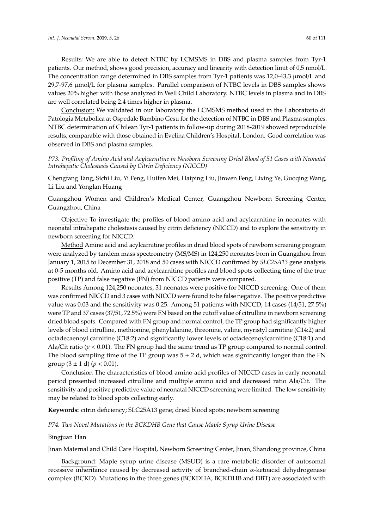Results: We are able to detect NTBC by LCMSMS in DBS and plasma samples from Tyr-1 patients. Our method, shows good precision, accuracy and linearity with detection limit of 0,5 nmol/L. The concentration range determined in DBS samples from Tyr-1 patients was 12,0-43,3  $\mu$ mol/L and 29,7-97,6 µmol/L for plasma samples. Parallel comparison of NTBC levels in DBS samples shows values 20% higher with those analyzed in Well Child Laboratory. NTBC levels in plasma and in DBS are well correlated being 2.4 times higher in plasma.

Conclusion: We validated in our laboratory the LCMSMS method used in the Laboratorio di Patologia Metabolica at Ospedale Bambino Gesu for the detection of NTBC in DBS and Plasma samples. NTBC determination of Chilean Tyr-1 patients in follow-up during 2018-2019 showed reproducible results, comparable with those obtained in Evelina Children's Hospital, London. Good correlation was observed in DBS and plasma samples.

*P73. Profiling of Amino Acid and Acylcarnitine in Newborn Screening Dried Blood of 51 Cases with Neonatal Intrahepatic Cholestasis Caused by Citrin Deficiency (NICCD)*

Chengfang Tang, Sichi Liu, Yi Feng, Huifen Mei, Haiping Liu, Jinwen Feng, Lixing Ye, Guoqing Wang, Li Liu and Yonglan Huang

Guangzhou Women and Children's Medical Center, Guangzhou Newborn Screening Center, Guangzhou, China

Objective To investigate the profiles of blood amino acid and acylcarnitine in neonates with neonatal intrahepatic cholestasis caused by citrin deficiency (NICCD) and to explore the sensitivity in newborn screening for NICCD.

Method Amino acid and acylcarnitine profiles in dried blood spots of newborn screening program were analyzed by tandem mass spectrometry (MS/MS) in 124,250 neonates born in Guangzhou from January 1, 2015 to December 31, 2018 and 50 cases with NICCD confirmed by *SLC25A13* gene analysis at 0-5 months old. Amino acid and acylcarnitine profiles and blood spots collecting time of the true positive (TP) and false negative (FN) from NICCD patients were compared.

Results Among 124,250 neonates, 31 neonates were positive for NICCD screening. One of them was confirmed NICCD and 3 cases with NICCD were found to be false negative. The positive predictive value was 0.03 and the sensitivity was 0.25. Among 51 patients with NICCD, 14 cases (14/51, 27.5%) were TP and 37 cases (37/51, 72.5%) were FN based on the cutoff value of citrulline in newborn screening dried blood spots. Compared with FN group and normal control, the TP group had significantly higher levels of blood citrulline, methionine, phenylalanine, threonine, valine, myristyl carnitine (C14:2) and octadecaenoyl carnitine (C18:2) and significantly lower levels of octadecenoylcarnitine (C18:1) and Ala/Cit ratio ( $p < 0.01$ ). The FN group had the same trend as TP group compared to normal control. The blood sampling time of the TP group was  $5 \pm 2$  d, which was significantly longer than the FN group  $(3 \pm 1 \text{ d})$   $(p < 0.01)$ .

Conclusion The characteristics of blood amino acid profiles of NICCD cases in early neonatal period presented increased citrulline and multiple amino acid and decreased ratio Ala/Cit. The sensitivity and positive predictive value of neonatal NICCD screening were limited. The low sensitivity may be related to blood spots collecting early.

**Keywords:** citrin deficiency; SLC25A13 gene; dried blood spots; newborn screening

### *P74. Two Novel Mutations in the BCKDHB Gene that Cause Maple Syrup Urine Disease*

#### Bingjuan Han

Jinan Maternal and Child Care Hospital, Newborn Screening Center, Jinan, Shandong province, China

Background: Maple syrup urine disease (MSUD) is a rare metabolic disorder of autosomal recessive inheritance caused by decreased activity of branched-chain  $\alpha$ -ketoacid dehydrogenase complex (BCKD). Mutations in the three genes (BCKDHA, BCKDHB and DBT) are associated with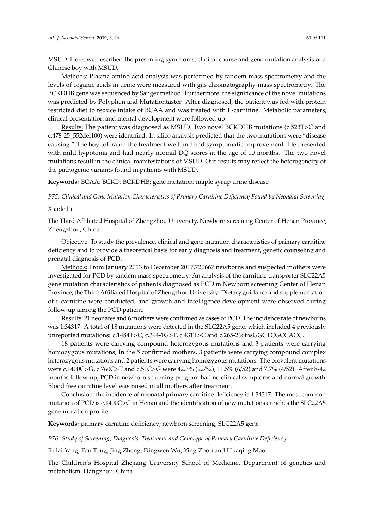MSUD. Here, we described the presenting symptoms, clinical course and gene mutation analysis of a Chinese boy with MSUD.

Methods: Plasma amino acid analysis was performed by tandem mass spectrometry and the levels of organic acids in urine were measured with gas chromatography-mass spectrometry. The BCKDHB gene was sequenced by Sanger method. Furthermore, the significance of the novel mutations was predicted by Polyphen and Mutationtaster. After diagnosed, the patient was fed with protein restricted diet to reduce intake of BCAA and was treated with L-carnitine. Metabolic parameters, clinical presentation and mental development were followed up.

Results: The patient was diagnosed as MSUD. Two novel BCKDHB mutations (c.523T>C and c.478-25\_552del100) were identified. In silico analysis predicted that the two mutations were "disease causing." The boy tolerated the treatment well and had symptomatic improvement. He presented with mild hypotonia and had nearly normal DQ scores at the age of 10 months. The two novel mutations result in the clinical manifestations of MSUD. Our results may reflect the heterogeneity of the pathogenic variants found in patients with MSUD.

**Keywords:** BCAA; BCKD; BCKDHB; gene mutation; maple syrup urine disease

*P75. Clinical and Gene Mutation Characteristics of Primary Carnitine Deficiency Found by Neonatal Screening*

# Xiaole Li

The Third Affiliated Hospital of Zhengzhou University, Newborn screening Center of Henan Province, Zhengzhou, China

Objective: To study the prevalence, clinical and gene mutation characteristics of primary carnitine deficiency and to provide a theoretical basis for early diagnosis and treatment, genetic counseling and prenatal diagnosis of PCD.

Methods: From January 2013 to December 2017,720667 newborns and suspected mothers were investigated for PCD by tandem mass spectrometry. An analysis of the carnitine transporter SLC22A5 gene mutation characteristics of patients diagnosed as PCD in Newborn screening Center of Henan Province, the Third Affiliated Hospital of Zhengzhou University. Dietary guidance and supplementation of l-carnitine were conducted, and growth and intelligence development were observed during follow-up among the PCD patient.

Results: 21 neonates and 6 mothers were confirmed as cases of PCD. The incidence rate of newborns was 1:34317. A total of 18 mutations were detected in the SLC22A5 gene, which included 4 previously unreported mutations: c.1484T>C, c.394-1G>T, c.431T>C and c.265-266insGGCTCGCCACC.

18 patients were carrying compound heterozygous mutations and 3 patients were carrying homozygous mutations; In the 5 confirmed mothers, 3 patients were carrying compound complex heterozygous mutations and 2 patients were carrying homozygous mutations. The prevalent mutations were c.1400C>G, c.760C>T and c.51C>G were 42.3% (22/52), 11.5% (6/52) and 7.7% (4/52). After 8-42 months follow-up, PCD in newborn screening program had no clinical symptoms and normal growth. Blood free carnitine level was raised in all mothers after treatment.

Conclusion: the incidence of neonatal primary carnitine deficiency is 1:34317. The most common mutation of PCD is c.1400C>G in Henan and the identification of new mutations enriches the SLC22A5 gene mutation profile.

**Keywords:** primary carnitine deficiency; newborn screening; SLC22A5 gene

*P76. Study of Screening, Diagnosis, Treatment and Genotype of Primary Carnitine Deficiency*

Rulai Yang, Fan Tong, Jing Zheng, Dingwen Wu, Ying Zhou and Huaqing Mao

The Children's Hospital Zhejiang University School of Medicine, Department of genetics and metabolism, Hangzhou, China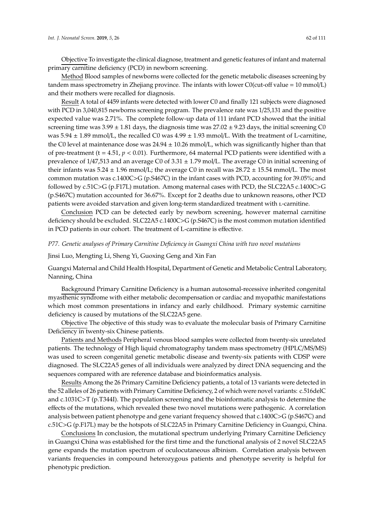Objective To investigate the clinical diagnose, treatment and genetic features of infant and maternal primary carnitine deficiency (PCD) in newborn screening.

Method Blood samples of newborns were collected for the genetic metabolic diseases screening by tandem mass spectrometry in Zhejiang province. The infants with lower C0(cut-off value = 10 mmol/L) and their mothers were recalled for diagnosis.

Result A total of 4459 infants were detected with lower C0 and finally 121 subjects were diagnosed with PCD in 3,040,815 newborns screening program. The prevalence rate was 1/25,131 and the positive expected value was 2.71%. The complete follow-up data of 111 infant PCD showed that the initial screening time was  $3.99 \pm 1.81$  days, the diagnosis time was  $27.02 \pm 9.23$  days, the initial screening C0 was  $5.94 \pm 1.89$  mmol/L, the recalled C0 was  $4.99 \pm 1.93$  mmol/L. With the treatment of L-carnitine, the C0 level at maintenance dose was  $24.94 \pm 10.26$  mmol/L, which was significantly higher than that of pre-treatment  $(t = 4.51, p < 0.01)$ . Furthermore, 64 maternal PCD patients were identified with a prevalence of 1/47,513 and an average C0 of 3.31 ± 1.79 mol/L. The average C0 in initial screening of their infants was  $5.24 \pm 1.96$  mmol/L; the average C0 in recall was  $28.72 \pm 15.54$  mmol/L. The most common mutation was c.1400C>G (p.S467C) in the infant cases with PCD, accounting for 39.05%; and followed by c.51C>G (p.F17L) mutation. Among maternal cases with PCD, the SLC22A5 c.1400C>G (p.S467C) mutation accounted for 36.67%. Except for 2 deaths due to unknown reasons, other PCD patients were avoided starvation and given long-term standardized treatment with l-carnitine.

Conclusion PCD can be detected early by newborn screening, however maternal carnitine deficiency should be excluded. SLC22A5 c.1400C>G (p.S467C) is the most common mutation identified in PCD patients in our cohort. The treatment of L-carnitine is effective.

### *P77. Genetic analyses of Primary Carnitine Deficiency in Guangxi China with two novel mutations*

Jinsi Luo, Mengting Li, Sheng Yi, Guoxing Geng and Xin Fan

Guangxi Maternal and Child Health Hospital, Department of Genetic and Metabolic Central Laboratory, Nanning, China

Background Primary Carnitine Deficiency is a human autosomal-recessive inherited congenital myasthenic syndrome with either metabolic decompensation or cardiac and myopathic manifestations which most common presentations in infancy and early childhood. Primary systemic carnitine deficiency is caused by mutations of the SLC22A5 gene.

Objective The objective of this study was to evaluate the molecular basis of Primary Carnitine Deficiency in twenty-six Chinese patients.

Patients and Methods Peripheral venous blood samples were collected from twenty-six unrelated patients. The technology of High liquid chromatography tandem mass spectrometry (HPLC/MS/MS) was used to screen congenital genetic metabolic disease and twenty-six patients with CDSP were diagnosed. The SLC22A5 genes of all individuals were analyzed by direct DNA sequencing and the sequences compared with are reference database and bioinformatics analysis.

Results Among the 26 Primary Carnitine Deficiency patients, a total of 13 variants were detected in the 52 alleles of 26 patients with Primary Carnitine Deficiency, 2 of which were novel variants: c.516delC and c.1031C>T (p.T344I). The population screening and the bioinformatic analysis to determine the effects of the mutations, which revealed these two novel mutations were pathogenic. A correlation analysis between patient phenotype and gene variant frequency showed that c.1400C>G (p.S467C) and c.51C>G (p.F17L) may be the hotspots of SLC22A5 in Primary Carnitine Deficiency in Guangxi, China.

Conclusions In conclusion, the mutational spectrum underlying Primary Carnitine Deficiency in Guangxi China was established for the first time and the functional analysis of 2 novel SLC22A5 gene expands the mutation spectrum of oculocutaneous albinism. Correlation analysis between variants frequencies in compound heterozygous patients and phenotype severity is helpful for phenotypic prediction.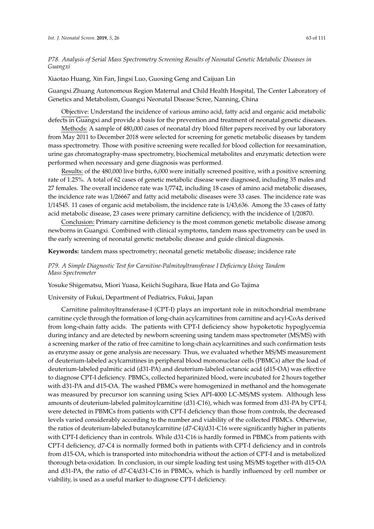# *P78. Analysis of Serial Mass Spectrometry Screening Results of Neonatal Genetic Metabolic Diseases in Guangxi*

Xiaotao Huang, Xin Fan, Jingsi Luo, Guoxing Geng and Caijuan Lin

Guangxi Zhuang Autonomous Region Maternal and Child Health Hospital, The Center Laboratory of Genetics and Metabolism, Guangxi Neonatal Disease Scree, Nanning, China

Objective: Understand the incidence of various amino acid, fatty acid and organic acid metabolic defects in Guangxi and provide a basis for the prevention and treatment of neonatal genetic diseases.

Methods: A sample of 480,000 cases of neonatal dry blood filter papers received by our laboratory from May 2011 to December 2018 were selected for screening for genetic metabolic diseases by tandem mass spectrometry. Those with positive screening were recalled for blood collection for reexamination, urine gas chromatography-mass spectrometry, biochemical metabolites and enzymatic detection were performed when necessary and gene diagnosis was performed.

Results: of the 480,000 live births, 6,000 were initially screened positive, with a positive screening rate of 1.25%. A total of 62 cases of genetic metabolic disease were diagnosed, including 35 males and 27 females. The overall incidence rate was 1/7742, including 18 cases of amino acid metabolic diseases, the incidence rate was 1/26667 and fatty acid metabolic diseases were 33 cases. The incidence rate was 1/14545. 11 cases of organic acid metabolism, the incidence rate is 1/43,636. Among the 33 cases of fatty acid metabolic disease, 23 cases were primary carnitine deficiency, with the incidence of 1/20870.

Conclusion: Primary carnitine deficiency is the most common genetic metabolic disease among newborns in Guangxi. Combined with clinical symptoms, tandem mass spectrometry can be used in the early screening of neonatal genetic metabolic disease and guide clinical diagnosis.

**Keywords:** tandem mass spectrometry; neonatal genetic metabolic disease; incidence rate

# *P79. A Simple Diagnostic Test for Carnitine-Palmitoyltransferase I Deficiency Using Tandem Mass Spectrometer*

# Yosuke Shigematsu, Miori Yuasa, Keiichi Sugihara, Ikue Hata and Go Tajima

## University of Fukui, Department of Pediatrics, Fukui, Japan

Carnitine palmitoyltransferase-I (CPT-I) plays an important role in mitochondrial membrane carnitine cycle through the formation of long-chain acylcarnitines from carnitine and acyl-CoAs derived from long-chain fatty acids. The patients with CPT-I deficiency show hypoketotic hypoglycemia during infancy and are detected by newborn screening using tandem mass spectrometer (MS/MS) with a screening marker of the ratio of free carnitine to long-chain acylcarnitines and such confirmation tests as enzyme assay or gene analysis are necessary. Thus, we evaluated whether MS/MS measurement of deuterium-labeled acylcarnitines in peripheral blood mononuclear cells (PBMCs) after the load of deuterium-labeled palmitic acid (d31-PA) and deuterium-labeled octanoic acid (d15-OA) was effective to diagnose CPT-I deficiency. PBMCs, collected heparinized blood, were incubated for 2 hours together with d31-PA and d15-OA. The washed PBMCs were homogenized in methanol and the homogenate was measured by precursor ion scanning using Sciex API-4000 LC-MS/MS system. Although less amounts of deuterium-labeled palmitoylcarnitine (d31-C16), which was formed from d31-PA by CPT-I, were detected in PBMCs from patients with CPT-I deficiency than those from controls, the decreased levels varied considerably according to the number and viability of the collected PBMCs. Otherwise, the ratios of deuterium-labeled butanoylcarnitine (d7-C4)/d31-C16 were significantly higher in patients with CPT-I deficiency than in controls. While d31-C16 is hardly formed in PBMCs from patients with CPT-I deficiency, d7-C4 is normally formed both in patients with CPT-I deficiency and in controls from d15-OA, which is transported into mitochondria without the action of CPT-I and is metabolized thorough beta-oxidation. In conclusion, in our simple loading test using MS/MS together with d15-OA and d31-PA, the ratio of d7-C4/d31-C16 in PBMCs, which is hardly influenced by cell number or viability, is used as a useful marker to diagnose CPT-I deficiency.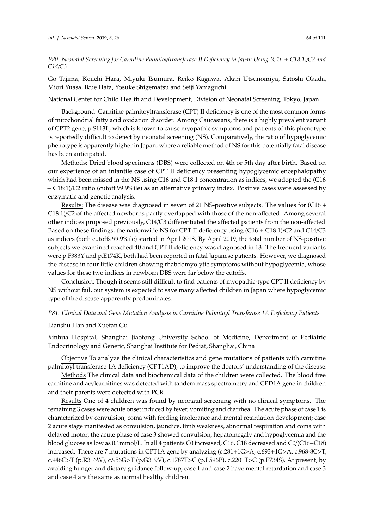# *P80. Neonatal Screening for Carnitine Palmitoyltransferase II Deficiency in Japan Using (C16* + *C18:1)*/*C2 and C14*/*C3*

Go Tajima, Keiichi Hara, Miyuki Tsumura, Reiko Kagawa, Akari Utsunomiya, Satoshi Okada, Miori Yuasa, Ikue Hata, Yosuke Shigematsu and Seiji Yamaguchi

National Center for Child Health and Development, Division of Neonatal Screening, Tokyo, Japan

Background: Carnitine palmitoyltransferase (CPT) II deficiency is one of the most common forms of mitochondrial fatty acid oxidation disorder. Among Caucasians, there is a highly prevalent variant of CPT2 gene, p.S113L, which is known to cause myopathic symptoms and patients of this phenotype is reportedly difficult to detect by neonatal screening (NS). Comparatively, the ratio of hypoglycemic phenotype is apparently higher in Japan, where a reliable method of NS for this potentially fatal disease has been anticipated.

Methods: Dried blood specimens (DBS) were collected on 4th or 5th day after birth. Based on our experience of an infantile case of CPT II deficiency presenting hypoglycemic encephalopathy which had been missed in the NS using C16 and C18:1 concentration as indices, we adopted the (C16 + C18:1)/C2 ratio (cutoff 99.9%ile) as an alternative primary index. Positive cases were assessed by enzymatic and genetic analysis.

Results: The disease was diagnosed in seven of 21 NS-positive subjects. The values for (C16 + C18:1)/C2 of the affected newborns partly overlapped with those of the non-affected. Among several other indices proposed previously, C14/C3 differentiated the affected patients from the non-affected. Based on these findings, the nationwide NS for CPT II deficiency using (C16 + C18:1)/C2 and C14/C3 as indices (both cutoffs 99.9%ile) started in April 2018. By April 2019, the total number of NS-positive subjects we examined reached 40 and CPT II deficiency was diagnosed in 13. The frequent variants were p.F383Y and p.E174K, both had been reported in fatal Japanese patients. However, we diagnosed the disease in four little children showing rhabdomyolytic symptoms without hypoglycemia, whose values for these two indices in newborn DBS were far below the cutoffs.

Conclusion: Though it seems still difficult to find patients of myopathic-type CPT II deficiency by NS without fail, our system is expected to save many affected children in Japan where hypoglycemic type of the disease apparently predominates.

# *P81. Clinical Data and Gene Mutation Analysis in Carnitine Palmitoyl Transferase 1A Deficiency Patients*

## Lianshu Han and Xuefan Gu

Xinhua Hospital, Shanghai Jiaotong University School of Medicine, Department of Pediatric Endocrinology and Genetic, Shanghai Institute for Pediat, Shanghai, China

Objective To analyze the clinical characteristics and gene mutations of patients with carnitine palmitoyl transferase 1A deficiency (CPT1AD), to improve the doctors' understanding of the disease.

Methods The clinical data and biochemical data of the children were collected. The blood free carnitine and acylcarnitines was detected with tandem mass spectrometry and CPD1A gene in children and their parents were detected with PCR.

Results One of 4 children was found by neonatal screening with no clinical symptoms. The remaining 3 cases were acute onset induced by fever, vomiting and diarrhea. The acute phase of case 1 is characterized by convulsion, coma with feeding intolerance and mental retardation development; case 2 acute stage manifested as convulsion, jaundice, limb weakness, abnormal respiration and coma with delayed motor; the acute phase of case 3 showed convulsion, hepatomegaly and hypoglycemia and the blood glucose as low as 0.1mmol/L. In all 4 patients C0 increased, C16, C18 decreased and C0/(C16+C18) increased. There are 7 mutations in CPT1A gene by analyzing (c.281+1G>A, c.693+1G>A, c.968-8C>T, c.946C>T (p.R316W), c.956G>T (p.G319V), c.1787T>C (p.L596P), c.2201T>C (p.F734S). At present, by avoiding hunger and dietary guidance follow-up, case 1 and case 2 have mental retardation and case 3 and case 4 are the same as normal healthy children.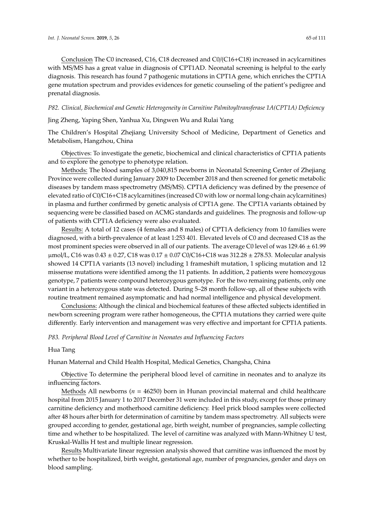Conclusion The C0 increased, C16, C18 decreased and C0/(C16+C18) increased in acylcarnitines with MS/MS has a great value in diagnosis of CPT1AD. Neonatal screening is helpful to the early diagnosis. This research has found 7 pathogenic mutations in CPT1A gene, which enriches the CPT1A gene mutation spectrum and provides evidences for genetic counseling of the patient's pedigree and prenatal diagnosis.

### *P82. Clinical, Biochemical and Genetic Heterogeneity in Carnitine Palmitoyltransferase 1A(CPT1A) Deficiency*

Jing Zheng, Yaping Shen, Yanhua Xu, Dingwen Wu and Rulai Yang

The Children's Hospital Zhejiang University School of Medicine, Department of Genetics and Metabolism, Hangzhou, China

Objectives: To investigate the genetic, biochemical and clinical characteristics of CPT1A patients and to explore the genotype to phenotype relation.

Methods: The blood samples of 3,040,815 newborns in Neonatal Screening Center of Zhejiang Province were collected during January 2009 to December 2018 and then screened for genetic metabolic diseases by tandem mass spectrometry (MS/MS). CPT1A deficiency was defined by the presence of elevated ratio of C0/C16+C18 acylcarnitines (increased C0 with low or normal long-chain acylcarnitines) in plasma and further confirmed by genetic analysis of CPT1A gene. The CPT1A variants obtained by sequencing were be classified based on ACMG standards and guidelines. The prognosis and follow-up of patients with CPT1A deficiency were also evaluated.

Results: A total of 12 cases (4 females and 8 males) of CPT1A deficiency from 10 families were diagnosed, with a birth-prevalence of at least 1:253 401. Elevated levels of C0 and decreased C18 as the most prominent species were observed in all of our patients. The average C0 level of was  $129.46 \pm 61.99$  $\mu$ mol/L, C16 was 0.43 ± 0.27, C18 was 0.17 ± 0.07 C0/C16+C18 was 312.28 ± 278.53. Molecular analysis showed 14 CPT1A variants (13 novel) including 1 frameshift mutation, 1 splicing mutation and 12 missense mutations were identified among the 11 patients. In addition, 2 patients were homozygous genotype, 7 patients were compound heterozygous genotype. For the two remaining patients, only one variant in a heterozygous state was detected. During 5–28 month follow-up, all of these subjects with routine treatment remained asymptomatic and had normal intelligence and physical development.

Conclusions: Although the clinical and biochemical features of these affected subjects identified in newborn screening program were rather homogeneous, the CPT1A mutations they carried were quite differently. Early intervention and management was very effective and important for CPT1A patients.

## *P83. Peripheral Blood Level of Carnitine in Neonates and Influencing Factors*

#### Hua Tang

Hunan Maternal and Child Health Hospital, Medical Genetics, Changsha, China

Objective To determine the peripheral blood level of carnitine in neonates and to analyze its influencing factors.

Methods All newborns (*n* = 46250) born in Hunan provincial maternal and child healthcare hospital from 2015 January 1 to 2017 December 31 were included in this study, except for those primary carnitine deficiency and motherhood carnitine deficiency. Heel prick blood samples were collected after 48 hours after birth for determination of carnitine by tandem mass spectrometry. All subjects were grouped according to gender, gestational age, birth weight, number of pregnancies, sample collecting time and whether to be hospitalized. The level of carnitine was analyzed with Mann-Whitney U test, Kruskal-Wallis H test and multiple linear regression.

Results Multivariate linear regression analysis showed that carnitine was influenced the most by whether to be hospitalized, birth weight, gestational age, number of pregnancies, gender and days on blood sampling.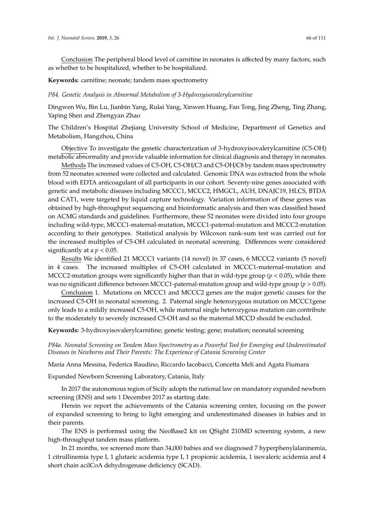Conclusion The peripheral blood level of carnitine in neonates is affected by many factors, such as whether to be hospitalized, whether to be hospitalized.

**Keywords:** carnitine; neonate; tandem mass spectrometry

*P84. Genetic Analysis in Abnormal Metabolism of 3-Hydroxyisovalerylcarnitine*

Dingwen Wu, Bin Lu, Jianbin Yang, Rulai Yang, Xinwen Huang, Fan Tong, Jing Zheng, Ting Zhang, Yaping Shen and Zhengyan Zhao

The Children's Hospital Zhejiang University School of Medicine, Department of Genetics and Metabolism, Hangzhou, China

Objective To investigate the genetic characterization of 3-hydroxyisovalerylcarnitine (C5-OH) metabolic abnormality and provide valuable information for clinical diagnosis and therapy in neonates.

Methods The increased values of C5-OH, C5-OH/C3 and C5-OH/C8 by tandem mass spectrometry from 52 neonates screened were collected and calculated. Genomic DNA was extracted from the whole blood with EDTA anticoagulant of all participants in our cohort. Seventy-nine genes associated with genetic and metabolic diseases including MCCC1, MCCC2, HMGCL, AUH, DNAJC19, HLCS, BTDA and CAT1, were targeted by liquid capture technology. Variation information of these genes was obtained by high-throughput sequencing and bioinformatic analysis and then was classified based on ACMG standards and guidelines. Furthermore, these 52 neonates were divided into four groups including wild-type, MCCC1-maternal-mutation, MCCC1-paternal-mutation and MCCC2-mutation according to their genotypes. Statistical analysis by Wilcoxon rank-sum test was carried out for the increased multiples of C5-OH calculated in neonatal screening. Differences were considered significantly at a  $p < 0.05$ .

Results We identified 21 MCCC1 variants (14 novel) in 37 cases, 6 MCCC2 variants (5 novel) in 4 cases. The increased multiples of C5-OH calculated in MCCC1-maternal-mutation and MCCC2-mutation groups were significantly higher than that in wild-type group (*p* < 0.05), while there was no significant difference between MCCC1-paternal-mutation group and wild-type group (*p* > 0.05).

Conclusion 1. Mutations on MCCC1 and MCCC2 genes are the major genetic causes for the increased C5-OH in neonatal screening. 2. Paternal single heterozygous mutation on MCCC1gene only leads to a mildly increased C5-OH, while maternal single heterozygous mutation can contribute to the moderately to severely increased C5-OH and so the maternal MCCD should be excluded.

**Keywords:** 3-hydroxyisovalerylcarnitine; genetic testing; gene; mutation; neonatal screening

*P84a. Neonatal Screening on Tandem Mass Spectrometry as a Powerful Tool for Emerging and Underestimated Diseases in Newborns and Their Parents: The Experience of Catania Screening Center*

Maria Anna Messina, Federica Raudino, Riccardo Iacobacci, Concetta Meli and Agata Fiumara

Expanded Newborn Screening Laboratory, Catania, Italy

In 2017 the autonomous region of Sicily adopts the national law on mandatory expanded newborn screening (ENS) and sets 1 December 2017 as starting date.

Herein we report the achievements of the Catania screening center, focusing on the power of expanded screening to bring to light emerging and underestimated diseases in babies and in their parents.

The ENS is performed using the NeoBase2 kit on QSight 210MD screening system, a new high-throughput tandem mass platform.

In 21 months, we screened more than 34,000 babies and we diagnosed 7 hyperphenylalaninemia, 1 citrullinemia type I, 1 glutaric acidemia type I, 1 propionic acidemia, 1 isovaleric acidemia and 4 short chain acilCoA dehydrogenase deficiency (SCAD).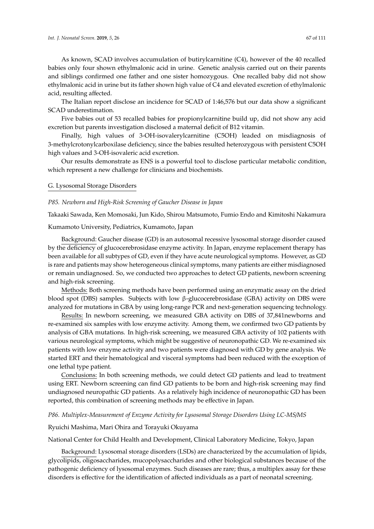As known, SCAD involves accumulation of butirylcarnitine (C4), however of the 40 recalled babies only four shown ethylmalonic acid in urine. Genetic analysis carried out on their parents and siblings confirmed one father and one sister homozygous. One recalled baby did not show ethylmalonic acid in urine but its father shown high value of C4 and elevated excretion of ethylmalonic acid, resulting affected.

The Italian report disclose an incidence for SCAD of 1:46,576 but our data show a significant SCAD underestimation.

Five babies out of 53 recalled babies for propionylcarnitine build up, did not show any acid excretion but parents investigation disclosed a maternal deficit of B12 vitamin.

Finally, high values of 3-OH-isovalerylcarnitine (C5OH) leaded on misdiagnosis of 3-methylcrotonylcarboxilase deficiency, since the babies resulted heterozygous with persistent C5OH high values and 3-OH-isovaleric acid excretion.

Our results demonstrate as ENS is a powerful tool to disclose particular metabolic condition, which represent a new challenge for clinicians and biochemists.

#### G. Lysosomal Storage Disorders

### *P85. Newborn and High-Risk Screening of Gaucher Disease in Japan*

Takaaki Sawada, Ken Momosaki, Jun Kido, Shirou Matsumoto, Fumio Endo and Kimitoshi Nakamura

#### Kumamoto University, Pediatrics, Kumamoto, Japan

Background: Gaucher disease (GD) is an autosomal recessive lysosomal storage disorder caused by the deficiency of glucocerebrosidase enzyme activity. In Japan, enzyme replacement therapy has been available for all subtypes of GD, even if they have acute neurological symptoms. However, as GD is rare and patients may show heterogeneous clinical symptoms, many patients are either misdiagnosed or remain undiagnosed. So, we conducted two approaches to detect GD patients, newborn screening and high-risk screening.

Methods: Both screening methods have been performed using an enzymatic assay on the dried blood spot (DBS) samples. Subjects with low β-glucocerebrosidase (GBA) activity on DBS were analyzed for mutations in GBA by using long-range PCR and next-generation sequencing technology.

Results: In newborn screening, we measured GBA activity on DBS of 37,841newborns and re-examined six samples with low enzyme activity. Among them, we confirmed two GD patients by analysis of GBA mutations. In high-risk screening, we measured GBA activity of 102 patients with various neurological symptoms, which might be suggestive of neuronopathic GD. We re-examined six patients with low enzyme activity and two patients were diagnosed with GD by gene analysis. We started ERT and their hematological and visceral symptoms had been reduced with the exception of one lethal type patient.

Conclusions: In both screening methods, we could detect GD patients and lead to treatment using ERT. Newborn screening can find GD patients to be born and high-risk screening may find undiagnosed neuropathic GD patients. As a relatively high incidence of neuronopathic GD has been reported, this combination of screening methods may be effective in Japan.

## *P86. Multiplex-Measurement of Enzyme Activity for Lysosomal Storage Disorders Using LC-MS*/*MS*

## Ryuichi Mashima, Mari Ohira and Torayuki Okuyama

National Center for Child Health and Development, Clinical Laboratory Medicine, Tokyo, Japan

Background: Lysosomal storage disorders (LSDs) are characterized by the accumulation of lipids, glycolipids, oligosaccharides, mucopolysaccharides and other biological substances because of the pathogenic deficiency of lysosomal enzymes. Such diseases are rare; thus, a multiplex assay for these disorders is effective for the identification of affected individuals as a part of neonatal screening.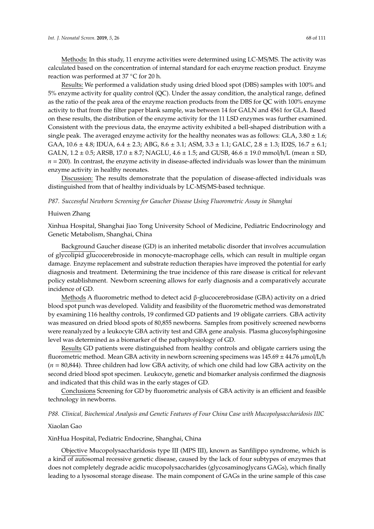Methods: In this study, 11 enzyme activities were determined using LC-MS/MS. The activity was calculated based on the concentration of internal standard for each enzyme reaction product. Enzyme reaction was performed at 37 ◦C for 20 h.

Results: We performed a validation study using dried blood spot (DBS) samples with 100% and 5% enzyme activity for quality control (QC). Under the assay condition, the analytical range, defined as the ratio of the peak area of the enzyme reaction products from the DBS for QC with 100% enzyme activity to that from the filter paper blank sample, was between 14 for GALN and 4561 for GLA. Based on these results, the distribution of the enzyme activity for the 11 LSD enzymes was further examined. Consistent with the previous data, the enzyme activity exhibited a bell-shaped distribution with a single peak. The averaged enzyme activity for the healthy neonates was as follows:  $GLA$ ,  $3.80 \pm 1.6$ ; GAA,  $10.6 \pm 4.8$ ; IDUA,  $6.4 \pm 2.3$ ; ABG,  $8.6 \pm 3.1$ ; ASM,  $3.3 \pm 1.1$ ; GALC,  $2.8 \pm 1.3$ ; ID2S,  $16.7 \pm 6.1$ ; GALN,  $1.2 \pm 0.5$ ; ARSB,  $17.0 \pm 8.7$ ; NAGLU,  $4.6 \pm 1.5$ ; and GUSB,  $46.6 \pm 19.0$  mmol/h/L (mean  $\pm$  SD,  $n = 200$ ). In contrast, the enzyme activity in disease-affected individuals was lower than the minimum enzyme activity in healthy neonates.

Discussion: The results demonstrate that the population of disease-affected individuals was distinguished from that of healthy individuals by LC-MS/MS-based technique.

### *P87. Successful Newborn Screening for Gaucher Disease Using Fluorometric Assay in Shanghai*

#### Huiwen Zhang

Xinhua Hospital, Shanghai Jiao Tong University School of Medicine, Pediatric Endocrinology and Genetic Metabolism, Shanghai, China

Background Gaucher disease (GD) is an inherited metabolic disorder that involves accumulation of glycolipid glucocerebroside in monocyte-macrophage cells, which can result in multiple organ damage. Enzyme replacement and substrate reduction therapies have improved the potential for early diagnosis and treatment. Determining the true incidence of this rare disease is critical for relevant policy establishment. Newborn screening allows for early diagnosis and a comparatively accurate incidence of GD.

Methods A fluorometric method to detect acid  $\beta$ -glucocerebrosidase (GBA) activity on a dried blood spot punch was developed. Validity and feasibility of the fluorometric method was demonstrated by examining 116 healthy controls, 19 confirmed GD patients and 19 obligate carriers. GBA activity was measured on dried blood spots of 80,855 newborns. Samples from positively screened newborns were reanalyzed by a leukocyte GBA activity test and GBA gene analysis. Plasma glucosylsphingosine level was determined as a biomarker of the pathophysiology of GD.

Results GD patients were distinguished from healthy controls and obligate carriers using the fluorometric method. Mean GBA activity in newborn screening specimens was  $145.69 \pm 44.76 \mu$ mol/L/h (*n* = 80,844). Three children had low GBA activity, of which one child had low GBA activity on the second dried blood spot specimen. Leukocyte, genetic and biomarker analysis confirmed the diagnosis and indicated that this child was in the early stages of GD.

Conclusions Screening for GD by fluorometric analysis of GBA activity is an efficient and feasible technology in newborns.

# *P88. Clinical, Biochemical Analysis and Genetic Features of Four China Case with Mucopolysaccharidosis IIIC*

#### Xiaolan Gao

#### XinHua Hospital, Pediatric Endocrine, Shanghai, China

Objective Mucopolysaccharidosis type III (MPS III), known as Sanfilippo syndrome, which is a kind of autosomal recessive genetic disease, caused by the lack of four subtypes of enzymes that does not completely degrade acidic mucopolysaccharides (glycosaminoglycans GAGs), which finally leading to a lysosomal storage disease. The main component of GAGs in the urine sample of this case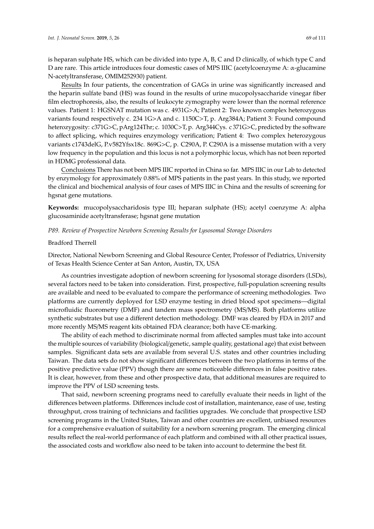is heparan sulphate HS, which can be divided into type A, B, C and D clinically, of which type C and D are rare. This article introduces four domestic cases of MPS IIIC (acetylcoenzyme A: α-glucamine N-acetyltransferase, OMIM252930) patient.

Results In four patients, the concentration of GAGs in urine was significantly increased and the heparin sulfate band (HS) was found in the results of urine mucopolysaccharide vinegar fiber film electrophoresis, also, the results of leukocyte zymography were lower than the normal reference values. Patient 1: HGSNAT mutation was c. 4931G>A; Patient 2: Two known complex heterozygous variants found respectively c. 234 1G>A and c. 1150C>T, p. Arg384A; Patient 3: Found compound heterozygosity: c371G>C, pArg124Thr; c. 1030C>T, p. Arg344Cys. c 371G>C, predicted by the software to affect splicing, which requires enzymology verification; Patient 4: Two complex heterozygous variants c1743delG, P.v582Yfsx18c. 869G>C, p. C290A, P. C290A is a missense mutation with a very low frequency in the population and this locus is not a polymorphic locus, which has not been reported in HDMG professional data.

Conclusions There has not been MPS IIIC reported in China so far. MPS IIIC in our Lab to detected by enzymology for approximately 0.88% of MPS patients in the past years. In this study, we reported the clinical and biochemical analysis of four cases of MPS IIIC in China and the results of screening for hgsnat gene mutations.

**Keywords:** mucopolysaccharidosis type III; heparan sulphate (HS); acetyl coenzyme A: alpha glucosaminide acetyltransferase; hgsnat gene mutation

## *P89. Review of Prospective Newborn Screening Results for Lysosomal Storage Disorders*

### Bradford Therrell

Director, National Newborn Screening and Global Resource Center, Professor of Pediatrics, University of Texas Health Science Center at San Anton, Austin, TX, USA

As countries investigate adoption of newborn screening for lysosomal storage disorders (LSDs), several factors need to be taken into consideration. First, prospective, full-population screening results are available and need to be evaluated to compare the performance of screening methodologies. Two platforms are currently deployed for LSD enzyme testing in dried blood spot specimens—digital microfluidic fluorometry (DMF) and tandem mass spectrometry (MS/MS). Both platforms utilize synthetic substrates but use a different detection methodology. DMF was cleared by FDA in 2017 and more recently MS/MS reagent kits obtained FDA clearance; both have CE-marking.

The ability of each method to discriminate normal from affected samples must take into account the multiple sources of variability (biological/genetic, sample quality, gestational age) that exist between samples. Significant data sets are available from several U.S. states and other countries including Taiwan. The data sets do not show significant differences between the two platforms in terms of the positive predictive value (PPV) though there are some noticeable differences in false positive rates. It is clear, however, from these and other prospective data, that additional measures are required to improve the PPV of LSD screening tests.

That said, newborn screening programs need to carefully evaluate their needs in light of the differences between platforms. Differences include cost of installation, maintenance, ease of use, testing throughput, cross training of technicians and facilities upgrades. We conclude that prospective LSD screening programs in the United States, Taiwan and other countries are excellent, unbiased resources for a comprehensive evaluation of suitability for a newborn screening program. The emerging clinical results reflect the real-world performance of each platform and combined with all other practical issues, the associated costs and workflow also need to be taken into account to determine the best fit.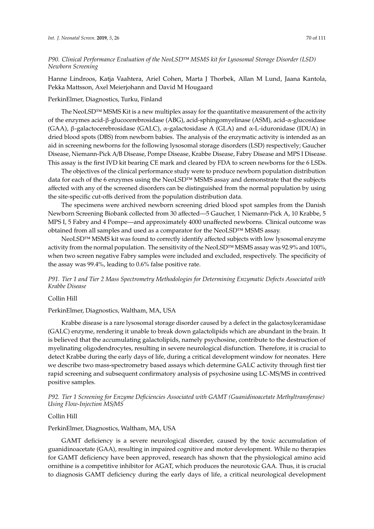# *P90. Clinical Performance Evaluation of the NeoLSD*™ *MSMS kit for Lysosomal Storage Disorder (LSD) Newborn Screening*

Hanne Lindroos, Katja Vaahtera, Ariel Cohen, Marta J Thorbek, Allan M Lund, Jaana Kantola, Pekka Mattsson, Axel Meierjohann and David M Hougaard

# PerkinElmer, Diagnostics, Turku, Finland

The NeoLSD™ MSMS Kit is a new multiplex assay for the quantitative measurement of the activity of the enzymes acid-β-glucocerebrosidase (ABG), acid-sphingomyelinase (ASM), acid-α-glucosidase (GAA), β-galactocerebrosidase (GALC),  $\alpha$ -galactosidase A (GLA) and  $\alpha$ -L-iduronidase (IDUA) in dried blood spots (DBS) from newborn babies. The analysis of the enzymatic activity is intended as an aid in screening newborns for the following lysosomal storage disorders (LSD) respectively; Gaucher Disease, Niemann-Pick A/B Disease, Pompe Disease, Krabbe Disease, Fabry Disease and MPS I Disease. This assay is the first IVD kit bearing CE mark and cleared by FDA to screen newborns for the 6 LSDs.

The objectives of the clinical performance study were to produce newborn population distribution data for each of the 6 enzymes using the NeoLSD™ MSMS assay and demonstrate that the subjects affected with any of the screened disorders can be distinguished from the normal population by using the site-specific cut-offs derived from the population distribution data.

The specimens were archived newborn screening dried blood spot samples from the Danish Newborn Screening Biobank collected from 30 affected—5 Gaucher, 1 Niemann-Pick A, 10 Krabbe, 5 MPS I, 5 Fabry and 4 Pompe—and approximately 4000 unaffected newborns. Clinical outcome was obtained from all samples and used as a comparator for the NeoLSD™ MSMS assay.

NeoLSD<sup>™</sup> MSMS kit was found to correctly identify affected subjects with low lysosomal enzyme activity from the normal population. The sensitivity of the NeoLSD™ MSMS assay was 92.9% and 100%, when two screen negative Fabry samples were included and excluded, respectively. The specificity of the assay was 99.4%, leading to 0.6% false positive rate.

# *P91. Tier 1 and Tier 2 Mass Spectrometry Methodologies for Determining Enzymatic Defects Associated with Krabbe Disease*

# Collin Hill

## PerkinElmer, Diagnostics, Waltham, MA, USA

Krabbe disease is a rare lysosomal storage disorder caused by a defect in the galactosylceramidase (GALC) enzyme, rendering it unable to break down galactolipids which are abundant in the brain. It is believed that the accumulating galactolipids, namely psychosine, contribute to the destruction of myelinating oligodendrocytes, resulting in severe neurological disfunction. Therefore, it is crucial to detect Krabbe during the early days of life, during a critical development window for neonates. Here we describe two mass-spectrometry based assays which determine GALC activity through first tier rapid screening and subsequent confirmatory analysis of psychosine using LC-MS/MS in contrived positive samples.

*P92. Tier 1 Screening for Enzyme Deficiencies Associated with GAMT (Guanidinoacetate Methyltransferase) Using Flow-Injection MS*/*MS*

## Collin Hill

## PerkinElmer, Diagnostics, Waltham, MA, USA

GAMT deficiency is a severe neurological disorder, caused by the toxic accumulation of guanidinoacetate (GAA), resulting in impaired cognitive and motor development. While no therapies for GAMT deficiency have been approved, research has shown that the physiological amino acid ornithine is a competitive inhibitor for AGAT, which produces the neurotoxic GAA. Thus, it is crucial to diagnosis GAMT deficiency during the early days of life, a critical neurological development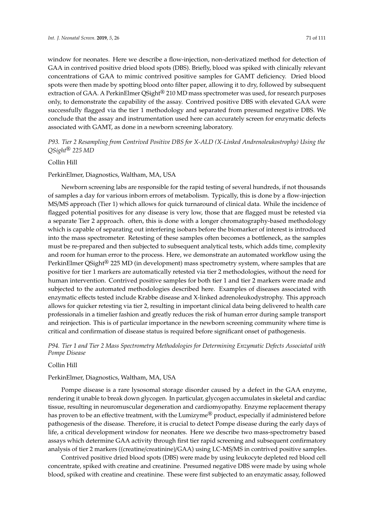window for neonates. Here we describe a flow-injection, non-derivatized method for detection of GAA in contrived positive dried blood spots (DBS). Briefly, blood was spiked with clinically relevant concentrations of GAA to mimic contrived positive samples for GAMT deficiency. Dried blood spots were then made by spotting blood onto filter paper, allowing it to dry, followed by subsequent extraction of GAA. A PerkinElmer QSight<sup>®</sup> 210 MD mass spectrometer was used, for research purposes only, to demonstrate the capability of the assay. Contrived positive DBS with elevated GAA were successfully flagged via the tier 1 methodology and separated from presumed negative DBS. We conclude that the assay and instrumentation used here can accurately screen for enzymatic defects associated with GAMT, as done in a newborn screening laboratory.

*P93. Tier 2 Resampling from Contrived Positive DBS for X-ALD (X-Linked Andrenoleukostrophy) Using the QSight*® *225 MD*

# Collin Hill

### PerkinElmer, Diagnostics, Waltham, MA, USA

Newborn screening labs are responsible for the rapid testing of several hundreds, if not thousands of samples a day for various inborn errors of metabolism. Typically, this is done by a flow-injection MS/MS approach (Tier 1) which allows for quick turnaround of clinical data. While the incidence of flagged potential positives for any disease is very low, those that are flagged must be retested via a separate Tier 2 approach. often, this is done with a longer chromatography-based methodology which is capable of separating out interfering isobars before the biomarker of interest is introduced into the mass spectrometer. Retesting of these samples often becomes a bottleneck, as the samples must be re-prepared and then subjected to subsequent analytical tests, which adds time, complexity and room for human error to the process. Here, we demonstrate an automated workflow using the PerkinElmer QSight<sup>®</sup> 225 MD (in development) mass spectrometry system, where samples that are positive for tier 1 markers are automatically retested via tier 2 methodologies, without the need for human intervention. Contrived positive samples for both tier 1 and tier 2 markers were made and subjected to the automated methodologies described here. Examples of diseases associated with enzymatic effects tested include Krabbe disease and X-linked adrenoleukodystrophy. This approach allows for quicker retesting via tier 2, resulting in important clinical data being delivered to health care professionals in a timelier fashion and greatly reduces the risk of human error during sample transport and reinjection. This is of particular importance in the newborn screening community where time is critical and confirmation of disease status is required before significant onset of pathogenesis.

# *P94. Tier 1 and Tier 2 Mass Spectrometry Methodologies for Determining Enzymatic Defects Associated with Pompe Disease*

# Collin Hill

## PerkinElmer, Diagnostics, Waltham, MA, USA

Pompe disease is a rare lysosomal storage disorder caused by a defect in the GAA enzyme, rendering it unable to break down glycogen. In particular, glycogen accumulates in skeletal and cardiac tissue, resulting in neuromuscular degeneration and cardiomyopathy. Enzyme replacement therapy has proven to be an effective treatment, with the Lumizyme<sup>®</sup> product, especially if administered before pathogenesis of the disease. Therefore, it is crucial to detect Pompe disease during the early days of life, a critical development window for neonates. Here we describe two mass-spectrometry based assays which determine GAA activity through first tier rapid screening and subsequent confirmatory analysis of tier 2 markers ((creatine/creatinine)/GAA) using LC-MS/MS in contrived positive samples.

Contrived positive dried blood spots (DBS) were made by using leukocyte depleted red blood cell concentrate, spiked with creatine and creatinine. Presumed negative DBS were made by using whole blood, spiked with creatine and creatinine. These were first subjected to an enzymatic assay, followed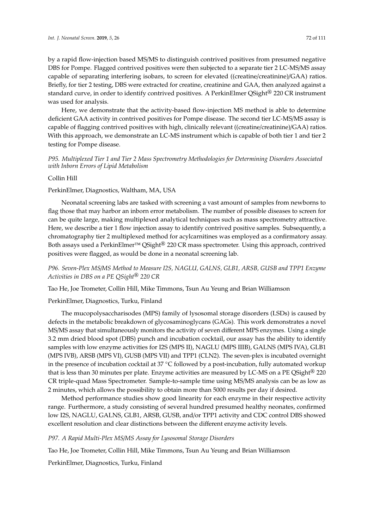by a rapid flow-injection based MS/MS to distinguish contrived positives from presumed negative DBS for Pompe. Flagged contrived positives were then subjected to a separate tier 2 LC-MS/MS assay capable of separating interfering isobars, to screen for elevated ((creatine/creatinine)/GAA) ratios. Briefly, for tier 2 testing, DBS were extracted for creatine, creatinine and GAA, then analyzed against a standard curve, in order to identify contrived positives. A PerkinElmer QSight® 220 CR instrument was used for analysis.

Here, we demonstrate that the activity-based flow-injection MS method is able to determine deficient GAA activity in contrived positives for Pompe disease. The second tier LC-MS/MS assay is capable of flagging contrived positives with high, clinically relevant ((creatine/creatinine)/GAA) ratios. With this approach, we demonstrate an LC-MS instrument which is capable of both tier 1 and tier 2 testing for Pompe disease.

# *P95. Multiplexed Tier 1 and Tier 2 Mass Spectrometry Methodologies for Determining Disorders Associated with Inborn Errors of Lipid Metabolism*

# Collin Hill

PerkinElmer, Diagnostics, Waltham, MA, USA

Neonatal screening labs are tasked with screening a vast amount of samples from newborns to flag those that may harbor an inborn error metabolism. The number of possible diseases to screen for can be quite large, making multiplexed analytical techniques such as mass spectrometry attractive. Here, we describe a tier 1 flow injection assay to identify contrived positive samples. Subsequently, a chromatography tier 2 multiplexed method for acylcarnitines was employed as a confirmatory assay. Both assays used a PerkinElmer™ QSight<sup>®</sup> 220 CR mass spectrometer. Using this approach, contrived positives were flagged, as would be done in a neonatal screening lab.

# *P96. Seven-Plex MS*/*MS Method to Measure I2S, NAGLU, GALNS, GLB1, ARSB, GUSB and TPP1 Enzyme Activities in DBS on a PE QSight*® *220 CR*

Tao He, Joe Trometer, Collin Hill, Mike Timmons, Tsun Au Yeung and Brian Williamson

# PerkinElmer, Diagnostics, Turku, Finland

The mucopolysaccharisodes (MPS) family of lysosomal storage disorders (LSDs) is caused by defects in the metabolic breakdown of glycosaminoglycans (GAGs). This work demonstrates a novel MS/MS assay that simultaneously monitors the activity of seven different MPS enzymes. Using a single 3.2 mm dried blood spot (DBS) punch and incubation cocktail, our assay has the ability to identify samples with low enzyme activities for I2S (MPS II), NAGLU (MPS IIIB), GALNS (MPS IVA), GLB1 (MPS IVB), ARSB (MPS VI), GUSB (MPS VII) and TPP1 (CLN2). The seven-plex is incubated overnight in the presence of incubation cocktail at 37 ◦C followed by a post-incubation, fully automated workup that is less than 30 minutes per plate. Enzyme activities are measured by LC-MS on a PE QSight<sup>®</sup> 220 CR triple-quad Mass Spectrometer. Sample-to-sample time using MS/MS analysis can be as low as 2 minutes, which allows the possibility to obtain more than 5000 results per day if desired.

Method performance studies show good linearity for each enzyme in their respective activity range. Furthermore, a study consisting of several hundred presumed healthy neonates, confirmed low I2S, NAGLU, GALNS, GLB1, ARSB, GUSB, and/or TPP1 activity and CDC control DBS showed excellent resolution and clear distinctions between the different enzyme activity levels.

# *P97. A Rapid Multi-Plex MS*/*MS Assay for Lysosomal Storage Disorders*

Tao He, Joe Trometer, Collin Hill, Mike Timmons, Tsun Au Yeung and Brian Williamson

PerkinElmer, Diagnostics, Turku, Finland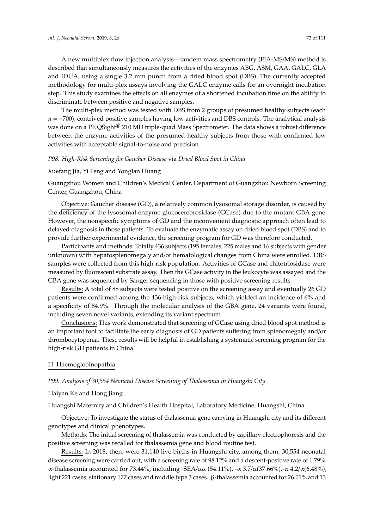A new multiplex flow injection analysis—tandem mass spectrometry (FIA-MS/MS) method is described that simultaneously measures the activities of the enzymes ABG, ASM, GAA, GALC, GLA and IDUA, using a single 3.2 mm punch from a dried blood spot (DBS). The currently accepted methodology for multi-plex assays involving the GALC enzyme calls for an overnight incubation step. This study examines the effects on all enzymes of a shortened incubation time on the ability to discriminate between positive and negative samples.

The multi-plex method was tested with DBS from 2 groups of presumed healthy subjects (each  $n = \sim 700$ ), contrived positive samples having low activities and DBS controls. The analytical analysis was done on a PE QSight<sup>®</sup> 210 MD triple-quad Mass Spectrometer. The data shows a robust difference between the enzyme activities of the presumed healthy subjects from those with confirmed low activities with acceptable signal-to-noise and precision.

### *P98. High-Risk Screening for Gaucher Disease* via *Dried Blood Spot in China*

### Xuefang Jia, Yi Feng and Yonglan Huang

Guangzhou Women and Children's Medical Center, Department of Guangzhou Newborn Screening Center, Guangzhou, China

Objective: Gaucher disease (GD), a relatively common lysosomal storage disorder, is caused by the deficiency of the lysosomal enzyme glucocerebrosidase (GCase) due to the mutant GBA gene. However, the nonspecific symptoms of GD and the inconvenient diagnostic approach often lead to delayed diagnosis in those patients. To evaluate the enzymatic assay on dried blood spot (DBS) and to provide further experimental evidence, the screening program for GD was therefore conducted.

Participants and methods: Totally 436 subjects (195 females, 225 males and 16 subjects with gender unknown) with hepatosplenomegaly and/or hematological changes from China were enrolled. DBS samples were collected from this high-risk population. Activities of GCase and chitotriosidase were measured by fluorescent substrate assay. Then the GCase activity in the leukocyte was assayed and the GBA gene was sequenced by Sanger sequencing in those with positive screening results.

Results: A total of 88 subjects were tested positive on the screening assay and eventually 26 GD patients were confirmed among the 436 high-risk subjects, which yielded an incidence of 6% and a specificity of 84.9%. Through the molecular analysis of the GBA gene, 24 variants were found, including seven novel variants, extending its variant spectrum.

Conclusions: This work demonstrated that screening of GCase using dried blood spot method is an important tool to facilitate the early diagnosis of GD patients suffering from splenomegaly and/or thrombocytopenia. These results will be helpful in establishing a systematic screening program for the high-risk GD patients in China.

#### H. Haemoglobinopathia

### *P99. Analysis of 30,554 Neonatal Disease Screening of Thalassemia in Huangshi City*

#### Haiyan Ke and Hong Jiang

Huangshi Maternity and Children's Health Hospital, Laboratory Medicine, Huangshi, China

Objective: To investigate the status of thalassemia gene carrying in Huangshi city and its different genotypes and clinical phenotypes.

Methods: The initial screening of thalassemia was conducted by capillary electrophoresis and the positive screening was recalled for thalassemia gene and blood routine test.

Results: In 2018, there were 31,140 live births in Huangshi city, among them, 30,554 neonatal disease screening were carried out, with a screening rate of 98.12% and a descent-positive rate of 1.79%. α-thalassemia accounted for 73.44%, including -SEA/αα (54.11%), -α 3.7/α(37.66%),-α 4.2/α(6.48%), light 221 cases, stationary 177 cases and middle type 3 cases. β-thalassemia accounted for 26.01% and 13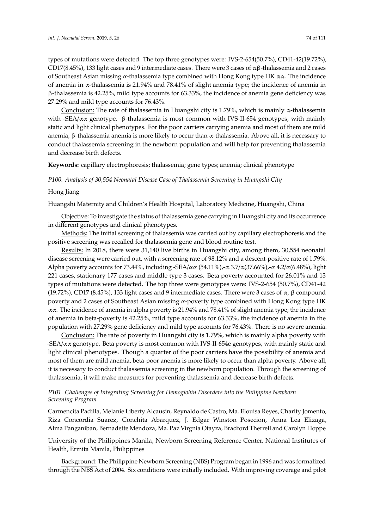types of mutations were detected. The top three genotypes were: IVS-2-654(50.7%), CD41-42(19.72%), CD17(8.45%), 133 light cases and 9 intermediate cases. There were 3 cases of αβ-thalassemia and 2 cases of Southeast Asian missing α-thalassemia type combined with Hong Kong type HK αα. The incidence of anemia in α-thalassemia is 21.94% and 78.41% of slight anemia type; the incidence of anemia in β-thalassemia is 42.25%, mild type accounts for 63.33%, the incidence of anemia gene deficiency was 27.29% and mild type accounts for 76.43%.

Conclusion: The rate of thalassemia in Huangshi city is 1.79%, which is mainly α-thalassemia with -SEA/αα genotype. β-thalassemia is most common with IVS-II-654 genotypes, with mainly static and light clinical phenotypes. For the poor carriers carrying anemia and most of them are mild anemia, β-thalassemia anemia is more likely to occur than α-thalassemia. Above all, it is necessary to conduct thalassemia screening in the newborn population and will help for preventing thalassemia and decrease birth defects.

**Keywords:** capillary electrophoresis; thalassemia; gene types; anemia; clinical phenotype

*P100. Analysis of 30,554 Neonatal Disease Case of Thalassemia Screening in Huangshi City*

## Hong Jiang

Huangshi Maternity and Children's Health Hospital, Laboratory Medicine, Huangshi, China

Objective: To investigate the status of thalassemia gene carrying in Huangshi city and its occurrence in different genotypes and clinical phenotypes.

Methods: The initial screening of thalassemia was carried out by capillary electrophoresis and the positive screening was recalled for thalassemia gene and blood routine test.

Results: In 2018, there were 31,140 live births in Huangshi city, among them, 30,554 neonatal disease screening were carried out, with a screening rate of 98.12% and a descent-positive rate of 1.79%. Alpha poverty accounts for 73.44%, including -SEA/αα (54.11%),-α 3.7/α (37.66%),-α 4.2/α (6.48%), light 221 cases, stationary 177 cases and middle type 3 cases. Beta poverty accounted for 26.01% and 13 types of mutations were detected. The top three were genotypes were: IVS-2-654 (50.7%), CD41-42 (19.72%), CD17 (8.45%), 133 light cases and 9 intermediate cases. There were 3 cases of  $\alpha$ ,  $\beta$  compound poverty and 2 cases of Southeast Asian missing α-poverty type combined with Hong Kong type HK αα. The incidence of anemia in alpha poverty is 21.94% and 78.41% of slight anemia type; the incidence of anemia in beta-poverty is 42.25%, mild type accounts for 63.33%, the incidence of anemia in the population with 27.29% gene deficiency and mild type accounts for 76.43%. There is no severe anemia.

Conclusion: The rate of poverty in Huangshi city is 1.79%, which is mainly alpha poverty with -SEA/αα genotype. Beta poverty is most common with IVS-II-654e genotypes, with mainly static and light clinical phenotypes. Though a quarter of the poor carriers have the possibility of anemia and most of them are mild anemia, beta-poor anemia is more likely to occur than alpha poverty. Above all, it is necessary to conduct thalassemia screening in the newborn population. Through the screening of thalassemia, it will make measures for preventing thalassemia and decrease birth defects.

## *P101. Challenges of Integrating Screening for Hemoglobin Disorders into the Philippine Newborn Screening Program*

Carmencita Padilla, Melanie Liberty Alcausin, Reynaldo de Castro, Ma. Elouisa Reyes, Charity Jomento, Riza Concordia Suarez, Conchita Abarquez, J. Edgar Winston Posecion, Anna Lea Elizaga, Alma Panganiban, Bernadette Mendoza, Ma. Paz Virgnia Otayza, Bradford Therrell and Carolyn Hoppe

University of the Philippines Manila, Newborn Screening Reference Center, National Institutes of Health, Ermita Manila, Philippines

Background: The Philippine Newborn Screening (NBS) Program began in 1996 and was formalized through the NBS Act of 2004. Six conditions were initially included. With improving coverage and pilot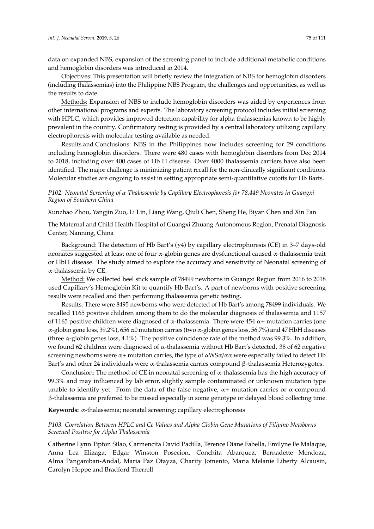data on expanded NBS, expansion of the screening panel to include additional metabolic conditions and hemoglobin disorders was introduced in 2014.

Objectives: This presentation will briefly review the integration of NBS for hemoglobin disorders (including thalassemias) into the Philippine NBS Program, the challenges and opportunities, as well as the results to date.

Methods: Expansion of NBS to include hemoglobin disorders was aided by experiences from other international programs and experts. The laboratory screening protocol includes initial screening with HPLC, which provides improved detection capability for alpha thalassemias known to be highly prevalent in the country. Confirmatory testing is provided by a central laboratory utilizing capillary electrophoresis with molecular testing available as needed.

Results and Conclusions: NBS in the Philippines now includes screening for 29 conditions including hemoglobin disorders. There were 480 cases with hemoglobin disorders from Dec 2014 to 2018, including over 400 cases of Hb H disease. Over 4000 thalassemia carriers have also been identified. The major challenge is minimizing patient recall for the non-clinically significant conditions. Molecular studies are ongoing to assist in setting appropriate semi-quantitative cutoffs for Hb Barts.

# *P102. Neonatal Screening of* α*-Thalassemia by Capillary Electrophoresis for 78,449 Neonates in Guangxi Region of Southern China*

Xunzhao Zhou, Yangjin Zuo, Li Lin, Liang Wang, Qiuli Chen, Sheng He, Biyan Chen and Xin Fan

The Maternal and Child Health Hospital of Guangxi Zhuang Autonomous Region, Prenatal Diagnosis Center, Nanning, China

Background: The detection of Hb Bart's (γ4) by capillary electrophoresis (CE) in 3–7 days-old neonates suggested at least one of four α-globin genes are dysfunctional caused α-thalassemia trait or HbH disease. The study aimed to explore the accuracy and sensitivity of Neonatal screening of α-thalassemia by CE.

Method: We collected heel stick sample of 78499 newborns in Guangxi Region from 2016 to 2018 used Capillary's Hemoglobin Kit to quantify Hb Bart's. A part of newborns with positive screening results were recalled and then performing thalassemia genetic testing.

Results: There were 8495 newborns who were detected of Hb Bart's among 78499 individuals. We recalled 1165 positive children among them to do the molecular diagnosis of thalassemia and 1157 of 1165 positive children were diagnosed of α-thalassemia. There were 454  $\alpha$ + mutation carries (one α-globin gene loss, 39.2%), 656 α0 mutation carries (two α-globin genes loss, 56.7%) and 47 HbH diseases (three  $\alpha$ -globin genes loss, 4.1%). The positive coincidence rate of the method was 99.3%. In addition, we found 62 children were diagnosed of α-thalassemia without Hb Bart's detected. 38 of 62 negative screening newborns were  $\alpha$ + mutation carries, the type of  $\alpha$ WS $\alpha/\alpha\alpha$  were especially failed to detect Hb Bart's and other 24 individuals were α-thalassemia carries compound β-thalassemia Heterozygotes.

Conclusion: The method of CE in neonatal screening of  $\alpha$ -thalassemia has the high accuracy of 99.3% and may influenced by lab error, slightly sample contaminated or unknown mutation type unable to identify yet. From the data of the false negative,  $\alpha$ + mutation carries or  $\alpha$ -compound β-thalassemia are preferred to be missed especially in some genotype or delayed blood collecting time.

**Keywords:** α-thalassemia; neonatal screening; capillary electrophoresis

## *P103. Correlation Between HPLC and Ce Values and Alpha Globin Gene Mutations of Filipino Newborns Screened Positive for Alpha Thalassemia*

Catherine Lynn Tipton Silao, Carmencita David Padilla, Terence Diane Fabella, Emilyne Fe Malaque, Anna Lea Elizaga, Edgar Winston Posecion, Conchita Abarquez, Bernadette Mendoza, Alma Panganiban-Andal, Maria Paz Otayza, Charity Jomento, Maria Melanie Liberty Alcausin, Carolyn Hoppe and Bradford Therrell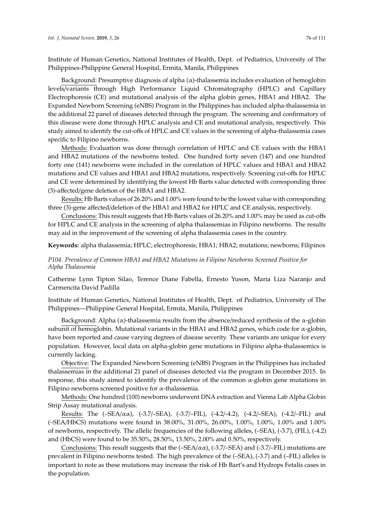Institute of Human Genetics, National Institutes of Health, Dept. of Pediatrics, University of The Philippines-Philippine General Hospital, Ermita, Manila, Philippines

Background: Presumptive diagnosis of alpha (α)-thalassemia includes evaluation of hemoglobin levels/variants through High Performance Liquid Chromatography (HPLC) and Capillary Electrophoresis (CE) and mutational analysis of the alpha globin genes, HBA1 and HBA2. The Expanded Newborn Screening (eNBS) Program in the Philippines has included alpha-thalassemia in the additional 22 panel of diseases detected through the program. The screening and confirmatory of this disease were done through HPLC analysis and CE and mutational analysis, respectively. This study aimed to identify the cut-offs of HPLC and CE values in the screening of alpha-thalassemia cases specific to Filipino newborns.

Methods: Evaluation was done through correlation of HPLC and CE values with the HBA1 and HBA2 mutations of the newborns tested. One hundred forty seven (147) and one hundred forty one (141) newborns were included in the correlation of HPLC values and HBA1 and HBA2 mutations and CE values and HBA1 and HBA2 mutations, respectively. Screening cut-offs for HPLC and CE were determined by identifying the lowest Hb Barts value detected with corresponding three (3)-affected/gene deletion of the HBA1 and HBA2.

Results: Hb Barts values of 26.20% and 1.00% were found to be the lowest value with corresponding three (3)-gene affected/deletion of the HBA1 and HBA2 for HPLC and CE analysis, respectively.

Conclusions: This result suggests that Hb Barts values of 26.20% and 1.00% may be used as cut-offs for HPLC and CE analysis in the screening of alpha thalassemias in Filipino newborns. The results may aid in the improvement of the screening of alpha thalassemia cases in the country.

**Keywords:** alpha thalassemia; HPLC; electrophoresis; HBA1; HBA2; mutations; newborns; Filipinos

## *P104. Prevalence of Common HBA1 and HBA2 Mutations in Filipino Newborns Screened Positive for Alpha Thalassemia*

Catherine Lynn Tipton Silao, Terence Diane Fabella, Ernesto Yuson, Maria Liza Naranjo and Carmencita David Padilla

Institute of Human Genetics, National Institutes of Health, Dept. of Pediatrics, University of The Philippines—Philippine General Hospital, Ermita, Manila, Philippines

Background: Alpha ( $\alpha$ )-thalassemia results from the absence/reduced synthesis of the  $\alpha$ -globin subunit of hemoglobin. Mutational variants in the HBA1 and HBA2 genes, which code for  $\alpha$ -globin, have been reported and cause varying degrees of disease severity. These variants are unique for every population. However, local data on alpha-globin gene mutations in Filipino alpha-thalassemics is currently lacking.

Objective: The Expanded Newborn Screening (eNBS) Program in the Philippines has included thalassemias in the additional 21 panel of diseases detected via the program in December 2015. In response, this study aimed to identify the prevalence of the common  $\alpha$ -globin gene mutations in Filipino newborns screened positive for  $\alpha$ -thalassemia.

Methods: One hundred (100) newborns underwent DNA extraction and Vienna Lab Alpha Globin Strip Assay mutational analysis.

Results: The  $(-SEA/\alpha\alpha)$ ,  $(-3.7/-SEA)$ ,  $(-3.7/-FIL)$ ,  $(-4.2/-4.2)$ ,  $(-4.2/-EA)$ ,  $(-4.2/-FIL)$  and (–SEA/HbCS) mutations were found in 38.00%, 31.00%, 26.00%, 1.00%, 1.00%, 1.00% and 1.00% of newborns, respectively. The allelic frequencies of the following alleles, (–SEA), (-3.7), (FIL), (-4.2) and (HbCS) were found to be 35.50%, 28.50%, 13.50%, 2.00% and 0.50%, respectively.

Conclusions: This result suggests that the  $(-\text{SEA}/\alpha\alpha)$ ,  $(-3.7/\text{-} \text{SEA})$  and  $(-3.7/\text{-} \text{FIL})$  mutations are prevalent in Filipino newborns tested. The high prevalence of the (–SEA), (-3.7) and (–FIL) alleles is important to note as these mutations may increase the risk of Hb Bart's and Hydrops Fetalis cases in the population.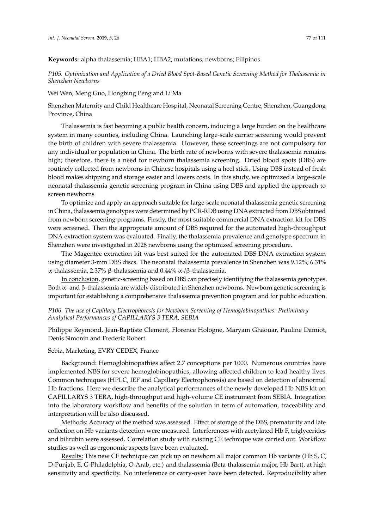## *P105. Optimization and Application of a Dried Blood Spot-Based Genetic Screening Method for Thalassemia in Shenzhen Newborns*

### Wei Wen, Meng Guo, Hongbing Peng and Li Ma

Shenzhen Maternity and Child Healthcare Hospital, Neonatal Screening Centre, Shenzhen, Guangdong Province, China

Thalassemia is fast becoming a public health concern, inducing a large burden on the healthcare system in many counties, including China. Launching large-scale carrier screening would prevent the birth of children with severe thalassemia. However, these screenings are not compulsory for any individual or population in China. The birth rate of newborns with severe thalassemia remains high; therefore, there is a need for newborn thalassemia screening. Dried blood spots (DBS) are routinely collected from newborns in Chinese hospitals using a heel stick. Using DBS instead of fresh blood makes shipping and storage easier and lowers costs. In this study, we optimized a large-scale neonatal thalassemia genetic screening program in China using DBS and applied the approach to screen newborns

To optimize and apply an approach suitable for large-scale neonatal thalassemia genetic screening in China, thalassemia genotypes were determined by PCR-RDB using DNA extracted from DBS obtained from newborn screening programs. Firstly, the most suitable commercial DNA extraction kit for DBS were screened. Then the appropriate amount of DBS required for the automated high-throughput DNA extraction system was evaluated. Finally, the thalassemia prevalence and genotype spectrum in Shenzhen were investigated in 2028 newborns using the optimized screening procedure.

The Magentec extraction kit was best suited for the automated DBS DNA extraction system using diameter 3-mm DBS discs. The neonatal thalassemia prevalence in Shenzhen was 9.12%; 6.31% α-thalassemia, 2.37% β-thalassemia and 0.44% α-/β-thalassemia.

In conclusion, genetic-screening based on DBS can precisely identifying the thalassemia genotypes. Both α- and β-thalassemia are widely distributed in Shenzhen newborns. Newborn genetic screening is important for establishing a comprehensive thalassemia prevention program and for public education.

## *P106. The use of Capillary Electrophoresis for Newborn Screening of Hemoglobinopathies: Preliminary Analytical Performances of CAPILLARYS 3 TERA, SEBIA*

Philippe Reymond, Jean-Baptiste Clement, Florence Hologne, Maryam Ghaouar, Pauline Damiot, Denis Simonin and Frederic Robert

### Sebia, Marketing, EVRY CEDEX, France

Background: Hemoglobinopathies affect 2.7 conceptions per 1000. Numerous countries have implemented NBS for severe hemoglobinopathies, allowing affected children to lead healthy lives. Common techniques (HPLC, IEF and Capillary Electrophoresis) are based on detection of abnormal Hb fractions. Here we describe the analytical performances of the newly developed Hb NBS kit on CAPILLARYS 3 TERA, high-throughput and high-volume CE instrument from SEBIA. Integration into the laboratory workflow and benefits of the solution in term of automation, traceability and interpretation will be also discussed.

Methods: Accuracy of the method was assessed. Effect of storage of the DBS, prematurity and late collection on Hb variants detection were measured. Interferences with acetylated Hb F, triglycerides and bilirubin were assessed. Correlation study with existing CE technique was carried out. Workflow studies as well as ergonomic aspects have been evaluated.

Results: This new CE technique can pick up on newborn all major common Hb variants (Hb S, C, D-Punjab, E, G-Philadelphia, O-Arab, etc.) and thalassemia (Beta-thalassemia major, Hb Bart), at high sensitivity and specificity. No interference or carry-over have been detected. Reproducibility after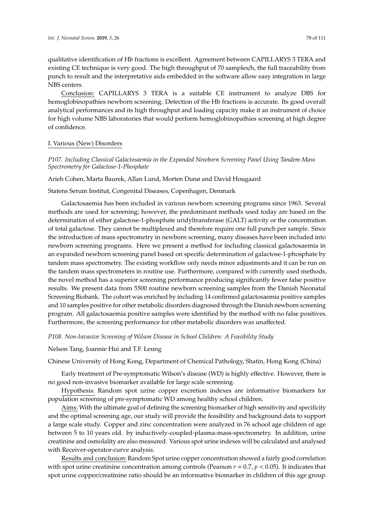qualitative identification of Hb fractions is excellent. Agreement between CAPILLARYS 3 TERA and existing CE technique is very good. The high throughput of 70 samples/h, the full traceability from punch to result and the interpretative aids embedded in the software allow easy integration in large NBS centers.

Conclusion: CAPILLARYS 3 TERA is a suitable CE instrument to analyze DBS for hemoglobinopathies newborn screening. Detection of the Hb fractions is accurate. Its good overall analytical performances and its high throughput and loading capacity make it an instrument of choice for high volume NBS laboratories that would perform hemoglobinopathies screening at high degree of confidence.

## I. Various (New) Disorders

*P107. Including Classical Galactosaemia in the Expanded Newborn Screening Panel Using Tandem Mass Spectrometry for Galactose-1-Phosphate*

Arieh Cohen, Marta Baurek, Allan Lund, Morten Dunø and David Hougaard

Statens Serum Institut, Congenital Diseases, Copenhagen, Denmark

Galactosaemia has been included in various newborn screening programs since 1963. Several methods are used for screening; however, the predominant methods used today are based on the determination of either galactose-1-phosphate uridyltransferase (GALT) activity or the concentration of total galactose. They cannot be multiplexed and therefore require one full punch per sample. Since the introduction of mass spectrometry in newborn screening, many diseases have been included into newborn screening programs. Here we present a method for including classical galactosaemia in an expanded newborn screening panel based on specific determination of galactose-1-phosphate by tandem mass spectrometry. The existing workflow only needs minor adjustments and it can be run on the tandem mass spectrometers in routine use. Furthermore, compared with currently used methods, the novel method has a superior screening performance producing significantly fewer false positive results. We present data from 5500 routine newborn screening samples from the Danish Neonatal Screening Biobank. The cohort was enriched by including 14 confirmed galactosaemia positive samples and 10 samples positive for other metabolic disorders diagnosed through the Danish newborn screening program. All galactosaemia positive samples were identified by the method with no false positives. Furthermore, the screening performance for other metabolic disorders was unaffected.

*P108. Non-Invasive Screening of Wilson Disease in School Children: A Feasibility Study*

## Nelson Tang, Joannie Hui and T.F. Leung

Chinese University of Hong Kong, Department of Chemical Pathology, Shatin, Hong Kong (China)

Early treatment of Pre-symptomatic Wilson's disease (WD) is highly effective. However, there is no good non-invasive biomarker available for large scale screening.

Hypothesis: Random spot urine copper excretion indexes are informative biomarkers for population screening of pre-symptomatic WD among healthy school children.

Aims: With the ultimate goal of defining the screening biomarker of high sensitivity and specificity and the optimal screening age, our study will provide the feasibility and background data to support a large scale study. Copper and zinc concentration were analyzed in 76 school age children of age between 5 to 10 years old. by inductively-coupled-plasma-mass-spectrometry. In addition, urine creatinine and osmolality are also measured. Various spot urine indexes will be calculated and analysed with Receiver-operator-curve analysis.

Results and conclusion: Random Spot urine copper concentration showed a fairly good correlation with spot urine creatinine concentration among controls (Pearson  $r = 0.7$ ,  $p < 0.05$ ). It indicates that spot urine copper/creatinine ratio should be an informative biomarker in children of this age group.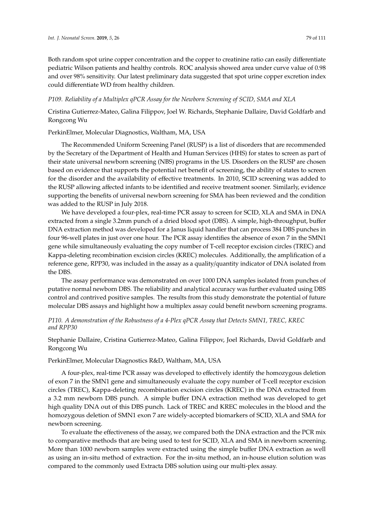Both random spot urine copper concentration and the copper to creatinine ratio can easily differentiate pediatric Wilson patients and healthy controls. ROC analysis showed area under curve value of 0.98 and over 98% sensitivity. Our latest preliminary data suggested that spot urine copper excretion index could differentiate WD from healthy children.

## *P109. Reliability of a Multiplex qPCR Assay for the Newborn Screening of SCID, SMA and XLA*

Cristina Gutierrez-Mateo, Galina Filippov, Joel W. Richards, Stephanie Dallaire, David Goldfarb and Rongcong Wu

## PerkinElmer, Molecular Diagnostics, Waltham, MA, USA

The Recommended Uniform Screening Panel (RUSP) is a list of disorders that are recommended by the Secretary of the Department of Health and Human Services (HHS) for states to screen as part of their state universal newborn screening (NBS) programs in the US. Disorders on the RUSP are chosen based on evidence that supports the potential net benefit of screening, the ability of states to screen for the disorder and the availability of effective treatments. In 2010, SCID screening was added to the RUSP allowing affected infants to be identified and receive treatment sooner. Similarly, evidence supporting the benefits of universal newborn screening for SMA has been reviewed and the condition was added to the RUSP in July 2018.

We have developed a four-plex, real-time PCR assay to screen for SCID, XLA and SMA in DNA extracted from a single 3.2mm punch of a dried blood spot (DBS). A simple, high-throughput, buffer DNA extraction method was developed for a Janus liquid handler that can process 384 DBS punches in four 96-well plates in just over one hour. The PCR assay identifies the absence of exon 7 in the SMN1 gene while simultaneously evaluating the copy number of T-cell receptor excision circles (TREC) and Kappa-deleting recombination excision circles (KREC) molecules. Additionally, the amplification of a reference gene, RPP30, was included in the assay as a quality/quantity indicator of DNA isolated from the DBS.

The assay performance was demonstrated on over 1000 DNA samples isolated from punches of putative normal newborn DBS. The reliability and analytical accuracy was further evaluated using DBS control and contrived positive samples. The results from this study demonstrate the potential of future molecular DBS assays and highlight how a multiplex assay could benefit newborn screening programs.

## *P110. A demonstration of the Robustness of a 4-Plex qPCR Assay that Detects SMN1, TREC, KREC and RPP30*

# Stephanie Dallaire, Cristina Gutierrez-Mateo, Galina Filippov, Joel Richards, David Goldfarb and Rongcong Wu

### PerkinElmer, Molecular Diagnostics R&D, Waltham, MA, USA

A four-plex, real-time PCR assay was developed to effectively identify the homozygous deletion of exon 7 in the SMN1 gene and simultaneously evaluate the copy number of T-cell receptor excision circles (TREC), Kappa-deleting recombination excision circles (KREC) in the DNA extracted from a 3.2 mm newborn DBS punch. A simple buffer DNA extraction method was developed to get high quality DNA out of this DBS punch. Lack of TREC and KREC molecules in the blood and the homozygous deletion of SMN1 exon 7 are widely-accepted biomarkers of SCID, XLA and SMA for newborn screening.

To evaluate the effectiveness of the assay, we compared both the DNA extraction and the PCR mix to comparative methods that are being used to test for SCID, XLA and SMA in newborn screening. More than 1000 newborn samples were extracted using the simple buffer DNA extraction as well as using an in-situ method of extraction. For the in-situ method, an in-house elution solution was compared to the commonly used Extracta DBS solution using our multi-plex assay.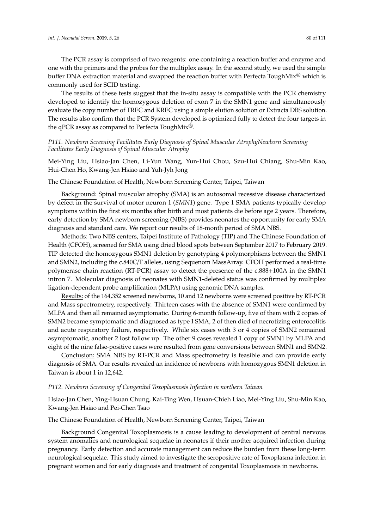The PCR assay is comprised of two reagents: one containing a reaction buffer and enzyme and one with the primers and the probes for the multiplex assay. In the second study, we used the simple buffer DNA extraction material and swapped the reaction buffer with Perfecta ToughMix<sup>®</sup> which is commonly used for SCID testing.

The results of these tests suggest that the in-situ assay is compatible with the PCR chemistry developed to identify the homozygous deletion of exon 7 in the SMN1 gene and simultaneously evaluate the copy number of TREC and KREC using a simple elution solution or Extracta DBS solution. The results also confirm that the PCR System developed is optimized fully to detect the four targets in the qPCR assay as compared to Perfecta ToughMix®.

# *P111. Newborn Screening Facilitates Early Diagnosis of Spinal Muscular AtrophyNewborn Screening Facilitates Early Diagnosis of Spinal Muscular Atrophy*

Mei-Ying Liu, Hsiao-Jan Chen, Li-Yun Wang, Yun-Hui Chou, Szu-Hui Chiang, Shu-Min Kao, Hui-Chen Ho, Kwang-Jen Hsiao and Yuh-Jyh Jong

The Chinese Foundation of Health, Newborn Screening Center, Taipei, Taiwan

Background: Spinal muscular atrophy (SMA) is an autosomal recessive disease characterized by defect in the survival of motor neuron 1 (*SMN1*) gene. Type 1 SMA patients typically develop symptoms within the first six months after birth and most patients die before age 2 years. Therefore, early detection by SMA newborn screening (NBS) provides neonates the opportunity for early SMA diagnosis and standard care. We report our results of 18-month period of SMA NBS.

Methods: Two NBS centers, Taipei Institute of Pathology (TIP) and The Chinese Foundation of Health (CFOH), screened for SMA using dried blood spots between September 2017 to February 2019. TIP detected the homozygous SMN1 deletion by genotyping 4 polymorphisms between the SMN1 and SMN2, including the c.840C/T alleles, using Sequenom MassArray. CFOH performed a real-time polymerase chain reaction (RT-PCR) assay to detect the presence of the c.888+100A in the SMN1 intron 7. Molecular diagnosis of neonates with SMN1-deleted status was confirmed by multiplex ligation-dependent probe amplification (MLPA) using genomic DNA samples.

Results: of the 164,352 screened newborns, 10 and 12 newborns were screened positive by RT-PCR and Mass spectrometry, respectively. Thirteen cases with the absence of SMN1 were confirmed by MLPA and then all remained asymptomatic. During 6-month follow-up, five of them with 2 copies of SMN2 became symptomatic and diagnosed as type I SMA, 2 of then died of necrotizing enterocolitis and acute respiratory failure, respectively. While six cases with 3 or 4 copies of SMN2 remained asymptomatic, another 2 lost follow up. The other 9 cases revealed 1 copy of SMN1 by MLPA and eight of the nine false-positive cases were resulted from gene conversions between SMN1 and SMN2.

Conclusion: SMA NBS by RT-PCR and Mass spectrometry is feasible and can provide early diagnosis of SMA. Our results revealed an incidence of newborns with homozygous SMN1 deletion in Taiwan is about 1 in 12,642.

## *P112. Newborn Screening of Congenital Toxoplasmosis Infection in northern Taiwan*

Hsiao-Jan Chen, Ying-Hsuan Chung, Kai-Ting Wen, Hsuan-Chieh Liao, Mei-Ying Liu, Shu-Min Kao, Kwang-Jen Hsiao and Pei-Chen Tsao

The Chinese Foundation of Health, Newborn Screening Center, Taipei, Taiwan

Background Congenital Toxoplasmosis is a cause leading to development of central nervous system anomalies and neurological sequelae in neonates if their mother acquired infection during pregnancy. Early detection and accurate management can reduce the burden from these long-term neurological sequelae. This study aimed to investigate the seropositive rate of Toxoplasma infection in pregnant women and for early diagnosis and treatment of congenital Toxoplasmosis in newborns.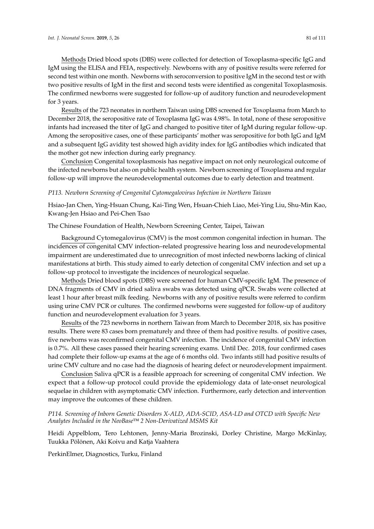Methods Dried blood spots (DBS) were collected for detection of Toxoplasma-specific IgG and IgM using the ELISA and FEIA, respectively. Newborns with any of positive results were referred for second test within one month. Newborns with seroconversion to positive IgM in the second test or with two positive results of IgM in the first and second tests were identified as congenital Toxoplasmosis. The confirmed newborns were suggested for follow-up of auditory function and neurodevelopment for 3 years.

Results of the 723 neonates in northern Taiwan using DBS screened for Toxoplasma from March to December 2018, the seropositive rate of Toxoplasma IgG was 4.98%. In total, none of these seropositive infants had increased the titer of IgG and changed to positive titer of IgM during regular follow-up. Among the seropositive cases, one of these participants' mother was seropositive for both IgG and IgM and a subsequent IgG avidity test showed high avidity index for IgG antibodies which indicated that the mother got new infection during early pregnancy.

Conclusion Congenital toxoplasmosis has negative impact on not only neurological outcome of the infected newborns but also on public health system. Newborn screening of Toxoplasma and regular follow-up will improve the neurodevelopmental outcomes due to early detection and treatment.

### *P113. Newborn Screening of Congenital Cytomegalovirus Infection in Northern Taiwan*

Hsiao-Jan Chen, Ying-Hsuan Chung, Kai-Ting Wen, Hsuan-Chieh Liao, Mei-Ying Liu, Shu-Min Kao, Kwang-Jen Hsiao and Pei-Chen Tsao

The Chinese Foundation of Health, Newborn Screening Center, Taipei, Taiwan

Background Cytomegalovirus (CMV) is the most common congenital infection in human. The incidences of congenital CMV infection–related progressive hearing loss and neurodevelopmental impairment are underestimated due to unrecognition of most infected newborns lacking of clinical manifestations at birth. This study aimed to early detection of congenital CMV infection and set up a follow-up protocol to investigate the incidences of neurological sequelae.

Methods Dried blood spots (DBS) were screened for human CMV-specific IgM. The presence of DNA fragments of CMV in dried saliva swabs was detected using qPCR. Swabs were collected at least 1 hour after breast milk feeding. Newborns with any of positive results were referred to confirm using urine CMV PCR or cultures. The confirmed newborns were suggested for follow-up of auditory function and neurodevelopment evaluation for 3 years.

Results of the 723 newborns in northern Taiwan from March to December 2018, six has positive results. There were 83 cases born prematurely and three of them had positive results. of positive cases, five newborns was reconfirmed congenital CMV infection. The incidence of congenital CMV infection is 0.7%. All these cases passed their hearing screening exams. Until Dec. 2018, four confirmed cases had complete their follow-up exams at the age of 6 months old. Two infants still had positive results of urine CMV culture and no case had the diagnosis of hearing defect or neurodevelopment impairment.

Conclusion Saliva qPCR is a feasible approach for screening of congenital CMV infection. We expect that a follow-up protocol could provide the epidemiology data of late-onset neurological sequelae in children with asymptomatic CMV infection. Furthermore, early detection and intervention may improve the outcomes of these children.

*P114. Screening of Inborn Genetic Disorders X-ALD, ADA-SCID, ASA-LD and OTCD with Specific New Analytes Included in the NeoBase*™ *2 Non-Derivatized MSMS Kit*

Heidi Appelblom, Tero Lehtonen, Jenny-Maria Brozinski, Dorley Christine, Margo McKinlay, Tuukka Pölönen, Aki Koivu and Katja Vaahtera

PerkinElmer, Diagnostics, Turku, Finland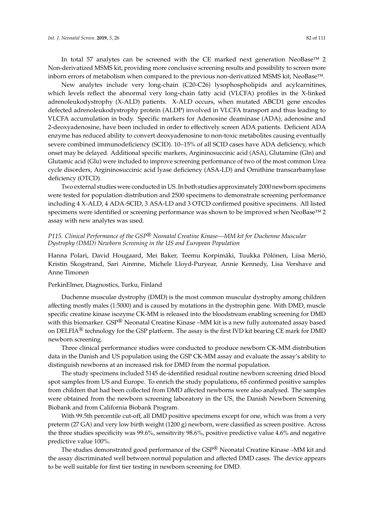In total 57 analytes can be screened with the CE marked next generation NeoBase™ 2 Non-derivatized MSMS kit, providing more conclusive screening results and possibility to screen more inborn errors of metabolism when compared to the previous non-derivatized MSMS kit, NeoBase™.

New analytes include very long-chain (C20-C26) lysophospholipids and acylcarnitines, which levels reflect the abnormal very long-chain fatty acid (VLCFA) profiles in the X-linked adrenoleukodystrophy (X-ALD) patients. X-ALD occurs, when mutated ABCD1 gene encodes defected adrenoleukodystrophy protein (ALDP) involved in VLCFA transport and thus leading to VLCFA accumulation in body. Specific markers for Adenosine deaminase (ADA), adenosine and 2-deoxyadenosine, have been included in order to effectively screen ADA patients. Deficient ADA enzyme has reduced ability to convert deoxyadenosine to non-toxic metabolites causing eventually severe combined immunodeficiency (SCID). 10–15% of all SCID cases have ADA deficiency, which onset may be delayed. Additional specific markers, Argininosuccinic acid (ASA), Glutamine (Gln) and Glutamic acid (Glu) were included to improve screening performance of two of the most common Urea cycle disorders, Argininosuccinic acid lyase deficiency (ASA-LD) and Ornithine transcarbamylase deficiency (OTCD).

Two external studies were conducted in US. In both studies approximately 2000 newborn specimens were tested for population distribution and 2500 specimens to demonstrate screening performance including 4 X-ALD, 4 ADA-SCID, 3 ASA-LD and 3 OTCD confirmed positive specimens. All listed specimens were identified or screening performance was shown to be improved when NeoBase™ 2 assay with new analytes was used.

## *P115. Clinical Performance of the GSP*® *Neonatal Creatine Kinase—MM kit for Duchenne Muscular Dystrophy (DMD) Newborn Screening in the US and European Population*

Hanna Polari, David Hougaard, Mei Baker, Teemu Korpimäki, Tuukka Pölönen, Liisa Meriö, Kristin Skogstrand, Sari Airenne, Michele Lloyd-Puryear, Annie Kennedy, Lisa Vershave and Anne Timonen

### PerkinElmer, Diagnostics, Turku, Finland

Duchenne muscular dystrophy (DMD) is the most common muscular dystrophy among children affecting mostly males (1:5000) and is caused by mutations in the dystrophin gene. With DMD, muscle specific creatine kinase isozyme CK-MM is released into the bloodstream enabling screening for DMD with this biomarker. GSP<sup>®</sup> Neonatal Creatine Kinase –MM kit is a new fully automated assay based on DELFIA® technology for the GSP platform. The assay is the first IVD kit bearing CE mark for DMD newborn screening.

Three clinical performance studies were conducted to produce newborn CK-MM distribution data in the Danish and US population using the GSP CK-MM assay and evaluate the assay's ability to distinguish newborns at an increased risk for DMD from the normal population.

The study specimens included 5145 de-identified residual routine newborn screening dried blood spot samples from US and Europe. To enrich the study populations, 65 confirmed positive samples from children that had been collected from DMD affected newborns were also analysed. The samples were obtained from the newborn screening laboratory in the US, the Danish Newborn Screening Biobank and from California Biobank Program.

With 99.5th percentile cut-off, all DMD positive specimens except for one, which was from a very preterm (27 GA) and very low birth weight (1200 g) newborn, were classified as screen positive. Across the three studies specificity was 99.6%, sensitivity 98.6%, positive predictive value 4.6% and negative predictive value 100%.

The studies demonstrated good performance of the GSP® Neonatal Creatine Kinase –MM kit and the assay discriminated well between normal population and affected DMD cases. The device appears to be well suitable for first tier testing in newborn screening for DMD.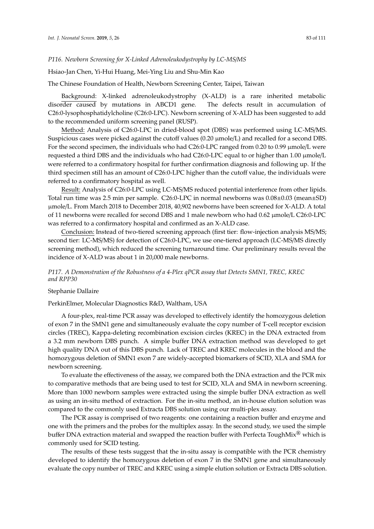### *P116. Newborn Screening for X-Linked Adrenoleukodystrophy by LC-MS*/*MS*

Hsiao-Jan Chen, Yi-Hui Huang, Mei-Ying Liu and Shu-Min Kao

The Chinese Foundation of Health, Newborn Screening Center, Taipei, Taiwan

Background: X-linked adrenoleukodystrophy (X-ALD) is a rare inherited metabolic disorder caused by mutations in ABCD1 gene. The defects result in accumulation of C26:0-lysophosphatidylcholine (C26:0-LPC). Newborn screening of X-ALD has been suggested to add to the recommended uniform screening panel (RUSP).

Method: Analysis of C26:0-LPC in dried-blood spot (DBS) was performed using LC-MS/MS. Suspicious cases were picked against the cutoff values (0.20 µmole/L) and recalled for a second DBS. For the second specimen, the individuals who had C26:0-LPC ranged from 0.20 to 0.99  $\mu$ mole/L were requested a third DBS and the individuals who had C26:0-LPC equal to or higher than 1.00 µmole/L were referred to a confirmatory hospital for further confirmation diagnosis and following up. If the third specimen still has an amount of C26:0-LPC higher than the cutoff value, the individuals were referred to a confirmatory hospital as well.

Result: Analysis of C26:0-LPC using LC-MS/MS reduced potential interference from other lipids. Total run time was 2.5 min per sample. C26:0-LPC in normal newborns was 0.08±0.03 (mean±SD) µmole/L. From March 2018 to December 2018, 40,902 newborns have been screened for X-ALD. A total of 11 newborns were recalled for second DBS and 1 male newborn who had 0.62 µmole/L C26:0-LPC was referred to a confirmatory hospital and confirmed as an X-ALD case.

Conclusion: Instead of two-tiered screening approach (first tier: flow-injection analysis MS/MS; second tier: LC-MS/MS) for detection of C26:0-LPC, we use one-tiered approach (LC-MS/MS directly screening method), which reduced the screening turnaround time. Our preliminary results reveal the incidence of X-ALD was about 1 in 20,000 male newborns.

## *P117. A Demonstration of the Robustness of a 4-Plex qPCR assay that Detects SMN1, TREC, KREC and RPP30*

### Stephanie Dallaire

PerkinElmer, Molecular Diagnostics R&D, Waltham, USA

A four-plex, real-time PCR assay was developed to effectively identify the homozygous deletion of exon 7 in the SMN1 gene and simultaneously evaluate the copy number of T-cell receptor excision circles (TREC), Kappa-deleting recombination excision circles (KREC) in the DNA extracted from a 3.2 mm newborn DBS punch. A simple buffer DNA extraction method was developed to get high quality DNA out of this DBS punch. Lack of TREC and KREC molecules in the blood and the homozygous deletion of SMN1 exon 7 are widely-accepted biomarkers of SCID, XLA and SMA for newborn screening.

To evaluate the effectiveness of the assay, we compared both the DNA extraction and the PCR mix to comparative methods that are being used to test for SCID, XLA and SMA in newborn screening. More than 1000 newborn samples were extracted using the simple buffer DNA extraction as well as using an in-situ method of extraction. For the in-situ method, an in-house elution solution was compared to the commonly used Extracta DBS solution using our multi-plex assay.

The PCR assay is comprised of two reagents: one containing a reaction buffer and enzyme and one with the primers and the probes for the multiplex assay. In the second study, we used the simple buffer DNA extraction material and swapped the reaction buffer with Perfecta ToughMix<sup>®</sup> which is commonly used for SCID testing.

The results of these tests suggest that the in-situ assay is compatible with the PCR chemistry developed to identify the homozygous deletion of exon 7 in the SMN1 gene and simultaneously evaluate the copy number of TREC and KREC using a simple elution solution or Extracta DBS solution.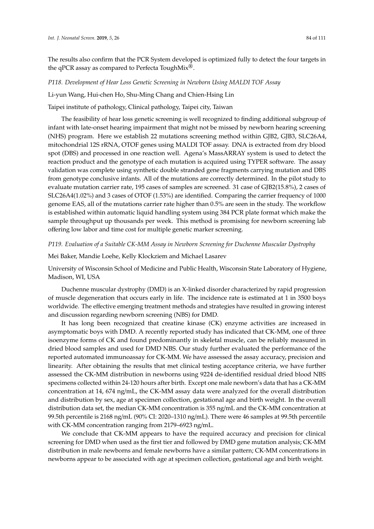The results also confirm that the PCR System developed is optimized fully to detect the four targets in the qPCR assay as compared to Perfecta ToughMix $^{\textcircled{\tiny{(8)}}}$ .

### *P118. Development of Hear Loss Genetic Screening in Newborn Using MALDI TOF Assay*

Li-yun Wang, Hui-chen Ho, Shu-Ming Chang and Chien-Hsing Lin

Taipei institute of pathology, Clinical pathology, Taipei city, Taiwan

The feasibility of hear loss genetic screening is well recognized to finding additional subgroup of infant with late-onset hearing impairment that might not be missed by newborn hearing screening (NHS) program. Here we establish 22 mutations screening method within GJB2, GJB3, SLC26A4, mitochondrial 12S rRNA, OTOF genes using MALDI TOF assay. DNA is extracted from dry blood spot (DBS) and processed in one reaction well. Agena's MassARRAY system is used to detect the reaction product and the genotype of each mutation is acquired using TYPER software. The assay validation was complete using synthetic double stranded gene fragments carrying mutation and DBS from genotype conclusive infants. All of the mutations are correctly determined. In the pilot study to evaluate mutation carrier rate, 195 cases of samples are screened. 31 case of GJB2(15.8%), 2 cases of SLC26A4(1.02%) and 3 cases of OTOF (1.53%) are identified. Comparing the carrier frequency of 1000 genome EAS, all of the mutations carrier rate higher than 0.5% are seen in the study. The workflow is established within automatic liquid handling system using 384 PCR plate format which make the sample throughput up thousands per week. This method is promising for newborn screening lab offering low labor and time cost for multiple genetic marker screening.

### *P119. Evaluation of a Suitable CK-MM Assay in Newborn Screening for Duchenne Muscular Dystrophy*

Mei Baker, Mandie Loehe, Kelly Klockziem and Michael Lasarev

University of Wisconsin School of Medicine and Public Health, Wisconsin State Laboratory of Hygiene, Madison, WI, USA

Duchenne muscular dystrophy (DMD) is an X-linked disorder characterized by rapid progression of muscle degeneration that occurs early in life. The incidence rate is estimated at 1 in 3500 boys worldwide. The effective emerging treatment methods and strategies have resulted in growing interest and discussion regarding newborn screening (NBS) for DMD.

It has long been recognized that creatine kinase (CK) enzyme activities are increased in asymptomatic boys with DMD. A recently reported study has indicated that CK-MM, one of three isoenzyme forms of CK and found predominantly in skeletal muscle, can be reliably measured in dried blood samples and used for DMD NBS. Our study further evaluated the performance of the reported automated immunoassay for CK-MM. We have assessed the assay accuracy, precision and linearity. After obtaining the results that met clinical testing acceptance criteria, we have further assessed the CK-MM distribution in newborns using 9224 de-identified residual dried blood NBS specimens collected within 24-120 hours after birth. Except one male newborn's data that has a CK-MM concentration at 14, 674 ng/mL, the CK-MM assay data were analyzed for the overall distribution and distribution by sex, age at specimen collection, gestational age and birth weight. In the overall distribution data set, the median CK-MM concentration is 355 ng/mL and the CK-MM concentration at 99.5th percentile is 2168 ng/mL (90% CI: 2020–1310 ng/mL). There were 46 samples at 99.5th percentile with CK-MM concentration ranging from 2179–6923 ng/mL.

We conclude that CK-MM appears to have the required accuracy and precision for clinical screening for DMD when used as the first tier and followed by DMD gene mutation analysis; CK-MM distribution in male newborns and female newborns have a similar pattern; CK-MM concentrations in newborns appear to be associated with age at specimen collection, gestational age and birth weight.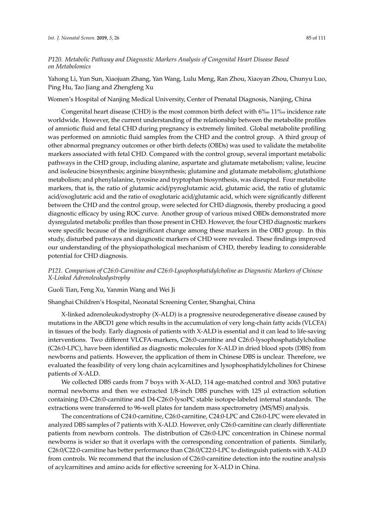# *P120. Metabolic Pathway and Diagnostic Markers Analysis of Congenital Heart Disease Based on Metabolomics*

Yahong Li, Yun Sun, Xiaojuan Zhang, Yan Wang, Lulu Meng, Ran Zhou, Xiaoyan Zhou, Chunyu Luo, Ping Hu, Tao Jiang and Zhengfeng Xu

Women's Hospital of Nanjing Medical University, Center of Prenatal Diagnosis, Nanjing, China

Congenital heart disease (CHD) is the most common birth defect with  $6\%$  11% incidence rate worldwide. However, the current understanding of the relationship between the metabolite profiles of amniotic fluid and fetal CHD during pregnancy is extremely limited. Global metabolite profiling was performed on amniotic fluid samples from the CHD and the control group. A third group of other abnormal pregnancy outcomes or other birth defects (OBDs) was used to validate the metabolite markers associated with fetal CHD. Compared with the control group, several important metabolic pathways in the CHD group, including alanine, aspartate and glutamate metabolism; valine, leucine and isoleucine biosynthesis; arginine biosynthesis; glutamine and glutamate metabolism; glutathione metabolism; and phenylalanine, tyrosine and tryptophan biosynthesis, was disrupted. Four metabolite markers, that is, the ratio of glutamic acid/pyroglutamic acid, glutamic acid, the ratio of glutamic acid/oxoglutaric acid and the ratio of oxoglutaric acid/glutamic acid, which were significantly different between the CHD and the control group, were selected for CHD diagnosis, thereby producing a good diagnostic efficacy by using ROC curve. Another group of various mixed OBDs demonstrated more dysregulated metabolic profiles than those present in CHD. However, the four CHD diagnostic markers were specific because of the insignificant change among these markers in the OBD group. In this study, disturbed pathways and diagnostic markers of CHD were revealed. These findings improved our understanding of the physiopathological mechanism of CHD, thereby leading to considerable potential for CHD diagnosis.

# *P121. Comparison of C26:0-Carnitine and C26:0-Lysophosphatidylcholine as Diagnostic Markers of Chinese X-Linked Adrenoleukodystrophy*

## Guoli Tian, Feng Xu, Yanmin Wang and Wei Ji

## Shanghai Children's Hospital, Neonatal Screening Center, Shanghai, China

X-linked adrenoleukodystrophy (X-ALD) is a progressive neurodegenerative disease caused by mutations in the ABCD1 gene which results in the accumulation of very long-chain fatty acids (VLCFA) in tissues of the body. Early diagnosis of patients with X-ALD is essential and it can lead to life-saving interventions. Two different VLCFA-markers, C26:0-carnitine and C26:0-lysophosphatidylcholine (C26:0-LPC), have been identified as diagnostic molecules for X-ALD in dried blood spots (DBS) from newborns and patients. However, the application of them in Chinese DBS is unclear. Therefore, we evaluated the feasibility of very long chain acylcarnitines and lysophosphatidylcholines for Chinese patients of X-ALD.

We collected DBS cards from 7 boys with X-ALD, 114 age-matched control and 3063 putative normal newborns and then we extracted 1/8-inch DBS punches with 125 µl extraction solution containing D3-C26:0-carnitine and D4-C26:0-lysoPC stable isotope-labeled internal standards. The extractions were transferred to 96-well plates for tandem mass spectrometry (MS/MS) analysis.

The concentrations of C24:0-carnitine, C26:0-carnitine, C24:0-LPC and C26:0-LPC were elevated in analyzed DBS samples of 7 patients with X-ALD. However, only C26:0-carnitine can clearly differentiate patients from newborn controls. The distribution of C26:0-LPC concentration in Chinese normal newborns is wider so that it overlaps with the corresponding concentration of patients. Similarly, C26:0/C22:0-carnitine has better performance than C26:0/C22:0-LPC to distinguish patients with X-ALD from controls. We recommend that the inclusion of C26:0-carnitine detection into the routine analysis of acylcarnitines and amino acids for effective screening for X-ALD in China.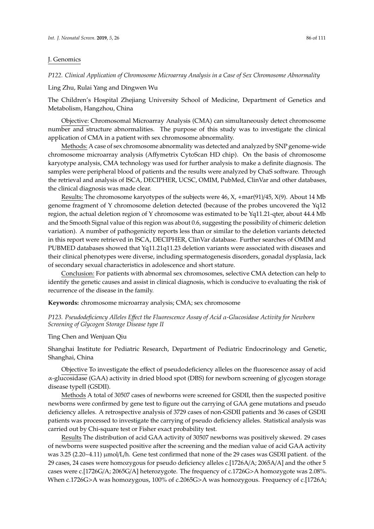### J. Genomics

### *P122. Clinical Application of Chromosome Microarray Analysis in a Case of Sex Chromosome Abnormality*

Ling Zhu, Rulai Yang and Dingwen Wu

The Children's Hospital Zhejiang University School of Medicine, Department of Genetics and Metabolism, Hangzhou, China

Objective: Chromosomal Microarray Analysis (CMA) can simultaneously detect chromosome number and structure abnormalities. The purpose of this study was to investigate the clinical application of CMA in a patient with sex chromosome abnormality.

Methods: A case of sex chromosome abnormality was detected and analyzed by SNP genome-wide chromosome microarray analysis (Affymetrix CytoScan HD chip). On the basis of chromosome karyotype analysis, CMA technology was used for further analysis to make a definite diagnosis. The samples were peripheral blood of patients and the results were analyzed by ChaS software. Through the retrieval and analysis of ISCA, DECIPHER, UCSC, OMIM, PubMed, ClinVar and other databases, the clinical diagnosis was made clear.

Results: The chromosome karyotypes of the subjects were 46, X, +mar(91)/45, X(9). About 14 Mb genome fragment of Y chromosome deletion detected (because of the probes uncovered the Yq12 region, the actual deletion region of Y chromosome was estimated to be Yq11.21-qter, about 44.4 Mb and the Smooth Signal value of this region was about 0.6, suggesting the possibility of chimeric deletion variation). A number of pathogenicity reports less than or similar to the deletion variants detected in this report were retrieved in ISCA, DECIPHER, ClinVar database. Further searches of OMIM and PUBMED databases showed that Yq11.21q11.23 deletion variants were associated with diseases and their clinical phenotypes were diverse, including spermatogenesis disorders, gonadal dysplasia, lack of secondary sexual characteristics in adolescence and short stature.

Conclusion: For patients with abnormal sex chromosomes, selective CMA detection can help to identify the genetic causes and assist in clinical diagnosis, which is conducive to evaluating the risk of recurrence of the disease in the family.

**Keywords:** chromosome microarray analysis; CMA; sex chromosome

*P123. Pseudodeficiency Alleles E*ff*ect the Fluorescence Assay of Acid* α*-Glucosidase Activity for Newborn Screening of Glycogen Storage Disease type II*

Ting Chen and Wenjuan Qiu

Shanghai Institute for Pediatric Research, Department of Pediatric Endocrinology and Genetic, Shanghai, China

Objective To investigate the effect of pseudodeficiency alleles on the fluorescence assay of acid α-glucosidase (GAA) activity in dried blood spot (DBS) for newborn screening of glycogen storage disease typeII (GSDII).

Methods A total of 30507 cases of newborns were screened for GSDII, then the suspected positive newborns were confirmed by gene test to figure out the carrying of GAA gene mutations and pseudo deficiency alleles. A retrospective analysis of 3729 cases of non-GSDII patients and 36 cases of GSDII patients was processed to investigate the carrying of pseudo deficiency alleles. Statistical analysis was carried out by Chi-square test or Fisher exact probability test.

Results The distribution of acid GAA activity of 30507 newborns was positively skewed. 29 cases of newborns were suspected positive after the screening and the median value of acid GAA activity was 3.25 (2.20~4.11) µmol/L/h. Gene test confirmed that none of the 29 cases was GSDII patient. of the 29 cases, 24 cases were homozygous for pseudo deficiency alleles c.[1726A/A; 2065A/A] and the other 5 cases were c.[1726G/A; 2065G/A] heterozygote. The frequency of c.1726G>A homozygote was 2.08%. When c.1726G>A was homozygous, 100% of c.2065G>A was homozygous. Frequency of c.[1726A;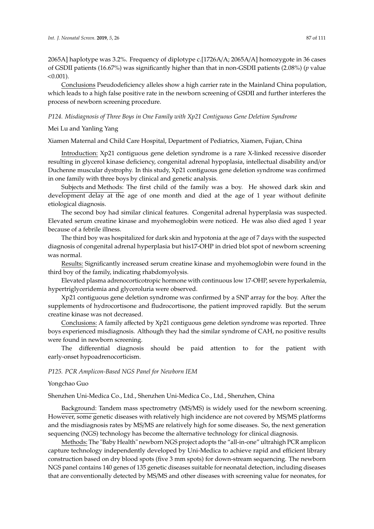2065A] haplotype was 3.2%. Frequency of diplotype c.[1726A/A; 2065A/A] homozygote in 36 cases of GSDII patients (16.67%) was significantly higher than that in non-GSDII patients (2.08%) (*p* value  $< 0.001$ ).

Conclusions Pseudodeficiency alleles show a high carrier rate in the Mainland China population, which leads to a high false positive rate in the newborn screening of GSDII and further interferes the process of newborn screening procedure.

*P124. Misdiagnosis of Three Boys in One Family with Xp21 Contiguous Gene Deletion Syndrome*

### Mei Lu and Yanling Yang

Xiamen Maternal and Child Care Hospital, Department of Pediatrics, Xiamen, Fujian, China

Introduction: Xp21 contiguous gene deletion syndrome is a rare X-linked recessive disorder resulting in glycerol kinase deficiency, congenital adrenal hypoplasia, intellectual disability and/or Duchenne muscular dystrophy. In this study, Xp21 contiguous gene deletion syndrome was confirmed in one family with three boys by clinical and genetic analysis.

Subjects and Methods: The first child of the family was a boy. He showed dark skin and development delay at the age of one month and died at the age of 1 year without definite etiological diagnosis.

The second boy had similar clinical features. Congenital adrenal hyperplasia was suspected. Elevated serum creatine kinase and myohemoglobin were noticed. He was also died aged 1 year because of a febrile illness.

The third boy was hospitalized for dark skin and hypotonia at the age of 7 days with the suspected diagnosis of congenital adrenal hyperplasia but his17-OHP in dried blot spot of newborn screening was normal.

Results: Significantly increased serum creatine kinase and myohemoglobin were found in the third boy of the family, indicating rhabdomyolysis.

Elevated plasma adrenocorticotropic hormone with continuous low 17-OHP, severe hyperkalemia, hypertriglyceridemia and glyceroluria were observed.

Xp21 contiguous gene deletion syndrome was confirmed by a SNP array for the boy. After the supplements of hydrocortisone and fludrocortisone, the patient improved rapidly. But the serum creatine kinase was not decreased.

Conclusions: A family affected by Xp21 contiguous gene deletion syndrome was reported. Three boys experienced misdiagnosis. Although they had the similar syndrome of CAH, no positive results were found in newborn screening.

The differential diagnosis should be paid attention to for the patient with early-onset hypoadrenocorticism.

#### *P125. PCR Amplicon-Based NGS Panel for Newborn IEM*

### Yongchao Guo

Shenzhen Uni-Medica Co., Ltd., Shenzhen Uni-Medica Co., Ltd., Shenzhen, China

Background: Tandem mass spectrometry (MS/MS) is widely used for the newborn screening. However, some genetic diseases with relatively high incidence are not covered by MS/MS platforms and the misdiagnosis rates by MS/MS are relatively high for some diseases. So, the next generation sequencing (NGS) technology has become the alternative technology for clinical diagnosis.

Methods: The "Baby Health" newborn NGS project adopts the "all-in-one" ultrahigh PCR amplicon capture technology independently developed by Uni-Medica to achieve rapid and efficient library construction based on dry blood spots (five 3 mm spots) for down-stream sequencing. The newborn NGS panel contains 140 genes of 135 genetic diseases suitable for neonatal detection, including diseases that are conventionally detected by MS/MS and other diseases with screening value for neonates, for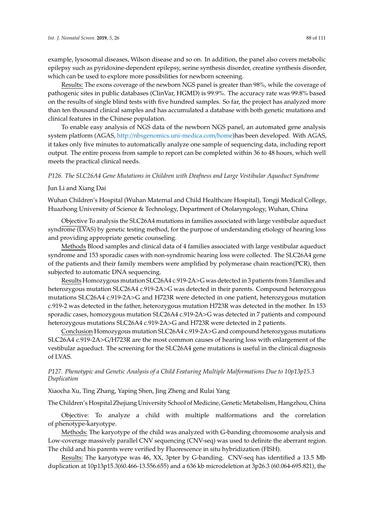example, lysosomal diseases, Wilson disease and so on. In addition, the panel also covers metabolic epilepsy such as pyridoxine-dependent epilepsy, serine synthesis disorder, creatine synthesis disorder, which can be used to explore more possibilities for newborn screening.

Results: The exons coverage of the newborn NGS panel is greater than 98%, while the coverage of pathogenic sites in public databases (ClinVar, HGMD) is 99.9%. The accuracy rate was 99.8% based on the results of single blind tests with five hundred samples. So far, the project has analyzed more than ten thousand clinical samples and has accumulated a database with both genetic mutations and clinical features in the Chinese population.

To enable easy analysis of NGS data of the newborn NGS panel, an automated gene analysis system platform (AGAS, http://[nbsgenomics.uni-medica.com](http://nbsgenomics.uni-medica.com/home)/home)has been developed. With AGAS, it takes only five minutes to automatically analyze one sample of sequencing data, including report output. The entire process from sample to report can be completed within 36 to 48 hours, which well meets the practical clinical needs.

### *P126. The SLC26A4 Gene Mutations in Children with Deafness and Large Vestibular Aqueduct Syndrome*

### Jun Li and Xiang Dai

Wuhan Children's Hospital (Wuhan Maternal and Child Healthcare Hospital), Tongji Medical College, Huazhong University of Science & Technology, Department of Otolaryngology, Wuhan, China

Objective To analysis the SLC26A4 mutations in families associated with large vestibular aqueduct syndrome (LVAS) by genetic testing method, for the purpose of understanding etiology of hearing loss and providing appropriate genetic counseling.

Methods Blood samples and clinical data of 4 families associated with large vestibular aqueduct syndrome and 153 sporadic cases with non-syndromic hearing loss were collected. The SLC26A4 gene of the patients and their family members were amplified by polymerase chain reaction(PCR), then subjected to automatic DNA sequencing.

Results Homozygous mutation SLC26A4 c.919-2A>G was detected in 3 patients from 3 families and heterozygous mutation SLC26A4 c.919-2A>G was detected in their parents. Compound heterozygous mutations SLC26A4 c.919-2A>G and H723R were detected in one patient, heterozygous mutation c.919-2 was detected in the father, heterozygous mutation H723R was detected in the mother. In 153 sporadic cases, homozygous mutation SLC26A4 c.919-2A>G was detected in 7 patients and compound heterozygous mutations SLC26A4 c.919-2A>G and H723R were detected in 2 patients.

Conclusion Homozygous mutation SLC26A4 c.919-2A>G and compound heterozygous mutations SLC26A4 c.919-2A>G/H723R are the most common causes of hearing loss with enlargement of the vestibular aqueduct. The screening for the SLC26A4 gene mutations is useful in the clinical diagnosis of LVAS.

## *P127. Phenotypic and Genetic Analysis of a Child Featuring Multiple Malformations Due to 10p13p15.3 Duplication*

Xiaocha Xu, Ting Zhang, Yaping Shen, Jing Zheng and Rulai Yang

The Children's Hospital Zhejiang University School of Medicine, Genetic Metabolism, Hangzhou, China

Objective: To analyze a child with multiple malformations and the correlation of phenotype-karyotype.

Methods: The karyotype of the child was analyzed with G-banding chromosome analysis and Low-coverage massively parallel CNV sequencing (CNV-seq) was used to definite the aberrant region. The child and his parents were verified by Fluorescence in situ hybridization (FISH).

Results: The karyotype was 46, XX, 3pter by G-banding. CNV-seq has identified a 13.5 Mb duplication at 10p13p15.3(60.466-13.556.655) and a 636 kb microdeletion at 3p26.3 (60.064-695.821), the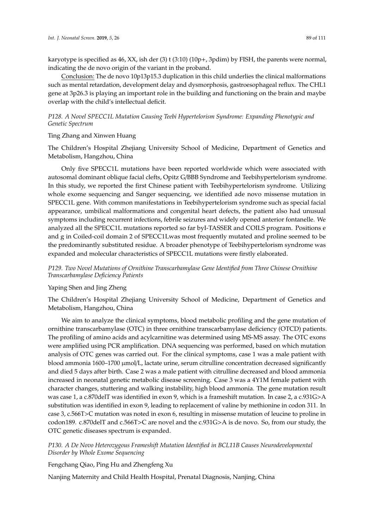karyotype is specified as 46, XX, ish der (3) t (3:10) (10p+, 3pdim) by FISH, the parents were normal, indicating the de novo origin of the variant in the proband.

Conclusion: The de novo 10p13p15.3 duplication in this child underlies the clinical malformations such as mental retardation, development delay and dysmorphosis, gastroesophageal reflux. The CHL1 gene at 3p26.3 is playing an important role in the building and functioning on the brain and maybe overlap with the child's intellectual deficit.

# *P128. A Novel SPECC1L Mutation Causing Teebi Hypertelorism Syndrome: Expanding Phenotypic and Genetic Spectrum*

## Ting Zhang and Xinwen Huang

The Children's Hospital Zhejiang University School of Medicine, Department of Genetics and Metabolism, Hangzhou, China

Only five SPECC1L mutations have been reported worldwide which were associated with autosomal dominant oblique facial clefts, Opitz G/BBB Syndrome and Teebihypertelorism syndrome. In this study, we reported the first Chinese patient with Teebihypertelorism syndrome. Utilizing whole exome sequencing and Sanger sequencing, we identified ade novo missense mutation in SPECC1L gene. With common manifestations in Teebihypertelorism syndrome such as special facial appearance, umbilical malformations and congenital heart defects, the patient also had unusual symptoms including recurrent infections, febrile seizures and widely opened anterior fontanelle. We analyzed all the SPECC1L mutations reported so far byI-TASSER and COILS program. Positions e and g in Coiled-coil domain 2 of SPECC1Lwas most frequently mutated and proline seemed to be the predominantly substituted residue. A broader phenotype of Teebihypertelorism syndrome was expanded and molecular characteristics of SPECC1L mutations were firstly elaborated.

# *P129. Two Novel Mutations of Ornithine Transcarbamylase Gene Identified from Three Chinese Ornithine Transcarbamylase Deficiency Patients*

## Yaping Shen and Jing Zheng

The Children's Hospital Zhejiang University School of Medicine, Department of Genetics and Metabolism, Hangzhou, China

We aim to analyze the clinical symptoms, blood metabolic profiling and the gene mutation of ornithine transcarbamylase (OTC) in three ornithine transcarbamylase deficiency (OTCD) patients. The profiling of amino acids and acylcarnitine was determined using MS-MS assay. The OTC exons were amplified using PCR amplification. DNA sequencing was performed, based on which mutation analysis of OTC genes was carried out. For the clinical symptoms, case 1 was a male patient with blood ammonia 1600–1700 µmol/L, lactate urine, serum citrulline concentration decreased significantly and died 5 days after birth. Case 2 was a male patient with citrulline decreased and blood ammonia increased in neonatal genetic metabolic disease screening. Case 3 was a 4Y1M female patient with character changes, stuttering and walking instability, high blood ammonia. The gene mutation result was case 1, a c.870delT was identified in exon 9, which is a frameshift mutation. In case 2, a c.931G>A substitution was identified in exon 9, leading to replacement of valine by methionine in codon 311. In case 3, c.566T>C mutation was noted in exon 6, resulting in missense mutation of leucine to proline in codon189. c.870delT and c.566T>C are novel and the c.931G>A is de novo. So, from our study, the OTC genetic diseases spectrum is expanded.

*P130. A De Novo Heterozygous Frameshift Mutation Identified in BCL11B Causes Neurodevelopmental Disorder by Whole Exome Sequencing*

Fengchang Qiao, Ping Hu and Zhengfeng Xu

Nanjing Maternity and Child Health Hospital, Prenatal Diagnosis, Nanjing, China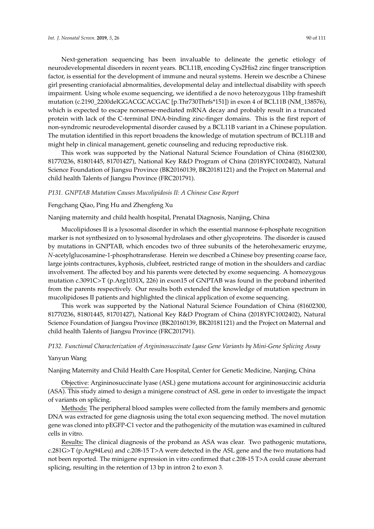Next-generation sequencing has been invaluable to delineate the genetic etiology of neurodevelopmental disorders in recent years. BCL11B, encoding Cys2His2 zinc finger transcription factor, is essential for the development of immune and neural systems. Herein we describe a Chinese girl presenting craniofacial abnormalities, developmental delay and intellectual disability with speech impairment. Using whole exome sequencing, we identified a de novo heterozygous 11bp frameshift mutation (c.2190\_2200delGGACGCACGAC [p.Thr730Thrfs\*151]) in exon 4 of BCL11B (NM\_138576), which is expected to escape nonsense-mediated mRNA decay and probably result in a truncated protein with lack of the C-terminal DNA-binding zinc-finger domains. This is the first report of non-syndromic neurodevelopmental disorder caused by a BCL11B variant in a Chinese population. The mutation identified in this report broadens the knowledge of mutation spectrum of BCL11B and might help in clinical management, genetic counseling and reducing reproductive risk.

This work was supported by the National Natural Science Foundation of China (81602300, 81770236, 81801445, 81701427), National Key R&D Program of China (2018YFC1002402), Natural Science Foundation of Jiangsu Province (BK20160139, BK20181121) and the Project on Maternal and child health Talents of Jiangsu Province (FRC201791).

#### *P131. GNPTAB Mutation Causes Mucolipidosis II: A Chinese Case Report*

### Fengchang Qiao, Ping Hu and Zhengfeng Xu

#### Nanjing maternity and child health hospital, Prenatal Diagnosis, Nanjing, China

Mucolipidoses II is a lysosomal disorder in which the essential mannose 6-phosphate recognition marker is not synthesized on to lysosomal hydrolases and other glycoproteins. The disorder is caused by mutations in GNPTAB, which encodes two of three subunits of the heterohexameric enzyme, *N*-acetylglucosamine-1-phosphotransferase. Herein we described a Chinese boy presenting coarse face, large joints contractures, kyphosis, clubfeet, restricted range of motion in the shoulders and cardiac involvement. The affected boy and his parents were detected by exome sequencing. A homozygous mutation c.3091C>T (p.Arg1031X, 226) in exon15 of GNPTAB was found in the proband inherited from the parents respectively. Our results both extended the knowledge of mutation spectrum in mucolipidoses II patients and highlighted the clinical application of exome sequencing.

This work was supported by the National Natural Science Foundation of China (81602300, 81770236, 81801445, 81701427), National Key R&D Program of China (2018YFC1002402), Natural Science Foundation of Jiangsu Province (BK20160139, BK20181121) and the Project on Maternal and child health Talents of Jiangsu Province (FRC201791).

### *P132. Functional Characterization of Argininosuccinate Lyase Gene Variants by Mini-Gene Splicing Assay*

#### Yanyun Wang

Nanjing Maternity and Child Health Care Hospital, Center for Genetic Medicine, Nanjing, China

Objective: Argininosuccinate lyase (ASL) gene mutations account for argininosuccinic aciduria (ASA). This study aimed to design a minigene construct of ASL gene in order to investigate the impact of variants on splicing.

Methods: The peripheral blood samples were collected from the family members and genomic DNA was extracted for gene diagnosis using the total exon sequencing method. The novel mutation gene was cloned into pEGFP-C1 vector and the pathogenicity of the mutation was examined in cultured cells in vitro.

Results: The clinical diagnosis of the proband as ASA was clear. Two pathogenic mutations, c.281G>T (p.Arg94Leu) and c.208-15 T>A were detected in the ASL gene and the two mutations had not been reported. The minigene expression in vitro confirmed that c.208-15 T>A could cause aberrant splicing, resulting in the retention of 13 bp in intron 2 to exon 3.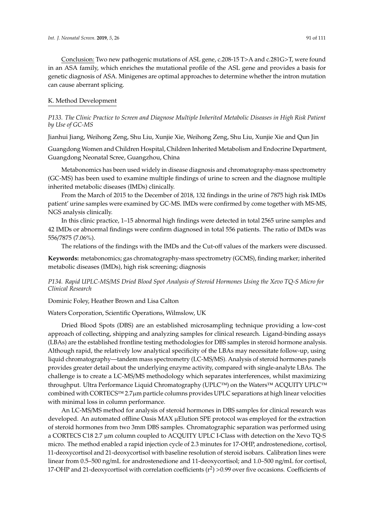Conclusion: Two new pathogenic mutations of ASL gene, c.208-15 T>A and c.281G>T, were found in an ASA family, which enriches the mutational profile of the ASL gene and provides a basis for genetic diagnosis of ASA. Minigenes are optimal approaches to determine whether the intron mutation can cause aberrant splicing.

# K. Method Development

# *P133. The Clinic Practice to Screen and Diagnose Multiple Inherited Metabolic Diseases in High Risk Patient by Use of GC-MS*

Jianhui Jiang, Weihong Zeng, Shu Liu, Xunjie Xie, Weihong Zeng, Shu Liu, Xunjie Xie and Qun Jin

Guangdong Women and Children Hospital, Children Inherited Metabolism and Endocrine Department, Guangdong Neonatal Scree, Guangzhou, China

Metabonomics has been used widely in disease diagnosis and chromatography-mass spectrometry (GC-MS) has been used to examine multiple findings of urine to screen and the diagnose multiple inherited metabolic diseases (IMDs) clinically.

From the March of 2015 to the December of 2018, 132 findings in the urine of 7875 high risk IMDs patient' urine samples were examined by GC-MS. IMDs were confirmed by come together with MS-MS, NGS analysis clinically.

In this clinic practice, 1–15 abnormal high findings were detected in total 2565 urine samples and 42 IMDs or abnormal findings were confirm diagnosed in total 556 patients. The ratio of IMDs was 556/7875 (7.06%).

The relations of the findings with the IMDs and the Cut-off values of the markers were discussed.

**Keywords:** metabonomics; gas chromatography-mass spectrometry (GCMS), finding marker; inherited metabolic diseases (IMDs), high risk screening; diagnosis

# *P134. Rapid UPLC-MS*/*MS Dried Blood Spot Analysis of Steroid Hormones Using the Xevo TQ-S Micro for Clinical Research*

Dominic Foley, Heather Brown and Lisa Calton

Waters Corporation, Scientific Operations, Wilmslow, UK

Dried Blood Spots (DBS) are an established microsampling technique providing a low-cost approach of collecting, shipping and analyzing samples for clinical research. Ligand-binding assays (LBAs) are the established frontline testing methodologies for DBS samples in steroid hormone analysis. Although rapid, the relatively low analytical specificity of the LBAs may necessitate follow-up, using liquid chromatography—tandem mass spectrometry (LC-MS/MS). Analysis of steroid hormones panels provides greater detail about the underlying enzyme activity, compared with single-analyte LBAs. The challenge is to create a LC-MS/MS methodology which separates interferences, whilst maximizing throughput. Ultra Performance Liquid Chromatography (UPLC™) on the Waters™ ACQUITY UPLC™ combined with CORTECS™ 2.7µm particle columns provides UPLC separations at high linear velocities with minimal loss in column performance.

An LC-MS/MS method for analysis of steroid hormones in DBS samples for clinical research was developed. An automated offline Oasis MAX µElution SPE protocol was employed for the extraction of steroid hormones from two 3mm DBS samples. Chromatographic separation was performed using a CORTECS C18 2.7 µm column coupled to ACQUITY UPLC I-Class with detection on the Xevo TQ-S micro. The method enabled a rapid injection cycle of 2.3 minutes for 17-OHP, androstenedione, cortisol, 11-deoxycortisol and 21-deoxycortisol with baseline resolution of steroid isobars. Calibration lines were linear from 0.5–500 ng/mL for androstenedione and 11-deoxycortisol; and 1.0–500 ng/mL for cortisol, 17-OHP and 21-deoxycortisol with correlation coefficients  $(r^2) > 0.99$  over five occasions. Coefficients of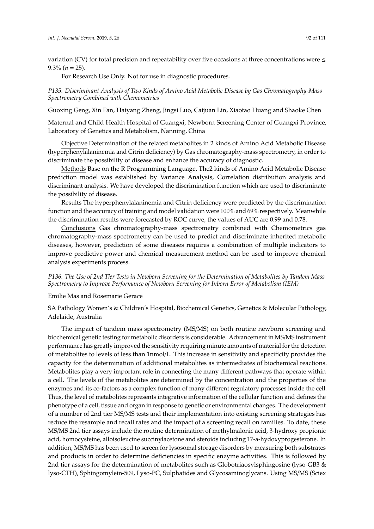variation (CV) for total precision and repeatability over five occasions at three concentrations were  $\leq$  $9.3\%$  ( $n = 25$ ).

For Research Use Only. Not for use in diagnostic procedures.

## *P135. Discriminant Analysis of Two Kinds of Amino Acid Metabolic Disease by Gas Chromatography-Mass Spectrometry Combined with Chemometrics*

Guoxing Geng, Xin Fan, Haiyang Zheng, Jingsi Luo, Caijuan Lin, Xiaotao Huang and Shaoke Chen

Maternal and Child Health Hospital of Guangxi, Newborn Screening Center of Guangxi Province, Laboratory of Genetics and Metabolism, Nanning, China

Objective Determination of the related metabolites in 2 kinds of Amino Acid Metabolic Disease (hyperphenylalaninemia and Citrin deficiency) by Gas chromatography-mass spectrometry, in order to discriminate the possibility of disease and enhance the accuracy of diagnostic.

Methods Base on the R Programming Language, The2 kinds of Amino Acid Metabolic Disease prediction model was established by Variance Analysis, Correlation distribution analysis and discriminant analysis. We have developed the discrimination function which are used to discriminate the possibility of disease.

Results The hyperphenylalaninemia and Citrin deficiency were predicted by the discrimination function and the accuracy of training and model validation were 100% and 69% respectively. Meanwhile the discrimination results were forecasted by ROC curve, the values of AUC are 0.99 and 0.78.

Conclusions Gas chromatography-mass spectrometry combined with Chemometrics gas chromatography-mass spectrometry can be used to predict and discriminate inherited metabolic diseases, however, prediction of some diseases requires a combination of multiple indicators to improve predictive power and chemical measurement method can be used to improve chemical analysis experiments process.

## *P136. The Use of 2nd Tier Tests in Newborn Screening for the Determination of Metabolites by Tandem Mass Spectrometry to Improve Performance of Newborn Screening for Inborn Error of Metabolism (IEM)*

#### Emilie Mas and Rosemarie Gerace

SA Pathology Women's & Children's Hospital, Biochemical Genetics, Genetics & Molecular Pathology, Adelaide, Australia

The impact of tandem mass spectrometry (MS/MS) on both routine newborn screening and biochemical genetic testing for metabolic disorders is considerable. Advancement in MS/MS instrument performance has greatly improved the sensitivity requiring minute amounts of material for the detection of metabolites to levels of less than 1nmol/L. This increase in sensitivity and specificity provides the capacity for the determination of additional metabolites as intermediates of biochemical reactions. Metabolites play a very important role in connecting the many different pathways that operate within a cell. The levels of the metabolites are determined by the concentration and the properties of the enzymes and its co-factors as a complex function of many different regulatory processes inside the cell. Thus, the level of metabolites represents integrative information of the cellular function and defines the phenotype of a cell, tissue and organ in response to genetic or environmental changes. The development of a number of 2nd tier MS/MS tests and their implementation into existing screening strategies has reduce the resample and recall rates and the impact of a screening recall on families. To date, these MS/MS 2nd tier assays include the routine determination of methylmalonic acid, 3-hydroxy propionic acid, homocysteine, alloisoleucine succinylacetone and steroids including 17-a-hydoxyprogesterone. In addition, MS/MS has been used to screen for lysosomal storage disorders by measuring both substrates and products in order to determine deficiencies in specific enzyme activities. This is followed by 2nd tier assays for the determination of metabolites such as Globotriaosylsphingosine (lyso-GB3 & lyso-CTH), Sphingomylein-509, Lyso-PC, Sulphatides and Glycosaminoglycans. Using MS/MS (Sciex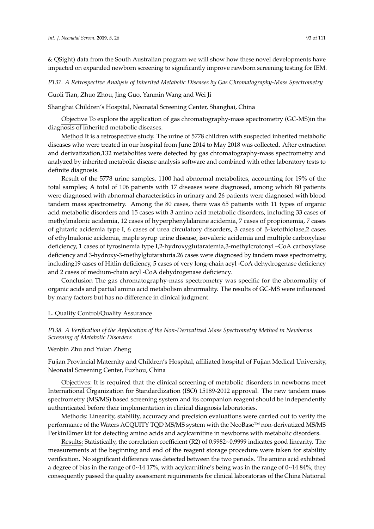& QSight) data from the South Australian program we will show how these novel developments have impacted on expanded newborn screening to significantly improve newborn screening testing for IEM.

*P137. A Retrospective Analysis of Inherited Metabolic Diseases by Gas Chromatography-Mass Spectrometry*

Guoli Tian, Zhuo Zhou, Jing Guo, Yanmin Wang and Wei Ji

Shanghai Children's Hospital, Neonatal Screening Center, Shanghai, China

Objective To explore the application of gas chromatography-mass spectrometry (GC-MS)in the diagnosis of inherited metabolic diseases.

Method It is a retrospective study. The urine of 5778 children with suspected inherited metabolic diseases who were treated in our hospital from June 2014 to May 2018 was collected. After extraction and derivatization,132 metabolites were detected by gas chromatography-mass spectrometry and analyzed by inherited metabolic disease analysis software and combined with other laboratory tests to definite diagnosis.

Result of the 5778 urine samples, 1100 had abnormal metabolites, accounting for 19% of the total samples; A total of 106 patients with 17 diseases were diagnosed, among which 80 patients were diagnosed with abnormal characteristics in urinary and 26 patients were diagnosed with blood tandem mass spectrometry. Among the 80 cases, there was 65 patients with 11 types of organic acid metabolic disorders and 15 cases with 3 amino acid metabolic disorders, including 33 cases of methylmalonic acidemia, 12 cases of hyperphenylalanine acidemia, 7 cases of propionemia, 7 cases of glutaric acidemia type I, 6 cases of urea circulatory disorders, 3 cases of β-ketothiolase,2 cases of ethylmalonic acidemia, maple syrup urine disease, isovaleric acidemia and multiple carboxylase deficiency, 1 cases of tyrosinemia type I,2-hydroxyglutaratemia,3-methylcrotonyl –CoA carboxylase deficiency and 3-hydroxy-3-methylglutaraturia.26 cases were diagnosed by tandem mass spectrometry, including19 cases of Hitlin deficiency, 5 cases of very long-chain acyl -CoA dehydrogenase deficiency and 2 cases of medium-chain acyl -CoA dehydrogenase deficiency.

Conclusion The gas chromatography-mass spectrometry was specific for the abnormality of organic acids and partial amino acid metabolism abnormality. The results of GC-MS were influenced by many factors but has no difference in clinical judgment.

#### L. Quality Control/Quality Assurance

*P138. A Verification of the Application of the Non-Derivatized Mass Spectrometry Method in Newborns Screening of Metabolic Disorders*

#### Wenbin Zhu and Yulan Zheng

Fujian Provincial Maternity and Children's Hospital, affiliated hospital of Fujian Medical University, Neonatal Screening Center, Fuzhou, China

Objectives: It is required that the clinical screening of metabolic disorders in newborns meet International Organization for Standardization (ISO) 15189-2012 approval. The new tandem mass spectrometry (MS/MS) based screening system and its companion reagent should be independently authenticated before their implementation in clinical diagnosis laboratories.

Methods: Linearity, stability, accuracy and precision evaluations were carried out to verify the performance of the Waters ACQUITY TQD MS/MS system with the NeoBase™ non-derivatized MS/MS PerkinElmer kit for detecting amino acids and acylcarnitine in newborns with metabolic disorders.

Results: Statistically, the correlation coefficient (R2) of 0.9982~0.9999 indicates good linearity. The measurements at the beginning and end of the reagent storage procedure were taken for stability verification. No significant difference was detected between the two periods. The amino acid exhibited a degree of bias in the range of  $0~14.17$ %, with acylcarnitine's being was in the range of  $0~14.84$ %; they consequently passed the quality assessment requirements for clinical laboratories of the China National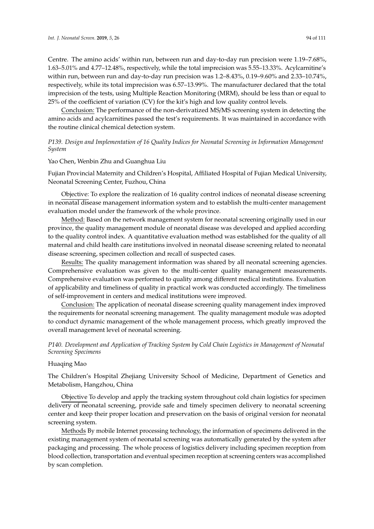Centre. The amino acids' within run, between run and day-to-day run precision were 1.19–7.68%, 1.63–5.01% and 4.77–12.48%, respectively, while the total imprecision was 5.55–13.33%. Acylcarnitine's within run, between run and day-to-day run precision was 1.2–8.43%, 0.19–9.60% and 2.33–10.74%, respectively, while its total imprecision was 6.57–13.99%. The manufacturer declared that the total imprecision of the tests, using Multiple Reaction Monitoring (MRM), should be less than or equal to

Conclusion: The performance of the non-derivatized MS/MS screening system in detecting the amino acids and acylcarnitines passed the test's requirements. It was maintained in accordance with the routine clinical chemical detection system.

25% of the coefficient of variation (CV) for the kit's high and low quality control levels.

## *P139. Design and Implementation of 16 Quality Indices for Neonatal Screening in Information Management System*

## Yao Chen, Wenbin Zhu and Guanghua Liu

Fujian Provincial Maternity and Children's Hospital, Affiliated Hospital of Fujian Medical University, Neonatal Screening Center, Fuzhou, China

Objective: To explore the realization of 16 quality control indices of neonatal disease screening in neonatal disease management information system and to establish the multi-center management evaluation model under the framework of the whole province.

Method: Based on the network management system for neonatal screening originally used in our province, the quality management module of neonatal disease was developed and applied according to the quality control index. A quantitative evaluation method was established for the quality of all maternal and child health care institutions involved in neonatal disease screening related to neonatal disease screening, specimen collection and recall of suspected cases.

Results: The quality management information was shared by all neonatal screening agencies. Comprehensive evaluation was given to the multi-center quality management measurements. Comprehensive evaluation was performed to quality among different medical institutions. Evaluation of applicability and timeliness of quality in practical work was conducted accordingly. The timeliness of self-improvement in centers and medical institutions were improved.

Conclusion: The application of neonatal disease screening quality management index improved the requirements for neonatal screening management. The quality management module was adopted to conduct dynamic management of the whole management process, which greatly improved the overall management level of neonatal screening.

# *P140. Development and Application of Tracking System by Cold Chain Logistics in Management of Neonatal Screening Specimens*

### Huaqing Mao

The Children's Hospital Zhejiang University School of Medicine, Department of Genetics and Metabolism, Hangzhou, China

Objective To develop and apply the tracking system throughout cold chain logistics for specimen delivery of neonatal screening, provide safe and timely specimen delivery to neonatal screening center and keep their proper location and preservation on the basis of original version for neonatal screening system.

Methods By mobile Internet processing technology, the information of specimens delivered in the existing management system of neonatal screening was automatically generated by the system after packaging and processing. The whole process of logistics delivery including specimen reception from blood collection, transportation and eventual specimen reception at screening centers was accomplished by scan completion.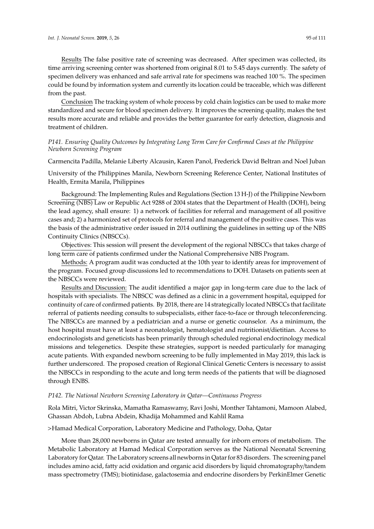Results The false positive rate of screening was decreased. After specimen was collected, its time arriving screening center was shortened from original 8.01 to 5.45 days currently. The safety of specimen delivery was enhanced and safe arrival rate for specimens was reached 100 %. The specimen could be found by information system and currently its location could be traceable, which was different from the past.

Conclusion The tracking system of whole process by cold chain logistics can be used to make more standardized and secure for blood specimen delivery. It improves the screening quality, makes the test results more accurate and reliable and provides the better guarantee for early detection, diagnosis and treatment of children.

## *P141. Ensuring Quality Outcomes by Integrating Long Term Care for Confirmed Cases at the Philippine Newborn Screening Program*

Carmencita Padilla, Melanie Liberty Alcausin, Karen Panol, Frederick David Beltran and Noel Juban

University of the Philippines Manila, Newborn Screening Reference Center, National Institutes of Health, Ermita Manila, Philippines

Background: The Implementing Rules and Regulations (Section 13 H-J) of the Philippine Newborn Screening (NBS) Law or Republic Act 9288 of 2004 states that the Department of Health (DOH), being the lead agency, shall ensure: 1) a network of facilities for referral and management of all positive cases and; 2) a harmonized set of protocols for referral and management of the positive cases. This was the basis of the administrative order issued in 2014 outlining the guidelines in setting up of the NBS Continuity Clinics (NBSCCs).

Objectives: This session will present the development of the regional NBSCCs that takes charge of long term care of patients confirmed under the National Comprehensive NBS Program.

Methods: A program audit was conducted at the 10th year to identify areas for improvement of the program. Focused group discussions led to recommendations to DOH. Datasets on patients seen at the NBSCCs were reviewed.

Results and Discussion: The audit identified a major gap in long-term care due to the lack of hospitals with specialists. The NBSCC was defined as a clinic in a government hospital, equipped for continuity of care of confirmed patients. By 2018, there are 14 strategically located NBSCCs that facilitate referral of patients needing consults to subspecialists, either face-to-face or through teleconferencing. The NBSCCs are manned by a pediatrician and a nurse or genetic counselor. As a minimum, the host hospital must have at least a neonatologist, hematologist and nutritionist/dietitian. Access to endocrinologists and geneticists has been primarily through scheduled regional endocrinology medical missions and telegenetics. Despite these strategies, support is needed particularly for managing acute patients. With expanded newborn screening to be fully implemented in May 2019, this lack is further underscored. The proposed creation of Regional Clinical Genetic Centers is necessary to assist the NBSCCs in responding to the acute and long term needs of the patients that will be diagnosed through ENBS.

### *P142. The National Newborn Screening Laboratory in Qatar—Continuous Progress*

Rola Mitri, Victor Skrinska, Mamatha Ramaswamy, Ravi Joshi, Monther Tahtamoni, Mamoon Alabed, Ghassan Abdoh, Lubna Abdein, Khadija Mohammed and Kahlil Rama

### >Hamad Medical Corporation, Laboratory Medicine and Pathology, Doha, Qatar

More than 28,000 newborns in Qatar are tested annually for inborn errors of metabolism. The Metabolic Laboratory at Hamad Medical Corporation serves as the National Neonatal Screening Laboratory for Qatar. The Laboratory screens all newborns in Qatar for 83 disorders. The screening panel includes amino acid, fatty acid oxidation and organic acid disorders by liquid chromatography/tandem mass spectrometry (TMS); biotinidase, galactosemia and endocrine disorders by PerkinElmer Genetic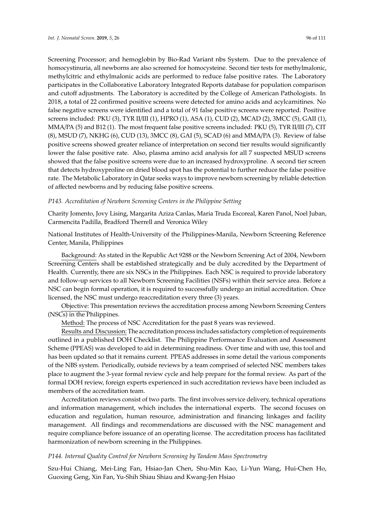Screening Processor; and hemoglobin by Bio-Rad Variant nbs System. Due to the prevalence of homocystinuria, all newborns are also screened for homocysteine. Second tier tests for methylmalonic, methylcitric and ethylmalonic acids are performed to reduce false positive rates. The Laboratory participates in the Collaborative Laboratory Integrated Reports database for population comparison and cutoff adjustments. The Laboratory is accredited by the College of American Pathologists. In 2018, a total of 22 confirmed positive screens were detected for amino acids and acylcarnitines. No false negative screens were identified and a total of 91 false positive screens were reported. Positive screens included: PKU (3), TYR II/III (1), HPRO (1), ASA (1), CUD (2), MCAD (2), 3MCC (5), GAII (1), MMA/PA (5) and B12 (1). The most frequent false positive screens included: PKU (5), TYR II/III (7), CIT (8), MSUD (7), NKHG (6), CUD (13), 3MCC (8), GAI (5), SCAD (6) and MMA/PA (3). Review of false positive screens showed greater reliance of interpretation on second tier results would significantly lower the false positive rate. Also, plasma amino acid analysis for all 7 suspected MSUD screens showed that the false positive screens were due to an increased hydroxyproline. A second tier screen that detects hydroxyproline on dried blood spot has the potential to further reduce the false positive rate. The Metabolic Laboratory in Qatar seeks ways to improve newborn screening by reliable detection of affected newborns and by reducing false positive screens.

## *P143. Accreditation of Newborn Screening Centers in the Philippine Setting*

Charity Jomento, Jovy Lising, Margarita Aziza Canlas, Maria Truda Escoreal, Karen Panol, Noel Juban, Carmencita Padilla, Bradford Therrell and Veronica Wiley

National Institutes of Health-University of the Philippines-Manila, Newborn Screening Reference Center, Manila, Philippines

Background: As stated in the Republic Act 9288 or the Newborn Screening Act of 2004, Newborn Screening Centers shall be established strategically and be duly accredited by the Department of Health. Currently, there are six NSCs in the Philippines. Each NSC is required to provide laboratory and follow-up services to all Newborn Screening Facilities (NSFs) within their service area. Before a NSC can begin formal operation, it is required to successfully undergo an initial accreditation. Once licensed, the NSC must undergo reaccreditation every three (3) years.

Objective: This presentation reviews the accreditation process among Newborn Screening Centers (NSCs) in the Philippines.

Method: The process of NSC Accreditation for the past 8 years was reviewed.

Results and Discussion:The accreditation process includes satisfactory completion of requirements outlined in a published DOH Checklist. The Philippine Performance Evaluation and Assessment Scheme (PPEAS) was developed to aid in determining readiness. Over time and with use, this tool and has been updated so that it remains current. PPEAS addresses in some detail the various components of the NBS system. Periodically, outside reviews by a team comprised of selected NSC members takes place to augment the 3-year formal review cycle and help prepare for the formal review. As part of the formal DOH review, foreign experts experienced in such accreditation reviews have been included as members of the accreditation team.

Accreditation reviews consist of two parts. The first involves service delivery, technical operations and information management, which includes the international experts. The second focuses on education and regulation, human resource, administration and financing linkages and facility management. All findings and recommendations are discussed with the NSC management and require compliance before issuance of an operating license. The accreditation process has facilitated harmonization of newborn screening in the Philippines.

### *P144. Internal Quality Control for Newborn Screening by Tandem Mass Spectrometry*

Szu-Hui Chiang, Mei-Ling Fan, Hsiao-Jan Chen, Shu-Min Kao, Li-Yun Wang, Hui-Chen Ho, Guoxing Geng, Xin Fan, Yu-Shih Shiau Shiau and Kwang-Jen Hsiao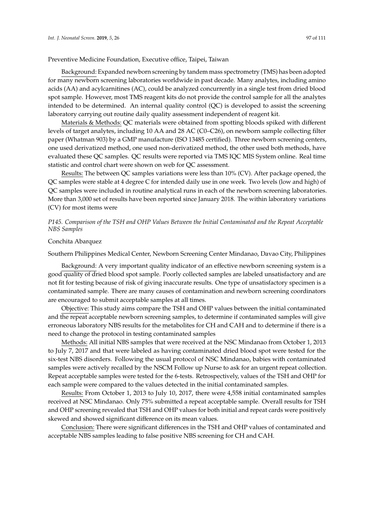### Preventive Medicine Foundation, Executive office, Taipei, Taiwan

Background: Expanded newborn screening by tandem mass spectrometry (TMS) has been adopted for many newborn screening laboratories worldwide in past decade. Many analytes, including amino acids (AA) and acylcarnitines (AC), could be analyzed concurrently in a single test from dried blood spot sample. However, most TMS reagent kits do not provide the control sample for all the analytes intended to be determined. An internal quality control (QC) is developed to assist the screening laboratory carrying out routine daily quality assessment independent of reagent kit.

Materials & Methods: QC materials were obtained from spotting bloods spiked with different levels of target analytes, including 10 AA and 28 AC (C0–C26), on newborn sample collecting filter paper (Whatman 903) by a GMP manufacture (ISO 13485 certified). Three newborn screening centers, one used derivatized method, one used non-derivatized method, the other used both methods, have evaluated these QC samples. QC results were reported via TMS IQC MIS System online. Real time statistic and control chart were shown on web for QC assessment.

Results: The between QC samples variations were less than 10% (CV). After package opened, the QC samples were stable at 4 degree C for intended daily use in one week. Two levels (low and high) of QC samples were included in routine analytical runs in each of the newborn screening laboratories. More than 3,000 set of results have been reported since January 2018. The within laboratory variations (CV) for most items were

# *P145. Comparison of the TSH and OHP Values Between the Initial Contaminated and the Repeat Acceptable NBS Samples*

#### Conchita Abarquez

Southern Philippines Medical Center, Newborn Screening Center Mindanao, Davao City, Philippines

Background: A very important quality indicator of an effective newborn screening system is a good quality of dried blood spot sample. Poorly collected samples are labeled unsatisfactory and are not fit for testing because of risk of giving inaccurate results. One type of unsatisfactory specimen is a contaminated sample. There are many causes of contamination and newborn screening coordinators are encouraged to submit acceptable samples at all times.

Objective: This study aims compare the TSH and OHP values between the initial contaminated and the repeat acceptable newborn screening samples, to determine if contaminated samples will give erroneous laboratory NBS results for the metabolites for CH and CAH and to determine if there is a need to change the protocol in testing contaminated samples

Methods: All initial NBS samples that were received at the NSC Mindanao from October 1, 2013 to July 7, 2017 and that were labeled as having contaminated dried blood spot were tested for the six-test NBS disorders. Following the usual protocol of NSC Mindanao, babies with contaminated samples were actively recalled by the NSCM Follow up Nurse to ask for an urgent repeat collection. Repeat acceptable samples were tested for the 6-tests. Retrospectively, values of the TSH and OHP for each sample were compared to the values detected in the initial contaminated samples.

Results: From October 1, 2013 to July 10, 2017, there were 4,558 initial contaminated samples received at NSC Mindanao. Only 75% submitted a repeat acceptable sample. Overall results for TSH and OHP screening revealed that TSH and OHP values for both initial and repeat cards were positively skewed and showed significant difference on its mean values.

Conclusion: There were significant differences in the TSH and OHP values of contaminated and acceptable NBS samples leading to false positive NBS screening for CH and CAH.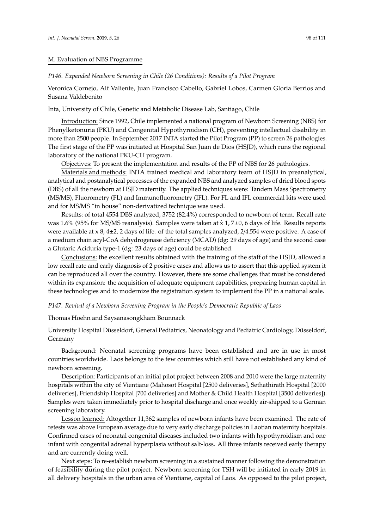### M. Evaluation of NBS Programme

*P146. Expanded Newborn Screening in Chile (26 Conditions): Results of a Pilot Program*

Veronica Cornejo, Alf Valiente, Juan Francisco Cabello, Gabriel Lobos, Carmen Gloria Berrios and Susana Valdebenito

Inta, University of Chile, Genetic and Metabolic Disease Lab, Santiago, Chile

Introduction: Since 1992, Chile implemented a national program of Newborn Screening (NBS) for Phenylketonuria (PKU) and Congenital Hypothyroidism (CH), preventing intellectual disability in more than 2500 people. In September 2017 INTA started the Pilot Program (PP) to screen 26 pathologies. The first stage of the PP was initiated at Hospital San Juan de Dios (HSJD), which runs the regional laboratory of the national PKU-CH program.

Objectives: To present the implementation and results of the PP of NBS for 26 pathologies.

Materials and methods: INTA trained medical and laboratory team of HSJD in preanalytical, analytical and postanalytical processes of the expanded NBS and analyzed samples of dried blood spots (DBS) of all the newborn at HSJD maternity. The applied techniques were: Tandem Mass Spectrometry (MS/MS), Fluorometry (FL) and Immunofluorometry (IFL). For FL and IFL commercial kits were used and for MS/MS "in house" non-derivatized technique was used.

Results: of total 4554 DBS analyzed, 3752 (82.4%) corresponded to newborn of term. Recall rate was  $1.6\%$  (95% for MS/MS reanalysis). Samples were taken at x 1, 7±0, 6 days of life. Results reports were available at  $x$  8, 4 $\pm$ 2, 2 days of life. of the total samples analyzed, 2/4.554 were positive. A case of a medium chain acyl-CoA dehydrogenase deficiency (MCAD) (dg: 29 days of age) and the second case a Glutaric Aciduria type-1 (dg: 23 days of age) could be stablished.

Conclusions: the excellent results obtained with the training of the staff of the HSJD, allowed a low recall rate and early diagnosis of 2 positive cases and allows us to assert that this applied system it can be reproduced all over the country. However, there are some challenges that must be considered within its expansion: the acquisition of adequate equipment capabilities, preparing human capital in these technologies and to modernize the registration system to implement the PP in a national scale.

*P147. Revival of a Newborn Screening Program in the People's Democratic Republic of Laos*

Thomas Hoehn and Saysanasongkham Bounnack

University Hospital Düsseldorf, General Pediatrics, Neonatology and Pediatric Cardiology, Düsseldorf, Germany

Background: Neonatal screening programs have been established and are in use in most countries worldwide. Laos belongs to the few countries which still have not established any kind of newborn screening.

Description: Participants of an initial pilot project between 2008 and 2010 were the large maternity hospitals within the city of Vientiane (Mahosot Hospital [2500 deliveries], Sethathirath Hospital [2000 deliveries], Friendship Hospital [700 deliveries] and Mother & Child Health Hospital [3500 deliveries]). Samples were taken immediately prior to hospital discharge and once weekly air-shipped to a German screening laboratory.

Lesson learned: Altogether 11,362 samples of newborn infants have been examined. The rate of retests was above European average due to very early discharge policies in Laotian maternity hospitals. Confirmed cases of neonatal congenital diseases included two infants with hypothyroidism and one infant with congenital adrenal hyperplasia without salt-loss. All three infants received early therapy and are currently doing well.

Next steps: To re-establish newborn screening in a sustained manner following the demonstration of feasibility during the pilot project. Newborn screening for TSH will be initiated in early 2019 in all delivery hospitals in the urban area of Vientiane, capital of Laos. As opposed to the pilot project,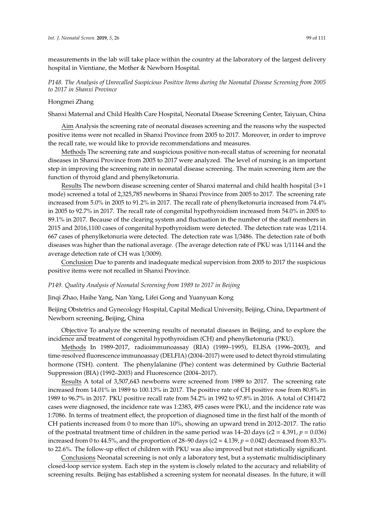measurements in the lab will take place within the country at the laboratory of the largest delivery hospital in Vientiane, the Mother & Newborn Hospital.

## *P148. The Analysis of Unrecalled Suspicious Positive Items during the Neonatal Disease Screening from 2005 to 2017 in Shanxi Province*

#### Hongmei Zhang

Shanxi Maternal and Child Health Care Hospital, Neonatal Disease Screening Center, Taiyuan, China

Aim Analysis the screening rate of neonatal diseases screening and the reasons why the suspected positive items were not recalled in Shanxi Province from 2005 to 2017. Moreover, in order to improve the recall rate, we would like to provide recommendations and measures.

Methods The screening rate and suspicious positive non-recall status of screening for neonatal diseases in Shanxi Province from 2005 to 2017 were analyzed. The level of nursing is an important step in improving the screening rate in neonatal disease screening. The main screening item are the function of thyroid gland and phenylketonuria.

Results The newborn disease screening center of Shanxi maternal and child health hospital (3+1 mode) screened a total of 2,325,785 newborns in Shanxi Province from 2005 to 2017. The screening rate increased from 5.0% in 2005 to 91.2% in 2017. The recall rate of phenylketonuria increased from 74.4% in 2005 to 92.7% in 2017. The recall rate of congenital hypothyroidism increased from 54.0% in 2005 to 89.1% in 2017. Because of the clearing system and fluctuation in the number of the staff members in 2015 and 2016,1100 cases of congenital hypothyroidism were detected. The detection rate was 1/2114. 667 cases of phenylketonuria were detected. The detection rate was 1/3486. The detection rate of both diseases was higher than the national average. (The average detection rate of PKU was 1/11144 and the average detection rate of CH was 1/3009).

Conclusion Due to parents and inadequate medical supervision from 2005 to 2017 the suspicious positive items were not recalled in Shanxi Province.

#### *P149. Quality Analysis of Neonatal Screening from 1989 to 2017 in Beijing*

Jinqi Zhao, Haihe Yang, Nan Yang, Lifei Gong and Yuanyuan Kong

Beijing Obstetrics and Gynecology Hospital, Capital Medical University, Beijing, China, Department of Newborn screening, Beijing, China

Objective To analyze the screening results of neonatal diseases in Beijing, and to explore the incidence and treatment of congenital hypothyroidism (CH) and phenylketonuria (PKU).

Methods In 1989-2017, radioimmunoassay (RIA) (1989–1995), ELISA (1996–2003), and time-resolved fluorescence immunoassay (DELFIA) (2004–2017) were used to detect thyroid stimulating hormone (TSH). content. The phenylalanine (Phe) content was determined by Guthrie Bacterial Suppression (BIA) (1992–2003) and Fluorescence (2004–2017).

Results A total of 3,507,643 newborns were screened from 1989 to 2017. The screening rate increased from 14.01% in 1989 to 100.13% in 2017. The positive rate of CH positive rose from 80.8% in 1989 to 96.7% in 2017. PKU positive recall rate from 54.2% in 1992 to 97.8% in 2016. A total of CH1472 cases were diagnosed, the incidence rate was 1:2383, 495 cases were PKU, and the incidence rate was 1:7086. In terms of treatment effect, the proportion of diagnosed time in the first half of the month of CH patients increased from 0 to more than 10%, showing an upward trend in 2012–2017. The ratio of the postnatal treatment time of children in the same period was  $14-20$  days ( $c2 = 4.391$ ,  $p = 0.036$ ) increased from 0 to 44.5%, and the proportion of  $28-90$  days ( $c2 = 4.139$ ,  $p = 0.042$ ) decreased from 83.3% to 22.6%. The follow-up effect of children with PKU was also improved but not statistically significant.

Conclusions Neonatal screening is not only a laboratory test, but a systematic multidisciplinary closed-loop service system. Each step in the system is closely related to the accuracy and reliability of screening results. Beijing has established a screening system for neonatal diseases. In the future, it will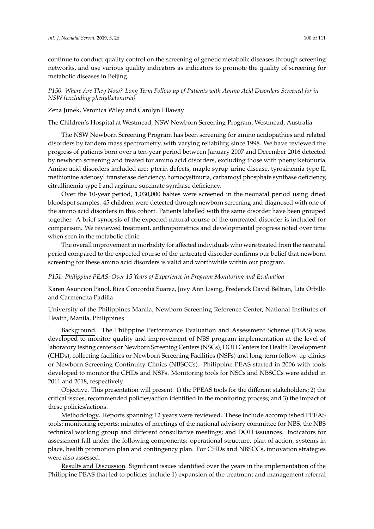continue to conduct quality control on the screening of genetic metabolic diseases through screening networks, and use various quality indicators as indicators to promote the quality of screening for metabolic diseases in Beijing.

# *P150. Where Are They Now? Long Term Follow up of Patients with Amino Acid Disorders Screened for in NSW (excluding phenylketonuria)*

## Zena Junek, Veronica Wiley and Carolyn Ellaway

The Children's Hospital at Westmead, NSW Newborn Screening Program, Westmead, Australia

The NSW Newborn Screening Program has been screening for amino acidopathies and related disorders by tandem mass spectrometry, with varying reliability, since 1998. We have reviewed the progress of patients born over a ten-year period between January 2007 and December 2016 detected by newborn screening and treated for amino acid disorders, excluding those with phenylketonuria. Amino acid disorders included are: pterin defects, maple syrup urine disease, tyrosinemia type II, methionine adenosyl transferase deficiency, homocystinuria, carbamoyl phosphate synthase deficiency, citrullinemia type I and arginine succinate synthase deficiency.

Over the 10-year period, 1,030,000 babies were screened in the neonatal period using dried bloodspot samples. 45 children were detected through newborn screening and diagnosed with one of the amino acid disorders in this cohort. Patients labelled with the same disorder have been grouped together. A brief synopsis of the expected natural course of the untreated disorder is included for comparison. We reviewed treatment, anthropometrics and developmental progress noted over time when seen in the metabolic clinic.

The overall improvement in morbidity for affected individuals who were treated from the neonatal period compared to the expected course of the untreated disorder confirms our belief that newborn screening for these amino acid disorders is valid and worthwhile within our program.

# *P151. Philippine PEAS: Over 15 Years of Experience in Program Monitoring and Evaluation*

Karen Asuncion Panol, Riza Concordia Suarez, Jovy Ann Lising, Frederick David Beltran, Lita Orbillo and Carmencita Padilla

University of the Philippines Manila, Newborn Screening Reference Center, National Institutes of Health, Manila, Philippines

Background. The Philippine Performance Evaluation and Assessment Scheme (PEAS) was developed to monitor quality and improvement of NBS program implementation at the level of laboratory testing centers or Newborn Screening Centers (NSCs), DOH Centers for Health Development (CHDs), collecting facilities or Newborn Screening Facilities (NSFs) and long-term follow-up clinics or Newborn Screening Continuity Clinics (NBSCCs). Philippine PEAS started in 2006 with tools developed to monitor the CHDs and NSFs. Monitoring tools for NSCs and NBSCCs were added in 2011 and 2018, respectively.

Objective. This presentation will present: 1) the PPEAS tools for the different stakeholders; 2) the critical issues, recommended policies/action identified in the monitoring process; and 3) the impact of these policies/actions.

Methodology. Reports spanning 12 years were reviewed. These include accomplished PPEAS tools; monitoring reports; minutes of meetings of the national advisory committee for NBS, the NBS technical working group and different consultative meetings; and DOH issuances. Indicators for assessment fall under the following components: operational structure, plan of action, systems in place, health promotion plan and contingency plan. For CHDs and NBSCCs, innovation strategies were also assessed.

Results and Discussion. Significant issues identified over the years in the implementation of the Philippine PEAS that led to policies include 1) expansion of the treatment and management referral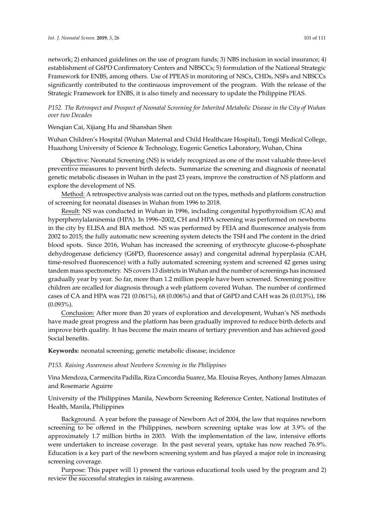network; 2) enhanced guidelines on the use of program funds; 3) NBS inclusion in social insurance; 4) establishment of G6PD Confirmatory Centers and NBSCCs; 5) formulation of the National Strategic Framework for ENBS, among others. Use of PPEAS in monitoring of NSCs, CHDs, NSFs and NBSCCs significantly contributed to the continuous improvement of the program. With the release of the Strategic Framework for ENBS, it is also timely and necessary to update the Philippine PEAS.

# *P152. The Retrospect and Prospect of Neonatal Screening for Inherited Metabolic Disease in the City of Wuhan over two Decades*

## Wenqian Cai, Xijiang Hu and Shanshan Shen

Wuhan Children's Hospital (Wuhan Maternal and Child Healthcare Hospital), Tongji Medical College, Huazhong University of Science & Technology, Eugenic Genetics Laboratory, Wuhan, China

Objective: Neonatal Screening (NS) is widely recognized as one of the most valuable three-level preventive measures to prevent birth defects. Summarize the screening and diagnosis of neonatal genetic metabolic diseases in Wuhan in the past 23 years, improve the construction of NS platform and explore the development of NS.

Method: A retrospective analysis was carried out on the types, methods and platform construction of screening for neonatal diseases in Wuhan from 1996 to 2018.

Result: NS was conducted in Wuhan in 1996, including congenital hypothyroidism (CA) and hyperphenylalaninemia (HPA). In 1996–2002, CH and HPA screening was performed on newborns in the city by ELISA and BIA method. NS was performed by FEIA and fluorescence analysis from 2002 to 2015; the fully automatic new screening system detects the TSH and Phe content in the dried blood spots. Since 2016, Wuhan has increased the screening of erythrocyte glucose-6-phosphate dehydrogenase deficiency (G6PD, fluorescence assay) and congenital adrenal hyperplasia (CAH, time-resolved fluorescence) with a fully automated screening system and screened 42 genes using tandem mass spectrometry. NS covers 13 districts in Wuhan and the number of screenings has increased gradually year by year. So far, more than 1.2 million people have been screened. Screening positive children are recalled for diagnosis through a web platform covered Wuhan. The number of confirmed cases of CA and HPA was 721 (0.061%), 68 (0.006%) and that of G6PD and CAH was 26 (0.013%), 186 (0.093%).

Conclusion: After more than 20 years of exploration and development, Wuhan's NS methods have made great progress and the platform has been gradually improved to reduce birth defects and improve birth quality. It has become the main means of tertiary prevention and has achieved good Social benefits.

**Keywords:** neonatal screening; genetic metabolic disease; incidence

## *P153. Raising Awareness about Newborn Screening in the Philippines*

Vina Mendoza, Carmencita Padilla, Riza Concordia Suarez, Ma. Elouisa Reyes, Anthony James Almazan and Rosemarie Aguirre

University of the Philippines Manila, Newborn Screening Reference Center, National Institutes of Health, Manila, Philippines

Background. A year before the passage of Newborn Act of 2004, the law that requires newborn screening to be offered in the Philippines, newborn screening uptake was low at 3.9% of the approximately 1.7 million births in 2003. With the implementation of the law, intensive efforts were undertaken to increase coverage. In the past several years, uptake has now reached 76.9%. Education is a key part of the newborn screening system and has played a major role in increasing screening coverage.

Purpose: This paper will 1) present the various educational tools used by the program and 2) review the successful strategies in raising awareness.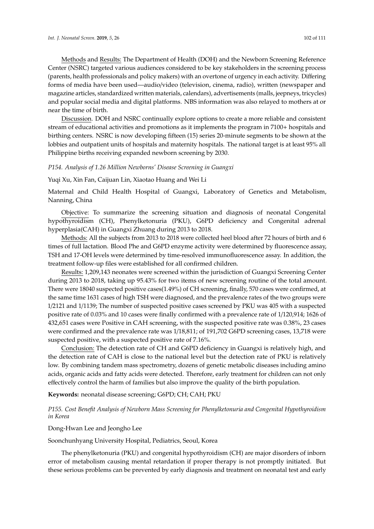Methods and Results: The Department of Health (DOH) and the Newborn Screening Reference Center (NSRC) targeted various audiences considered to be key stakeholders in the screening process (parents, health professionals and policy makers) with an overtone of urgency in each activity. Differing forms of media have been used—audio/video (television, cinema, radio), written (newspaper and magazine articles, standardized written materials, calendars), advertisements (malls, jeepneys, tricycles) and popular social media and digital platforms. NBS information was also relayed to mothers at or near the time of birth.

Discussion. DOH and NSRC continually explore options to create a more reliable and consistent stream of educational activities and promotions as it implements the program in 7100+ hospitals and birthing centers. NSRC is now developing fifteen (15) series 20-minute segments to be shown at the lobbies and outpatient units of hospitals and maternity hospitals. The national target is at least 95% all Philippine births receiving expanded newborn screening by 2030.

### *P154. Analysis of 1.26 Million Newborns' Disease Screening in Guangxi*

Yuqi Xu, Xin Fan, Caijuan Lin, Xiaotao Huang and Wei Li

Maternal and Child Health Hospital of Guangxi, Laboratory of Genetics and Metabolism, Nanning, China

Objective: To summarize the screening situation and diagnosis of neonatal Congenital hypothyroidism (CH), Phenylketonuria (PKU), G6PD deficiency and Congenital adrenal hyperplasia(CAH) in Guangxi Zhuang during 2013 to 2018.

Methods: All the subjects from 2013 to 2018 were collected heel blood after 72 hours of birth and 6 times of full lactation. Blood Phe and G6PD enzyme activity were determined by fluorescence assay, TSH and 17-OH levels were determined by time-resolved immunofluorescence assay. In addition, the treatment follow-up files were established for all confirmed children.

Results: 1,209,143 neonates were screened within the jurisdiction of Guangxi Screening Center during 2013 to 2018, taking up 95.43% for two items of new screening routine of the total amount. There were 18040 suspected positive cases(1.49%) of CH screening, finally, 570 cases were confirmed, at the same time 1631 cases of high TSH were diagnosed, and the prevalence rates of the two groups were 1/2121 and 1/1139; The number of suspected positive cases screened by PKU was 405 with a suspected positive rate of 0.03% and 10 cases were finally confirmed with a prevalence rate of 1/120,914; 1626 of 432,651 cases were Positive in CAH screening, with the suspected positive rate was 0.38%, 23 cases were confirmed and the prevalence rate was 1/18,811; of 191,702 G6PD screening cases, 13,718 were suspected positive, with a suspected positive rate of 7.16%.

Conclusion: The detection rate of CH and G6PD deficiency in Guangxi is relatively high, and the detection rate of CAH is close to the national level but the detection rate of PKU is relatively low. By combining tandem mass spectrometry, dozens of genetic metabolic diseases including amino acids, organic acids and fatty acids were detected. Therefore, early treatment for children can not only effectively control the harm of families but also improve the quality of the birth population.

**Keywords:** neonatal disease screening; G6PD; CH; CAH; PKU

*P155. Cost Benefit Analysis of Newborn Mass Screening for Phenylketonuria and Congenital Hypothyroidism in Korea*

### Dong-Hwan Lee and Jeongho Lee

Soonchunhyang University Hospital, Pediatrics, Seoul, Korea

The phenylketonuria (PKU) and congenital hypothyroidism (CH) are major disorders of inborn error of metabolism causing mental retardation if proper therapy is not promptly initiated. But these serious problems can be prevented by early diagnosis and treatment on neonatal test and early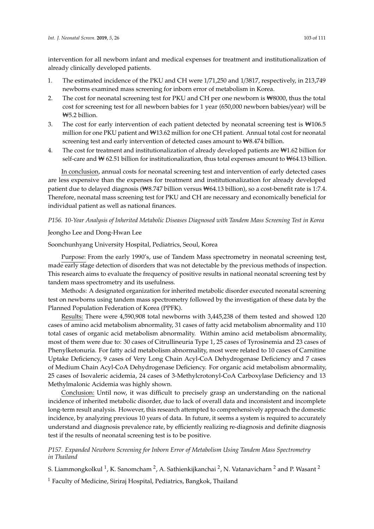intervention for all newborn infant and medical expenses for treatment and institutionalization of already clinically developed patients.

- 1. The estimated incidence of the PKU and CH were 1/71,250 and 1/3817, respectively, in 213,749 newborns examined mass screening for inborn error of metabolism in Korea.
- 2. The cost for neonatal screening test for PKU and CH per one newborn is ₩8000, thus the total cost for screening test for all newborn babies for 1 year (650,000 newborn babies/year) will be ₩5.2 billion.
- 3. The cost for early intervention of each patient detected by neonatal screening test is  $\text{W106.5}$ million for one PKU patient and ₩13.62 million for one CH patient. Annual total cost for neonatal screening test and early intervention of detected cases amount to ₩8.474 billion.
- 4. The cost for treatment and institutionalization of already developed patients are ₩1.62 billion for self-care and ₩ 62.51 billion for institutionalization, thus total expenses amount to ₩64.13 billion.

In conclusion, annual costs for neonatal screening test and intervention of early detected cases are less expensive than the expenses for treatment and institutionalization for already developed patient due to delayed diagnosis (₩8.747 billion versus ₩64.13 billion), so a cost-benefit rate is 1:7.4. Therefore, neonatal mass screening test for PKU and CH are necessary and economically beneficial for individual patient as well as national finances.

## *P156. 10-Year Analysis of Inherited Metabolic Diseases Diagnosed with Tandem Mass Screening Test in Korea*

Jeongho Lee and Dong-Hwan Lee

Soonchunhyang University Hospital, Pediatrics, Seoul, Korea

Purpose: From the early 1990's, use of Tandem Mass spectrometry in neonatal screening test, made early stage detection of disorders that was not detectable by the previous methods of inspection. This research aims to evaluate the frequency of positive results in national neonatal screening test by tandem mass spectrometry and its usefulness.

Methods: A designated organization for inherited metabolic disorder executed neonatal screening test on newborns using tandem mass spectrometry followed by the investigation of these data by the Planned Population Federation of Korea (PPFK).

Results: There were 4,590,908 total newborns with 3,445,238 of them tested and showed 120 cases of amino acid metabolism abnormality, 31 cases of fatty acid metabolism abnormality and 110 total cases of organic acid metabolism abnormality. Within amino acid metabolism abnormality, most of them were due to: 30 cases of Citrullineuria Type 1, 25 cases of Tyrosinemia and 23 cases of Phenylketonuria. For fatty acid metabolism abnormality, most were related to 10 cases of Carnitine Uptake Deficiency, 9 cases of Very Long Chain Acyl-CoA Dehydrogenase Deficiency and 7 cases of Medium Chain Acyl-CoA Dehydrogenase Deficiency. For organic acid metabolism abnormality, 25 cases of Isovaleric acidemia, 24 cases of 3-Methylcrotonyl-CoA Carboxylase Deficiency and 13 Methylmalonic Acidemia was highly shown.

Conclusion: Until now, it was difficult to precisely grasp an understanding on the national incidence of inherited metabolic disorder, due to lack of overall data and inconsistent and incomplete long-term result analysis. However, this research attempted to comprehensively approach the domestic incidence, by analyzing previous 10 years of data. In future, it seems a system is required to accurately understand and diagnosis prevalence rate, by efficiently realizing re-diagnosis and definite diagnosis test if the results of neonatal screening test is to be positive.

*P157. Expanded Newborn Screening for Inborn Error of Metabolism Using Tandem Mass Spectrometry in Thailand*

S. Liammongkolkul  $^1$ , K. Sanomcham  $^2$ , A. Sathienkijkanchai  $^2$ , N. Vatanavicharn  $^2$  and P. Wasant  $^2$ 

<sup>1</sup> Faculty of Medicine, Siriraj Hospital, Pediatrics, Bangkok, Thailand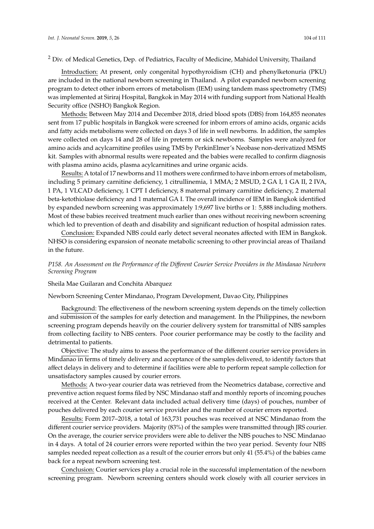# <sup>2</sup> Div. of Medical Genetics, Dep. of Pediatrics, Faculty of Medicine, Mahidol University, Thailand

Introduction: At present, only congenital hypothyroidism (CH) and phenylketonuria (PKU) are included in the national newborn screening in Thailand. A pilot expanded newborn screening program to detect other inborn errors of metabolism (IEM) using tandem mass spectrometry (TMS) was implemented at Siriraj Hospital, Bangkok in May 2014 with funding support from National Health Security office (NSHO) Bangkok Region.

Methods: Between May 2014 and December 2018, dried blood spots (DBS) from 164,855 neonates sent from 17 public hospitals in Bangkok were screened for inborn errors of amino acids, organic acids and fatty acids metabolisms were collected on days 3 of life in well newborns. In addition, the samples were collected on days 14 and 28 of life in preterm or sick newborns. Samples were analyzed for amino acids and acylcarnitine profiles using TMS by PerkinElmer's Neobase non-derivatized MSMS kit. Samples with abnormal results were repeated and the babies were recalled to confirm diagnosis with plasma amino acids, plasma acylcarnitines and urine organic acids.

Results: A total of 17 newborns and 11 mothers were confirmed to have inborn errors of metabolism, including 5 primary carnitine deficiency, 1 citrullinemia, 1 MMA; 2 MSUD, 2 GA I, 1 GA II, 2 IVA, 1 PA, 1 VLCAD deficiency, 1 CPT I deficiency, 8 maternal primary carnitine deficiency, 2 maternal beta-ketothiolase deficiency and 1 maternal GA I. The overall incidence of IEM in Bangkok identified by expanded newborn screening was approximately 1:9,697 live births or 1: 5,888 including mothers. Most of these babies received treatment much earlier than ones without receiving newborn screening which led to prevention of death and disability and significant reduction of hospital admission rates.

Conclusion: Expanded NBS could early detect several neonates affected with IEM in Bangkok. NHSO is considering expansion of neonate metabolic screening to other provincial areas of Thailand in the future.

# *P158. An Assessment on the Performance of the Di*ff*erent Courier Service Providers in the Mindanao Newborn Screening Program*

### Sheila Mae Guilaran and Conchita Abarquez

### Newborn Screening Center Mindanao, Program Development, Davao City, Philippines

Background: The effectiveness of the newborn screening system depends on the timely collection and submission of the samples for early detection and management. In the Philippines, the newborn screening program depends heavily on the courier delivery system for transmittal of NBS samples from collecting facility to NBS centers. Poor courier performance may be costly to the facility and detrimental to patients.

Objective: The study aims to assess the performance of the different courier service providers in Mindanao in terms of timely delivery and acceptance of the samples delivered, to identify factors that affect delays in delivery and to determine if facilities were able to perform repeat sample collection for unsatisfactory samples caused by courier errors.

Methods: A two-year courier data was retrieved from the Neometrics database, corrective and preventive action request forms filed by NSC Mindanao staff and monthly reports of incoming pouches received at the Center. Relevant data included actual delivery time (days) of pouches, number of pouches delivered by each courier service provider and the number of courier errors reported.

Results: Form 2017–2018, a total of 163,731 pouches was received at NSC Mindanao from the different courier service providers. Majority (83%) of the samples were transmitted through JRS courier. On the average, the courier service providers were able to deliver the NBS pouches to NSC Mindanao in 4 days. A total of 24 courier errors were reported within the two year period. Seventy four NBS samples needed repeat collection as a result of the courier errors but only 41 (55.4%) of the babies came back for a repeat newborn screening test.

Conclusion: Courier services play a crucial role in the successful implementation of the newborn screening program. Newborn screening centers should work closely with all courier services in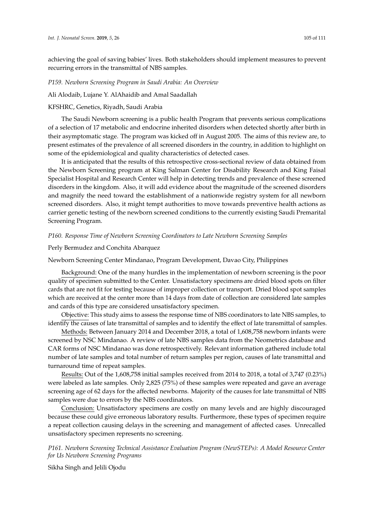achieving the goal of saving babies' lives. Both stakeholders should implement measures to prevent recurring errors in the transmittal of NBS samples.

#### *P159. Newborn Screening Program in Saudi Arabia: An Overview*

Ali Alodaib, Lujane Y. AlAhaidib and Amal Saadallah

### KFSHRC, Genetics, Riyadh, Saudi Arabia

The Saudi Newborn screening is a public health Program that prevents serious complications of a selection of 17 metabolic and endocrine inherited disorders when detected shortly after birth in their asymptomatic stage. The program was kicked off in August 2005. The aims of this review are, to present estimates of the prevalence of all screened disorders in the country, in addition to highlight on some of the epidemiological and quality characteristics of detected cases.

It is anticipated that the results of this retrospective cross-sectional review of data obtained from the Newborn Screening program at King Salman Center for Disability Research and King Faisal Specialist Hospital and Research Center will help in detecting trends and prevalence of these screened disorders in the kingdom. Also, it will add evidence about the magnitude of the screened disorders and magnify the need toward the establishment of a nationwide registry system for all newborn screened disorders. Also, it might tempt authorities to move towards preventive health actions as carrier genetic testing of the newborn screened conditions to the currently existing Saudi Premarital Screening Program.

### *P160. Response Time of Newborn Screening Coordinators to Late Newborn Screening Samples*

#### Perly Bermudez and Conchita Abarquez

Newborn Screening Center Mindanao, Program Development, Davao City, Philippines

Background: One of the many hurdles in the implementation of newborn screening is the poor quality of specimen submitted to the Center. Unsatisfactory specimens are dried blood spots on filter cards that are not fit for testing because of improper collection or transport. Dried blood spot samples which are received at the center more than 14 days from date of collection are considered late samples and cards of this type are considered unsatisfactory specimen.

Objective: This study aims to assess the response time of NBS coordinators to late NBS samples, to identify the causes of late transmittal of samples and to identify the effect of late transmittal of samples.

Methods: Between January 2014 and December 2018, a total of 1,608,758 newborn infants were screened by NSC Mindanao. A review of late NBS samples data from the Neometrics database and CAR forms of NSC Mindanao was done retrospectively. Relevant information gathered include total number of late samples and total number of return samples per region, causes of late transmittal and turnaround time of repeat samples.

Results: Out of the 1,608,758 initial samples received from 2014 to 2018, a total of 3,747 (0.23%) were labeled as late samples. Only 2,825 (75%) of these samples were repeated and gave an average screening age of 62 days for the affected newborns. Majority of the causes for late transmittal of NBS samples were due to errors by the NBS coordinators.

Conclusion: Unsatisfactory specimens are costly on many levels and are highly discouraged because these could give erroneous laboratory results. Furthermore, these types of specimen require a repeat collection causing delays in the screening and management of affected cases. Unrecalled unsatisfactory specimen represents no screening.

*P161. Newborn Screening Technical Assistance Evaluation Program (NewSTEPs): A Model Resource Center for Us Newborn Screening Programs*

Sikha Singh and Jelili Ojodu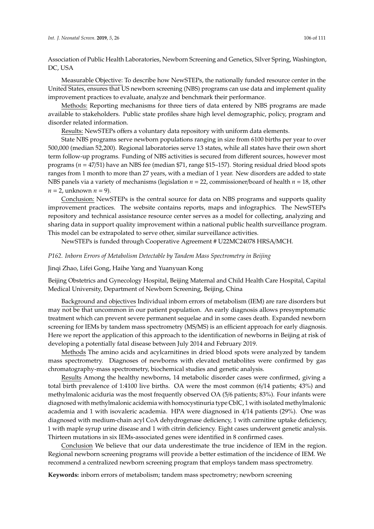Association of Public Health Laboratories, Newborn Screening and Genetics, Silver Spring, Washington, DC, USA

Measurable Objective: To describe how NewSTEPs, the nationally funded resource center in the United States, ensures that US newborn screening (NBS) programs can use data and implement quality improvement practices to evaluate, analyze and benchmark their performance.

Methods: Reporting mechanisms for three tiers of data entered by NBS programs are made available to stakeholders. Public state profiles share high level demographic, policy, program and disorder related information.

Results: NewSTEPs offers a voluntary data repository with uniform data elements.

State NBS programs serve newborn populations ranging in size from 6100 births per year to over 500,000 (median 52,200). Regional laboratories serve 13 states, while all states have their own short term follow-up programs. Funding of NBS activities is secured from different sources, however most programs (*n* = 47/51) have an NBS fee (median \$71, range \$15–157). Storing residual dried blood spots ranges from 1 month to more than 27 years, with a median of 1 year. New disorders are added to state NBS panels via a variety of mechanisms (legislation *n* = 22, commissioner/board of health *n* = 18, other *n* = 2, unknown *n* = 9).

Conclusion: NewSTEPs is the central source for data on NBS programs and supports quality improvement practices. The website contains reports, maps and infographics. The NewSTEPs repository and technical assistance resource center serves as a model for collecting, analyzing and sharing data in support quality improvement within a national public health surveillance program. This model can be extrapolated to serve other, similar surveillance activities.

NewSTEPs is funded through Cooperative Agreement # U22MC24078 HRSA/MCH.

### *P162. Inborn Errors of Metabolism Detectable by Tandem Mass Spectrometry in Beijing*

### Jinqi Zhao, Lifei Gong, Haihe Yang and Yuanyuan Kong

Beijing Obstetrics and Gynecology Hospital, Beijing Maternal and Child Health Care Hospital, Capital Medical University, Department of Newborn Screening, Beijing, China

Background and objectives Individual inborn errors of metabolism (IEM) are rare disorders but may not be that uncommon in our patient population. An early diagnosis allows presymptomatic treatment which can prevent severe permanent sequelae and in some cases death. Expanded newborn screening for IEMs by tandem mass spectrometry (MS/MS) is an efficient approach for early diagnosis. Here we report the application of this approach to the identification of newborns in Beijing at risk of developing a potentially fatal disease between July 2014 and February 2019.

Methods The amino acids and acylcarnitines in dried blood spots were analyzed by tandem mass spectrometry. Diagnoses of newborns with elevated metabolites were confirmed by gas chromatography-mass spectrometry, biochemical studies and genetic analysis.

Results Among the healthy newborns, 14 metabolic disorder cases were confirmed, giving a total birth prevalence of 1:4100 live births. OA were the most common (6/14 patients; 43%) and methylmalonic aciduria was the most frequently observed OA (5/6 patients; 83%). Four infants were diagnosed with methylmalonic acidemia with homocystinuria type CblC, 1 with isolated methylmalonic academia and 1 with isovaleric academia. HPA were diagnosed in 4/14 patients (29%). One was diagnosed with medium-chain acyl CoA dehydrogenase deficiency, 1 with carnitine uptake deficiency, 1 with maple syrup urine disease and 1 with citrin deficiency. Eight cases underwent genetic analysis. Thirteen mutations in six IEMs-associated genes were identified in 8 confirmed cases.

Conclusion We believe that our data underestimate the true incidence of IEM in the region. Regional newborn screening programs will provide a better estimation of the incidence of IEM. We recommend a centralized newborn screening program that employs tandem mass spectrometry.

**Keywords:** inborn errors of metabolism; tandem mass spectrometry; newborn screening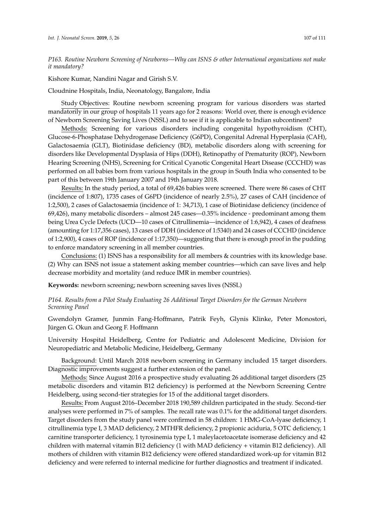*P163. Routine Newborn Screening of Newborns—Why can ISNS & other International organizations not make it mandatory?*

Kishore Kumar, Nandini Nagar and Girish S.V.

Cloudnine Hospitals, India, Neonatology, Bangalore, India

Study Objectives: Routine newborn screening program for various disorders was started mandatorily in our group of hospitals 11 years ago for 2 reasons: World over, there is enough evidence of Newborn Screening Saving Lives (NSSL) and to see if it is applicable to Indian subcontinent?

Methods: Screening for various disorders including congenital hypothyroidism (CHT), Glucose-6-Phosphatase Dehydrogenase Deficiency (G6PD), Congenital Adrenal Hyperplasia (CAH), Galactosaemia (GLT), Biotinidase deficiency (BD), metabolic disorders along with screening for disorders like Developmental Dysplasia of Hips (DDH), Retinopathy of Prematurity (ROP), Newborn Hearing Screening (NHS), Screening for Critical Cyanotic Congenital Heart Disease (CCCHD) was performed on all babies born from various hospitals in the group in South India who consented to be part of this between 19th January 2007 and 19th January 2018.

Results: In the study period, a total of 69,426 babies were screened. There were 86 cases of CHT (incidence of 1:807), 1735 cases of G6PD (incidence of nearly 2.5%), 27 cases of CAH (incidence of 1:2,500), 2 cases of Galactosaemia (incidence of 1: 34,713), 1 case of Biotinidase deficiency (incidence of 69,426), many metabolic disorders – almost 245 cases—0.35% incidence - predominant among them being Urea Cycle Defects (UCD—10 cases of Citrullinemia—incidence of 1:6,942), 4 cases of deafness (amounting for 1:17,356 cases), 13 cases of DDH (incidence of 1:5340) and 24 cases of CCCHD (incidence of 1:2,900), 4 cases of ROP (incidence of 1:17,350)—suggesting that there is enough proof in the pudding to enforce mandatory screening in all member countries.

Conclusions: (1) ISNS has a responsibility for all members & countries with its knowledge base. (2) Why can ISNS not issue a statement asking member countries—which can save lives and help decrease morbidity and mortality (and reduce IMR in member countries).

**Keywords:** newborn screening; newborn screening saves lives (NSSL)

*P164. Results from a Pilot Study Evaluating 26 Additional Target Disorders for the German Newborn Screening Panel*

Gwendolyn Gramer, Junmin Fang-Hoffmann, Patrik Feyh, Glynis Klinke, Peter Monostori, Jürgen G. Okun and Georg F. Hoffmann

University Hospital Heidelberg, Centre for Pediatric and Adolescent Medicine, Division for Neuropediatric and Metabolic Medicine, Heidelberg, Germany

Background: Until March 2018 newborn screening in Germany included 15 target disorders. Diagnostic improvements suggest a further extension of the panel.

Methods: Since August 2016 a prospective study evaluating 26 additional target disorders (25 metabolic disorders and vitamin B12 deficiency) is performed at the Newborn Screening Centre Heidelberg, using second-tier strategies for 15 of the additional target disorders.

Results: From August 2016–December 2018 190,589 children participated in the study. Second-tier analyses were performed in 7% of samples. The recall rate was 0.1% for the additional target disorders. Target disorders from the study panel were confirmed in 58 children: 1 HMG-CoA-lyase deficiency, 1 citrullinemia type I, 3 MAD deficiency, 2 MTHFR deficiency, 2 propionic aciduria, 5 OTC deficiency, 1 carnitine transporter deficiency, 1 tyrosinemia type I, 1 maleylacetoacetate isomerase deficiency and 42 children with maternal vitamin B12 deficiency (1 with MAD deficiency + vitamin B12 deficiency). All mothers of children with vitamin B12 deficiency were offered standardized work-up for vitamin B12 deficiency and were referred to internal medicine for further diagnostics and treatment if indicated.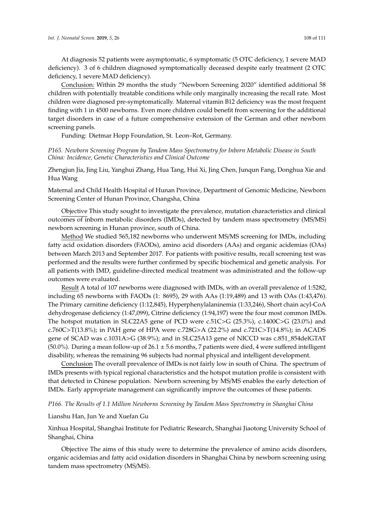At diagnosis 52 patients were asymptomatic, 6 symptomatic (5 OTC deficiency, 1 severe MAD deficiency). 3 of 6 children diagnosed symptomatically deceased despite early treatment (2 OTC deficiency, 1 severe MAD deficiency).

Conclusion: Within 29 months the study "Newborn Screening 2020" identified additional 58 children with potentially treatable conditions while only marginally increasing the recall rate. Most children were diagnosed pre-symptomatically. Maternal vitamin B12 deficiency was the most frequent finding with 1 in 4500 newborns. Even more children could benefit from screening for the additional target disorders in case of a future comprehensive extension of the German and other newborn screening panels.

Funding: Dietmar Hopp Foundation, St. Leon–Rot, Germany.

## *P165. Newborn Screening Program by Tandem Mass Spectrometry for Inborn Metabolic Disease in South China: Incidence, Genetic Characteristics and Clinical Outcome*

Zhengjun Jia, Jing Liu, Yanghui Zhang, Hua Tang, Hui Xi, Jing Chen, Junqun Fang, Donghua Xie and Hua Wang

Maternal and Child Health Hospital of Hunan Province, Department of Genomic Medicine, Newborn Screening Center of Hunan Province, Changsha, China

Objective This study sought to investigate the prevalence, mutation characteristics and clinical outcomes of inborn metabolic disorders (IMDs), detected by tandem mass spectrometry (MS/MS) newborn screening in Hunan province, south of China.

Method We studied 565,182 newborns who underwent MS/MS screening for IMDs, including fatty acid oxidation disorders (FAODs), amino acid disorders (AAs) and organic acidemias (OAs) between March 2013 and September 2017. For patients with positive results, recall screening test was performed and the results were further confirmed by specific biochemical and genetic analysis. For all patients with IMD, guideline-directed medical treatment was administrated and the follow-up outcomes were evaluated.

Result A total of 107 newborns were diagnosed with IMDs, with an overall prevalence of 1:5282, including 65 newborns with FAODs (1: 8695), 29 with AAs (1:19,489) and 13 with OAs (1:43,476). The Primary carnitine deficiency (1:12,845), Hyperphenylalaninemia (1:33,246), Short chain acyl-CoA dehydrogenase deficiency (1:47,099), Citrine deficiency (1:94,197) were the four most common IMDs. The hotspot mutation in SLC22A5 gene of PCD were c.51C>G (25.3%), c.1400C>G (23.0%) and c.760C>T(13.8%); in PAH gene of HPA were c.728G>A (22.2%) and c.721C>T(14.8%); in ACADS gene of SCAD was c.1031A>G (38.9%); and in SLC25A13 gene of NICCD was c.851\_854delGTAT (50.0%). During a mean follow-up of  $26.1 \pm 5.6$  months, 7 patients were died, 4 were suffered intelligent disability, whereas the remaining 96 subjects had normal physical and intelligent development.

Conclusion The overall prevalence of IMDs is not fairly low in south of China. The spectrum of IMDs presents with typical regional characteristics and the hotspot mutation profile is consistent with that detected in Chinese population. Newborn screening by MS/MS enables the early detection of IMDs. Early appropriate management can significantly improve the outcomes of these patients.

### *P166. The Results of 1.1 Million Newborns Screening by Tandem Mass Spectrometry in Shanghai China*

#### Lianshu Han, Jun Ye and Xuefan Gu

Xinhua Hospital, Shanghai Institute for Pediatric Research, Shanghai Jiaotong University School of Shanghai, China

Objective The aims of this study were to determine the prevalence of amino acids disorders, organic acidemias and fatty acid oxidation disorders in Shanghai China by newborn screening using tandem mass spectrometry (MS/MS).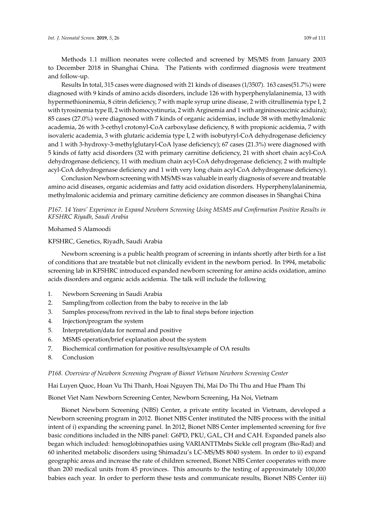Methods 1.1 million neonates were collected and screened by MS/MS from January 2003 to December 2018 in Shanghai China. The Patients with confirmed diagnosis were treatment and follow-up.

Results In total, 315 cases were diagnosed with 21 kinds of diseases (1/3507). 163 cases(51.7%) were diagnosed with 9 kinds of amino acids disorders, include 126 with hyperphenylalaninemia, 13 with hypermethioninemia, 8 citrin deficiency, 7 with maple syrup urine disease, 2 with citrullinemia type I, 2 with tyrosinemia type II, 2 with homocystinuria, 2 with Arginemia and 1 with argininosuccinic aciduira); 85 cases (27.0%) were diagnosed with 7 kinds of organic acidemias, include 38 with methylmalonic academia, 26 with 3-cethyl crotonyl-CoA carboxylase deficiency, 8 with propionic acidemia, 7 with isovaleric academia, 3 with glutaric acidemia type I, 2 with isobutyryl-CoA dehydrogenase deficiency and 1 with 3-hydroxy-3-methylglutaryl-CoA lyase deficiency); 67 cases (21.3%) were diagnosed with 5 kinds of fatty acid disorders (32 with primary carnitine deficiency, 21 with short chain acyl-CoA dehydrogenase deficiency, 11 with medium chain acyl-CoA dehydrogenase deficiency, 2 with multiple acyl-CoA dehydrogenase deficiency and 1 with very long chain acyl-CoA dehydrogenase deficiency).

Conclusion Newborn screening with MS/MS was valuable in early diagnosis of severe and treatable amino acid diseases, organic acidemias and fatty acid oxidation disorders. Hyperphenylalaninemia, methylmalonic acidemia and primary carnitine deficiency are common diseases in Shanghai China

*P167. 14 Years' Experience in Expand Newborn Screening Using MSMS and Confirmation Positive Results in KFSHRC Riyadh, Saudi Arabia*

# Mohamed S Alamoodi

# KFSHRC, Genetics, Riyadh, Saudi Arabia

Newborn screening is a public health program of screening in infants shortly after birth for a list of conditions that are treatable but not clinically evident in the newborn period. In 1994, metabolic screening lab in KFSHRC introduced expanded newborn screening for amino acids oxidation, amino acids disorders and organic acids acidemia. The talk will include the following

- 1. Newborn Screening in Saudi Arabia
- 2. Sampling/from collection from the baby to receive in the lab
- 3. Samples process/from revived in the lab to final steps before injection
- 4. Injection/program the system
- 5. Interpretation/data for normal and positive
- 6. MSMS operation/brief explanation about the system
- 7. Biochemical confirmation for positive results/example of OA results
- 8. Conclusion

# *P168. Overview of Newborn Screening Program of Bionet Vietnam Newborn Screening Center*

Hai Luyen Quoc, Hoan Vu Thi Thanh, Hoai Nguyen Thi, Mai Do Thi Thu and Hue Pham Thi

Bionet Viet Nam Newborn Screening Center, Newborn Screening, Ha Noi, Vietnam

Bionet Newborn Screening (NBS) Center, a private entity located in Vietnam, developed a Newborn screening program in 2012. Bionet NBS Center instituted the NBS process with the initial intent of i) expanding the screening panel. In 2012, Bionet NBS Center implemented screening for five basic conditions included in the NBS panel: G6PD, PKU, GAL, CH and CAH. Expanded panels also began which included: hemoglobinopathies using VARIANTTMnbs Sickle cell program (Bio-Rad) and 60 inherited metabolic disorders using Shimadzu's LC-MS/MS 8040 system. In order to ii) expand geographic areas and increase the rate of children screened, Bionet NBS Center cooperates with more than 200 medical units from 45 provinces. This amounts to the testing of approximately 100,000 babies each year. In order to perform these tests and communicate results, Bionet NBS Center iii)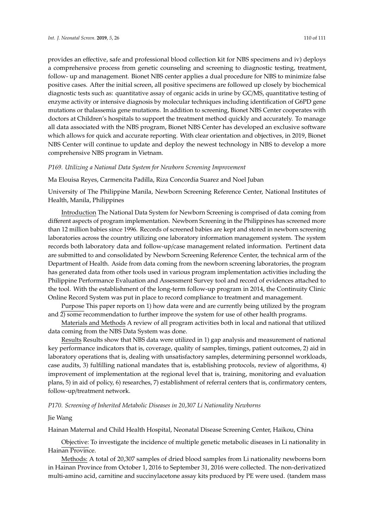provides an effective, safe and professional blood collection kit for NBS specimens and iv) deploys a comprehensive process from genetic counseling and screening to diagnostic testing, treatment, follow- up and management. Bionet NBS center applies a dual procedure for NBS to minimize false positive cases. After the initial screen, all positive specimens are followed up closely by biochemical diagnostic tests such as: quantitative assay of organic acids in urine by GC/MS, quantitative testing of enzyme activity or intensive diagnosis by molecular techniques including identification of G6PD gene mutations or thalassemia gene mutations. In addition to screening, Bionet NBS Center cooperates with doctors at Children's hospitals to support the treatment method quickly and accurately. To manage all data associated with the NBS program, Bionet NBS Center has developed an exclusive software which allows for quick and accurate reporting. With clear orientation and objectives, in 2019, Bionet NBS Center will continue to update and deploy the newest technology in NBS to develop a more comprehensive NBS program in Vietnam.

## *P169. Utilizing a National Data System for Newborn Screening Improvement*

Ma Elouisa Reyes, Carmencita Padilla, Riza Concordia Suarez and Noel Juban

University of The Philippine Manila, Newborn Screening Reference Center, National Institutes of Health, Manila, Philippines

Introduction The National Data System for Newborn Screening is comprised of data coming from different aspects of program implementation. Newborn Screening in the Philippines has screened more than 12 million babies since 1996. Records of screened babies are kept and stored in newborn screening laboratories across the country utilizing one laboratory information management system. The system records both laboratory data and follow-up/case management related information. Pertinent data are submitted to and consolidated by Newborn Screening Reference Center, the technical arm of the Department of Health. Aside from data coming from the newborn screening laboratories, the program has generated data from other tools used in various program implementation activities including the Philippine Performance Evaluation and Assessment Survey tool and record of evidences attached to the tool. With the establishment of the long-term follow-up program in 2014, the Continuity Clinic Online Record System was put in place to record compliance to treatment and management.

Purpose This paper reports on 1) how data were and are currently being utilized by the program and 2) some recommendation to further improve the system for use of other health programs.

Materials and Methods A review of all program activities both in local and national that utilized data coming from the NBS Data System was done.

Results Results show that NBS data were utilized in 1) gap analysis and measurement of national key performance indicators that is, coverage, quality of samples, timings, patient outcomes, 2) aid in laboratory operations that is, dealing with unsatisfactory samples, determining personnel workloads, case audits, 3) fulfilling national mandates that is, establishing protocols, review of algorithms, 4) improvement of implementation at the regional level that is, training, monitoring and evaluation plans, 5) in aid of policy, 6) researches, 7) establishment of referral centers that is, confirmatory centers, follow-up/treatment network.

### *P170. Screening of Inherited Metabolic Diseases in 20,307 Li Nationality Newborns*

#### Jie Wang

Hainan Maternal and Child Health Hospital, Neonatal Disease Screening Center, Haikou, China

Objective: To investigate the incidence of multiple genetic metabolic diseases in Li nationality in Hainan Province.

Methods: A total of 20,307 samples of dried blood samples from Li nationality newborns born in Hainan Province from October 1, 2016 to September 31, 2016 were collected. The non-derivatized multi-amino acid, carnitine and succinylacetone assay kits produced by PE were used. (tandem mass